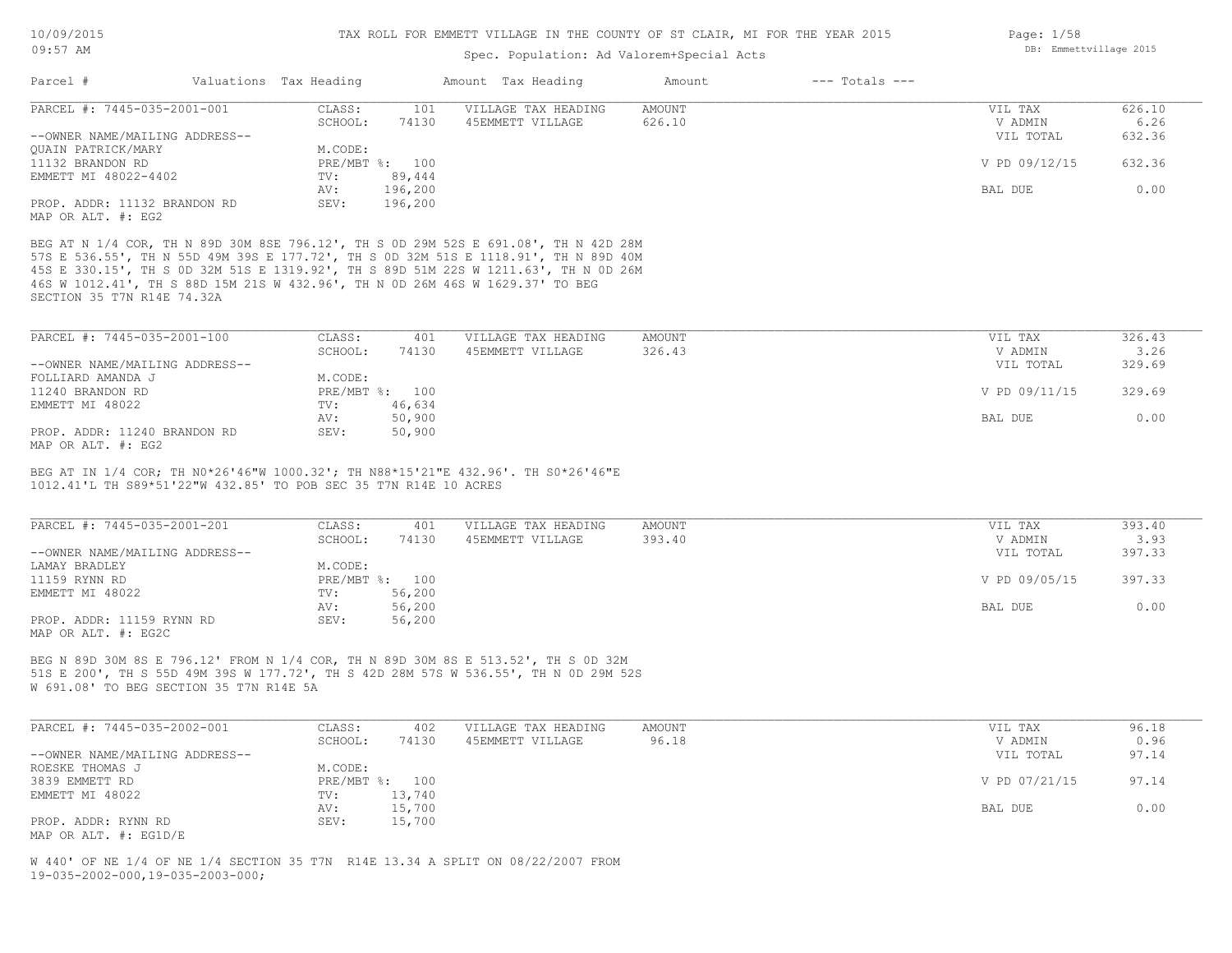## Spec. Population: Ad Valorem+Special Acts

| Parcel #                                           | Valuations Tax Heading |                | Amount Tax Heading  | Amount | $---$ Totals $---$ |               |        |
|----------------------------------------------------|------------------------|----------------|---------------------|--------|--------------------|---------------|--------|
| PARCEL #: 7445-035-2001-001                        | CLASS:                 | 101            | VILLAGE TAX HEADING | AMOUNT |                    | VIL TAX       | 626.10 |
|                                                    | SCHOOL:                | 74130          | 45EMMETT VILLAGE    | 626.10 |                    | V ADMIN       | 6.26   |
| --OWNER NAME/MAILING ADDRESS--                     |                        |                |                     |        |                    | VIL TOTAL     | 632.36 |
| OUAIN PATRICK/MARY                                 | M.CODE:                |                |                     |        |                    |               |        |
| 11132 BRANDON RD                                   |                        | PRE/MBT %: 100 |                     |        |                    | V PD 09/12/15 | 632.36 |
| EMMETT MI 48022-4402                               | TV:                    | 89,444         |                     |        |                    |               |        |
|                                                    | AV:                    | 196,200        |                     |        |                    | BAL DUE       | 0.00   |
| PROP. ADDR: 11132 BRANDON RD<br>MAP OR ALT. #: EG2 | SEV:                   | 196,200        |                     |        |                    |               |        |

SECTION 35 T7N R14E 74.32A 46S W 1012.41', TH S 88D 15M 21S W 432.96', TH N 0D 26M 46S W 1629.37' TO BEG 45S E 330.15', TH S 0D 32M 51S E 1319.92', TH S 89D 51M 22S W 1211.63', TH N 0D 26M 57S E 536.55', TH N 55D 49M 39S E 177.72', TH S 0D 32M 51S E 1118.91', TH N 89D 40M BEG AT N 1/4 COR, TH N 89D 30M 8SE 796.12', TH S 0D 29M 52S E 691.08', TH N 42D 28M

| PARCEL #: 7445-035-2001-100    | CLASS:  | 401            | VILLAGE TAX HEADING | AMOUNT | VIL TAX       | 326.43 |
|--------------------------------|---------|----------------|---------------------|--------|---------------|--------|
|                                | SCHOOL: | 74130          | 45EMMETT VILLAGE    | 326.43 | V ADMIN       | 3.26   |
| --OWNER NAME/MAILING ADDRESS-- |         |                |                     |        | VIL TOTAL     | 329.69 |
| FOLLIARD AMANDA J              | M.CODE: |                |                     |        |               |        |
| 11240 BRANDON RD               |         | PRE/MBT %: 100 |                     |        | V PD 09/11/15 | 329.69 |
| EMMETT MI 48022                | TV:     | 46,634         |                     |        |               |        |
|                                | AV:     | 50,900         |                     |        | BAL DUE       | 0.00   |
| PROP. ADDR: 11240 BRANDON RD   | SEV:    | 50,900         |                     |        |               |        |
|                                |         |                |                     |        |               |        |

MAP OR ALT. #: EG2

1012.41'L TH S89\*51'22"W 432.85' TO POB SEC 35 T7N R14E 10 ACRES BEG AT IN 1/4 COR; TH N0\*26'46"W 1000.32'; TH N88\*15'21"E 432.96'. TH S0\*26'46"E

| PARCEL #: 7445-035-2001-201    | CLASS:  | 401            | VILLAGE TAX HEADING | AMOUNT | VIL TAX       | 393.40 |
|--------------------------------|---------|----------------|---------------------|--------|---------------|--------|
|                                | SCHOOL: | 74130          | 45EMMETT VILLAGE    | 393.40 | V ADMIN       | 3.93   |
| --OWNER NAME/MAILING ADDRESS-- |         |                |                     |        | VIL TOTAL     | 397.33 |
| LAMAY BRADLEY                  | M.CODE: |                |                     |        |               |        |
| 11159 RYNN RD                  |         | PRE/MBT %: 100 |                     |        | V PD 09/05/15 | 397.33 |
| EMMETT MI 48022                | TV:     | 56,200         |                     |        |               |        |
|                                | AV:     | 56,200         |                     |        | BAL DUE       | 0.00   |
| PROP. ADDR: 11159 RYNN RD      | SEV:    | 56,200         |                     |        |               |        |
| MAP OR ALT. #: EG2C            |         |                |                     |        |               |        |

W 691.08' TO BEG SECTION 35 T7N R14E 5A 51S E 200', TH S 55D 49M 39S W 177.72', TH S 42D 28M 57S W 536.55', TH N 0D 29M 52S BEG N 89D 30M 8S E 796.12' FROM N 1/4 COR, TH N 89D 30M 8S E 513.52', TH S 0D 32M

| PARCEL #: 7445-035-2002-001    | CLASS:  | 402            | VILLAGE TAX HEADING | AMOUNT | VIL TAX       | 96.18 |
|--------------------------------|---------|----------------|---------------------|--------|---------------|-------|
|                                | SCHOOL: | 74130          | 45EMMETT VILLAGE    | 96.18  | V ADMIN       | 0.96  |
| --OWNER NAME/MAILING ADDRESS-- |         |                |                     |        | VIL TOTAL     | 97.14 |
| ROESKE THOMAS J                | M.CODE: |                |                     |        |               |       |
| 3839 EMMETT RD                 |         | PRE/MBT %: 100 |                     |        | V PD 07/21/15 | 97.14 |
| EMMETT MI 48022                | TV:     | 13,740         |                     |        |               |       |
|                                | AV:     | 15,700         |                     |        | BAL DUE       | 0.00  |
| PROP. ADDR: RYNN RD            | SEV:    | 15,700         |                     |        |               |       |
| MAP OR ALT. $\#$ : EG1D/E      |         |                |                     |        |               |       |

19-035-2002-000,19-035-2003-000; W 440' OF NE 1/4 OF NE 1/4 SECTION 35 T7N R14E 13.34 A SPLIT ON 08/22/2007 FROM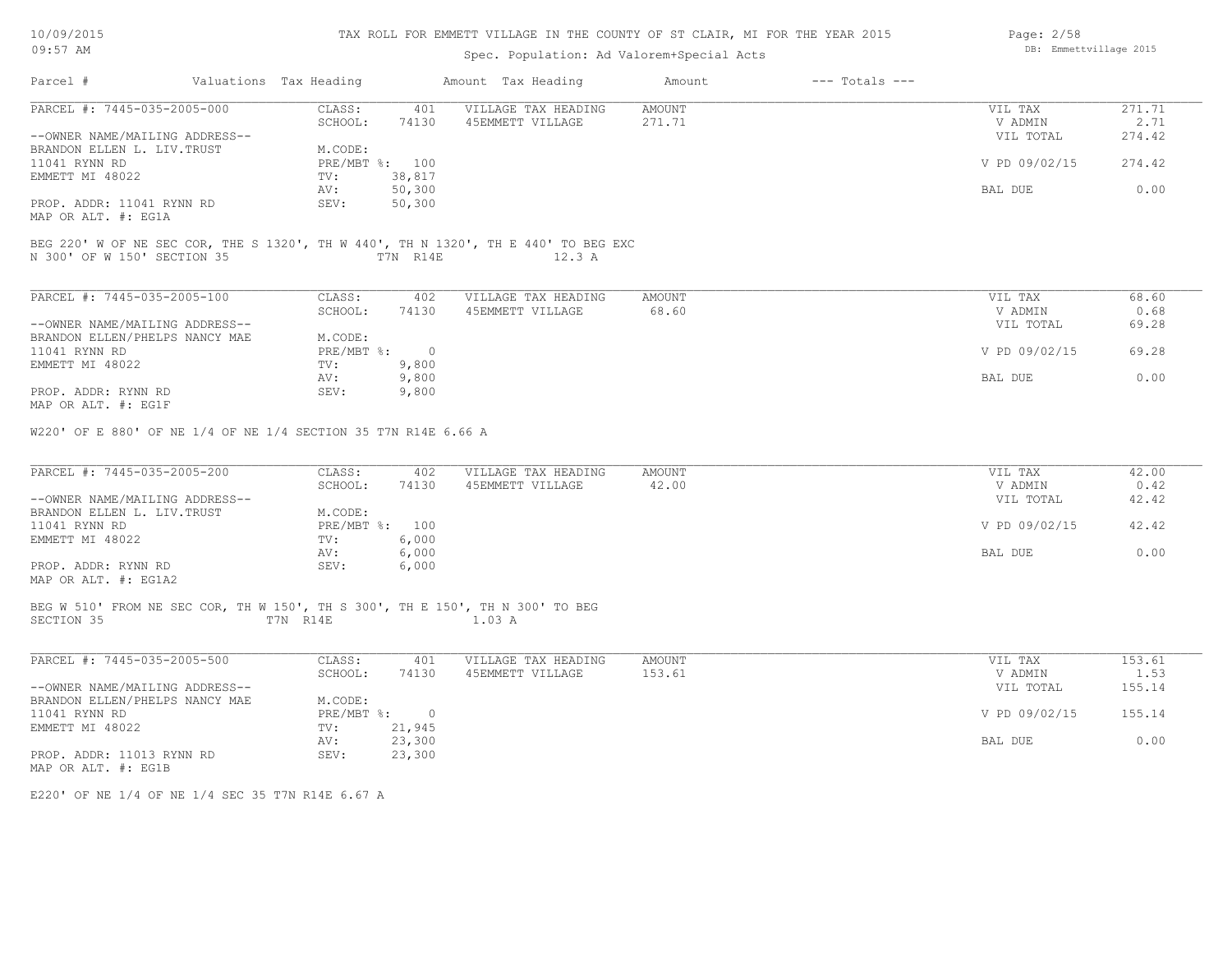| 10/09/2015 |  |
|------------|--|
| $09:57$ AM |  |

# Spec. Population: Ad Valorem+Special Acts

| Page: 2/58 |                        |  |
|------------|------------------------|--|
|            | DB: Emmettvillage 2015 |  |

| Parcel #                                                                                    | Valuations Tax Heading |                             | Amount Tax Heading                          | Amount           | $---$ Totals $---$ |                    |                |
|---------------------------------------------------------------------------------------------|------------------------|-----------------------------|---------------------------------------------|------------------|--------------------|--------------------|----------------|
| PARCEL #: 7445-035-2005-000                                                                 | CLASS:<br>SCHOOL:      | 401<br>74130                | VILLAGE TAX HEADING<br>45EMMETT VILLAGE     | AMOUNT<br>271.71 |                    | VIL TAX<br>V ADMIN | 271.71<br>2.71 |
| --OWNER NAME/MAILING ADDRESS--<br>BRANDON ELLEN L. LIV. TRUST                               | M.CODE:                |                             |                                             |                  |                    | VIL TOTAL          | 274.42         |
| 11041 RYNN RD<br>EMMETT MI 48022                                                            | TV:                    | PRE/MBT %: 100<br>38,817    |                                             |                  |                    | V PD 09/02/15      | 274.42         |
|                                                                                             | AV:                    | 50,300                      |                                             |                  |                    | BAL DUE            | 0.00           |
| PROP. ADDR: 11041 RYNN RD<br>MAP OR ALT. #: EG1A                                            | SEV:                   | 50, 300                     |                                             |                  |                    |                    |                |
| BEG 220' W OF NE SEC COR, THE S 1320', TH W 440', TH N 1320', TH E 440' TO BEG EXC          |                        |                             |                                             |                  |                    |                    |                |
| N 300' OF W 150' SECTION 35                                                                 | T7N R14E               |                             | 12.3 A                                      |                  |                    |                    |                |
| PARCEL #: 7445-035-2005-100                                                                 | CLASS:                 | 402                         | VILLAGE TAX HEADING                         | AMOUNT           |                    | VIL TAX            | 68.60          |
|                                                                                             | SCHOOL:                | 74130                       | 45EMMETT VILLAGE                            | 68.60            |                    | V ADMIN            | 0.68           |
| --OWNER NAME/MAILING ADDRESS--<br>BRANDON ELLEN/PHELPS NANCY MAE                            | M.CODE:                |                             |                                             |                  |                    | VIL TOTAL          | 69.28          |
| 11041 RYNN RD                                                                               |                        | $PRE/MBT$ $\div$ 0          |                                             |                  |                    | V PD 09/02/15      | 69.28          |
| EMMETT MI 48022                                                                             | TV:                    | 9,800                       |                                             |                  |                    |                    |                |
|                                                                                             | AV:                    | 9,800                       |                                             |                  |                    | BAL DUE            | 0.00           |
| PROP. ADDR: RYNN RD<br>MAP OR ALT. #: EG1F                                                  | SEV:                   | 9,800                       |                                             |                  |                    |                    |                |
| PARCEL #: 7445-035-2005-200                                                                 | CLASS:<br>SCHOOL:      | 74130                       | 402 VILLAGE TAX HEADING<br>45EMMETT VILLAGE | AMOUNT<br>42.00  |                    | VIL TAX<br>V ADMIN | 42.00<br>0.42  |
| --OWNER NAME/MAILING ADDRESS--<br>BRANDON ELLEN L. LIV. TRUST                               | M.CODE:                |                             |                                             |                  |                    | VIL TOTAL          | 42.42          |
| 11041 RYNN RD                                                                               |                        | PRE/MBT %: 100              |                                             |                  |                    | V PD 09/02/15      | 42.42          |
| EMMETT MI 48022                                                                             | $\text{TV}$ :          | 6,000                       |                                             |                  |                    |                    |                |
|                                                                                             | AV:                    | 6,000                       |                                             |                  |                    | BAL DUE            | 0.00           |
| PROP. ADDR: RYNN RD<br>MAP OR ALT. #: EG1A2                                                 | SEV:                   | 6,000                       |                                             |                  |                    |                    |                |
| BEG W 510' FROM NE SEC COR, TH W 150', TH S 300', TH E 150', TH N 300' TO BEG<br>SECTION 35 | T7N R14E               |                             | 1.03 A                                      |                  |                    |                    |                |
|                                                                                             |                        |                             |                                             |                  |                    |                    |                |
| PARCEL #: 7445-035-2005-500                                                                 | CLASS:                 | 401                         | VILLAGE TAX HEADING                         | AMOUNT           |                    | VIL TAX            | 153.61         |
|                                                                                             | SCHOOL:                | 74130                       | 45EMMETT VILLAGE                            | 153.61           |                    | V ADMIN            | 1.53           |
| --OWNER NAME/MAILING ADDRESS--                                                              |                        |                             |                                             |                  |                    | VIL TOTAL          | 155.14         |
| BRANDON ELLEN/PHELPS NANCY MAE                                                              | M.CODE:                |                             |                                             |                  |                    |                    |                |
| 11041 RYNN RD                                                                               |                        | $PRE/MBT$ $\frac{1}{6}$ : 0 |                                             |                  |                    | V PD 09/02/15      | 155.14         |
| EMMETT MI 48022                                                                             |                        | TV: 21,945                  |                                             |                  |                    |                    |                |
| PROP. ADDR: 11013 RYNN RD<br>MAP OR ALT. #: EG1B                                            | AV:<br>SEV:            | 23,300<br>23,300            |                                             |                  |                    | BAL DUE            | 0.00           |
|                                                                                             |                        |                             |                                             |                  |                    |                    |                |

E220' OF NE 1/4 OF NE 1/4 SEC 35 T7N R14E 6.67 A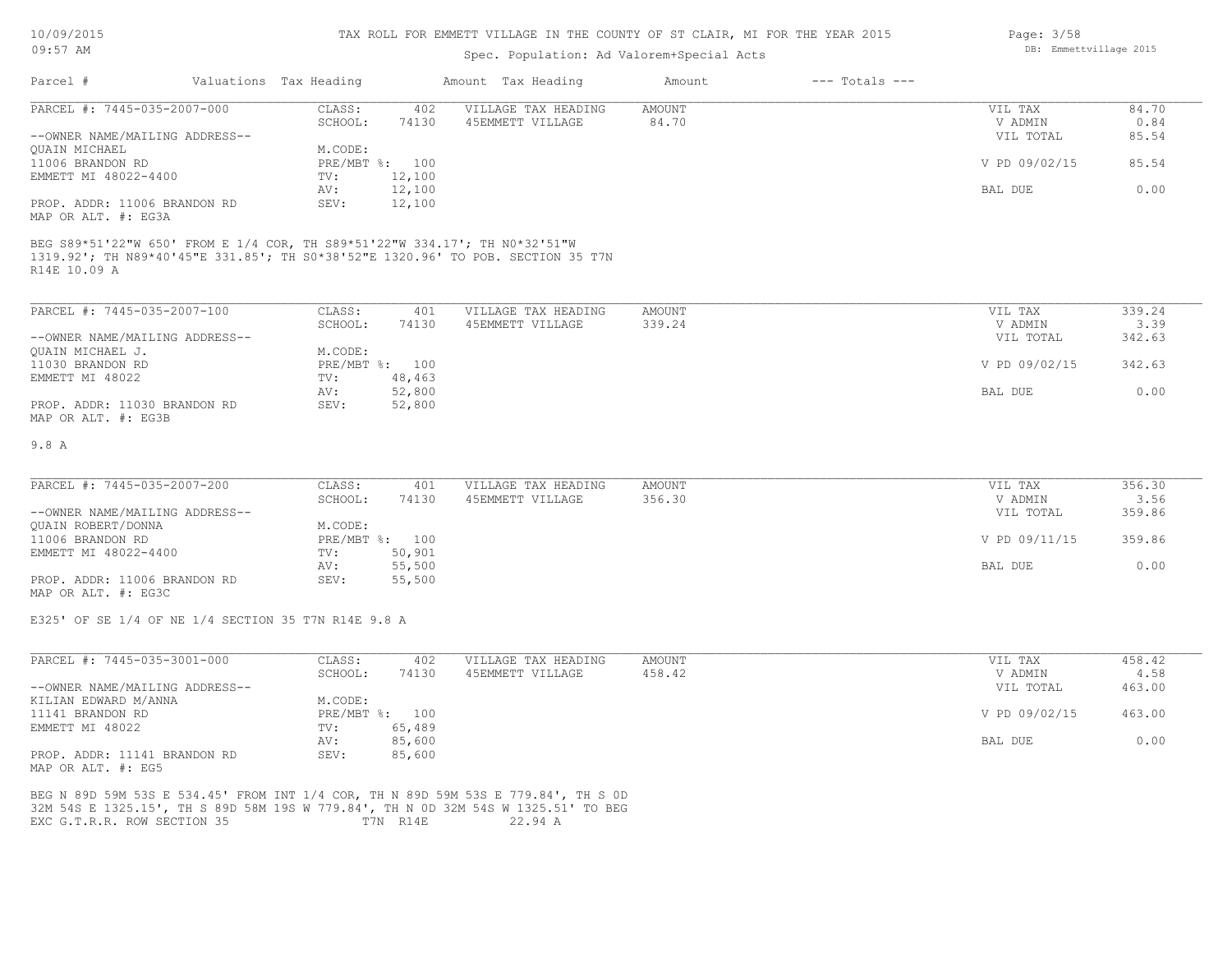### TAX ROLL FOR EMMETT VILLAGE IN THE COUNTY OF ST CLAIR, MI FOR THE YEAR 2015

# Spec. Population: Ad Valorem+Special Acts

| Parcel #                       | Valuations Tax Heading |                | Amount Tax Heading  | Amount | $---$ Totals $---$ |               |       |
|--------------------------------|------------------------|----------------|---------------------|--------|--------------------|---------------|-------|
| PARCEL #: 7445-035-2007-000    | CLASS:                 | 402            | VILLAGE TAX HEADING | AMOUNT |                    | VIL TAX       | 84.70 |
|                                | SCHOOL:                | 74130          | 45EMMETT VILLAGE    | 84.70  |                    | V ADMIN       | 0.84  |
| --OWNER NAME/MAILING ADDRESS-- |                        |                |                     |        |                    | VIL TOTAL     | 85.54 |
| OUAIN MICHAEL                  | M.CODE:                |                |                     |        |                    |               |       |
| 11006 BRANDON RD               |                        | PRE/MBT %: 100 |                     |        |                    | V PD 09/02/15 | 85.54 |
| EMMETT MI 48022-4400           | TV:                    | 12,100         |                     |        |                    |               |       |
|                                | AV:                    | 12,100         |                     |        |                    | BAL DUE       | 0.00  |
| PROP. ADDR: 11006 BRANDON RD   | SEV:                   | 12,100         |                     |        |                    |               |       |
| MAP OR ALT. #: EG3A            |                        |                |                     |        |                    |               |       |

R14E 10.09 A 1319.92'; TH N89\*40'45"E 331.85'; TH S0\*38'52"E 1320.96' TO POB. SECTION 35 T7N BEG S89\*51'22"W 650' FROM E 1/4 COR, TH S89\*51'22"W 334.17'; TH N0\*32'51"W

| PARCEL #: 7445-035-2007-100    | CLASS:  | 401            | VILLAGE TAX HEADING | AMOUNT | VIL TAX       | 339.24 |
|--------------------------------|---------|----------------|---------------------|--------|---------------|--------|
|                                | SCHOOL: | 74130          | 45EMMETT VILLAGE    | 339.24 | V ADMIN       | 3.39   |
| --OWNER NAME/MAILING ADDRESS-- |         |                |                     |        | VIL TOTAL     | 342.63 |
| QUAIN MICHAEL J.               | M.CODE: |                |                     |        |               |        |
| 11030 BRANDON RD               |         | PRE/MBT %: 100 |                     |        | V PD 09/02/15 | 342.63 |
| EMMETT MI 48022                | TV:     | 48,463         |                     |        |               |        |
|                                | AV:     | 52,800         |                     |        | BAL DUE       | 0.00   |
| PROP. ADDR: 11030 BRANDON RD   | SEV:    | 52,800         |                     |        |               |        |
| MAP OR ALT. #: EG3B            |         |                |                     |        |               |        |

#### 9.8 A

| PARCEL #: 7445-035-2007-200    | CLASS:  | 401            | VILLAGE TAX HEADING | AMOUNT | VIL TAX       | 356.30 |
|--------------------------------|---------|----------------|---------------------|--------|---------------|--------|
|                                | SCHOOL: | 74130          | 45EMMETT VILLAGE    | 356.30 | V ADMIN       | 3.56   |
| --OWNER NAME/MAILING ADDRESS-- |         |                |                     |        | VIL TOTAL     | 359.86 |
| QUAIN ROBERT/DONNA             | M.CODE: |                |                     |        |               |        |
| 11006 BRANDON RD               |         | PRE/MBT %: 100 |                     |        | V PD 09/11/15 | 359.86 |
| EMMETT MI 48022-4400           | TV:     | 50,901         |                     |        |               |        |
|                                | AV:     | 55,500         |                     |        | BAL DUE       | 0.00   |
| PROP. ADDR: 11006 BRANDON RD   | SEV:    | 55,500         |                     |        |               |        |

MAP OR ALT. #: EG3C

E325' OF SE 1/4 OF NE 1/4 SECTION 35 T7N R14E 9.8 A

| PARCEL #: 7445-035-3001-000    | CLASS:     | 402    | VILLAGE TAX HEADING | AMOUNT | VIL TAX       | 458.42 |
|--------------------------------|------------|--------|---------------------|--------|---------------|--------|
|                                | SCHOOL:    | 74130  | 45EMMETT VILLAGE    | 458.42 | V ADMIN       | 4.58   |
| --OWNER NAME/MAILING ADDRESS-- |            |        |                     |        | VIL TOTAL     | 463.00 |
| KILIAN EDWARD M/ANNA           | M.CODE:    |        |                     |        |               |        |
| 11141 BRANDON RD               | PRE/MBT %: | 100    |                     |        | V PD 09/02/15 | 463.00 |
| EMMETT MI 48022                | TV:        | 65,489 |                     |        |               |        |
|                                | AV:        | 85,600 |                     |        | BAL DUE       | 0.00   |
| PROP. ADDR: 11141 BRANDON RD   | SEV:       | 85,600 |                     |        |               |        |
| MAP OR ALT. #: EG5             |            |        |                     |        |               |        |

EXC G.T.R.R. ROW SECTION 35 T7N R14E 22.94 A 32M 54S E 1325.15', TH S 89D 58M 19S W 779.84', TH N 0D 32M 54S W 1325.51' TO BEG BEG N 89D 59M 53S E 534.45' FROM INT 1/4 COR, TH N 89D 59M 53S E 779.84', TH S 0D Page: 3/58 DB: Emmettvillage 2015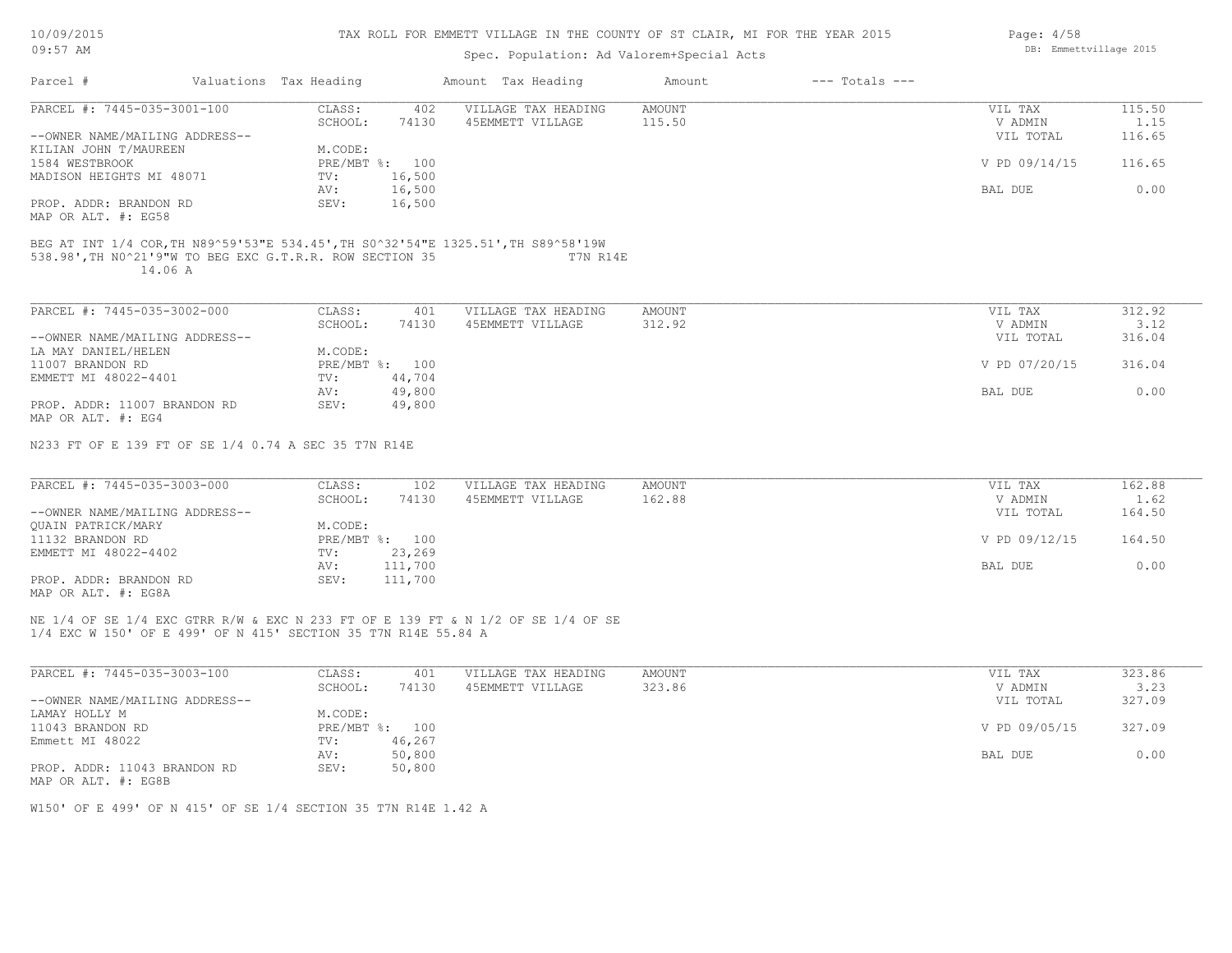|  |  | 10/09/2015 |
|--|--|------------|
|--|--|------------|

| $09:57$ AM                                                                          |  |                        |                   | Spec. Population: Ad Valorem+Special Acts                                                     |               |                    |               | DB: Emmettvillage 2015 |  |  |  |
|-------------------------------------------------------------------------------------|--|------------------------|-------------------|-----------------------------------------------------------------------------------------------|---------------|--------------------|---------------|------------------------|--|--|--|
| Parcel #                                                                            |  | Valuations Tax Heading |                   | Amount Tax Heading                                                                            | Amount        | $---$ Totals $---$ |               |                        |  |  |  |
| PARCEL #: 7445-035-3001-100                                                         |  | CLASS:                 | 402               | VILLAGE TAX HEADING                                                                           | AMOUNT        |                    | VIL TAX       | 115.50                 |  |  |  |
|                                                                                     |  | SCHOOL:                | 74130             | 45EMMETT VILLAGE                                                                              | 115.50        |                    | V ADMIN       | 1.15                   |  |  |  |
| --OWNER NAME/MAILING ADDRESS--                                                      |  |                        |                   |                                                                                               |               |                    | VIL TOTAL     | 116.65                 |  |  |  |
| KILIAN JOHN T/MAUREEN                                                               |  | M.CODE:                |                   |                                                                                               |               |                    |               |                        |  |  |  |
| 1584 WESTBROOK                                                                      |  |                        | PRE/MBT %: 100    |                                                                                               |               |                    | V PD 09/14/15 | 116.65                 |  |  |  |
| MADISON HEIGHTS MI 48071                                                            |  | TV:                    | 16,500            |                                                                                               |               |                    |               |                        |  |  |  |
|                                                                                     |  | AV:                    | 16,500            |                                                                                               |               |                    | BAL DUE       | 0.00                   |  |  |  |
| PROP. ADDR: BRANDON RD                                                              |  | SEV:                   | 16,500            |                                                                                               |               |                    |               |                        |  |  |  |
| MAP OR ALT. #: EG58                                                                 |  |                        |                   |                                                                                               |               |                    |               |                        |  |  |  |
| 538.98', TH NO^21'9"W TO BEG EXC G.T.R.R. ROW SECTION 35<br>14.06 A                 |  |                        |                   | BEG AT INT 1/4 COR, TH N89^59'53"E 534.45', TH S0^32'54"E 1325.51', TH S89^58'19W<br>T7N R14E |               |                    |               |                        |  |  |  |
| PARCEL #: 7445-035-3002-000                                                         |  | CLASS:                 | 401               | VILLAGE TAX HEADING                                                                           | <b>AMOUNT</b> |                    | VIL TAX       | 312.92                 |  |  |  |
|                                                                                     |  | SCHOOL:                | 74130             | 45EMMETT VILLAGE                                                                              | 312.92        |                    | V ADMIN       | 3.12                   |  |  |  |
| --OWNER NAME/MAILING ADDRESS--                                                      |  |                        |                   |                                                                                               |               |                    | VIL TOTAL     | 316.04                 |  |  |  |
| LA MAY DANIEL/HELEN                                                                 |  | M.CODE:                |                   |                                                                                               |               |                    |               |                        |  |  |  |
| 11007 BRANDON RD                                                                    |  |                        | PRE/MBT %: 100    |                                                                                               |               |                    | V PD 07/20/15 | 316.04                 |  |  |  |
| EMMETT MI 48022-4401                                                                |  | TV:                    | 44,704            |                                                                                               |               |                    |               |                        |  |  |  |
|                                                                                     |  | AV:                    | 49,800            |                                                                                               |               |                    | BAL DUE       | 0.00                   |  |  |  |
| PROP. ADDR: 11007 BRANDON RD                                                        |  | SEV:                   | 49,800            |                                                                                               |               |                    |               |                        |  |  |  |
| MAP OR ALT. #: EG4                                                                  |  |                        |                   |                                                                                               |               |                    |               |                        |  |  |  |
| N233 FT OF E 139 FT OF SE 1/4 0.74 A SEC 35 T7N R14E<br>PARCEL #: 7445-035-3003-000 |  | CLASS:                 | 102               |                                                                                               |               |                    | VIL TAX       | 162.88                 |  |  |  |
|                                                                                     |  |                        |                   | VILLAGE TAX HEADING                                                                           | <b>AMOUNT</b> |                    |               |                        |  |  |  |
|                                                                                     |  | SCHOOL:                | 74130             | 45EMMETT VILLAGE                                                                              | 162.88        |                    | V ADMIN       | 1.62                   |  |  |  |
| --OWNER NAME/MAILING ADDRESS--                                                      |  |                        |                   |                                                                                               |               |                    | VIL TOTAL     | 164.50                 |  |  |  |
| <b>OUAIN PATRICK/MARY</b>                                                           |  | M.CODE:                |                   |                                                                                               |               |                    |               |                        |  |  |  |
| 11132 BRANDON RD                                                                    |  |                        | PRE/MBT %: 100    |                                                                                               |               |                    | V PD 09/12/15 | 164.50                 |  |  |  |
| EMMETT MI 48022-4402                                                                |  | TV:<br>AV:             | 23,269<br>111,700 |                                                                                               |               |                    | BAL DUE       | 0.00                   |  |  |  |
| PROP. ADDR: BRANDON RD                                                              |  | SEV:                   | 111,700           |                                                                                               |               |                    |               |                        |  |  |  |
| MAP OR ALT. #: EG8A                                                                 |  |                        |                   |                                                                                               |               |                    |               |                        |  |  |  |
| 1/4 EXC W 150' OF E 499' OF N 415' SECTION 35 T7N R14E 55.84 A                      |  |                        |                   | NE 1/4 OF SE 1/4 EXC GTRR R/W & EXC N 233 FT OF E 139 FT & N 1/2 OF SE 1/4 OF SE              |               |                    |               |                        |  |  |  |
| PARCEL #: 7445-035-3003-100                                                         |  | CLASS:                 | 401               | VILLAGE TAX HEADING                                                                           | <b>AMOUNT</b> |                    | VIL TAX       | 323.86                 |  |  |  |
|                                                                                     |  | SCHOOL:                | 74130             | 45EMMETT VILLAGE                                                                              | 323.86        |                    | V ADMIN       | 3.23                   |  |  |  |
| --OWNER NAME/MAILING ADDRESS--                                                      |  |                        |                   |                                                                                               |               |                    | VIL TOTAL     | 327.09                 |  |  |  |
| LAMAY HOLLY M                                                                       |  | M.CODE:                |                   |                                                                                               |               |                    |               |                        |  |  |  |
| 11043 BRANDON RD                                                                    |  |                        | PRE/MBT %: 100    |                                                                                               |               |                    | V PD 09/05/15 | 327.09                 |  |  |  |
| Emmett MI 48022                                                                     |  | TV:                    | 46,267            |                                                                                               |               |                    |               |                        |  |  |  |
|                                                                                     |  | AV:                    | 50,800            |                                                                                               |               |                    | BAL DUE       | 0.00                   |  |  |  |
| PROP. ADDR: 11043 BRANDON RD<br>MAP OR ALT. #: EG8B                                 |  | SEV:                   | 50,800            |                                                                                               |               |                    |               |                        |  |  |  |

W150' OF E 499' OF N 415' OF SE 1/4 SECTION 35 T7N R14E 1.42 A

Page: 4/58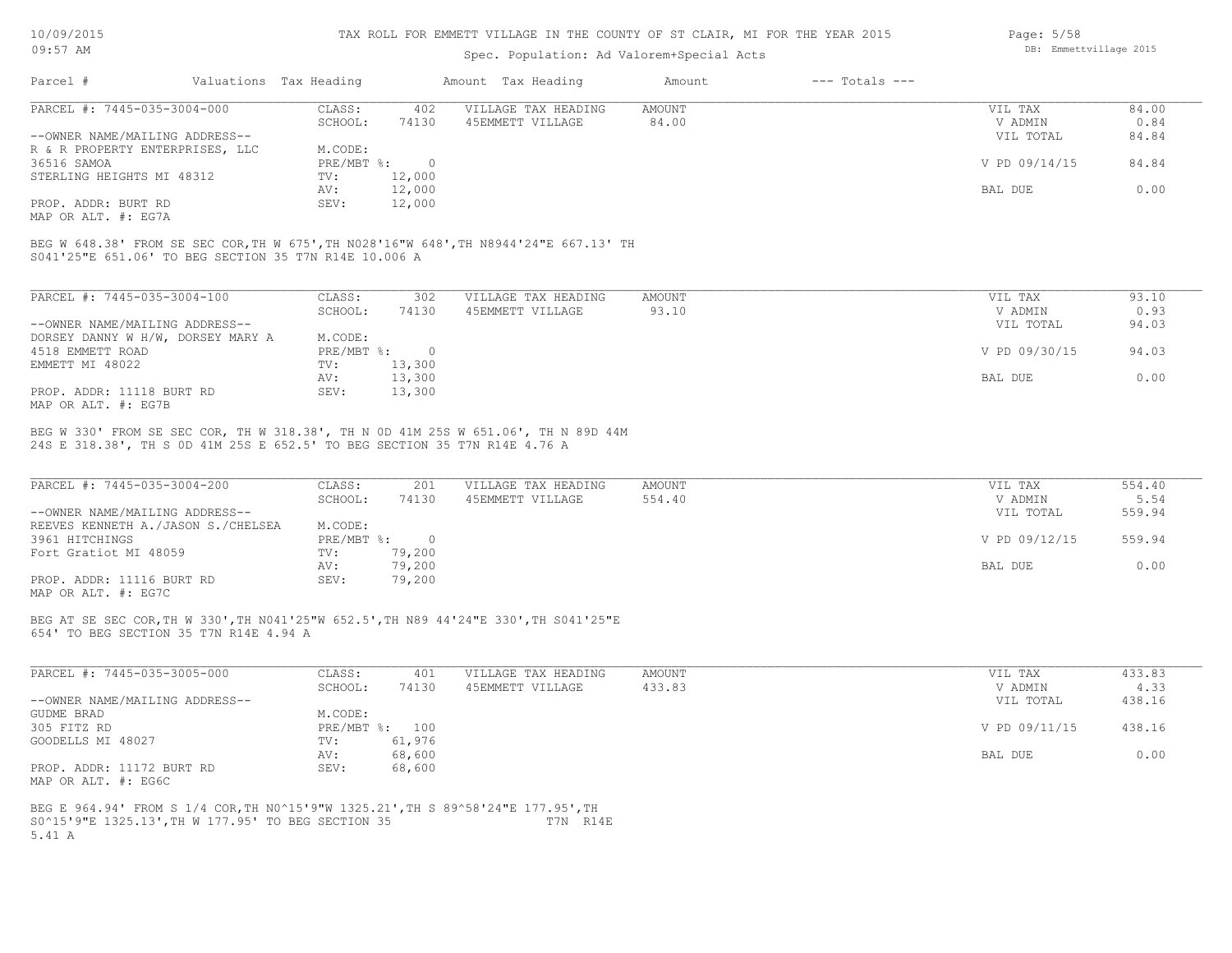#### TAX ROLL FOR EMMETT VILLAGE IN THE COUNTY OF ST CLAIR, MI FOR THE YEAR 2015

## Spec. Population: Ad Valorem+Special Acts

| Page: $5/58$ |                        |  |
|--------------|------------------------|--|
|              | DB: Emmettvillage 2015 |  |

| Parcel #                                                                                                        |  | Valuations Tax Heading |        | Amount Tax Heading  | Amount | $---$ Totals $---$ |               |       |
|-----------------------------------------------------------------------------------------------------------------|--|------------------------|--------|---------------------|--------|--------------------|---------------|-------|
| PARCEL #: 7445-035-3004-000                                                                                     |  | CLASS:                 | 402    | VILLAGE TAX HEADING | AMOUNT |                    | VIL TAX       | 84.00 |
|                                                                                                                 |  | SCHOOL:                | 74130  | 45EMMETT VILLAGE    | 84.00  |                    | V ADMIN       | 0.84  |
| --OWNER NAME/MAILING ADDRESS--                                                                                  |  |                        |        |                     |        |                    | VIL TOTAL     | 84.84 |
| R & R PROPERTY ENTERPRISES, LLC                                                                                 |  | M.CODE:                |        |                     |        |                    |               |       |
| 36516 SAMOA                                                                                                     |  | PRE/MBT %:             |        |                     |        |                    | V PD 09/14/15 | 84.84 |
| STERLING HEIGHTS MI 48312                                                                                       |  | TV:                    | 12,000 |                     |        |                    |               |       |
|                                                                                                                 |  | AV:                    | 12,000 |                     |        |                    | BAL DUE       | 0.00  |
| PROP. ADDR: BURT RD                                                                                             |  | SEV:                   | 12,000 |                     |        |                    |               |       |
| the contract of the contract of the contract of the contract of the contract of the contract of the contract of |  |                        |        |                     |        |                    |               |       |

MAP OR ALT. #: EG7A

S041'25"E 651.06' TO BEG SECTION 35 T7N R14E 10.006 A BEG W 648.38' FROM SE SEC COR,TH W 675',TH N028'16"W 648',TH N8944'24"E 667.13' TH

| PARCEL #: 7445-035-3004-100       | CLASS:     | 302      | VILLAGE TAX HEADING | AMOUNT | VIL TAX       | 93.10 |
|-----------------------------------|------------|----------|---------------------|--------|---------------|-------|
|                                   | SCHOOL:    | 74130    | 45EMMETT VILLAGE    | 93.10  | V ADMIN       | 0.93  |
| --OWNER NAME/MAILING ADDRESS--    |            |          |                     |        | VIL TOTAL     | 94.03 |
| DORSEY DANNY W H/W, DORSEY MARY A | M.CODE:    |          |                     |        |               |       |
| 4518 EMMETT ROAD                  | PRE/MBT %: | $\Omega$ |                     |        | V PD 09/30/15 | 94.03 |
| EMMETT MI 48022                   | TV:        | 13,300   |                     |        |               |       |
|                                   | AV:        | 13,300   |                     |        | BAL DUE       | 0.00  |
| PROP. ADDR: 11118 BURT RD         | SEV:       | 13,300   |                     |        |               |       |
| MAP OR ALT. #: EG7B               |            |          |                     |        |               |       |

24S E 318.38', TH S 0D 41M 25S E 652.5' TO BEG SECTION 35 T7N R14E 4.76 A BEG W 330' FROM SE SEC COR, TH W 318.38', TH N 0D 41M 25S W 651.06', TH N 89D 44M

| PARCEL #: 7445-035-3004-200            | CLASS:       | 201    | VILLAGE TAX HEADING | AMOUNT | VIL TAX       | 554.40 |
|----------------------------------------|--------------|--------|---------------------|--------|---------------|--------|
|                                        | SCHOOL:      | 74130  | 45EMMETT VILLAGE    | 554.40 | V ADMIN       | 5.54   |
| --OWNER NAME/MAILING ADDRESS--         |              |        |                     |        | VIL TOTAL     | 559.94 |
| REEVES KENNETH A. / JASON S. / CHELSEA | M.CODE:      |        |                     |        |               |        |
| 3961 HITCHINGS                         | $PRE/MBT$ %: |        |                     |        | V PD 09/12/15 | 559.94 |
| Fort Gratiot MI 48059                  | TV:          | 79,200 |                     |        |               |        |
|                                        | AV:          | 79,200 |                     |        | BAL DUE       | 0.00   |
| PROP. ADDR: 11116 BURT RD              | SEV:         | 79,200 |                     |        |               |        |
| MAP OR ALT. #: EG7C                    |              |        |                     |        |               |        |

654' TO BEG SECTION 35 T7N R14E 4.94 A BEG AT SE SEC COR,TH W 330',TH N041'25"W 652.5',TH N89 44'24"E 330',TH S041'25"E

| PARCEL #: 7445-035-3005-000    | CLASS:  | 401            | VILLAGE TAX HEADING | AMOUNT | VIL TAX       | 433.83 |
|--------------------------------|---------|----------------|---------------------|--------|---------------|--------|
|                                | SCHOOL: | 74130          | 45EMMETT VILLAGE    | 433.83 | V ADMIN       | 4.33   |
| --OWNER NAME/MAILING ADDRESS-- |         |                |                     |        | VIL TOTAL     | 438.16 |
| GUDME BRAD                     | M.CODE: |                |                     |        |               |        |
| 305 FITZ RD                    |         | PRE/MBT %: 100 |                     |        | V PD 09/11/15 | 438.16 |
| GOODELLS MI 48027              | TV:     | 61,976         |                     |        |               |        |
|                                | AV:     | 68,600         |                     |        | BAL DUE       | 0.00   |
| PROP. ADDR: 11172 BURT RD      | SEV:    | 68,600         |                     |        |               |        |
| MAP OR ALT. #: EG6C            |         |                |                     |        |               |        |

5.41 A S0^15'9"E 1325.13',TH W 177.95' TO BEG SECTION 35 T7N R14E BEG E 964.94' FROM S 1/4 COR,TH N0^15'9"W 1325.21',TH S 89^58'24"E 177.95',TH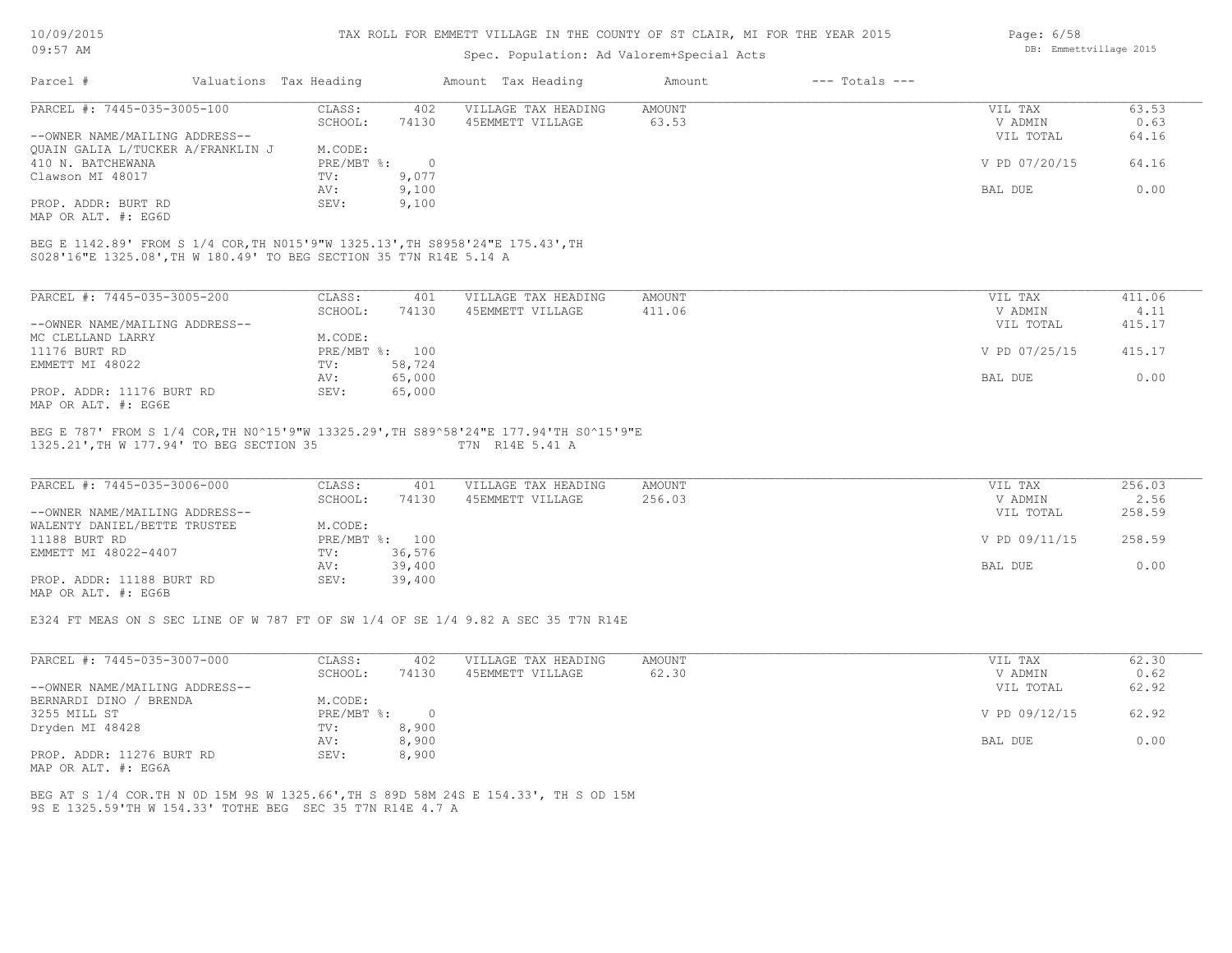| 10/09/2015 |  |
|------------|--|
| $09:57$ AM |  |

# Spec. Population: Ad Valorem+Special Acts

|                                                                                |                        |                | ppcc. reputation. nd valuatm operate need                                             |               |                    |               |        |
|--------------------------------------------------------------------------------|------------------------|----------------|---------------------------------------------------------------------------------------|---------------|--------------------|---------------|--------|
| Parcel #                                                                       | Valuations Tax Heading |                | Amount Tax Heading                                                                    | Amount        | $---$ Totals $---$ |               |        |
| PARCEL #: 7445-035-3005-100                                                    | CLASS:                 | 402            | VILLAGE TAX HEADING                                                                   | AMOUNT        |                    | VIL TAX       | 63.53  |
|                                                                                | SCHOOL:                | 74130          | 45EMMETT VILLAGE                                                                      | 63.53         |                    | V ADMIN       | 0.63   |
| --OWNER NAME/MAILING ADDRESS--                                                 |                        |                |                                                                                       |               |                    | VIL TOTAL     | 64.16  |
| OUAIN GALIA L/TUCKER A/FRANKLIN J                                              | M.CODE:                |                |                                                                                       |               |                    |               |        |
| 410 N. BATCHEWANA                                                              | PRE/MBT %:             | $\bigcirc$     |                                                                                       |               |                    | V PD 07/20/15 | 64.16  |
| Clawson MI 48017                                                               | TV:                    | 9,077          |                                                                                       |               |                    |               |        |
|                                                                                | AV:                    | 9,100          |                                                                                       |               |                    | BAL DUE       | 0.00   |
| PROP. ADDR: BURT RD                                                            | SEV:                   | 9,100          |                                                                                       |               |                    |               |        |
| MAP OR ALT. #: EG6D                                                            |                        |                |                                                                                       |               |                    |               |        |
| BEG E 1142.89' FROM S 1/4 COR, TH N015'9"W 1325.13', TH S8958'24"E 175.43', TH |                        |                |                                                                                       |               |                    |               |        |
| S028'16"E 1325.08', TH W 180.49' TO BEG SECTION 35 T7N R14E 5.14 A             |                        |                |                                                                                       |               |                    |               |        |
|                                                                                |                        |                |                                                                                       |               |                    |               |        |
| PARCEL #: 7445-035-3005-200                                                    | CLASS:                 | 401            | VILLAGE TAX HEADING                                                                   | AMOUNT        |                    | VIL TAX       | 411.06 |
|                                                                                | SCHOOL:                | 74130          | 45EMMETT VILLAGE                                                                      | 411.06        |                    | V ADMIN       | 4.11   |
| --OWNER NAME/MAILING ADDRESS--                                                 |                        |                |                                                                                       |               |                    | VIL TOTAL     | 415.17 |
| MC CLELLAND LARRY                                                              | M.CODE:                |                |                                                                                       |               |                    |               |        |
| 11176 BURT RD                                                                  |                        | PRE/MBT %: 100 |                                                                                       |               |                    | V PD 07/25/15 | 415.17 |
| EMMETT MI 48022                                                                | TV:                    | 58,724         |                                                                                       |               |                    |               |        |
|                                                                                | AV:                    | 65,000         |                                                                                       |               |                    | BAL DUE       | 0.00   |
| PROP. ADDR: 11176 BURT RD                                                      | SEV:                   | 65,000         |                                                                                       |               |                    |               |        |
| MAP OR ALT. #: EG6E                                                            |                        |                |                                                                                       |               |                    |               |        |
|                                                                                |                        |                | BEG E 787' FROM S 1/4 COR, TH NO^15'9"W 13325.29', TH S89^58'24"E 177.94'TH SO^15'9"E |               |                    |               |        |
| 1325.21', TH W 177.94' TO BEG SECTION 35                                       |                        |                | T7N R14E 5.41 A                                                                       |               |                    |               |        |
| PARCEL #: 7445-035-3006-000                                                    | CLASS:                 | 401            | VILLAGE TAX HEADING                                                                   | <b>AMOUNT</b> |                    | VIL TAX       | 256.03 |
|                                                                                | SCHOOL:                | 74130          | 45EMMETT VILLAGE                                                                      | 256.03        |                    | V ADMIN       | 2.56   |
| --OWNER NAME/MAILING ADDRESS--                                                 |                        |                |                                                                                       |               |                    | VIL TOTAL     | 258.59 |
| WALENTY DANIEL/BETTE TRUSTEE                                                   | M.CODE:                |                |                                                                                       |               |                    |               |        |
| 11188 BURT RD                                                                  |                        | PRE/MBT %: 100 |                                                                                       |               |                    | V PD 09/11/15 | 258.59 |
| EMMETT MI 48022-4407                                                           | TV:                    | 36,576         |                                                                                       |               |                    |               |        |
|                                                                                | AV:                    | 39,400         |                                                                                       |               |                    | BAL DUE       | 0.00   |
| PROP. ADDR: 11188 BURT RD                                                      | SEV:                   |                |                                                                                       |               |                    |               |        |
| MAP OR ALT. #: EG6B                                                            |                        | 39,400         |                                                                                       |               |                    |               |        |
|                                                                                |                        |                |                                                                                       |               |                    |               |        |
|                                                                                |                        |                |                                                                                       |               |                    |               |        |

E324 FT MEAS ON S SEC LINE OF W 787 FT OF SW 1/4 OF SE 1/4 9.82 A SEC 35 T7N R14E

| PARCEL #: 7445-035-3007-000                                                                                     | CLASS:     | 402   | VILLAGE TAX HEADING | AMOUNT | VIL TAX       | 62.30 |
|-----------------------------------------------------------------------------------------------------------------|------------|-------|---------------------|--------|---------------|-------|
|                                                                                                                 | SCHOOL:    | 74130 | 45EMMETT VILLAGE    | 62.30  | V ADMIN       | 0.62  |
| --OWNER NAME/MAILING ADDRESS--                                                                                  |            |       |                     |        | VIL TOTAL     | 62.92 |
| BERNARDI DINO / BRENDA                                                                                          | M.CODE:    |       |                     |        |               |       |
| 3255 MILL ST                                                                                                    | PRE/MBT %: |       |                     |        | V PD 09/12/15 | 62.92 |
| Dryden MI 48428                                                                                                 | TV:        | 8,900 |                     |        |               |       |
|                                                                                                                 | AV:        | 8,900 |                     |        | BAL DUE       | 0.00  |
| PROP. ADDR: 11276 BURT RD                                                                                       | SEV:       | 8,900 |                     |        |               |       |
| the contract of the contract of the contract of the contract of the contract of the contract of the contract of |            |       |                     |        |               |       |

MAP OR ALT. #: EG6A

9S E 1325.59'TH W 154.33' TOTHE BEG SEC 35 T7N R14E 4.7 A BEG AT S 1/4 COR.TH N 0D 15M 9S W 1325.66',TH S 89D 58M 24S E 154.33', TH S OD 15M Page: 6/58 DB: Emmettvillage 2015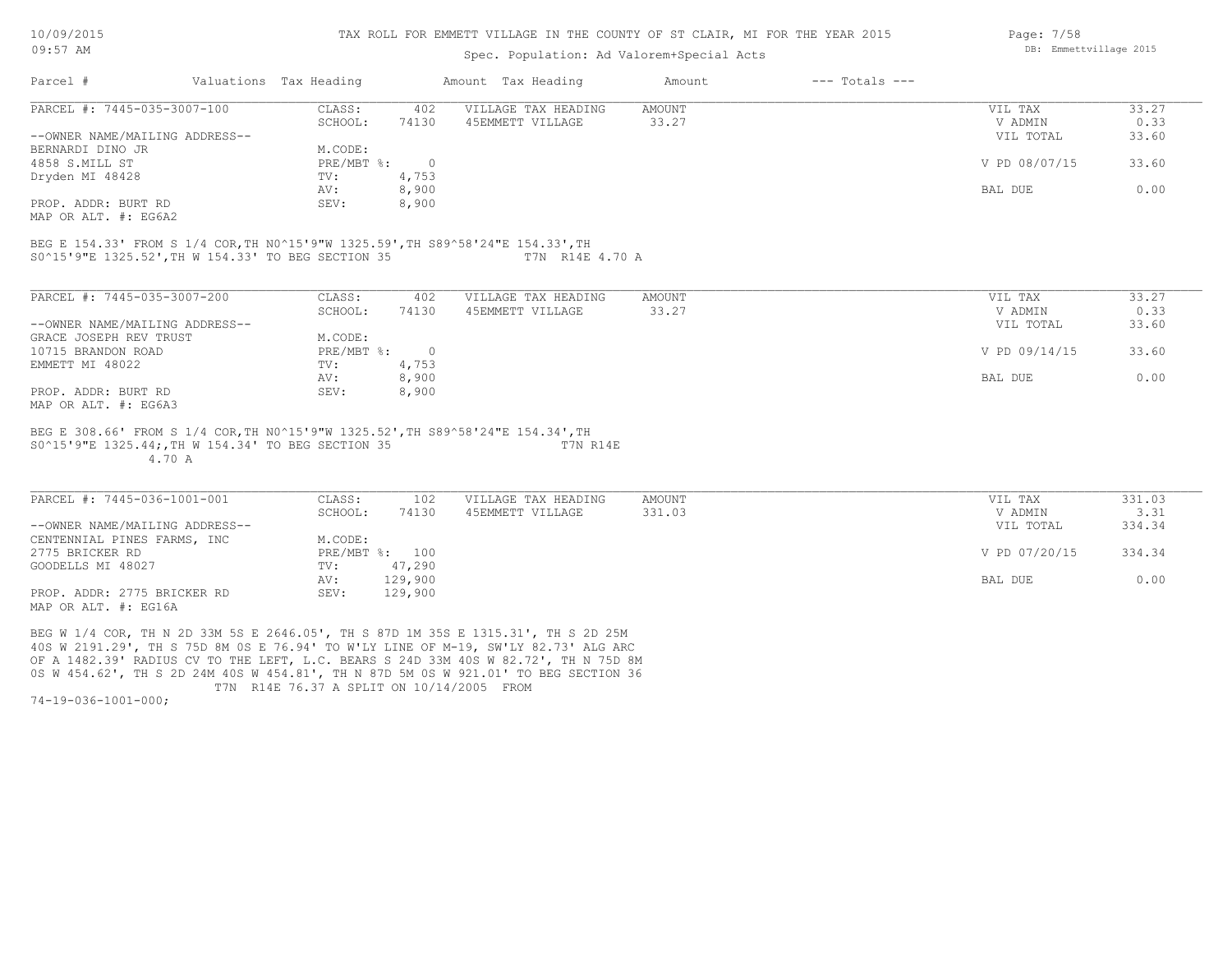#### TAX ROLL FOR EMMETT VILLAGE IN THE COUNTY OF ST CLAIR, MI FOR THE YEAR 2015

## Spec. Population: Ad Valorem+Special Acts

| Parcel #                       | Valuations Tax Heading |       | Amount Tax Heading  | Amount | $---$ Totals $---$ |               |       |
|--------------------------------|------------------------|-------|---------------------|--------|--------------------|---------------|-------|
| PARCEL #: 7445-035-3007-100    | CLASS:                 | 402   | VILLAGE TAX HEADING | AMOUNT |                    | VIL TAX       | 33.27 |
|                                | SCHOOL:                | 74130 | 45EMMETT VILLAGE    | 33.27  |                    | V ADMIN       | 0.33  |
| --OWNER NAME/MAILING ADDRESS-- |                        |       |                     |        |                    | VIL TOTAL     | 33.60 |
| BERNARDI DINO JR               | M.CODE:                |       |                     |        |                    |               |       |
| 4858 S.MILL ST                 | $PRE/MBT$ %:           |       |                     |        |                    | V PD 08/07/15 | 33.60 |
| Dryden MI 48428                | TV:                    | 4,753 |                     |        |                    |               |       |
|                                | AV:                    | 8,900 |                     |        |                    | BAL DUE       | 0.00  |
| PROP. ADDR: BURT RD            | SEV:                   | 8,900 |                     |        |                    |               |       |
|                                |                        |       |                     |        |                    |               |       |

MAP OR ALT. #: EG6A2

S0^15'9"E 1325.52',TH W 154.33' TO BEG SECTION 35 T7N R14E 4.70 A BEG E 154.33' FROM S 1/4 COR,TH N0^15'9"W 1325.59',TH S89^58'24"E 154.33',TH

| PARCEL #: 7445-035-3007-200    | CLASS:     | 402   | VILLAGE TAX HEADING | AMOUNT | 33.27<br>VIL TAX       |
|--------------------------------|------------|-------|---------------------|--------|------------------------|
|                                | SCHOOL:    | 74130 | 45EMMETT VILLAGE    | 33.27  | 0.33<br>V ADMIN        |
| --OWNER NAME/MAILING ADDRESS-- |            |       |                     |        | 33.60<br>VIL TOTAL     |
| GRACE JOSEPH REV TRUST         | M.CODE:    |       |                     |        |                        |
| 10715 BRANDON ROAD             | PRE/MBT %: |       |                     |        | V PD 09/14/15<br>33.60 |
| EMMETT MI 48022                | TV:        | 4,753 |                     |        |                        |
|                                | AV:        | 8,900 |                     |        | 0.00<br>BAL DUE        |
| PROP. ADDR: BURT RD            | SEV:       | 8,900 |                     |        |                        |
| MAP OR ALT. #: EG6A3           |            |       |                     |        |                        |

 4.70 A S0^15'9"E 1325.44;,TH W 154.34' TO BEG SECTION 35 T7N R14E BEG E 308.66' FROM S 1/4 COR,TH N0^15'9"W 1325.52',TH S89^58'24"E 154.34',TH

| PARCEL #: 7445-036-1001-001    | CLASS:  | 102            | VILLAGE TAX HEADING | AMOUNT | VIL TAX       | 331.03 |
|--------------------------------|---------|----------------|---------------------|--------|---------------|--------|
|                                | SCHOOL: | 74130          | 45EMMETT VILLAGE    | 331.03 | V ADMIN       | 3.31   |
| --OWNER NAME/MAILING ADDRESS-- |         |                |                     |        | VIL TOTAL     | 334.34 |
| CENTENNIAL PINES FARMS, INC    | M.CODE: |                |                     |        |               |        |
| 2775 BRICKER RD                |         | PRE/MBT %: 100 |                     |        | V PD 07/20/15 | 334.34 |
| GOODELLS MI 48027              | TV:     | 47,290         |                     |        |               |        |
|                                | AV:     | 129,900        |                     |        | BAL DUE       | 0.00   |
| PROP. ADDR: 2775 BRICKER RD    | SEV:    | 129,900        |                     |        |               |        |
| MAP OR ALT. #: EG16A           |         |                |                     |        |               |        |

 T7N R14E 76.37 A SPLIT ON 10/14/2005 FROM 0S W 454.62', TH S 2D 24M 40S W 454.81', TH N 87D 5M 0S W 921.01' TO BEG SECTION 36 OF A 1482.39' RADIUS CV TO THE LEFT, L.C. BEARS S 24D 33M 40S W 82.72', TH N 75D 8M 40S W 2191.29', TH S 75D 8M 0S E 76.94' TO W'LY LINE OF M-19, SW'LY 82.73' ALG ARC BEG W 1/4 COR, TH N 2D 33M 5S E 2646.05', TH S 87D 1M 35S E 1315.31', TH S 2D 25M

74-19-036-1001-000;

Page: 7/58 DB: Emmettvillage 2015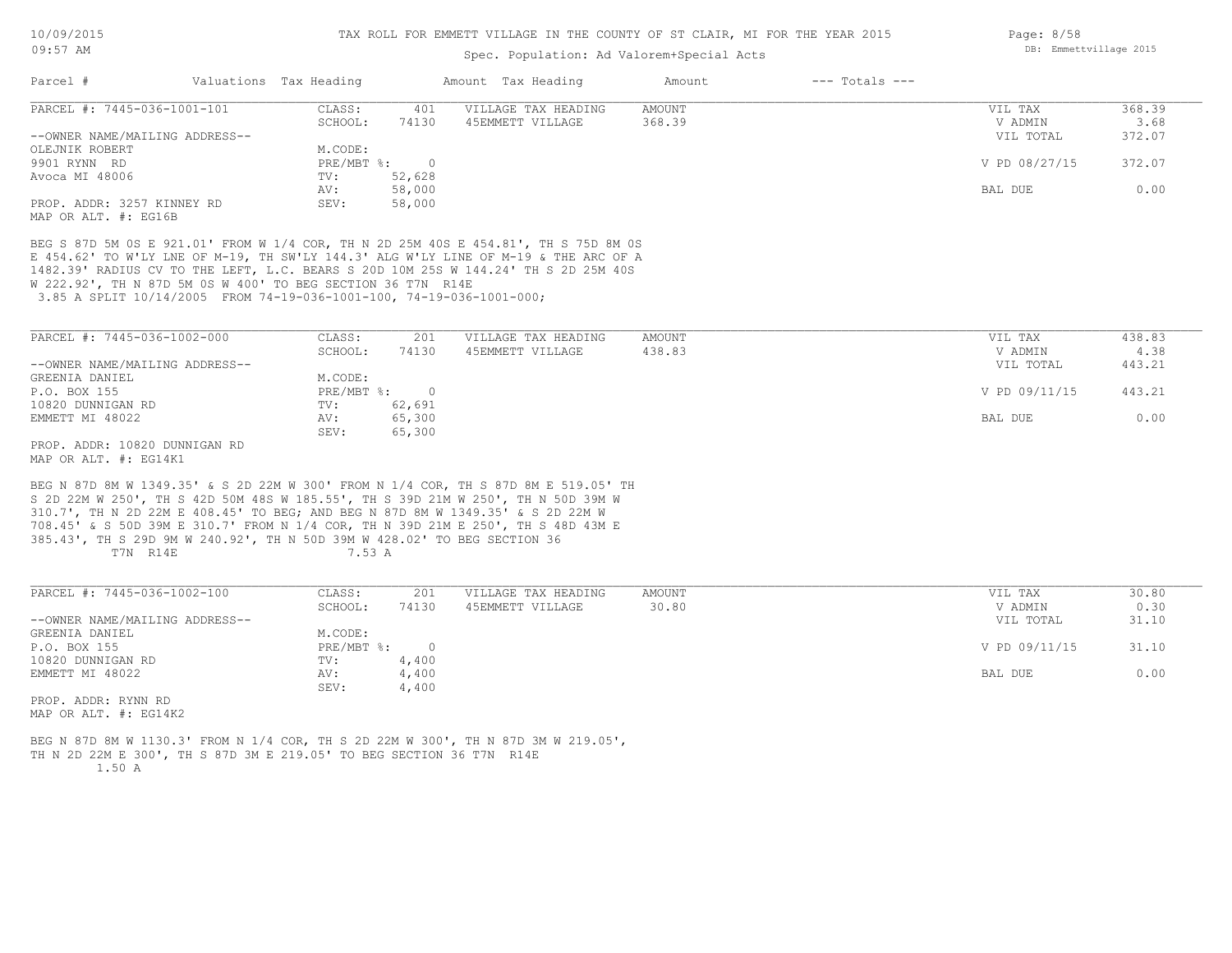# Spec. Population: Ad Valorem+Special Acts

| Parcel #                       | Valuations Tax Heading |        | Amount Tax Heading  | Amount | $---$ Totals $---$ |               |        |
|--------------------------------|------------------------|--------|---------------------|--------|--------------------|---------------|--------|
| PARCEL #: 7445-036-1001-101    | CLASS:                 | 401    | VILLAGE TAX HEADING | AMOUNT |                    | VIL TAX       | 368.39 |
|                                | SCHOOL:                | 74130  | 45EMMETT VILLAGE    | 368.39 |                    | V ADMIN       | 3.68   |
| --OWNER NAME/MAILING ADDRESS-- |                        |        |                     |        |                    | VIL TOTAL     | 372.07 |
| OLEJNIK ROBERT                 | M.CODE:                |        |                     |        |                    |               |        |
| 9901 RYNN RD                   | $PRE/MBT$ %:           |        |                     |        |                    | V PD 08/27/15 | 372.07 |
| Avoca MI 48006                 | TV:                    | 52,628 |                     |        |                    |               |        |
|                                | AV:                    | 58,000 |                     |        |                    | BAL DUE       | 0.00   |
| PROP. ADDR: 3257 KINNEY RD     | SEV:                   | 58,000 |                     |        |                    |               |        |
| MAP OR ALT, #: EG16B           |                        |        |                     |        |                    |               |        |

 3.85 A SPLIT 10/14/2005 FROM 74-19-036-1001-100, 74-19-036-1001-000; W 222.92', TH N 87D 5M 0S W 400' TO BEG SECTION 36 T7N R14E 1482.39' RADIUS CV TO THE LEFT, L.C. BEARS S 20D 10M 25S W 144.24' TH S 2D 25M 40S E 454.62' TO W'LY LNE OF M-19, TH SW'LY 144.3' ALG W'LY LINE OF M-19 & THE ARC OF A BEG S 87D 5M 0S E 921.01' FROM W 1/4 COR, TH N 2D 25M 40S E 454.81', TH S 75D 8M 0S

| PARCEL #: 7445-036-1002-000    | CLASS:       | 201    | VILLAGE TAX HEADING | AMOUNT | VIL TAX       | 438.83 |
|--------------------------------|--------------|--------|---------------------|--------|---------------|--------|
|                                | SCHOOL:      | 74130  | 45EMMETT VILLAGE    | 438.83 | V ADMIN       | 4.38   |
| --OWNER NAME/MAILING ADDRESS-- |              |        |                     |        | VIL TOTAL     | 443.21 |
| GREENIA DANIEL                 | M.CODE:      |        |                     |        |               |        |
| P.O. BOX 155                   | $PRE/MBT$ %: |        |                     |        | V PD 09/11/15 | 443.21 |
| 10820 DUNNIGAN RD              | TV:          | 62,691 |                     |        |               |        |
| EMMETT MI 48022                | AV:          | 65,300 |                     |        | BAL DUE       | 0.00   |
|                                | SEV:         | 65,300 |                     |        |               |        |
| PROP. ADDR: 10820 DUNNIGAN RD  |              |        |                     |        |               |        |

MAP OR ALT. #: EG14K1

T7N R14E 7.53 A 385.43', TH S 29D 9M W 240.92', TH N 50D 39M W 428.02' TO BEG SECTION 36 708.45' & S 50D 39M E 310.7' FROM N 1/4 COR, TH N 39D 21M E 250', TH S 48D 43M E 310.7', TH N 2D 22M E 408.45' TO BEG; AND BEG N 87D 8M W 1349.35' & S 2D 22M W S 2D 22M W 250', TH S 42D 50M 48S W 185.55', TH S 39D 21M W 250', TH N 50D 39M W BEG N 87D 8M W 1349.35' & S 2D 22M W 300' FROM N 1/4 COR, TH S 87D 8M E 519.05' TH

| PARCEL #: 7445-036-1002-100    | CLASS:       | 201   | VILLAGE TAX HEADING | AMOUNT | VIL TAX       | 30.80 |
|--------------------------------|--------------|-------|---------------------|--------|---------------|-------|
|                                | SCHOOL:      | 74130 | 45EMMETT VILLAGE    | 30.80  | V ADMIN       | 0.30  |
| --OWNER NAME/MAILING ADDRESS-- |              |       |                     |        | VIL TOTAL     | 31.10 |
| GREENIA DANIEL                 | M.CODE:      |       |                     |        |               |       |
| P.O. BOX 155                   | $PRE/MBT$ %: |       |                     |        | V PD 09/11/15 | 31.10 |
| 10820 DUNNIGAN RD              | TV:          | 4,400 |                     |        |               |       |
| EMMETT MI 48022                | AV:          | 4,400 |                     |        | BAL DUE       | 0.00  |
|                                | SEV:         | 4,400 |                     |        |               |       |
| PROP. ADDR: RYNN RD            |              |       |                     |        |               |       |
|                                |              |       |                     |        |               |       |

MAP OR ALT. #: EG14K2

 1.50 A TH N 2D 22M E 300', TH S 87D 3M E 219.05' TO BEG SECTION 36 T7N R14E BEG N 87D 8M W 1130.3' FROM N 1/4 COR, TH S 2D 22M W 300', TH N 87D 3M W 219.05', Page: 8/58 DB: Emmettvillage 2015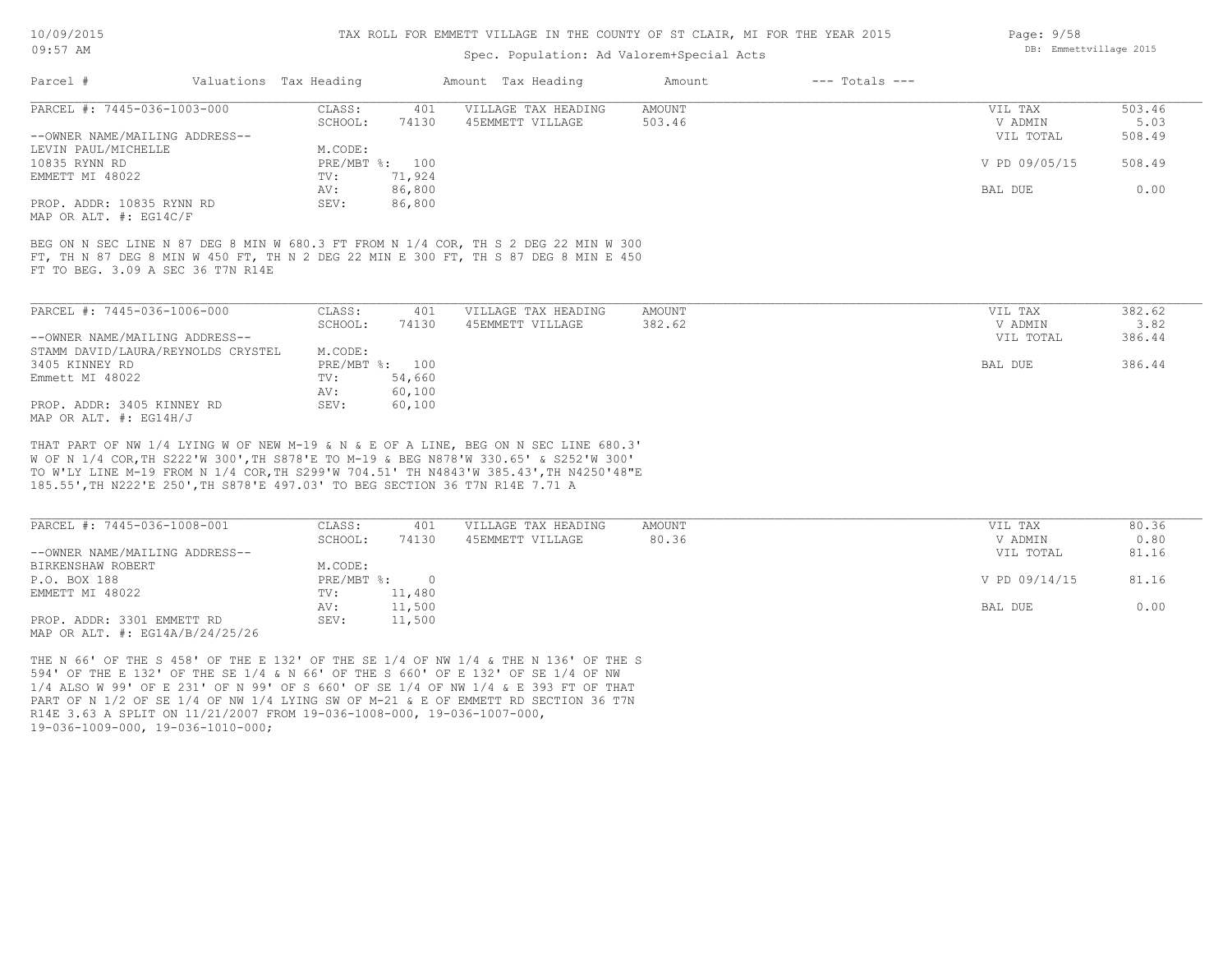# TAX ROLL FOR EMMETT VILLAGE IN THE COUNTY OF ST CLAIR, MI FOR THE YEAR 2015

# Spec. Population: Ad Valorem+Special Acts

| Parcel #                       | Valuations Tax Heading |                | Amount Tax Heading  | Amount | $---$ Totals $---$ |               |        |
|--------------------------------|------------------------|----------------|---------------------|--------|--------------------|---------------|--------|
| PARCEL #: 7445-036-1003-000    | CLASS:                 | 401            | VILLAGE TAX HEADING | AMOUNT |                    | VIL TAX       | 503.46 |
|                                | SCHOOL:                | 74130          | 45EMMETT VILLAGE    | 503.46 |                    | V ADMIN       | 5.03   |
| --OWNER NAME/MAILING ADDRESS-- |                        |                |                     |        |                    | VIL TOTAL     | 508.49 |
| LEVIN PAUL/MICHELLE            | M.CODE:                |                |                     |        |                    |               |        |
| 10835 RYNN RD                  |                        | PRE/MBT %: 100 |                     |        |                    | V PD 09/05/15 | 508.49 |
| EMMETT MI 48022                | TV:                    | 71,924         |                     |        |                    |               |        |
|                                | AV:                    | 86,800         |                     |        |                    | BAL DUE       | 0.00   |
| PROP. ADDR: 10835 RYNN RD      | SEV:                   | 86,800         |                     |        |                    |               |        |
| MAP OR ALT. #: EG14C/F         |                        |                |                     |        |                    |               |        |

FT TO BEG. 3.09 A SEC 36 T7N R14E FT, TH N 87 DEG 8 MIN W 450 FT, TH N 2 DEG 22 MIN E 300 FT, TH S 87 DEG 8 MIN E 450 BEG ON N SEC LINE N 87 DEG 8 MIN W 680.3 FT FROM N 1/4 COR, TH S 2 DEG 22 MIN W 300

| PARCEL #: 7445-036-1006-000        | CLASS:  | 401            | VILLAGE TAX HEADING | AMOUNT | VIL TAX   | 382.62 |
|------------------------------------|---------|----------------|---------------------|--------|-----------|--------|
|                                    | SCHOOL: | 74130          | 45EMMETT VILLAGE    | 382.62 | V ADMIN   | 3.82   |
| --OWNER NAME/MAILING ADDRESS--     |         |                |                     |        | VIL TOTAL | 386.44 |
| STAMM DAVID/LAURA/REYNOLDS CRYSTEL | M.CODE: |                |                     |        |           |        |
| 3405 KINNEY RD                     |         | PRE/MBT %: 100 |                     |        | BAL DUE   | 386.44 |
| Emmett MI 48022                    | TV:     | 54,660         |                     |        |           |        |
|                                    | AV:     | 60,100         |                     |        |           |        |
| PROP. ADDR: 3405 KINNEY RD         | SEV:    | 60,100         |                     |        |           |        |
| MAP OR ALT. $\#$ : EG14H/J         |         |                |                     |        |           |        |

185.55',TH N222'E 250',TH S878'E 497.03' TO BEG SECTION 36 T7N R14E 7.71 A TO W'LY LINE M-19 FROM N 1/4 COR,TH S299'W 704.51' TH N4843'W 385.43',TH N4250'48"E W OF N 1/4 COR,TH S222'W 300',TH S878'E TO M-19 & BEG N878'W 330.65' & S252'W 300' THAT PART OF NW 1/4 LYING W OF NEW M-19 & N & E OF A LINE, BEG ON N SEC LINE 680.3'

| PARCEL #: 7445-036-1008-001         | CLASS:     | 401    | VILLAGE TAX HEADING | AMOUNT | VIL TAX       | 80.36 |
|-------------------------------------|------------|--------|---------------------|--------|---------------|-------|
|                                     | SCHOOL:    | 74130  | 45EMMETT VILLAGE    | 80.36  | V ADMIN       | 0.80  |
| --OWNER NAME/MAILING ADDRESS--      |            |        |                     |        | VIL TOTAL     | 81.16 |
| BIRKENSHAW ROBERT                   | M.CODE:    |        |                     |        |               |       |
| P.O. BOX 188                        | PRE/MBT %: |        |                     |        | V PD 09/14/15 | 81.16 |
| EMMETT MI 48022                     | TV:        | 11,480 |                     |        |               |       |
|                                     | AV:        | 11,500 |                     |        | BAL DUE       | 0.00  |
| PROP. ADDR: 3301 EMMETT RD          | SEV:       | 11,500 |                     |        |               |       |
| MAP OR ALT. $\#$ : EG14A/B/24/25/26 |            |        |                     |        |               |       |

19-036-1009-000, 19-036-1010-000; R14E 3.63 A SPLIT ON 11/21/2007 FROM 19-036-1008-000, 19-036-1007-000, PART OF N 1/2 OF SE 1/4 OF NW 1/4 LYING SW OF M-21 & E OF EMMETT RD SECTION 36 T7N 1/4 ALSO W 99' OF E 231' OF N 99' OF S 660' OF SE 1/4 OF NW 1/4 & E 393 FT OF THAT 594' OF THE E 132' OF THE SE 1/4 & N 66' OF THE S 660' OF E 132' OF SE 1/4 OF NW THE N 66' OF THE S 458' OF THE E 132' OF THE SE 1/4 OF NW 1/4 & THE N 136' OF THE S Page: 9/58 DB: Emmettvillage 2015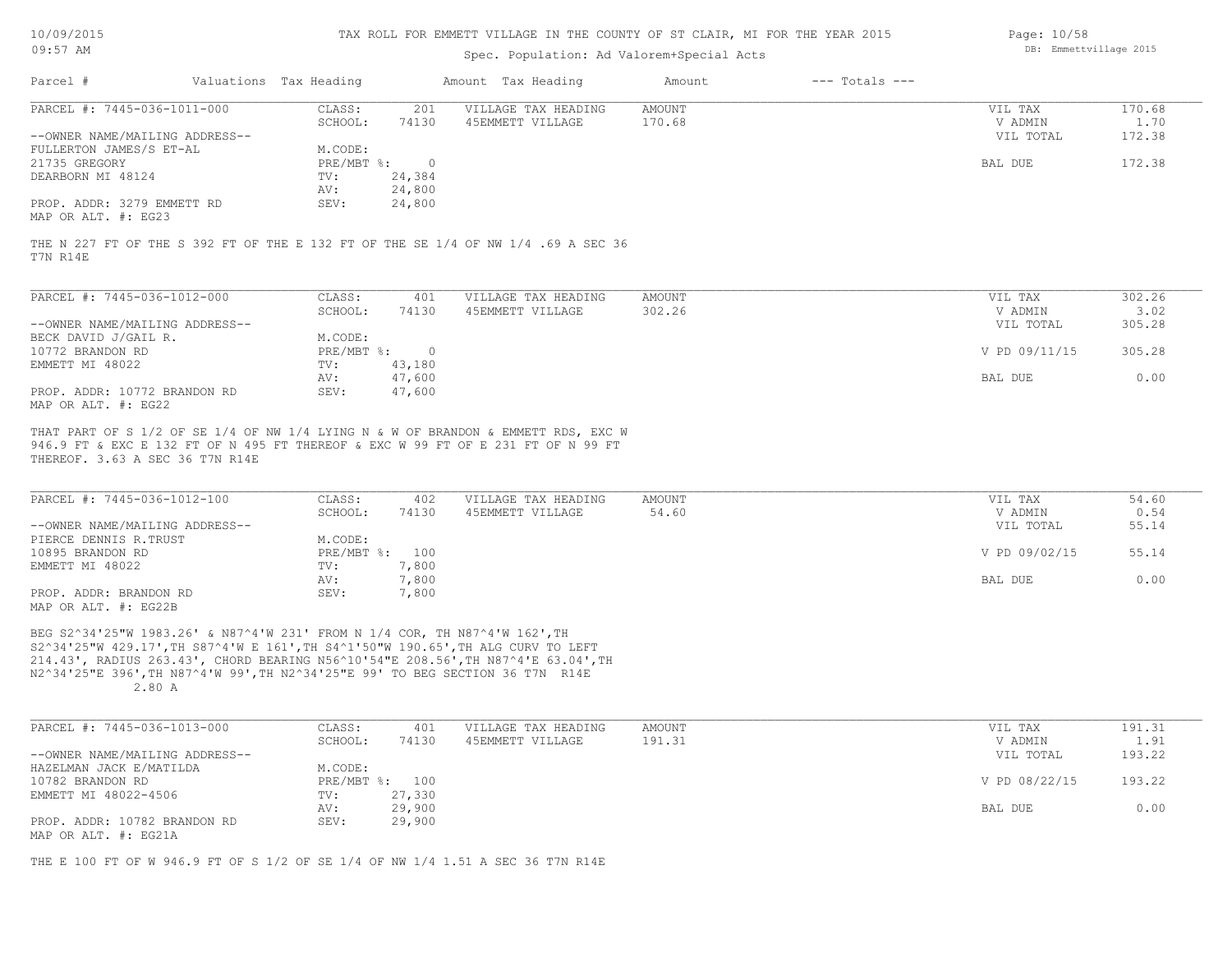| 10/09/2015 |  |
|------------|--|
|            |  |

## Spec. Population: Ad Valorem+Special Acts

| Page: 10/58 |                        |  |
|-------------|------------------------|--|
|             | DB: Emmettvillage 2015 |  |

| Parcel #                                          | Valuations Tax Heading |        | Amount Tax Heading                                                                | Amount | $---$ Totals $---$ |           |        |
|---------------------------------------------------|------------------------|--------|-----------------------------------------------------------------------------------|--------|--------------------|-----------|--------|
| PARCEL #: 7445-036-1011-000                       | CLASS:                 | 201    | VILLAGE TAX HEADING                                                               | AMOUNT |                    | VIL TAX   | 170.68 |
|                                                   | SCHOOL:                | 74130  | 45EMMETT VILLAGE                                                                  | 170.68 |                    | V ADMIN   | 1.70   |
| --OWNER NAME/MAILING ADDRESS--                    |                        |        |                                                                                   |        |                    | VIL TOTAL | 172.38 |
| FULLERTON JAMES/S ET-AL                           | M.CODE:                |        |                                                                                   |        |                    |           |        |
| 21735 GREGORY                                     | PRE/MBT %:             |        |                                                                                   |        |                    | BAL DUE   | 172.38 |
| DEARBORN MI 48124                                 | TV:                    | 24,384 |                                                                                   |        |                    |           |        |
|                                                   | AV:                    | 24,800 |                                                                                   |        |                    |           |        |
| PROP. ADDR: 3279 EMMETT RD<br>MAP OR ALT. #: EG23 | SEV:                   | 24,800 |                                                                                   |        |                    |           |        |
| T7N R14E                                          |                        |        | THE N 227 FT OF THE S 392 FT OF THE E 132 FT OF THE SE 1/4 OF NW 1/4 .69 A SEC 36 |        |                    |           |        |
| PARCEL #: 7445-036-1012-000                       | CLASS:                 | 401    | VILLAGE TAX HEADING                                                               | AMOUNT |                    | VIL TAX   | 302.26 |
|                                                   | SCHOOL:                | 74130  | 45EMMETT VILLAGE                                                                  | 302.26 |                    | V ADMIN   | 3.02   |

|                                | SCHOOL:      | 74130  | 45EMMETT VILLAGE | 302.26 | V ADMIN       | 3.02   |
|--------------------------------|--------------|--------|------------------|--------|---------------|--------|
| --OWNER NAME/MAILING ADDRESS-- |              |        |                  |        | VIL TOTAL     | 305.28 |
| BECK DAVID J/GAIL R.           | M.CODE:      |        |                  |        |               |        |
| 10772 BRANDON RD               | $PRE/MBT$ %: |        |                  |        | V PD 09/11/15 | 305.28 |
| EMMETT MI 48022                | TV:          | 43,180 |                  |        |               |        |
|                                | AV:          | 47,600 |                  |        | BAL DUE       | 0.00   |
| PROP. ADDR: 10772 BRANDON RD   | SEV:         | 47,600 |                  |        |               |        |
| MAP OR ALT. #: EG22            |              |        |                  |        |               |        |

THEREOF. 3.63 A SEC 36 T7N R14E 946.9 FT & EXC E 132 FT OF N 495 FT THEREOF & EXC W 99 FT OF E 231 FT OF N 99 FT THAT PART OF S 1/2 OF SE 1/4 OF NW 1/4 LYING N & W OF BRANDON & EMMETT RDS, EXC W

| PARCEL #: 7445-036-1012-100    | CLASS:         | 402   | VILLAGE TAX HEADING | AMOUNT | VIL TAX       | 54.60 |
|--------------------------------|----------------|-------|---------------------|--------|---------------|-------|
|                                | SCHOOL:        | 74130 | 45EMMETT VILLAGE    | 54.60  | V ADMIN       | 0.54  |
| --OWNER NAME/MAILING ADDRESS-- |                |       |                     |        | VIL TOTAL     | 55.14 |
| PIERCE DENNIS R.TRUST          | M.CODE:        |       |                     |        |               |       |
| 10895 BRANDON RD               | PRE/MBT %: 100 |       |                     |        | V PD 09/02/15 | 55.14 |
| EMMETT MI 48022                | TV:            | 7,800 |                     |        |               |       |
|                                | AV:            | 7,800 |                     |        | BAL DUE       | 0.00  |
| PROP. ADDR: BRANDON RD         | SEV:           | 7,800 |                     |        |               |       |
| MAP OR ALT. #: EG22B           |                |       |                     |        |               |       |

 2.80 A N2^34'25"E 396',TH N87^4'W 99',TH N2^34'25"E 99' TO BEG SECTION 36 T7N R14E 214.43', RADIUS 263.43', CHORD BEARING N56^10'54"E 208.56',TH N87^4'E 63.04',TH S2^34'25"W 429.17',TH S87^4'W E 161',TH S4^1'50"W 190.65',TH ALG CURV TO LEFT BEG S2^34'25"W 1983.26' & N87^4'W 231' FROM N 1/4 COR, TH N87^4'W 162',TH

| PARCEL #: 7445-036-1013-000    | CLASS:  | 401            | VILLAGE TAX HEADING | AMOUNT | VIL TAX       | 191.31 |
|--------------------------------|---------|----------------|---------------------|--------|---------------|--------|
|                                | SCHOOL: | 74130          | 45EMMETT VILLAGE    | 191.31 | V ADMIN       | 1.91   |
| --OWNER NAME/MAILING ADDRESS-- |         |                |                     |        | VIL TOTAL     | 193.22 |
| HAZELMAN JACK E/MATILDA        | M.CODE: |                |                     |        |               |        |
| 10782 BRANDON RD               |         | PRE/MBT %: 100 |                     |        | V PD 08/22/15 | 193.22 |
| EMMETT MI 48022-4506           | TV:     | 27,330         |                     |        |               |        |
|                                | AV:     | 29,900         |                     |        | BAL DUE       | 0.00   |
| PROP. ADDR: 10782 BRANDON RD   | SEV:    | 29,900         |                     |        |               |        |
| MAP OR ALT. #: EG21A           |         |                |                     |        |               |        |

THE E 100 FT OF W 946.9 FT OF S 1/2 OF SE 1/4 OF NW 1/4 1.51 A SEC 36 T7N R14E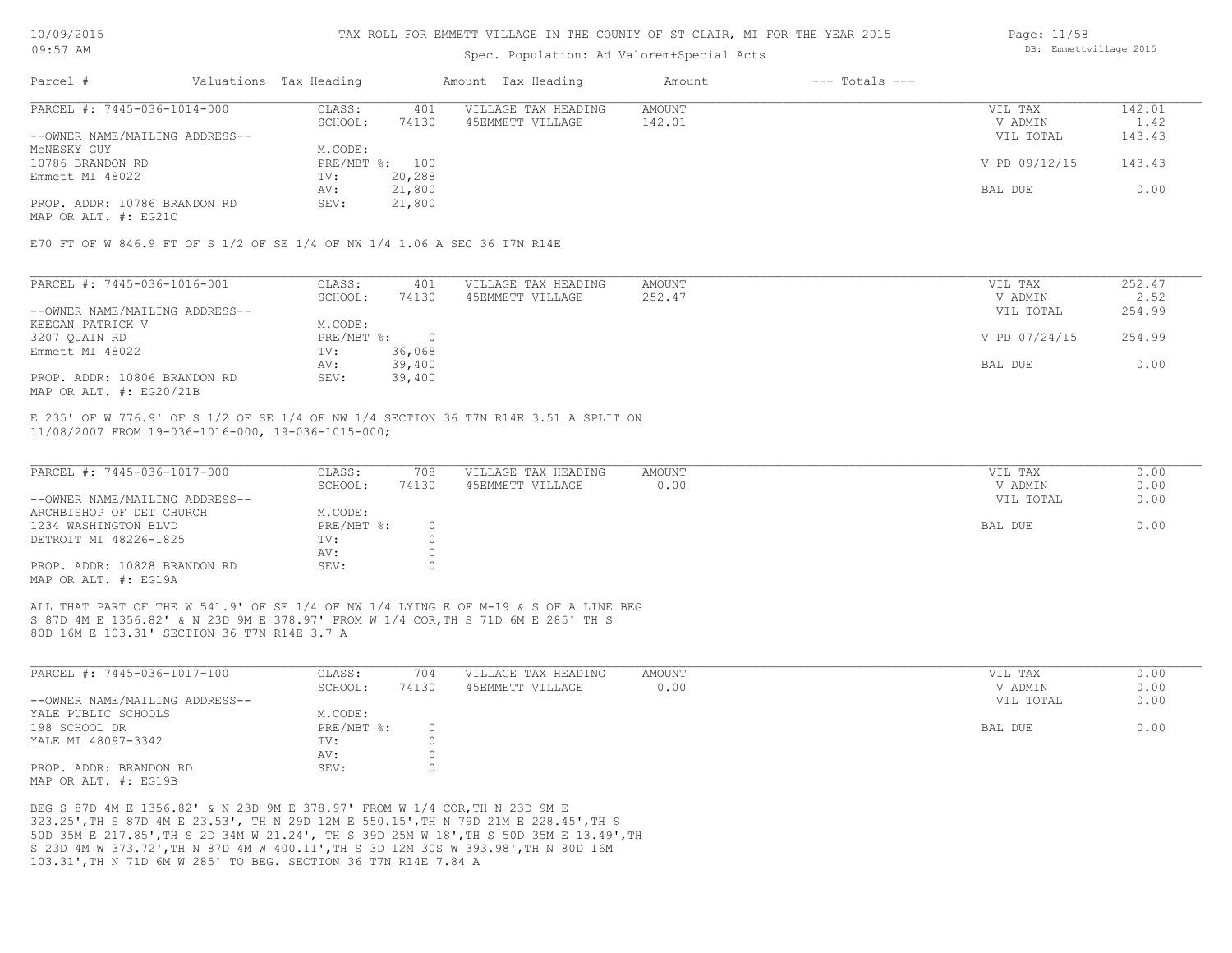## Spec. Population: Ad Valorem+Special Acts

| Parcel #                       | Valuations Tax Heading |                | Amount Tax Heading  | Amount | $---$ Totals $---$ |               |        |
|--------------------------------|------------------------|----------------|---------------------|--------|--------------------|---------------|--------|
| PARCEL #: 7445-036-1014-000    | CLASS:                 | 401            | VILLAGE TAX HEADING | AMOUNT |                    | VIL TAX       | 142.01 |
|                                | SCHOOL:                | 74130          | 45EMMETT VILLAGE    | 142.01 |                    | V ADMIN       | 1.42   |
| --OWNER NAME/MAILING ADDRESS-- |                        |                |                     |        |                    | VIL TOTAL     | 143.43 |
| MCNESKY GUY                    | M.CODE:                |                |                     |        |                    |               |        |
| 10786 BRANDON RD               |                        | PRE/MBT %: 100 |                     |        |                    | V PD 09/12/15 | 143.43 |
| Emmett MI 48022                | TV:                    | 20,288         |                     |        |                    |               |        |
|                                | AV:                    | 21,800         |                     |        |                    | BAL DUE       | 0.00   |
| PROP. ADDR: 10786 BRANDON RD   | SEV:                   | 21,800         |                     |        |                    |               |        |
|                                |                        |                |                     |        |                    |               |        |

MAP OR ALT. #: EG21C

E70 FT OF W 846.9 FT OF S 1/2 OF SE 1/4 OF NW 1/4 1.06 A SEC 36 T7N R14E

| PARCEL #: 7445-036-1016-001    | CLASS:     | 401    | VILLAGE TAX HEADING | AMOUNT | VIL TAX       | 252.47 |
|--------------------------------|------------|--------|---------------------|--------|---------------|--------|
|                                | SCHOOL:    | 74130  | 45EMMETT VILLAGE    | 252.47 | V ADMIN       | 2.52   |
| --OWNER NAME/MAILING ADDRESS-- |            |        |                     |        | VIL TOTAL     | 254.99 |
| KEEGAN PATRICK V               | M.CODE:    |        |                     |        |               |        |
| 3207 QUAIN RD                  | PRE/MBT %: |        |                     |        | V PD 07/24/15 | 254.99 |
| Emmett MI 48022                | TV:        | 36,068 |                     |        |               |        |
|                                | AV:        | 39,400 |                     |        | BAL DUE       | 0.00   |
| PROP. ADDR: 10806 BRANDON RD   | SEV:       | 39,400 |                     |        |               |        |
| MAP OR ALT. $\#$ : EG20/21B    |            |        |                     |        |               |        |

11/08/2007 FROM 19-036-1016-000, 19-036-1015-000; E 235' OF W 776.9' OF S 1/2 OF SE 1/4 OF NW 1/4 SECTION 36 T7N R14E 3.51 A SPLIT ON

| PARCEL #: 7445-036-1017-000    | CLASS:     | 708   | VILLAGE TAX HEADING | AMOUNT | VIL TAX   | 0.00 |
|--------------------------------|------------|-------|---------------------|--------|-----------|------|
|                                | SCHOOL:    | 74130 | 45EMMETT VILLAGE    | 0.00   | V ADMIN   | 0.00 |
| --OWNER NAME/MAILING ADDRESS-- |            |       |                     |        | VIL TOTAL | 0.00 |
| ARCHBISHOP OF DET CHURCH       | M.CODE:    |       |                     |        |           |      |
| 1234 WASHINGTON BLVD           | PRE/MBT %: |       |                     |        | BAL DUE   | 0.00 |
| DETROIT MI 48226-1825          | TV:        |       |                     |        |           |      |
|                                | AV:        |       |                     |        |           |      |
| PROP. ADDR: 10828 BRANDON RD   | SEV:       |       |                     |        |           |      |
| MAP OR ALT. #: EG19A           |            |       |                     |        |           |      |

80D 16M E 103.31' SECTION 36 T7N R14E 3.7 A S 87D 4M E 1356.82' & N 23D 9M E 378.97' FROM W 1/4 COR,TH S 71D 6M E 285' TH S ALL THAT PART OF THE W 541.9' OF SE 1/4 OF NW 1/4 LYING E OF M-19 & S OF A LINE BEG

| PARCEL #: 7445-036-1017-100    | CLASS:       | 704   | VILLAGE TAX HEADING | AMOUNT | VIL TAX   | 0.00 |
|--------------------------------|--------------|-------|---------------------|--------|-----------|------|
|                                | SCHOOL:      | 74130 | 45EMMETT VILLAGE    | 0.00   | V ADMIN   | 0.00 |
| --OWNER NAME/MAILING ADDRESS-- |              |       |                     |        | VIL TOTAL | 0.00 |
| YALE PUBLIC SCHOOLS            | M.CODE:      |       |                     |        |           |      |
| 198 SCHOOL DR                  | $PRE/MBT$ %: |       |                     |        | BAL DUE   | 0.00 |
| YALE MI 48097-3342             | TV:          |       |                     |        |           |      |
|                                | AV:          |       |                     |        |           |      |
| PROP. ADDR: BRANDON RD         | SEV:         |       |                     |        |           |      |
| MAP OR ALT, #: EG19B           |              |       |                     |        |           |      |

103.31',TH N 71D 6M W 285' TO BEG. SECTION 36 T7N R14E 7.84 A S 23D 4M W 373.72',TH N 87D 4M W 400.11',TH S 3D 12M 30S W 393.98',TH N 80D 16M 50D 35M E 217.85',TH S 2D 34M W 21.24', TH S 39D 25M W 18',TH S 50D 35M E 13.49',TH 323.25',TH S 87D 4M E 23.53', TH N 29D 12M E 550.15',TH N 79D 21M E 228.45',TH S BEG S 87D 4M E 1356.82' & N 23D 9M E 378.97' FROM W 1/4 COR,TH N 23D 9M E

Page: 11/58 DB: Emmettvillage 2015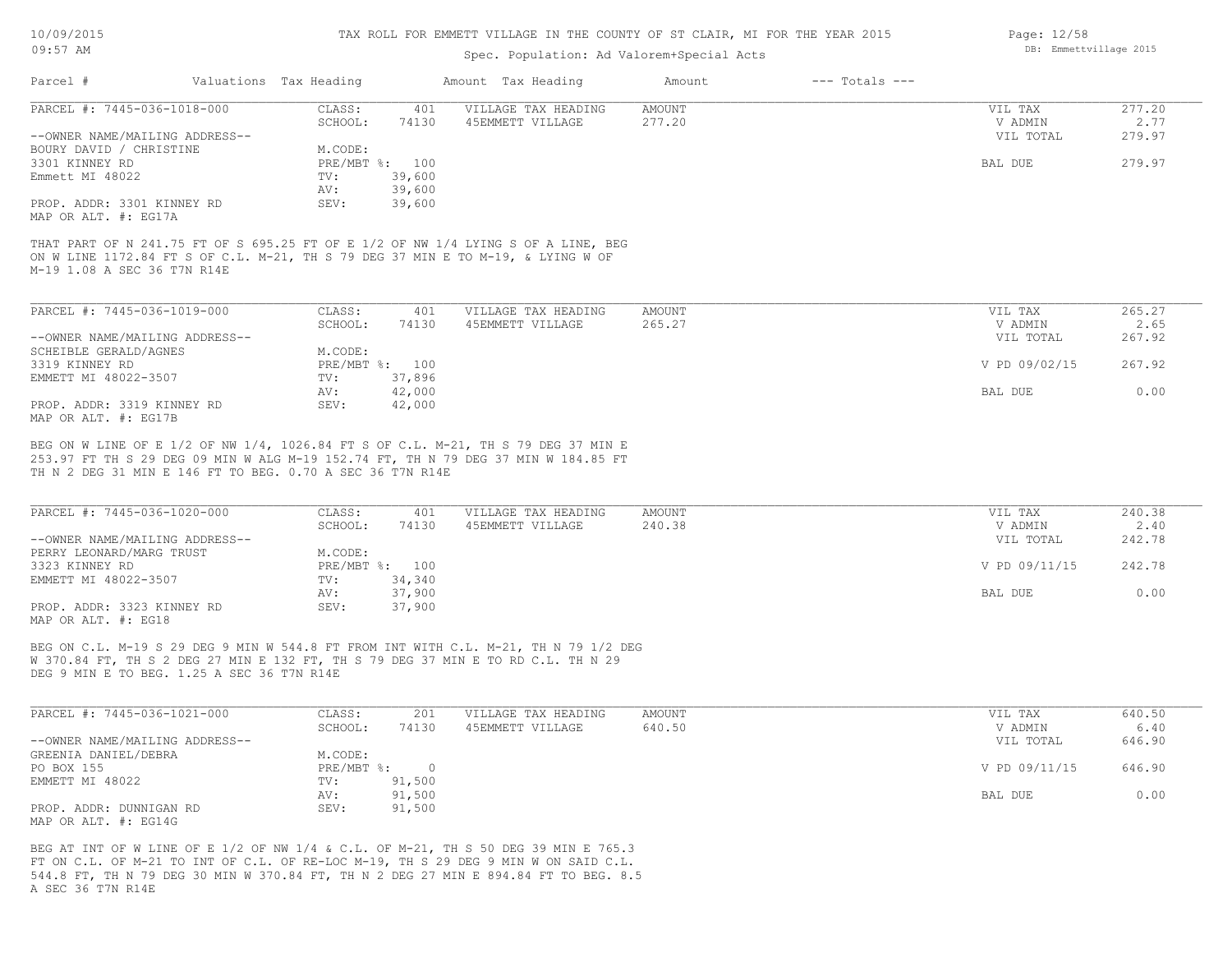#### TAX ROLL FOR EMMETT VILLAGE IN THE COUNTY OF ST CLAIR, MI FOR THE YEAR 2015

## Spec. Population: Ad Valorem+Special Acts

| Parcel #                       | Valuations Tax Heading |        | Amount Tax Heading  | Amount | $---$ Totals $---$ |           |        |
|--------------------------------|------------------------|--------|---------------------|--------|--------------------|-----------|--------|
| PARCEL #: 7445-036-1018-000    | CLASS:                 | 401    | VILLAGE TAX HEADING | AMOUNT |                    | VIL TAX   | 277.20 |
|                                | SCHOOL:                | 74130  | 45EMMETT VILLAGE    | 277.20 |                    | V ADMIN   | 2.77   |
| --OWNER NAME/MAILING ADDRESS-- |                        |        |                     |        |                    | VIL TOTAL | 279.97 |
| BOURY DAVID / CHRISTINE        | M.CODE:                |        |                     |        |                    |           |        |
| 3301 KINNEY RD                 | PRE/MBT %: 100         |        |                     |        |                    | BAL DUE   | 279.97 |
| Emmett MI 48022                | TV:                    | 39,600 |                     |        |                    |           |        |
|                                | AV:                    | 39,600 |                     |        |                    |           |        |
| PROP. ADDR: 3301 KINNEY RD     | SEV:                   | 39,600 |                     |        |                    |           |        |
| MAP OR ALT. #: EG17A           |                        |        |                     |        |                    |           |        |
|                                |                        |        |                     |        |                    |           |        |

M-19 1.08 A SEC 36 T7N R14E ON W LINE 1172.84 FT S OF C.L. M-21, TH S 79 DEG 37 MIN E TO M-19, & LYING W OF THAT PART OF N 241.75 FT OF S 695.25 FT OF E 1/2 OF NW 1/4 LYING S OF A LINE, BEG

| PARCEL #: 7445-036-1019-000    | CLASS:  | 401            | VILLAGE TAX HEADING | AMOUNT | VIL TAX       | 265.27 |
|--------------------------------|---------|----------------|---------------------|--------|---------------|--------|
|                                | SCHOOL: | 74130          | 45EMMETT VILLAGE    | 265.27 | V ADMIN       | 2.65   |
| --OWNER NAME/MAILING ADDRESS-- |         |                |                     |        | VIL TOTAL     | 267.92 |
| SCHEIBLE GERALD/AGNES          | M.CODE: |                |                     |        |               |        |
| 3319 KINNEY RD                 |         | PRE/MBT %: 100 |                     |        | V PD 09/02/15 | 267.92 |
| EMMETT MI 48022-3507           | TV:     | 37,896         |                     |        |               |        |
|                                | AV:     | 42,000         |                     |        | BAL DUE       | 0.00   |
| PROP. ADDR: 3319 KINNEY RD     | SEV:    | 42,000         |                     |        |               |        |
| MAP OR ALT. #: EG17B           |         |                |                     |        |               |        |

TH N 2 DEG 31 MIN E 146 FT TO BEG. 0.70 A SEC 36 T7N R14E 253.97 FT TH S 29 DEG 09 MIN W ALG M-19 152.74 FT, TH N 79 DEG 37 MIN W 184.85 FT BEG ON W LINE OF E 1/2 OF NW 1/4, 1026.84 FT S OF C.L. M-21, TH S 79 DEG 37 MIN E

| PARCEL #: 7445-036-1020-000    | CLASS:  | 401            | VILLAGE TAX HEADING | AMOUNT | VIL TAX       | 240.38 |
|--------------------------------|---------|----------------|---------------------|--------|---------------|--------|
|                                | SCHOOL: | 74130          | 45EMMETT VILLAGE    | 240.38 | V ADMIN       | 2.40   |
| --OWNER NAME/MAILING ADDRESS-- |         |                |                     |        | VIL TOTAL     | 242.78 |
| PERRY LEONARD/MARG TRUST       | M.CODE: |                |                     |        |               |        |
| 3323 KINNEY RD                 |         | PRE/MBT %: 100 |                     |        | V PD 09/11/15 | 242.78 |
| EMMETT MI 48022-3507           | TV:     | 34,340         |                     |        |               |        |
|                                | AV:     | 37,900         |                     |        | BAL DUE       | 0.00   |
| PROP. ADDR: 3323 KINNEY RD     | SEV:    | 37,900         |                     |        |               |        |
| MAP OR ALT. #: EG18            |         |                |                     |        |               |        |

DEG 9 MIN E TO BEG. 1.25 A SEC 36 T7N R14E W 370.84 FT, TH S 2 DEG 27 MIN E 132 FT, TH S 79 DEG 37 MIN E TO RD C.L. TH N 29 BEG ON C.L. M-19 S 29 DEG 9 MIN W 544.8 FT FROM INT WITH C.L. M-21, TH N 79 1/2 DEG

| PARCEL #: 7445-036-1021-000    | CLASS:       | 201    | VILLAGE TAX HEADING | AMOUNT | VIL TAX       | 640.50 |
|--------------------------------|--------------|--------|---------------------|--------|---------------|--------|
|                                | SCHOOL:      | 74130  | 45EMMETT VILLAGE    | 640.50 | V ADMIN       | 6.40   |
| --OWNER NAME/MAILING ADDRESS-- |              |        |                     |        | VIL TOTAL     | 646.90 |
| GREENIA DANIEL/DEBRA           | M.CODE:      |        |                     |        |               |        |
| PO BOX 155                     | $PRE/MBT$ %: |        |                     |        | V PD 09/11/15 | 646.90 |
| EMMETT MI 48022                | TV:          | 91,500 |                     |        |               |        |
|                                | AV:          | 91,500 |                     |        | BAL DUE       | 0.00   |
| PROP. ADDR: DUNNIGAN RD        | SEV:         | 91,500 |                     |        |               |        |
| MAP OR ALT. $\#$ : EG14G       |              |        |                     |        |               |        |

A SEC 36 T7N R14E 544.8 FT, TH N 79 DEG 30 MIN W 370.84 FT, TH N 2 DEG 27 MIN E 894.84 FT TO BEG. 8.5 FT ON C.L. OF M-21 TO INT OF C.L. OF RE-LOC M-19, TH S 29 DEG 9 MIN W ON SAID C.L. BEG AT INT OF W LINE OF E 1/2 OF NW 1/4 & C.L. OF M-21, TH S 50 DEG 39 MIN E 765.3

Page: 12/58 DB: Emmettvillage 2015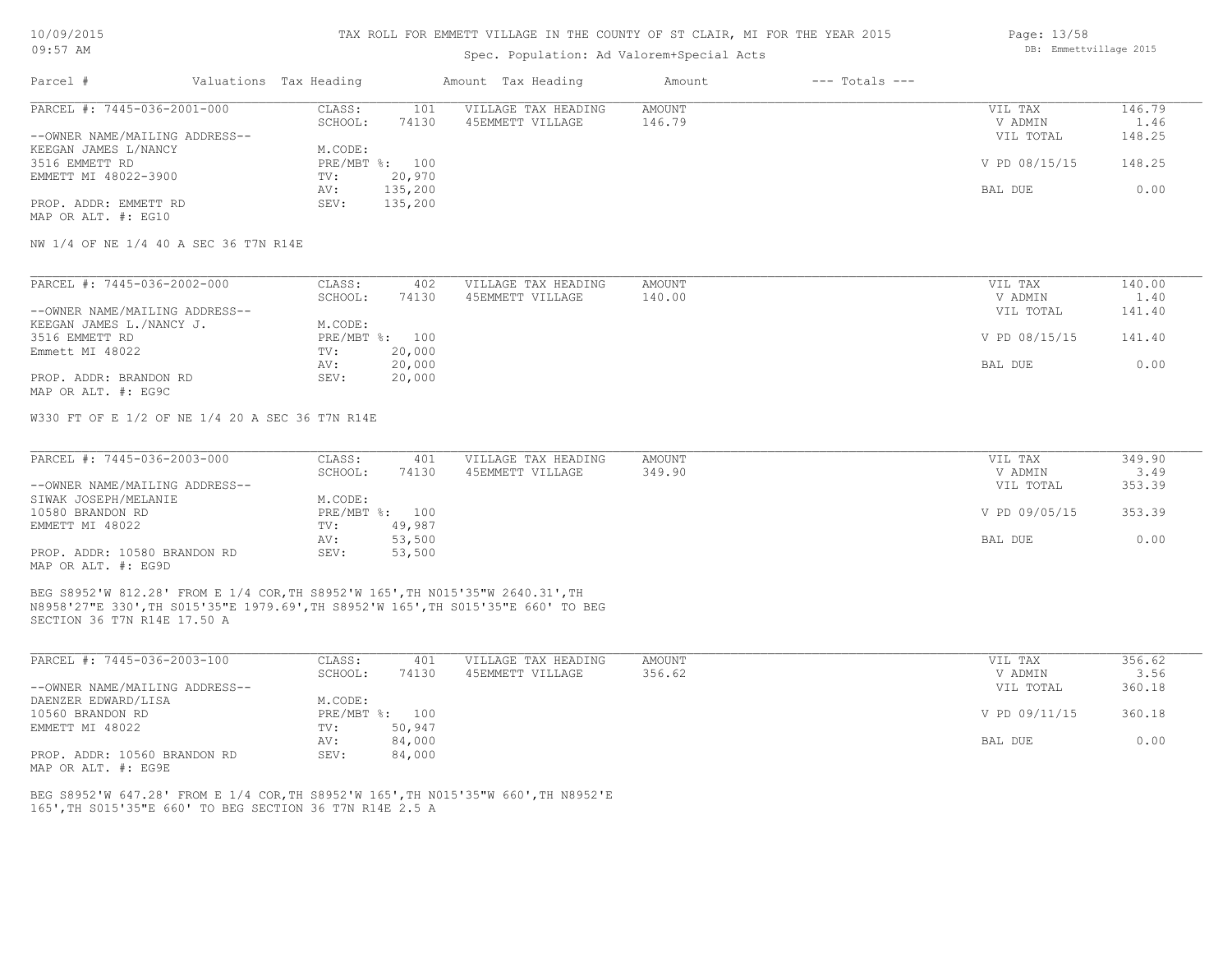#### TAX ROLL FOR EMMETT VILLAGE IN THE COUNTY OF ST CLAIR, MI FOR THE YEAR 2015

## Spec. Population: Ad Valorem+Special Acts

| Parcel #                                                                              | Valuations Tax Heading |                | Amount Tax Heading  | Amount | $---$ Totals $---$ |               |        |
|---------------------------------------------------------------------------------------|------------------------|----------------|---------------------|--------|--------------------|---------------|--------|
| PARCEL #: 7445-036-2001-000<br>--OWNER NAME/MAILING ADDRESS--<br>KEEGAN JAMES L/NANCY | CLASS:                 | 101            | VILLAGE TAX HEADING | AMOUNT |                    | VIL TAX       | 146.79 |
|                                                                                       | SCHOOL:                | 74130          | 45EMMETT VILLAGE    | 146.79 |                    | V ADMIN       | 1.46   |
|                                                                                       |                        |                |                     |        |                    | VIL TOTAL     | 148.25 |
|                                                                                       | M.CODE:                |                |                     |        |                    |               |        |
| 3516 EMMETT RD                                                                        |                        | PRE/MBT %: 100 |                     |        |                    | V PD 08/15/15 | 148.25 |
| EMMETT MI 48022-3900                                                                  | TV:                    | 20,970         |                     |        |                    |               |        |
|                                                                                       | AV:                    | 135,200        |                     |        |                    | BAL DUE       | 0.00   |
| PROP. ADDR: EMMETT RD                                                                 | SEV:                   | 135,200        |                     |        |                    |               |        |
| MAP OR ALT. #: EG10                                                                   |                        |                |                     |        |                    |               |        |

NW 1/4 OF NE 1/4 40 A SEC 36 T7N R14E

| PARCEL #: 7445-036-2002-000    | CLASS:  | 402            | VILLAGE TAX HEADING | AMOUNT | VIL TAX       | 140.00 |
|--------------------------------|---------|----------------|---------------------|--------|---------------|--------|
|                                | SCHOOL: | 74130          | 45EMMETT VILLAGE    | 140.00 | V ADMIN       | 1.40   |
| --OWNER NAME/MAILING ADDRESS-- |         |                |                     |        | VIL TOTAL     | 141.40 |
| KEEGAN JAMES L./NANCY J.       | M.CODE: |                |                     |        |               |        |
| 3516 EMMETT RD                 |         | PRE/MBT %: 100 |                     |        | V PD 08/15/15 | 141.40 |
| Emmett MI 48022                | TV:     | 20,000         |                     |        |               |        |
|                                | AV:     | 20,000         |                     |        | BAL DUE       | 0.00   |
| PROP. ADDR: BRANDON RD         | SEV:    | 20,000         |                     |        |               |        |
| MAP OR ALT. #: EG9C            |         |                |                     |        |               |        |

W330 FT OF E 1/2 OF NE 1/4 20 A SEC 36 T7N R14E

| PARCEL #: 7445-036-2003-000    | CLASS:  | 401            | VILLAGE TAX HEADING | AMOUNT | VIL TAX       | 349.90 |
|--------------------------------|---------|----------------|---------------------|--------|---------------|--------|
|                                | SCHOOL: | 74130          | 45EMMETT VILLAGE    | 349.90 | V ADMIN       | 3.49   |
| --OWNER NAME/MAILING ADDRESS-- |         |                |                     |        | VIL TOTAL     | 353.39 |
| SIWAK JOSEPH/MELANIE           | M.CODE: |                |                     |        |               |        |
| 10580 BRANDON RD               |         | PRE/MBT %: 100 |                     |        | V PD 09/05/15 | 353.39 |
| EMMETT MI 48022                | TV:     | 49,987         |                     |        |               |        |
|                                | AV:     | 53,500         |                     |        | BAL DUE       | 0.00   |
| PROP. ADDR: 10580 BRANDON RD   | SEV:    | 53,500         |                     |        |               |        |
| MAP OR ALT. #: EG9D            |         |                |                     |        |               |        |

SECTION 36 T7N R14E 17.50 A N8958'27"E 330',TH S015'35"E 1979.69',TH S8952'W 165',TH S015'35"E 660' TO BEG BEG S8952'W 812.28' FROM E 1/4 COR,TH S8952'W 165',TH N015'35"W 2640.31',TH

| CLASS:  | 401    | VILLAGE TAX HEADING | AMOUNT | VIL TAX       | 356.62 |
|---------|--------|---------------------|--------|---------------|--------|
| SCHOOL: | 74130  | 45EMMETT VILLAGE    | 356.62 | V ADMIN       | 3.56   |
|         |        |                     |        | VIL TOTAL     | 360.18 |
| M.CODE: |        |                     |        |               |        |
|         | 100    |                     |        | V PD 09/11/15 | 360.18 |
| TV:     | 50,947 |                     |        |               |        |
| AV:     | 84,000 |                     |        | BAL DUE       | 0.00   |
| SEV:    | 84,000 |                     |        |               |        |
|         |        | $PRE/MBT$ %:        |        |               |        |

MAP OR ALT. #: EG9E

165',TH S015'35"E 660' TO BEG SECTION 36 T7N R14E 2.5 A BEG S8952'W 647.28' FROM E 1/4 COR,TH S8952'W 165',TH N015'35"W 660',TH N8952'E Page: 13/58 DB: Emmettvillage 2015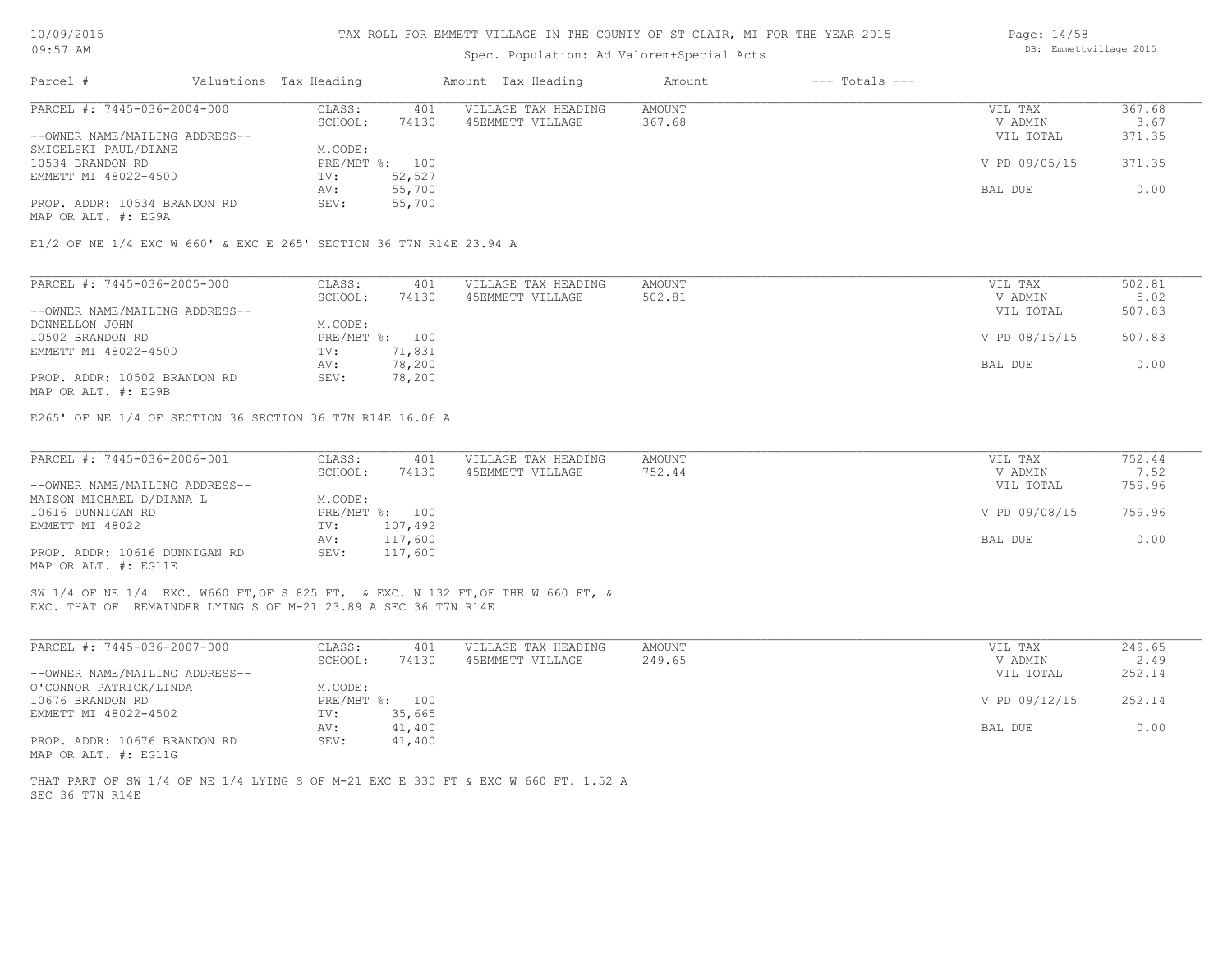| 10/09/2015 |  |
|------------|--|
| $09:57$ AM |  |

## Spec. Population: Ad Valorem+Special Acts

| Parcel #                                                           | Valuations Tax Heading |                      | Amount Tax Heading  | Amount | $---$ Totals $---$ |               |        |
|--------------------------------------------------------------------|------------------------|----------------------|---------------------|--------|--------------------|---------------|--------|
| PARCEL #: 7445-036-2004-000                                        | CLASS:                 | 401                  | VILLAGE TAX HEADING | AMOUNT |                    | VIL TAX       | 367.68 |
|                                                                    | SCHOOL:                | 74130                | 45EMMETT VILLAGE    | 367.68 |                    | V ADMIN       | 3.67   |
| --OWNER NAME/MAILING ADDRESS--                                     |                        |                      |                     |        |                    | VIL TOTAL     | 371.35 |
| SMIGELSKI PAUL/DIANE                                               | M.CODE:                |                      |                     |        |                    |               |        |
| 10534 BRANDON RD                                                   |                        | PRE/MBT %: 100       |                     |        |                    | V PD 09/05/15 | 371.35 |
| EMMETT MI 48022-4500                                               | TV:                    | 52,527               |                     |        |                    |               |        |
|                                                                    | AV:                    | 55,700               |                     |        |                    | BAL DUE       | 0.00   |
| PROP. ADDR: 10534 BRANDON RD                                       | SEV:                   | 55,700               |                     |        |                    |               |        |
| MAP OR ALT. #: EG9A                                                |                        |                      |                     |        |                    |               |        |
|                                                                    |                        |                      |                     |        |                    |               |        |
| E1/2 OF NE 1/4 EXC W 660' & EXC E 265' SECTION 36 T7N R14E 23.94 A |                        |                      |                     |        |                    |               |        |
|                                                                    |                        |                      |                     |        |                    |               |        |
|                                                                    |                        | $\sim$ $\sim$ $\sim$ |                     |        |                    |               | $-0.0$ |

| PARCEL #: 7445-036-2005-000    | CLASS:     | 401    | VILLAGE TAX HEADING | AMOUNT | VIL TAX       | 502.81 |
|--------------------------------|------------|--------|---------------------|--------|---------------|--------|
|                                | SCHOOL:    | 74130  | 45EMMETT VILLAGE    | 502.81 | V ADMIN       | 5.02   |
| --OWNER NAME/MAILING ADDRESS-- |            |        |                     |        | VIL TOTAL     | 507.83 |
| DONNELLON JOHN                 | M.CODE:    |        |                     |        |               |        |
| 10502 BRANDON RD               | PRE/MBT %: | 100    |                     |        | V PD 08/15/15 | 507.83 |
| EMMETT MI 48022-4500           | TV:        | 71,831 |                     |        |               |        |
|                                | AV:        | 78,200 |                     |        | BAL DUE       | 0.00   |
| PROP. ADDR: 10502 BRANDON RD   | SEV:       | 78,200 |                     |        |               |        |

MAP OR ALT. #: EG9B

E265' OF NE 1/4 OF SECTION 36 SECTION 36 T7N R14E 16.06 A

| PARCEL #: 7445-036-2006-001    | CLASS:  | 401            | VILLAGE TAX HEADING | AMOUNT | VIL TAX       | 752.44 |
|--------------------------------|---------|----------------|---------------------|--------|---------------|--------|
|                                | SCHOOL: | 74130          | 45EMMETT VILLAGE    | 752.44 | V ADMIN       | 7.52   |
| --OWNER NAME/MAILING ADDRESS-- |         |                |                     |        | VIL TOTAL     | 759.96 |
| MAISON MICHAEL D/DIANA L       | M.CODE: |                |                     |        |               |        |
| 10616 DUNNIGAN RD              |         | PRE/MBT %: 100 |                     |        | V PD 09/08/15 | 759.96 |
| EMMETT MI 48022                | TV:     | 107,492        |                     |        |               |        |
|                                | AV:     | 117,600        |                     |        | BAL DUE       | 0.00   |
| PROP. ADDR: 10616 DUNNIGAN RD  | SEV:    | 117,600        |                     |        |               |        |
| MAP OR ALT. #: EG11E           |         |                |                     |        |               |        |

EXC. THAT OF REMAINDER LYING S OF M-21 23.89 A SEC 36 T7N R14E SW 1/4 OF NE 1/4 EXC. W660 FT,OF S 825 FT, & EXC. N 132 FT,OF THE W 660 FT, &

| PARCEL #: 7445-036-2007-000    | CLASS:  | 401            | VILLAGE TAX HEADING | AMOUNT | VIL TAX       | 249.65 |
|--------------------------------|---------|----------------|---------------------|--------|---------------|--------|
|                                | SCHOOL: | 74130          | 45EMMETT VILLAGE    | 249.65 | V ADMIN       | 2.49   |
| --OWNER NAME/MAILING ADDRESS-- |         |                |                     |        | VIL TOTAL     | 252.14 |
| O'CONNOR PATRICK/LINDA         | M.CODE: |                |                     |        |               |        |
| 10676 BRANDON RD               |         | PRE/MBT %: 100 |                     |        | V PD 09/12/15 | 252.14 |
| EMMETT MI 48022-4502           | TV:     | 35,665         |                     |        |               |        |
|                                | AV:     | 41,400         |                     |        | BAL DUE       | 0.00   |
| PROP. ADDR: 10676 BRANDON RD   | SEV:    | 41,400         |                     |        |               |        |
| MAP OR ALT. #: EG11G           |         |                |                     |        |               |        |

SEC 36 T7N R14E THAT PART OF SW 1/4 OF NE 1/4 LYING S OF M-21 EXC E 330 FT & EXC W 660 FT. 1.52 A Page: 14/58 DB: Emmettvillage 2015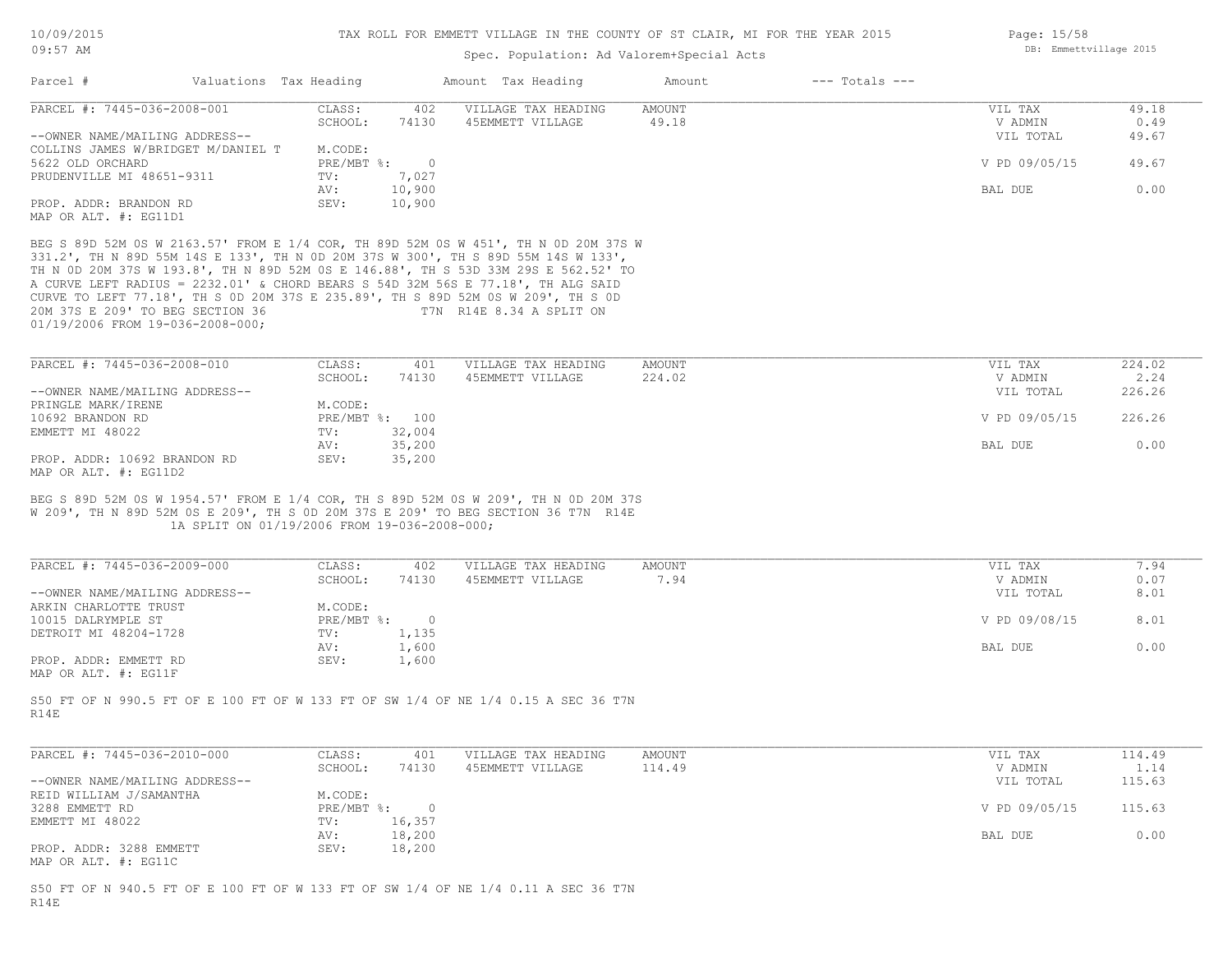# Spec. Population: Ad Valorem+Special Acts

| Parcel #                                                             | Valuations Tax Heading |                                                                            | Amount Tax Heading                                                                                                                                                                                                                                                                                                                                                                                                                                                 | Amount         | $---$ Totals $---$ |                                 |                      |
|----------------------------------------------------------------------|------------------------|----------------------------------------------------------------------------|--------------------------------------------------------------------------------------------------------------------------------------------------------------------------------------------------------------------------------------------------------------------------------------------------------------------------------------------------------------------------------------------------------------------------------------------------------------------|----------------|--------------------|---------------------------------|----------------------|
| PARCEL #: 7445-036-2008-001                                          |                        | CLASS:                                                                     | VILLAGE TAX HEADING<br>402                                                                                                                                                                                                                                                                                                                                                                                                                                         | <b>AMOUNT</b>  |                    | VIL TAX<br>V ADMIN              | 49.18                |
| --OWNER NAME/MAILING ADDRESS--<br>COLLINS JAMES W/BRIDGET M/DANIEL T |                        | SCHOOL:<br>74130<br>M.CODE:                                                | 45EMMETT VILLAGE                                                                                                                                                                                                                                                                                                                                                                                                                                                   | 49.18          |                    | VIL TOTAL                       | 0.49<br>49.67        |
| 5622 OLD ORCHARD<br>PRUDENVILLE MI 48651-9311                        |                        | PRE/MBT %:<br>TV:<br>7,027                                                 | $\circ$                                                                                                                                                                                                                                                                                                                                                                                                                                                            |                |                    | V PD 09/05/15                   | 49.67                |
| PROP. ADDR: BRANDON RD                                               |                        | 10,900<br>AV:<br>SEV:<br>10,900                                            |                                                                                                                                                                                                                                                                                                                                                                                                                                                                    |                |                    | BAL DUE                         | 0.00                 |
| MAP OR ALT. #: EG11D1                                                |                        |                                                                            |                                                                                                                                                                                                                                                                                                                                                                                                                                                                    |                |                    |                                 |                      |
| 20M 37S E 209' TO BEG SECTION 36<br>01/19/2006 FROM 19-036-2008-000; |                        |                                                                            | BEG S 89D 52M 0S W 2163.57' FROM E 1/4 COR, TH 89D 52M 0S W 451', TH N 0D 20M 37S W<br>331.2', TH N 89D 55M 14S E 133', TH N 0D 20M 37S W 300', TH S 89D 55M 14S W 133',<br>TH N OD 20M 37S W 193.8', TH N 89D 52M OS E 146.88', TH S 53D 33M 29S E 562.52' TO<br>A CURVE LEFT RADIUS = 2232.01' & CHORD BEARS S 54D 32M 56S E 77.18', TH ALG SAID<br>CURVE TO LEFT 77.18', TH S OD 20M 37S E 235.89', TH S 89D 52M OS W 209', TH S OD<br>T7N R14E 8.34 A SPLIT ON |                |                    |                                 |                      |
| PARCEL #: 7445-036-2008-010                                          |                        | CLASS:                                                                     | 401<br>VILLAGE TAX HEADING                                                                                                                                                                                                                                                                                                                                                                                                                                         | AMOUNT         |                    | VIL TAX                         | 224.02               |
| --OWNER NAME/MAILING ADDRESS--                                       |                        | SCHOOL:<br>74130                                                           | 45EMMETT VILLAGE                                                                                                                                                                                                                                                                                                                                                                                                                                                   | 224.02         |                    | V ADMIN<br>VIL TOTAL            | 2.24<br>226.26       |
| PRINGLE MARK/IRENE                                                   |                        | M.CODE:                                                                    |                                                                                                                                                                                                                                                                                                                                                                                                                                                                    |                |                    |                                 |                      |
| 10692 BRANDON RD                                                     |                        | PRE/MBT %: 100                                                             |                                                                                                                                                                                                                                                                                                                                                                                                                                                                    |                |                    | V PD 09/05/15                   | 226.26               |
| EMMETT MI 48022                                                      |                        | 32,004<br>TV:                                                              |                                                                                                                                                                                                                                                                                                                                                                                                                                                                    |                |                    |                                 |                      |
| PROP. ADDR: 10692 BRANDON RD                                         |                        | AV:<br>35,200<br>SEV:<br>35,200                                            |                                                                                                                                                                                                                                                                                                                                                                                                                                                                    |                |                    | BAL DUE                         | 0.00                 |
| MAP OR ALT. #: EG11D2                                                |                        |                                                                            |                                                                                                                                                                                                                                                                                                                                                                                                                                                                    |                |                    |                                 |                      |
| PARCEL #: 7445-036-2009-000<br>--OWNER NAME/MAILING ADDRESS--        |                        | 1A SPLIT ON 01/19/2006 FROM 19-036-2008-000;<br>CLASS:<br>SCHOOL:<br>74130 | W 209', TH N 89D 52M OS E 209', TH S OD 20M 37S E 209' TO BEG SECTION 36 T7N R14E<br>VILLAGE TAX HEADING<br>402<br>45EMMETT VILLAGE                                                                                                                                                                                                                                                                                                                                | AMOUNT<br>7.94 |                    | VIL TAX<br>V ADMIN<br>VIL TOTAL | 7.94<br>0.07<br>8.01 |
| ARKIN CHARLOTTE TRUST                                                |                        | M.CODE:                                                                    |                                                                                                                                                                                                                                                                                                                                                                                                                                                                    |                |                    |                                 |                      |
| 10015 DALRYMPLE ST                                                   |                        | $\overline{0}$<br>$PRE/MBT$ $\div$                                         |                                                                                                                                                                                                                                                                                                                                                                                                                                                                    |                |                    | V PD 09/08/15                   | 8.01                 |
| DETROIT MI 48204-1728                                                |                        | 1,135<br>TV:<br>1,600<br>AV:                                               |                                                                                                                                                                                                                                                                                                                                                                                                                                                                    |                |                    | BAL DUE                         | 0.00                 |
| PROP. ADDR: EMMETT RD<br>MAP OR ALT. #: EG11F                        |                        | SEV:<br>1,600                                                              |                                                                                                                                                                                                                                                                                                                                                                                                                                                                    |                |                    |                                 |                      |
| R14E                                                                 |                        |                                                                            | S50 FT OF N 990.5 FT OF E 100 FT OF W 133 FT OF SW 1/4 OF NE 1/4 0.15 A SEC 36 T7N                                                                                                                                                                                                                                                                                                                                                                                 |                |                    |                                 |                      |
| PARCEL #: 7445-036-2010-000                                          |                        | CLASS:                                                                     | 401<br>VILLAGE TAX HEADING                                                                                                                                                                                                                                                                                                                                                                                                                                         | AMOUNT         |                    | VIL TAX                         | 114.49               |
|                                                                      |                        | SCHOOL:                                                                    | 74130 45EMMETT VILLAGE                                                                                                                                                                                                                                                                                                                                                                                                                                             | 114.49         |                    | V ADMIN                         | 1.14                 |
| --OWNER NAME/MAILING ADDRESS--                                       |                        |                                                                            |                                                                                                                                                                                                                                                                                                                                                                                                                                                                    |                |                    | VIL TOTAL                       | 115.63               |
| REID WILLIAM J/SAMANTHA<br>3288 EMMETT RD                            |                        | M.CODE:<br>$PRE/MBT$ %:                                                    | $\circ$                                                                                                                                                                                                                                                                                                                                                                                                                                                            |                |                    | V PD 09/05/15                   | 115.63               |
| EMMETT MI 48022                                                      |                        | 16,357<br>TV:                                                              |                                                                                                                                                                                                                                                                                                                                                                                                                                                                    |                |                    |                                 |                      |
|                                                                      |                        | 18,200<br>AV:                                                              |                                                                                                                                                                                                                                                                                                                                                                                                                                                                    |                |                    | BAL DUE                         | 0.00                 |
| PROP. ADDR: 3288 EMMETT<br>MAP OR ALT. #: EG11C                      |                        | SEV:<br>18,200                                                             |                                                                                                                                                                                                                                                                                                                                                                                                                                                                    |                |                    |                                 |                      |
|                                                                      |                        |                                                                            | S50 FT OF N 940.5 FT OF E 100 FT OF W 133 FT OF SW 1/4 OF NE 1/4 0.11 A SEC 36 T7N                                                                                                                                                                                                                                                                                                                                                                                 |                |                    |                                 |                      |

R14E

Page: 15/58 DB: Emmettvillage 2015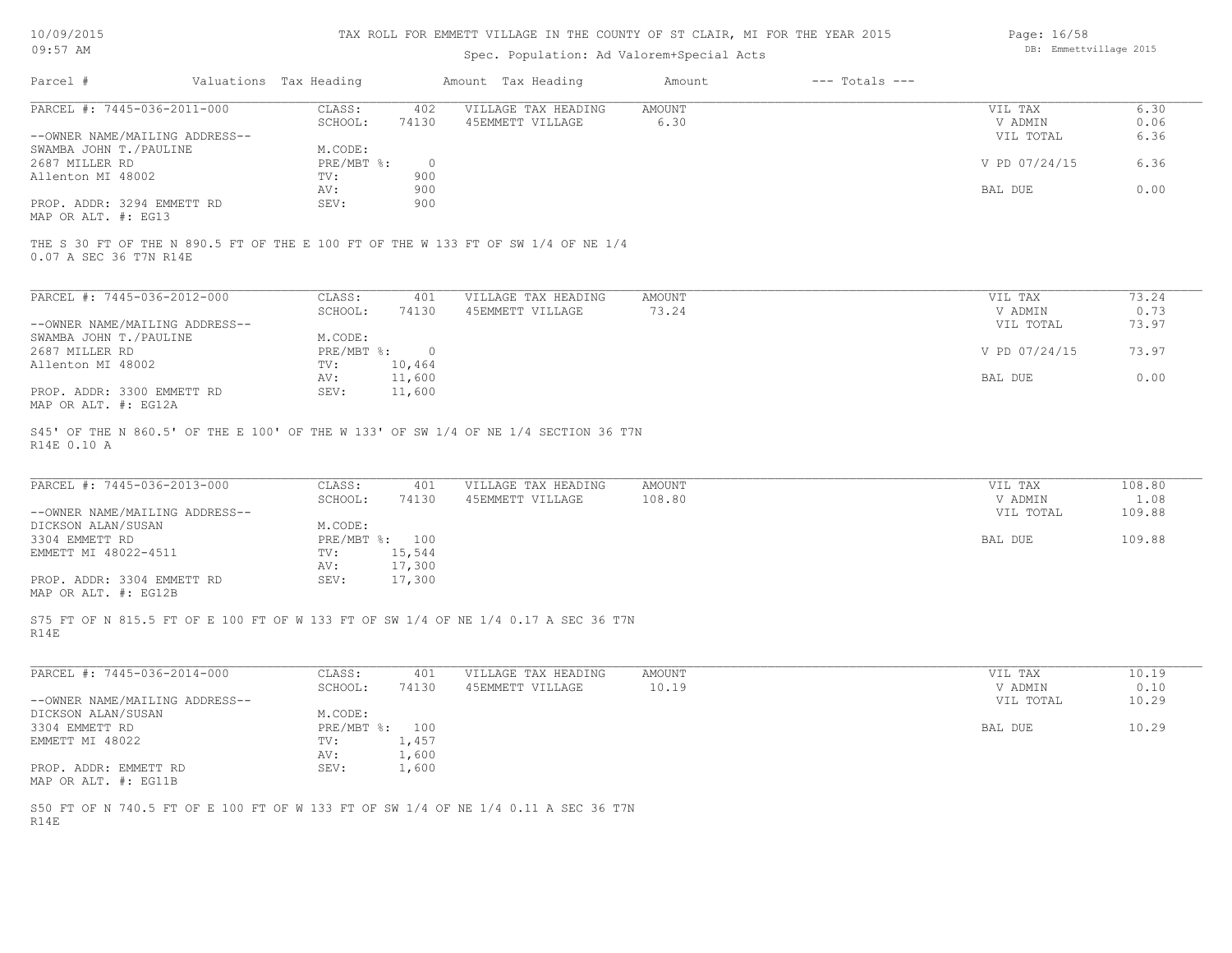| 10/09/2015 |  |
|------------|--|
| $09:57$ AM |  |

# Spec. Population: Ad Valorem+Special Acts

| Page: 16/58            |  |
|------------------------|--|
| DB: Emmettvillage 2015 |  |

| Parcel #                       | Valuations Tax Heading |         | Amount Tax Heading                                                                | Amount | $---$ Totals $---$ |               |       |
|--------------------------------|------------------------|---------|-----------------------------------------------------------------------------------|--------|--------------------|---------------|-------|
| PARCEL #: 7445-036-2011-000    | CLASS:                 | 402     | VILLAGE TAX HEADING                                                               | AMOUNT |                    | VIL TAX       | 6.30  |
|                                | SCHOOL:                | 74130   | 45EMMETT VILLAGE                                                                  | 6.30   |                    | V ADMIN       | 0.06  |
| --OWNER NAME/MAILING ADDRESS-- |                        |         |                                                                                   |        |                    | VIL TOTAL     | 6.36  |
| SWAMBA JOHN T./PAULINE         | M.CODE:                |         |                                                                                   |        |                    |               |       |
| 2687 MILLER RD                 | PRE/MBT %:             | $\circ$ |                                                                                   |        |                    | V PD 07/24/15 | 6.36  |
| Allenton MI 48002              | TV:                    | 900     |                                                                                   |        |                    |               |       |
|                                | AV:                    | 900     |                                                                                   |        |                    | BAL DUE       | 0.00  |
| PROP. ADDR: 3294 EMMETT RD     | SEV:                   | 900     |                                                                                   |        |                    |               |       |
| MAP OR ALT. #: EG13            |                        |         |                                                                                   |        |                    |               |       |
| 0.07 A SEC 36 T7N R14E         |                        |         | THE S 30 FT OF THE N 890.5 FT OF THE E 100 FT OF THE W 133 FT OF SW 1/4 OF NE 1/4 |        |                    |               |       |
| PARCEL #: 7445-036-2012-000    | CLASS:                 | 401     | VILLAGE TAX HEADING                                                               | AMOUNT |                    | VIL TAX       | 73.24 |
|                                | SCHOOL:                | 74130   | 45EMMETT VILLAGE                                                                  | 73.24  |                    | V ADMIN       | 0.73  |
| --OWNER NAME/MAILING ADDRESS-- |                        |         |                                                                                   |        |                    | VIL TOTAL     | 73.97 |

| UNNER RATE/MAILLING ADDRESS |            |        | VII IVIAI     | , , , , , |
|-----------------------------|------------|--------|---------------|-----------|
| SWAMBA JOHN T./PAULINE      | M.CODE:    |        |               |           |
| 2687 MILLER RD              | PRE/MBT %: |        | V PD 07/24/15 | 73.97     |
| Allenton MI 48002           | TV:        | 10,464 |               |           |
|                             | AV:        | 11,600 | BAL DUE       | 0.00      |
| PROP. ADDR: 3300 EMMETT RD  | SEV:       | 11,600 |               |           |
|                             |            |        |               |           |

MAP OR ALT. #: EG12A

R14E 0.10 A S45' OF THE N 860.5' OF THE E 100' OF THE W 133' OF SW 1/4 OF NE 1/4 SECTION 36 T7N

| PARCEL #: 7445-036-2013-000    | CLASS:  | 401            | VILLAGE TAX HEADING | AMOUNT | VIL TAX   | 108.80 |
|--------------------------------|---------|----------------|---------------------|--------|-----------|--------|
|                                | SCHOOL: | 74130          | 45EMMETT VILLAGE    | 108.80 | V ADMIN   | 1.08   |
| --OWNER NAME/MAILING ADDRESS-- |         |                |                     |        | VIL TOTAL | 109.88 |
| DICKSON ALAN/SUSAN             | M.CODE: |                |                     |        |           |        |
| 3304 EMMETT RD                 |         | PRE/MBT %: 100 |                     |        | BAL DUE   | 109.88 |
| EMMETT MI 48022-4511           | TV:     | 15,544         |                     |        |           |        |
|                                | AV:     | 17,300         |                     |        |           |        |
| PROP. ADDR: 3304 EMMETT RD     | SEV:    | 17,300         |                     |        |           |        |
| MAP OR ALT. #: EG12B           |         |                |                     |        |           |        |

R14E S75 FT OF N 815.5 FT OF E 100 FT OF W 133 FT OF SW 1/4 OF NE 1/4 0.17 A SEC 36 T7N

| PARCEL #: 7445-036-2014-000    | CLASS:       | 401   | VILLAGE TAX HEADING | AMOUNT | VIL TAX   | 10.19 |
|--------------------------------|--------------|-------|---------------------|--------|-----------|-------|
|                                | SCHOOL:      | 74130 | 45EMMETT VILLAGE    | 10.19  | V ADMIN   | 0.10  |
| --OWNER NAME/MAILING ADDRESS-- |              |       |                     |        | VIL TOTAL | 10.29 |
| DICKSON ALAN/SUSAN             | M.CODE:      |       |                     |        |           |       |
| 3304 EMMETT RD                 | $PRE/MBT$ %: | 100   |                     |        | BAL DUE   | 10.29 |
| EMMETT MI 48022                | TV:          | 1,457 |                     |        |           |       |
|                                | AV:          | 1,600 |                     |        |           |       |
| PROP. ADDR: EMMETT RD          | SEV:         | 1,600 |                     |        |           |       |
| MAP OR ALT. #: EG11B           |              |       |                     |        |           |       |

R14E S50 FT OF N 740.5 FT OF E 100 FT OF W 133 FT OF SW 1/4 OF NE 1/4 0.11 A SEC 36 T7N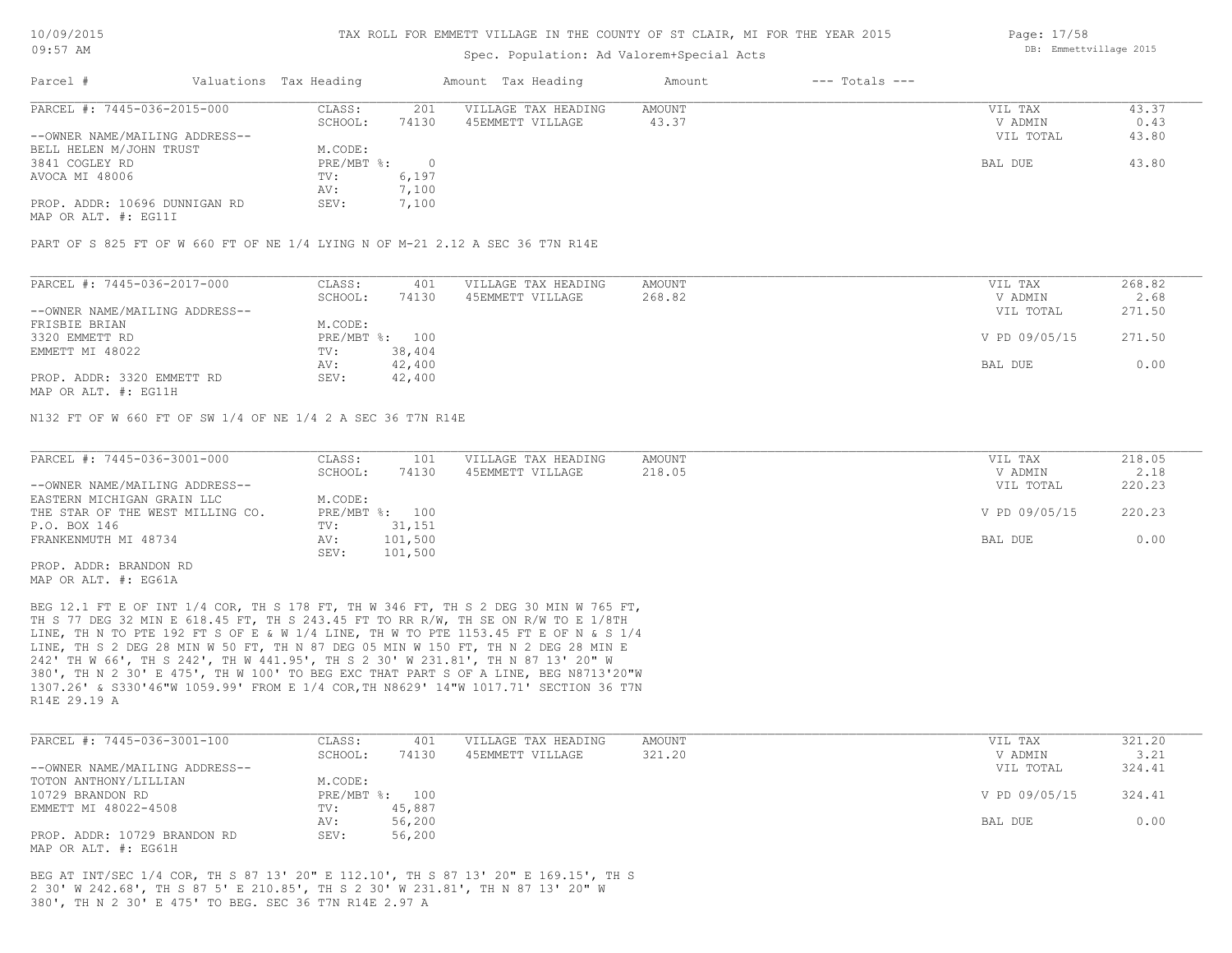## Spec. Population: Ad Valorem+Special Acts

| Page: 17/58 |                        |  |
|-------------|------------------------|--|
|             | DB: Emmettvillage 2015 |  |

| Parcel #                       | Valuations Tax Heading |       | Amount Tax Heading  | Amount | $---$ Totals $---$ |           |       |
|--------------------------------|------------------------|-------|---------------------|--------|--------------------|-----------|-------|
| PARCEL #: 7445-036-2015-000    | CLASS:                 | 201   | VILLAGE TAX HEADING | AMOUNT |                    | VIL TAX   | 43.37 |
|                                | SCHOOL:                | 74130 | 45EMMETT VILLAGE    | 43.37  |                    | V ADMIN   | 0.43  |
| --OWNER NAME/MAILING ADDRESS-- |                        |       |                     |        |                    | VIL TOTAL | 43.80 |
| BELL HELEN M/JOHN TRUST        | M.CODE:                |       |                     |        |                    |           |       |
| 3841 COGLEY RD                 | $PRE/MBT$ %:           |       |                     |        |                    | BAL DUE   | 43.80 |
| AVOCA MI 48006                 | TV:                    | 6,197 |                     |        |                    |           |       |
|                                | AV:                    | 7,100 |                     |        |                    |           |       |
| PROP. ADDR: 10696 DUNNIGAN RD  | SEV:                   | 7,100 |                     |        |                    |           |       |
|                                |                        |       |                     |        |                    |           |       |

MAP OR ALT. #: EG11I

PART OF S 825 FT OF W 660 FT OF NE 1/4 LYING N OF M-21 2.12 A SEC 36 T7N R14E

| PARCEL #: 7445-036-2017-000    | CLASS:  | 401            | VILLAGE TAX HEADING | AMOUNT | VIL TAX       | 268.82 |
|--------------------------------|---------|----------------|---------------------|--------|---------------|--------|
|                                | SCHOOL: | 74130          | 45EMMETT VILLAGE    | 268.82 | V ADMIN       | 2.68   |
| --OWNER NAME/MAILING ADDRESS-- |         |                |                     |        | VIL TOTAL     | 271.50 |
| FRISBIE BRIAN                  | M.CODE: |                |                     |        |               |        |
| 3320 EMMETT RD                 |         | PRE/MBT %: 100 |                     |        | V PD 09/05/15 | 271.50 |
| EMMETT MI 48022                | TV:     | 38,404         |                     |        |               |        |
|                                | AV:     | 42,400         |                     |        | BAL DUE       | 0.00   |
| PROP. ADDR: 3320 EMMETT RD     | SEV:    | 42,400         |                     |        |               |        |
|                                |         |                |                     |        |               |        |

MAP OR ALT. #: EG11H

N132 FT OF W 660 FT OF SW 1/4 OF NE 1/4 2 A SEC 36 T7N R14E

| PARCEL #: 7445-036-3001-000      | CLASS:  | 101            | VILLAGE TAX HEADING | AMOUNT | VIL TAX       | 218.05 |
|----------------------------------|---------|----------------|---------------------|--------|---------------|--------|
|                                  | SCHOOL: | 74130          | 45EMMETT VILLAGE    | 218.05 | V ADMIN       | 2.18   |
| --OWNER NAME/MAILING ADDRESS--   |         |                |                     |        | VIL TOTAL     | 220.23 |
| EASTERN MICHIGAN GRAIN LLC       | M.CODE: |                |                     |        |               |        |
| THE STAR OF THE WEST MILLING CO. |         | PRE/MBT %: 100 |                     |        | V PD 09/05/15 | 220.23 |
| P.O. BOX 146                     | TV:     | 31,151         |                     |        |               |        |
| FRANKENMUTH MI 48734             | AV:     | 101,500        |                     |        | BAL DUE       | 0.00   |
|                                  | SEV:    | 101,500        |                     |        |               |        |
| PROP. ADDR: BRANDON RD           |         |                |                     |        |               |        |

MAP OR ALT. #: EG61A

R14E 29.19 A 1307.26' & S330'46"W 1059.99' FROM E 1/4 COR,TH N8629' 14"W 1017.71' SECTION 36 T7N 380', TH N 2 30' E 475', TH W 100' TO BEG EXC THAT PART S OF A LINE, BEG N8713'20"W 242' TH W 66', TH S 242', TH W 441.95', TH S 2 30' W 231.81', TH N 87 13' 20" W LINE, TH S 2 DEG 28 MIN W 50 FT, TH N 87 DEG 05 MIN W 150 FT, TH N 2 DEG 28 MIN E LINE, TH N TO PTE 192 FT S OF E & W 1/4 LINE, TH W TO PTE 1153.45 FT E OF N & S 1/4 TH S 77 DEG 32 MIN E 618.45 FT, TH S 243.45 FT TO RR R/W, TH SE ON R/W TO E 1/8TH BEG 12.1 FT E OF INT 1/4 COR, TH S 178 FT, TH W 346 FT, TH S 2 DEG 30 MIN W 765 FT,

| PARCEL #: 7445-036-3001-100    | CLASS:         | 401    | VILLAGE TAX HEADING | AMOUNT | VIL TAX       | 321.20 |
|--------------------------------|----------------|--------|---------------------|--------|---------------|--------|
|                                | SCHOOL:        | 74130  | 45EMMETT VILLAGE    | 321.20 | V ADMIN       | 3.21   |
| --OWNER NAME/MAILING ADDRESS-- |                |        |                     |        | VIL TOTAL     | 324.41 |
| TOTON ANTHONY/LILLIAN          | M.CODE:        |        |                     |        |               |        |
| 10729 BRANDON RD               | PRE/MBT %: 100 |        |                     |        | V PD 09/05/15 | 324.41 |
| EMMETT MI 48022-4508           | TV:            | 45,887 |                     |        |               |        |
|                                | AV:            | 56,200 |                     |        | BAL DUE       | 0.00   |
| PROP. ADDR: 10729 BRANDON RD   | SEV:           | 56,200 |                     |        |               |        |
| MAP OR ALT. #: EG61H           |                |        |                     |        |               |        |

380', TH N 2 30' E 475' TO BEG. SEC 36 T7N R14E 2.97 A 2 30' W 242.68', TH S 87 5' E 210.85', TH S 2 30' W 231.81', TH N 87 13' 20" W BEG AT INT/SEC 1/4 COR, TH S 87 13' 20" E 112.10', TH S 87 13' 20" E 169.15', TH S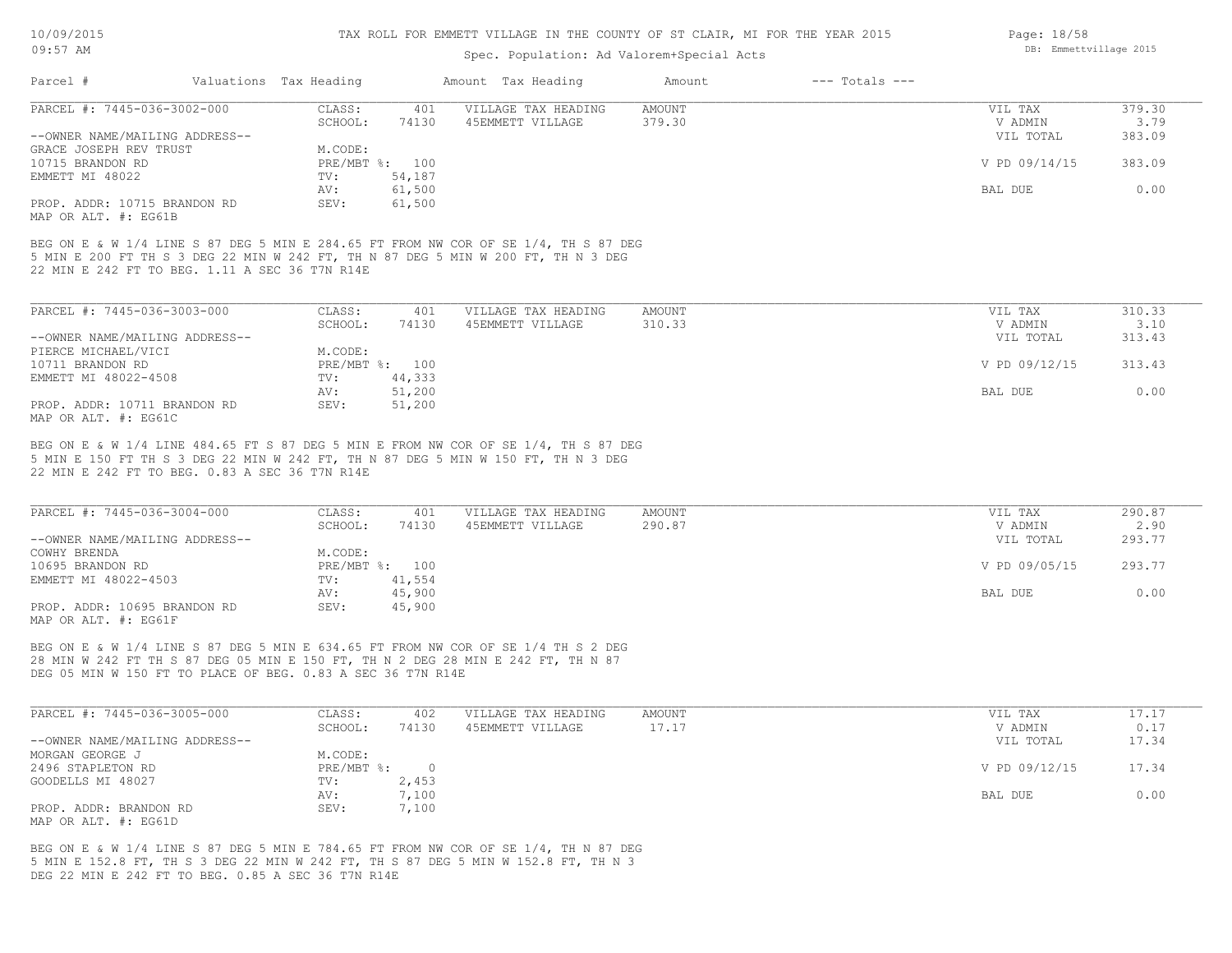10/09/2015

# TAX ROLL FOR EMMETT VILLAGE IN THE COUNTY OF ST CLAIR, MI FOR THE YEAR 2015

| エリノリン/ムリエコ                                                                                                                                                                                                                           |                        |        | TAA KULL FUK EMMEIL VILLAGE IN INE COUNII OF SI CLAIK, MI FUK INE IEAK 2010 |                 |                    | raye: 10/J0                 |                |
|--------------------------------------------------------------------------------------------------------------------------------------------------------------------------------------------------------------------------------------|------------------------|--------|-----------------------------------------------------------------------------|-----------------|--------------------|-----------------------------|----------------|
| $09:57$ AM                                                                                                                                                                                                                           |                        |        | Spec. Population: Ad Valorem+Special Acts                                   |                 |                    | DB: Emmettvillage 2015      |                |
| Parcel #                                                                                                                                                                                                                             | Valuations Tax Heading |        | Amount Tax Heading                                                          | Amount          | $---$ Totals $---$ |                             |                |
| PARCEL #: 7445-036-3002-000                                                                                                                                                                                                          | CLASS:                 | 401    | VILLAGE TAX HEADING                                                         | AMOUNT          |                    | VIL TAX                     | 379.30         |
|                                                                                                                                                                                                                                      | SCHOOL:                | 74130  | 45EMMETT VILLAGE                                                            | 379.30          |                    | V ADMIN                     | 3.79           |
| --OWNER NAME/MAILING ADDRESS--                                                                                                                                                                                                       |                        |        |                                                                             |                 |                    | VIL TOTAL                   | 383.09         |
| GRACE JOSEPH REV TRUST                                                                                                                                                                                                               | M.CODE:                |        |                                                                             |                 |                    |                             |                |
| 10715 BRANDON RD                                                                                                                                                                                                                     | PRE/MBT %: 100         |        |                                                                             |                 |                    | V PD 09/14/15               | 383.09         |
| EMMETT MI 48022                                                                                                                                                                                                                      | $TV$ :                 | 54,187 |                                                                             |                 |                    |                             |                |
|                                                                                                                                                                                                                                      | AV:                    | 61,500 |                                                                             |                 |                    | BAL DUE                     | 0.00           |
| PROP. ADDR: 10715 BRANDON RD<br>MAP OR ALT. #: EG61B                                                                                                                                                                                 | SEV:                   | 61,500 |                                                                             |                 |                    |                             |                |
| BEG ON E & W 1/4 LINE S 87 DEG 5 MIN E 284.65 FT FROM NW COR OF SE 1/4, TH S 87 DEG<br>5 MIN E 200 FT TH S 3 DEG 22 MIN W 242 FT, TH N 87 DEG 5 MIN W 200 FT, TH N 3 DEG<br>22 MIN E 242 FT TO BEG. 1.11 A SEC 36 T7N R14E           |                        |        |                                                                             |                 |                    |                             |                |
|                                                                                                                                                                                                                                      |                        |        |                                                                             |                 |                    |                             |                |
| PARCEL #: 7445-036-3003-000                                                                                                                                                                                                          | CLASS:                 | 401    | VILLAGE TAX HEADING                                                         | AMOUNT          |                    | VIL TAX                     | 310.33         |
|                                                                                                                                                                                                                                      | SCHOOL:                | 74130  | 45EMMETT VILLAGE                                                            | 310.33          |                    | V ADMIN                     | 3.10           |
| --OWNER NAME/MAILING ADDRESS--                                                                                                                                                                                                       |                        |        |                                                                             |                 |                    | VIL TOTAL                   | 313.43         |
| PIERCE MICHAEL/VICI                                                                                                                                                                                                                  | M.CODE:                |        |                                                                             |                 |                    |                             |                |
| 10711 BRANDON RD                                                                                                                                                                                                                     | PRE/MBT %: 100         |        |                                                                             |                 |                    | V PD 09/12/15               | 313.43         |
| EMMETT MI 48022-4508                                                                                                                                                                                                                 | TV:                    | 44,333 |                                                                             |                 |                    |                             |                |
|                                                                                                                                                                                                                                      | AV:                    | 51,200 |                                                                             |                 |                    | BAL DUE                     | 0.00           |
| PROP. ADDR: 10711 BRANDON RD<br>MAP OR ALT. #: EG61C                                                                                                                                                                                 | SEV:                   | 51,200 |                                                                             |                 |                    |                             |                |
| BEG ON E & W 1/4 LINE 484.65 FT S 87 DEG 5 MIN E FROM NW COR OF SE 1/4, TH S 87 DEG<br>5 MIN E 150 FT TH S 3 DEG 22 MIN W 242 FT, TH N 87 DEG 5 MIN W 150 FT, TH N 3 DEG<br>22 MIN E 242 FT TO BEG. 0.83 A SEC 36 T7N R14E           |                        |        |                                                                             |                 |                    |                             |                |
| PARCEL #: 7445-036-3004-000                                                                                                                                                                                                          | CLASS:                 | 401    | VILLAGE TAX HEADING                                                         | <b>AMOUNT</b>   |                    | VIL TAX                     | 290.87         |
|                                                                                                                                                                                                                                      | SCHOOL:                | 74130  | 45EMMETT VILLAGE                                                            | 290.87          |                    | V ADMIN                     | 2.90           |
| --OWNER NAME/MAILING ADDRESS--<br>COWHY BRENDA                                                                                                                                                                                       | M.CODE:                |        |                                                                             |                 |                    | VIL TOTAL                   | 293.77         |
| 10695 BRANDON RD                                                                                                                                                                                                                     | PRE/MBT %: 100         |        |                                                                             |                 |                    | V PD 09/05/15               | 293.77         |
| EMMETT MI 48022-4503                                                                                                                                                                                                                 | TV:                    | 41,554 |                                                                             |                 |                    |                             |                |
|                                                                                                                                                                                                                                      | AV:                    | 45,900 |                                                                             |                 |                    | BAL DUE                     | 0.00           |
| PROP. ADDR: 10695 BRANDON RD                                                                                                                                                                                                         | SEV:                   | 45,900 |                                                                             |                 |                    |                             |                |
| MAP OR ALT. #: EG61F                                                                                                                                                                                                                 |                        |        |                                                                             |                 |                    |                             |                |
| BEG ON E & W 1/4 LINE S 87 DEG 5 MIN E 634.65 FT FROM NW COR OF SE 1/4 TH S 2 DEG<br>28 MIN W 242 FT TH S 87 DEG 05 MIN E 150 FT, TH N 2 DEG 28 MIN E 242 FT, TH N 87<br>DEG 05 MIN W 150 FT TO PLACE OF BEG. 0.83 A SEC 36 T7N R14E |                        |        |                                                                             |                 |                    |                             |                |
|                                                                                                                                                                                                                                      |                        |        |                                                                             |                 |                    |                             |                |
| PARCEL #: 7445-036-3005-000                                                                                                                                                                                                          | CLASS:<br>SCHOOL .     | 402    | VILLAGE TAX HEADING<br>7/130 / A SEMMETT UTTINGE                            | AMOUNT<br>17 17 |                    | VIL TAX<br><b>VZ ADMINI</b> | 17.17<br>0 1 7 |
|                                                                                                                                                                                                                                      |                        |        |                                                                             |                 |                    |                             |                |

| PARCEL #: 7445-036-3005-000    | JLASS:     | 4 U Z | VILLAGE TAX HEADING | AMOUN'I' | VIL TAX       | 17.17 |
|--------------------------------|------------|-------|---------------------|----------|---------------|-------|
|                                | SCHOOL:    | 74130 | 45EMMETT VILLAGE    | 17.17    | V ADMIN       | 0.17  |
| --OWNER NAME/MAILING ADDRESS-- |            |       |                     |          | VIL TOTAL     | 17.34 |
| MORGAN GEORGE J                | M.CODE:    |       |                     |          |               |       |
| 2496 STAPLETON RD              | PRE/MBT %: |       |                     |          | V PD 09/12/15 | 17.34 |
| GOODELLS MI 48027              | TV:        | 2,453 |                     |          |               |       |
|                                | AV:        | 7,100 |                     |          | BAL DUE       | 0.00  |
| PROP. ADDR: BRANDON RD         | SEV:       | 7,100 |                     |          |               |       |
| MAP OR ALT. #: EG61D           |            |       |                     |          |               |       |

DEG 22 MIN E 242 FT TO BEG. 0.85 A SEC 36 T7N R14E 5 MIN E 152.8 FT, TH S 3 DEG 22 MIN W 242 FT, TH S 87 DEG 5 MIN W 152.8 FT, TH N 3 BEG ON E & W 1/4 LINE S 87 DEG 5 MIN E 784.65 FT FROM NW COR OF SE 1/4, TH N 87 DEG Page: 18/58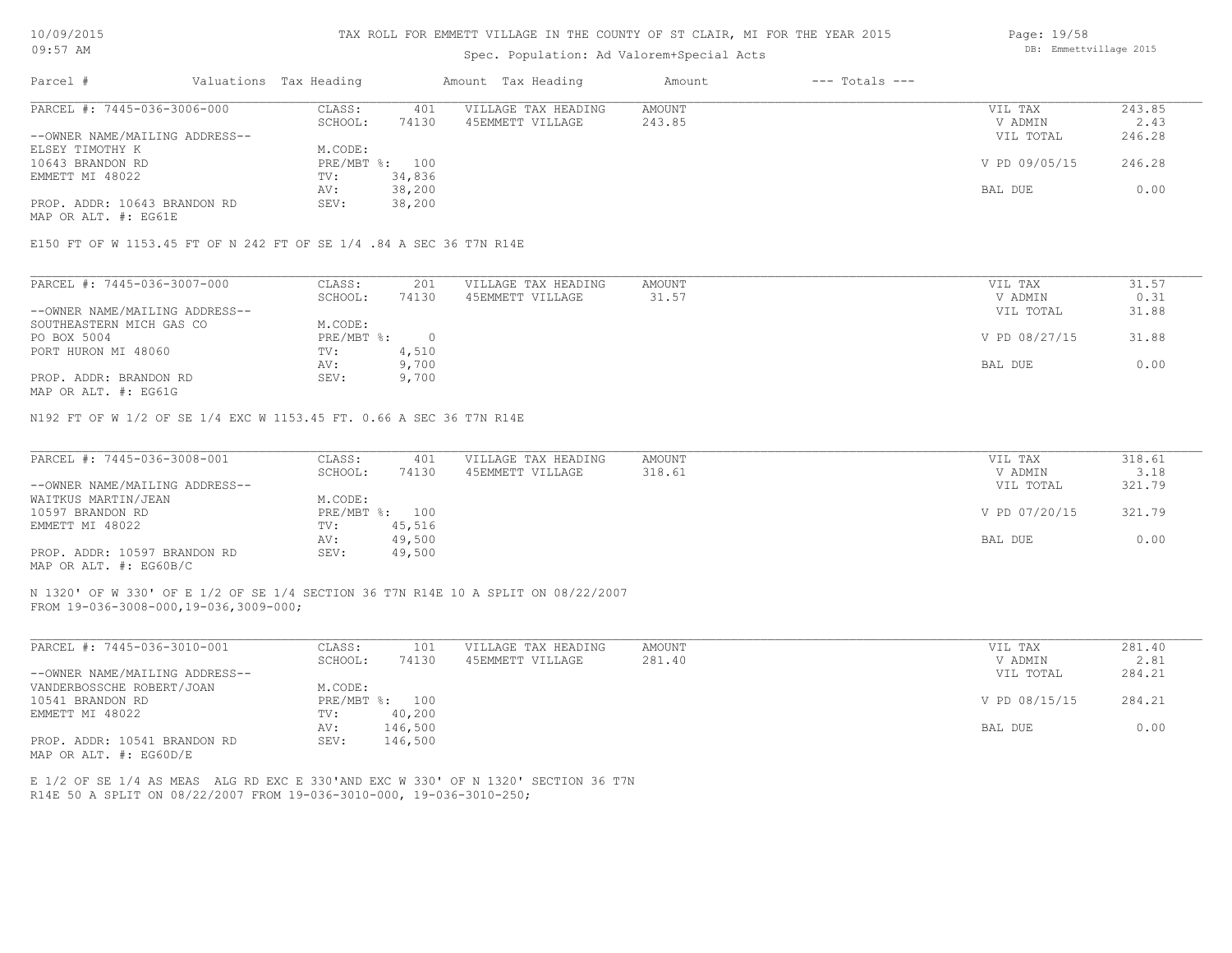#### TAX ROLL FOR EMMETT VILLAGE IN THE COUNTY OF ST CLAIR, MI FOR THE YEAR 2015

Page: 19/58

DB: Emmettvillage 2015

## Spec. Population: Ad Valorem+Special Acts

| Parcel #                       | Valuations Tax Heading |        | Amount Tax Heading  | Amount | $---$ Totals $---$ |               |        |
|--------------------------------|------------------------|--------|---------------------|--------|--------------------|---------------|--------|
| PARCEL #: 7445-036-3006-000    | CLASS:                 | 401    | VILLAGE TAX HEADING | AMOUNT |                    | VIL TAX       | 243.85 |
|                                | SCHOOL:                | 74130  | 45EMMETT VILLAGE    | 243.85 |                    | V ADMIN       | 2.43   |
| --OWNER NAME/MAILING ADDRESS-- |                        |        |                     |        |                    | VIL TOTAL     | 246.28 |
| ELSEY TIMOTHY K                | M.CODE:                |        |                     |        |                    |               |        |
| 10643 BRANDON RD               | PRE/MBT %: 100         |        |                     |        |                    | V PD 09/05/15 | 246.28 |
| EMMETT MI 48022                | TV:                    | 34,836 |                     |        |                    |               |        |
|                                | AV:                    | 38,200 |                     |        |                    | BAL DUE       | 0.00   |
| PROP. ADDR: 10643 BRANDON RD   | SEV:                   | 38,200 |                     |        |                    |               |        |

MAP OR ALT. #: EG61E

E150 FT OF W 1153.45 FT OF N 242 FT OF SE 1/4 .84 A SEC 36 T7N R14E

| PARCEL #: 7445-036-3007-000    | CLASS:     | 201   | VILLAGE TAX HEADING | AMOUNT | VIL TAX       | 31.57 |
|--------------------------------|------------|-------|---------------------|--------|---------------|-------|
|                                | SCHOOL:    | 74130 | 45EMMETT VILLAGE    | 31.57  | V ADMIN       | 0.31  |
| --OWNER NAME/MAILING ADDRESS-- |            |       |                     |        | VIL TOTAL     | 31.88 |
| SOUTHEASTERN MICH GAS CO       | M.CODE:    |       |                     |        |               |       |
| PO BOX 5004                    | PRE/MBT %: |       |                     |        | V PD 08/27/15 | 31.88 |
| PORT HURON MI 48060            | TV:        | 4,510 |                     |        |               |       |
|                                | AV:        | 9,700 |                     |        | BAL DUE       | 0.00  |
| PROP. ADDR: BRANDON RD         | SEV:       | 9,700 |                     |        |               |       |
|                                |            |       |                     |        |               |       |

MAP OR ALT. #: EG61G

N192 FT OF W 1/2 OF SE 1/4 EXC W 1153.45 FT. 0.66 A SEC 36 T7N R14E

| PARCEL #: 7445-036-3008-001    | CLASS:  | 401            | VILLAGE TAX HEADING | AMOUNT | VIL TAX       | 318.61 |
|--------------------------------|---------|----------------|---------------------|--------|---------------|--------|
|                                | SCHOOL: | 74130          | 45EMMETT VILLAGE    | 318.61 | V ADMIN       | 3.18   |
| --OWNER NAME/MAILING ADDRESS-- |         |                |                     |        | VIL TOTAL     | 321.79 |
| WAITKUS MARTIN/JEAN            | M.CODE: |                |                     |        |               |        |
| 10597 BRANDON RD               |         | PRE/MBT %: 100 |                     |        | V PD 07/20/15 | 321.79 |
| EMMETT MI 48022                | TV:     | 45,516         |                     |        |               |        |
|                                | AV:     | 49,500         |                     |        | BAL DUE       | 0.00   |
| PROP. ADDR: 10597 BRANDON RD   | SEV:    | 49,500         |                     |        |               |        |
| MAP OR ALT. #: EG60B/C         |         |                |                     |        |               |        |

FROM 19-036-3008-000,19-036,3009-000; N 1320' OF W 330' OF E 1/2 OF SE 1/4 SECTION 36 T7N R14E 10 A SPLIT ON 08/22/2007

| PARCEL #: 7445-036-3010-001    | CLASS:       | 101     | VILLAGE TAX HEADING | AMOUNT | VIL TAX       | 281.40 |
|--------------------------------|--------------|---------|---------------------|--------|---------------|--------|
|                                | SCHOOL:      | 74130   | 45EMMETT VILLAGE    | 281.40 | V ADMIN       | 2.81   |
| --OWNER NAME/MAILING ADDRESS-- |              |         |                     |        | VIL TOTAL     | 284.21 |
| VANDERBOSSCHE ROBERT/JOAN      | M.CODE:      |         |                     |        |               |        |
| 10541 BRANDON RD               | $PRE/MBT$ %: | 100     |                     |        | V PD 08/15/15 | 284.21 |
| EMMETT MI 48022                | TV:          | 40,200  |                     |        |               |        |
|                                | AV:          | 146,500 |                     |        | BAL DUE       | 0.00   |
| PROP. ADDR: 10541 BRANDON RD   | SEV:         | 146,500 |                     |        |               |        |
| MAP OR ALT. #: EG60D/E         |              |         |                     |        |               |        |

 $\mathcal{L}_\mathcal{L} = \mathcal{L}_\mathcal{L} = \mathcal{L}_\mathcal{L} = \mathcal{L}_\mathcal{L} = \mathcal{L}_\mathcal{L} = \mathcal{L}_\mathcal{L} = \mathcal{L}_\mathcal{L} = \mathcal{L}_\mathcal{L} = \mathcal{L}_\mathcal{L} = \mathcal{L}_\mathcal{L} = \mathcal{L}_\mathcal{L} = \mathcal{L}_\mathcal{L} = \mathcal{L}_\mathcal{L} = \mathcal{L}_\mathcal{L} = \mathcal{L}_\mathcal{L} = \mathcal{L}_\mathcal{L} = \mathcal{L}_\mathcal{L}$ 

R14E 50 A SPLIT ON 08/22/2007 FROM 19-036-3010-000, 19-036-3010-250; E 1/2 OF SE 1/4 AS MEAS ALG RD EXC E 330'AND EXC W 330' OF N 1320' SECTION 36 T7N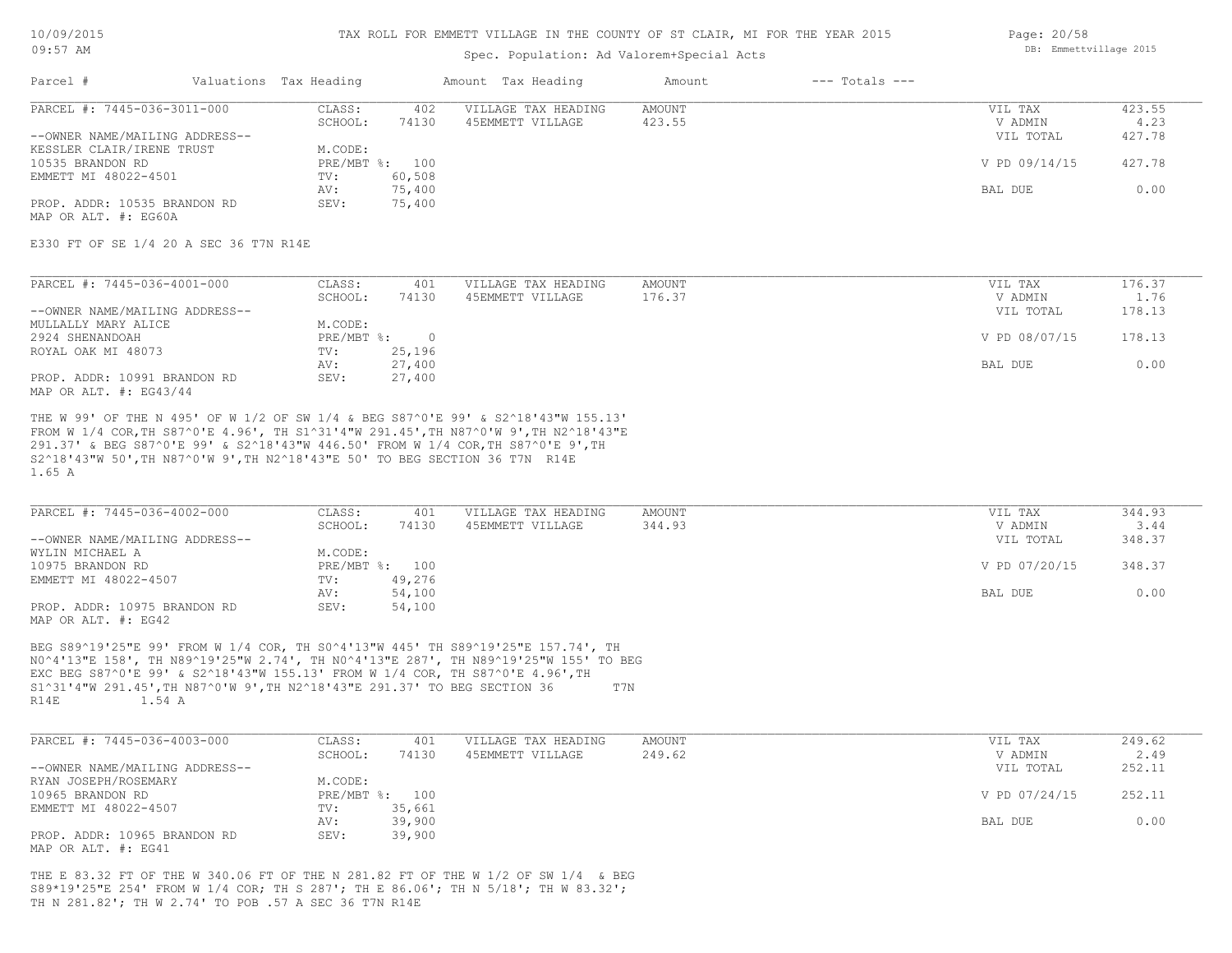#### TAX ROLL FOR EMMETT VILLAGE IN THE COUNTY OF ST CLAIR, MI FOR THE YEAR 2015

| UYIJI ALMI                     | DD. ENNIGLLVIIIAUG 2010 |       |                     |        |                    |           |        |
|--------------------------------|-------------------------|-------|---------------------|--------|--------------------|-----------|--------|
| Parcel #                       | Valuations Tax Heading  |       | Amount Tax Heading  | Amount | $---$ Totals $---$ |           |        |
| PARCEL #: 7445-036-3011-000    | CLASS:                  | 402   | VILLAGE TAX HEADING | AMOUNT |                    | VIL TAX   | 423.55 |
|                                | SCHOOL:                 | 74130 | 45EMMETT VILLAGE    | 423.55 |                    | V ADMIN   |        |
| --OWNER NAME/MAILING ADDRESS-- |                         |       |                     |        |                    | VIL TOTAL | 427.78 |

| --OWNER NAME/MAILING ADDRESS-- |                     | VIL TOTAL     | 427.78 |
|--------------------------------|---------------------|---------------|--------|
| KESSLER CLAIR/IRENE TRUST      | M.CODE:             |               |        |
| 10535 BRANDON RD               | $PRE/MBT$ %:<br>100 | V PD 09/14/15 | 427.78 |
| EMMETT MI 48022-4501           | 60,508<br>TV:       |               |        |
|                                | 75,400<br>AV:       | BAL DUE       | 0.00   |
| PROP. ADDR: 10535 BRANDON RD   | 75,400<br>SEV:      |               |        |

MAP OR ALT. #: EG60A

E330 FT OF SE 1/4 20 A SEC 36 T7N R14E

| PARCEL #: 7445-036-4001-000    | CLASS:     | 401    | VILLAGE TAX HEADING | AMOUNT | VIL TAX       | 176.37 |
|--------------------------------|------------|--------|---------------------|--------|---------------|--------|
|                                | SCHOOL:    | 74130  | 45EMMETT VILLAGE    | 176.37 | V ADMIN       | 1.76   |
| --OWNER NAME/MAILING ADDRESS-- |            |        |                     |        | VIL TOTAL     | 178.13 |
| MULLALLY MARY ALICE            | M.CODE:    |        |                     |        |               |        |
| 2924 SHENANDOAH                | PRE/MBT %: |        |                     |        | V PD 08/07/15 | 178.13 |
| ROYAL OAK MI 48073             | TV:        | 25,196 |                     |        |               |        |
|                                | AV:        | 27,400 |                     |        | BAL DUE       | 0.00   |
| PROP. ADDR: 10991 BRANDON RD   | SEV:       | 27,400 |                     |        |               |        |
| MAP OR ALT. $\#$ : EG43/44     |            |        |                     |        |               |        |

1.65 A S2^18'43"W 50',TH N87^0'W 9',TH N2^18'43"E 50' TO BEG SECTION 36 T7N R14E 291.37' & BEG S87^0'E 99' & S2^18'43"W 446.50' FROM W 1/4 COR,TH S87^0'E 9',TH FROM W 1/4 COR,TH S87^0'E 4.96', TH S1^31'4"W 291.45',TH N87^0'W 9',TH N2^18'43"E THE W 99' OF THE N 495' OF W 1/2 OF SW 1/4 & BEG S87^0'E 99' & S2^18'43"W 155.13'

| PARCEL #: 7445-036-4002-000    | CLASS:  | 401            | VILLAGE TAX HEADING | AMOUNT | VIL TAX       | 344.93 |
|--------------------------------|---------|----------------|---------------------|--------|---------------|--------|
|                                | SCHOOL: | 74130          | 45EMMETT VILLAGE    | 344.93 | V ADMIN       | 3.44   |
| --OWNER NAME/MAILING ADDRESS-- |         |                |                     |        | VIL TOTAL     | 348.37 |
| WYLIN MICHAEL A                | M.CODE: |                |                     |        |               |        |
| 10975 BRANDON RD               |         | PRE/MBT %: 100 |                     |        | V PD 07/20/15 | 348.37 |
| EMMETT MI 48022-4507           | TV:     | 49,276         |                     |        |               |        |
|                                | AV:     | 54,100         |                     |        | BAL DUE       | 0.00   |
| PROP. ADDR: 10975 BRANDON RD   | SEV:    | 54,100         |                     |        |               |        |
| MAP OR ALT. #: EG42            |         |                |                     |        |               |        |

R14E 1.54 A S1^31'4"W 291.45',TH N87^0'W 9',TH N2^18'43"E 291.37' TO BEG SECTION 36 T7N EXC BEG S87^0'E 99' & S2^18'43"W 155.13' FROM W 1/4 COR, TH S87^0'E 4.96',TH N0^4'13"E 158', TH N89^19'25"W 2.74', TH N0^4'13"E 287', TH N89^19'25"W 155' TO BEG BEG S89^19'25"E 99' FROM W 1/4 COR, TH S0^4'13"W 445' TH S89^19'25"E 157.74', TH

| PARCEL #: 7445-036-4003-000    | CLASS:  | 401            | VILLAGE TAX HEADING | AMOUNT | VIL TAX       | 249.62 |
|--------------------------------|---------|----------------|---------------------|--------|---------------|--------|
|                                | SCHOOL: | 74130          | 45EMMETT VILLAGE    | 249.62 | V ADMIN       | 2.49   |
| --OWNER NAME/MAILING ADDRESS-- |         |                |                     |        | VIL TOTAL     | 252.11 |
| RYAN JOSEPH/ROSEMARY           | M.CODE: |                |                     |        |               |        |
| 10965 BRANDON RD               |         | PRE/MBT %: 100 |                     |        | V PD 07/24/15 | 252.11 |
| EMMETT MI 48022-4507           | TV:     | 35,661         |                     |        |               |        |
|                                | AV:     | 39,900         |                     |        | BAL DUE       | 0.00   |
| PROP. ADDR: 10965 BRANDON RD   | SEV:    | 39,900         |                     |        |               |        |
| MAP OR ALT. #: EG41            |         |                |                     |        |               |        |

TH N 281.82'; TH W 2.74' TO POB .57 A SEC 36 T7N R14E S89\*19'25"E 254' FROM W 1/4 COR; TH S 287'; TH E 86.06'; TH N 5/18'; TH W 83.32'; THE E 83.32 FT OF THE W 340.06 FT OF THE N 281.82 FT OF THE W 1/2 OF SW 1/4 & BEG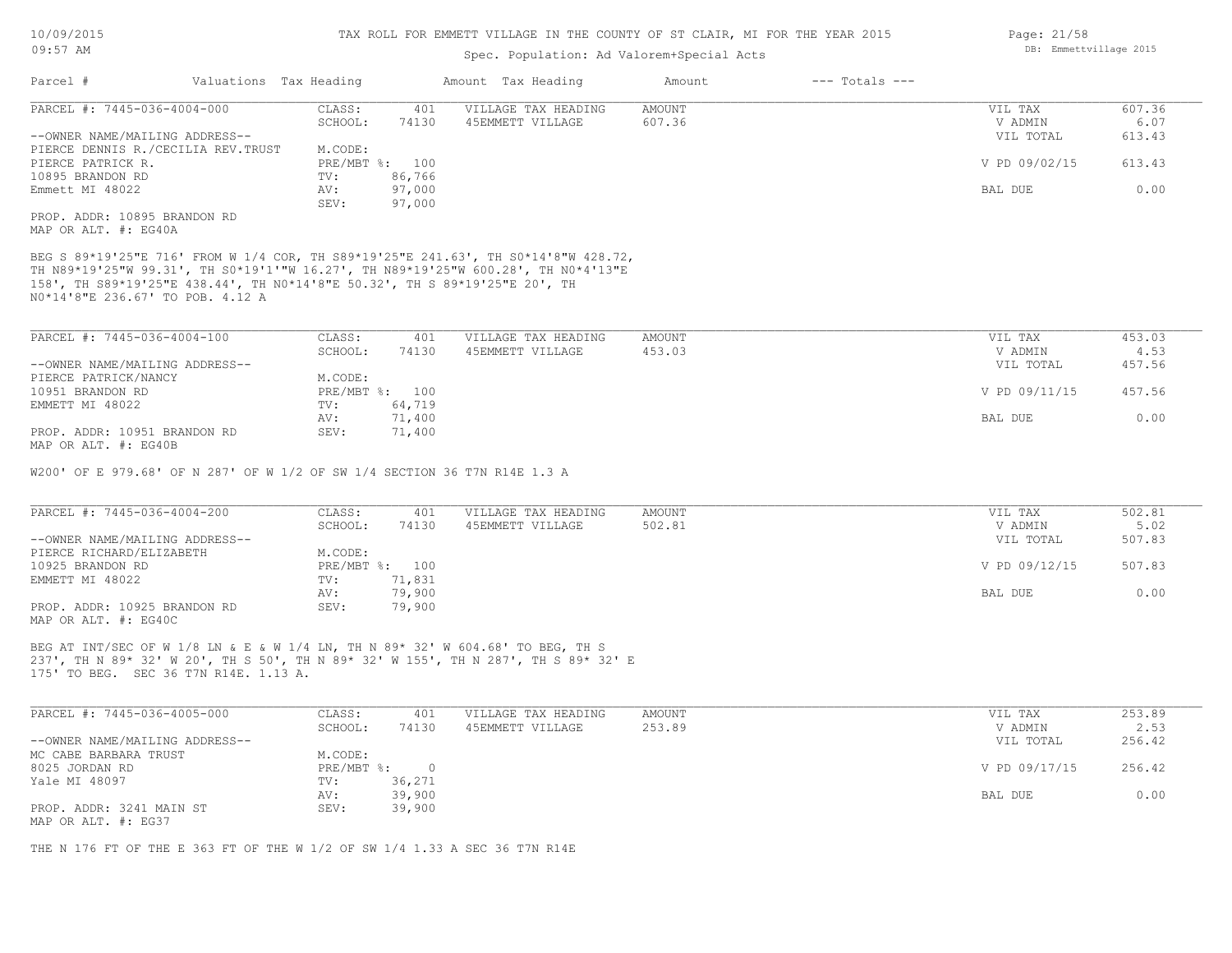## Spec. Population: Ad Valorem+Special Acts

| Parcel #                       |                                     | Valuations Tax Heading |                | Amount Tax Heading  | Amount | $---$ Totals $---$ |               |        |
|--------------------------------|-------------------------------------|------------------------|----------------|---------------------|--------|--------------------|---------------|--------|
| PARCEL #: 7445-036-4004-000    |                                     | CLASS:                 | 401            | VILLAGE TAX HEADING | AMOUNT |                    | VIL TAX       | 607.36 |
|                                |                                     | SCHOOL:                | 74130          | 45EMMETT VILLAGE    | 607.36 |                    | V ADMIN       | 6.07   |
| --OWNER NAME/MAILING ADDRESS-- |                                     |                        |                |                     |        |                    | VIL TOTAL     | 613.43 |
|                                | PIERCE DENNIS R./CECILIA REV. TRUST | M.CODE:                |                |                     |        |                    |               |        |
| PIERCE PATRICK R.              |                                     |                        | PRE/MBT %: 100 |                     |        |                    | V PD 09/02/15 | 613.43 |
| 10895 BRANDON RD               |                                     | TV:                    | 86,766         |                     |        |                    |               |        |
| Emmett MI 48022                |                                     | AV:                    | 97,000         |                     |        |                    | BAL DUE       | 0.00   |
|                                |                                     | SEV:                   | 97,000         |                     |        |                    |               |        |
| PROP. ADDR: 10895 BRANDON RD   |                                     |                        |                |                     |        |                    |               |        |
|                                |                                     |                        |                |                     |        |                    |               |        |

MAP OR ALT. #: EG40A

N0\*14'8"E 236.67' TO POB. 4.12 A 158', TH S89\*19'25"E 438.44', TH N0\*14'8"E 50.32', TH S 89\*19'25"E 20', TH TH N89\*19'25"W 99.31', TH S0\*19'1'"W 16.27', TH N89\*19'25"W 600.28', TH N0\*4'13"E BEG S 89\*19'25"E 716' FROM W 1/4 COR, TH S89\*19'25"E 241.63', TH S0\*14'8"W 428.72,

| PARCEL #: 7445-036-4004-100    | CLASS:  | 401            | VILLAGE TAX HEADING | AMOUNT | VIL TAX       | 453.03 |
|--------------------------------|---------|----------------|---------------------|--------|---------------|--------|
|                                | SCHOOL: | 74130          | 45EMMETT VILLAGE    | 453.03 | V ADMIN       | 4.53   |
| --OWNER NAME/MAILING ADDRESS-- |         |                |                     |        | VIL TOTAL     | 457.56 |
| PIERCE PATRICK/NANCY           | M.CODE: |                |                     |        |               |        |
| 10951 BRANDON RD               |         | PRE/MBT %: 100 |                     |        | V PD 09/11/15 | 457.56 |
| EMMETT MI 48022                | TV:     | 64,719         |                     |        |               |        |
|                                | AV:     | 71,400         |                     |        | BAL DUE       | 0.00   |
| PROP. ADDR: 10951 BRANDON RD   | SEV:    | 71,400         |                     |        |               |        |
| MAP OR ALT. #: EG40B           |         |                |                     |        |               |        |

W200' OF E 979.68' OF N 287' OF W 1/2 OF SW 1/4 SECTION 36 T7N R14E 1.3 A

| PARCEL #: 7445-036-4004-200    | CLASS:  | 401            | VILLAGE TAX HEADING | AMOUNT | VIL TAX       | 502.81 |
|--------------------------------|---------|----------------|---------------------|--------|---------------|--------|
|                                | SCHOOL: | 74130          | 45EMMETT VILLAGE    | 502.81 | V ADMIN       | 5.02   |
| --OWNER NAME/MAILING ADDRESS-- |         |                |                     |        | VIL TOTAL     | 507.83 |
| PIERCE RICHARD/ELIZABETH       | M.CODE: |                |                     |        |               |        |
| 10925 BRANDON RD               |         | PRE/MBT %: 100 |                     |        | V PD 09/12/15 | 507.83 |
| EMMETT MI 48022                | TV:     | 71,831         |                     |        |               |        |
|                                | AV:     | 79,900         |                     |        | BAL DUE       | 0.00   |
| PROP. ADDR: 10925 BRANDON RD   | SEV:    | 79,900         |                     |        |               |        |
| MAP OR ALT. #: EG40C           |         |                |                     |        |               |        |

175' TO BEG. SEC 36 T7N R14E. 1.13 A. 237', TH N 89\* 32' W 20', TH S 50', TH N 89\* 32' W 155', TH N 287', TH S 89\* 32' E BEG AT INT/SEC OF W 1/8 LN & E & W 1/4 LN, TH N 89\* 32' W 604.68' TO BEG, TH S

| PARCEL #: 7445-036-4005-000    | CLASS:       | 401    | VILLAGE TAX HEADING | AMOUNT | VIL TAX       | 253.89 |
|--------------------------------|--------------|--------|---------------------|--------|---------------|--------|
|                                | SCHOOL:      | 74130  | 45EMMETT VILLAGE    | 253.89 | V ADMIN       | 2.53   |
| --OWNER NAME/MAILING ADDRESS-- |              |        |                     |        | VIL TOTAL     | 256.42 |
| MC CABE BARBARA TRUST          | M.CODE:      |        |                     |        |               |        |
| 8025 JORDAN RD                 | $PRE/MBT$ %: |        |                     |        | V PD 09/17/15 | 256.42 |
| Yale MI 48097                  | TV:          | 36,271 |                     |        |               |        |
|                                | AV:          | 39,900 |                     |        | BAL DUE       | 0.00   |
| PROP. ADDR: 3241 MAIN ST       | SEV:         | 39,900 |                     |        |               |        |
| MAP OR ALT. #: EG37            |              |        |                     |        |               |        |

THE N 176 FT OF THE E 363 FT OF THE W 1/2 OF SW 1/4 1.33 A SEC 36 T7N R14E

Page: 21/58 DB: Emmettvillage 2015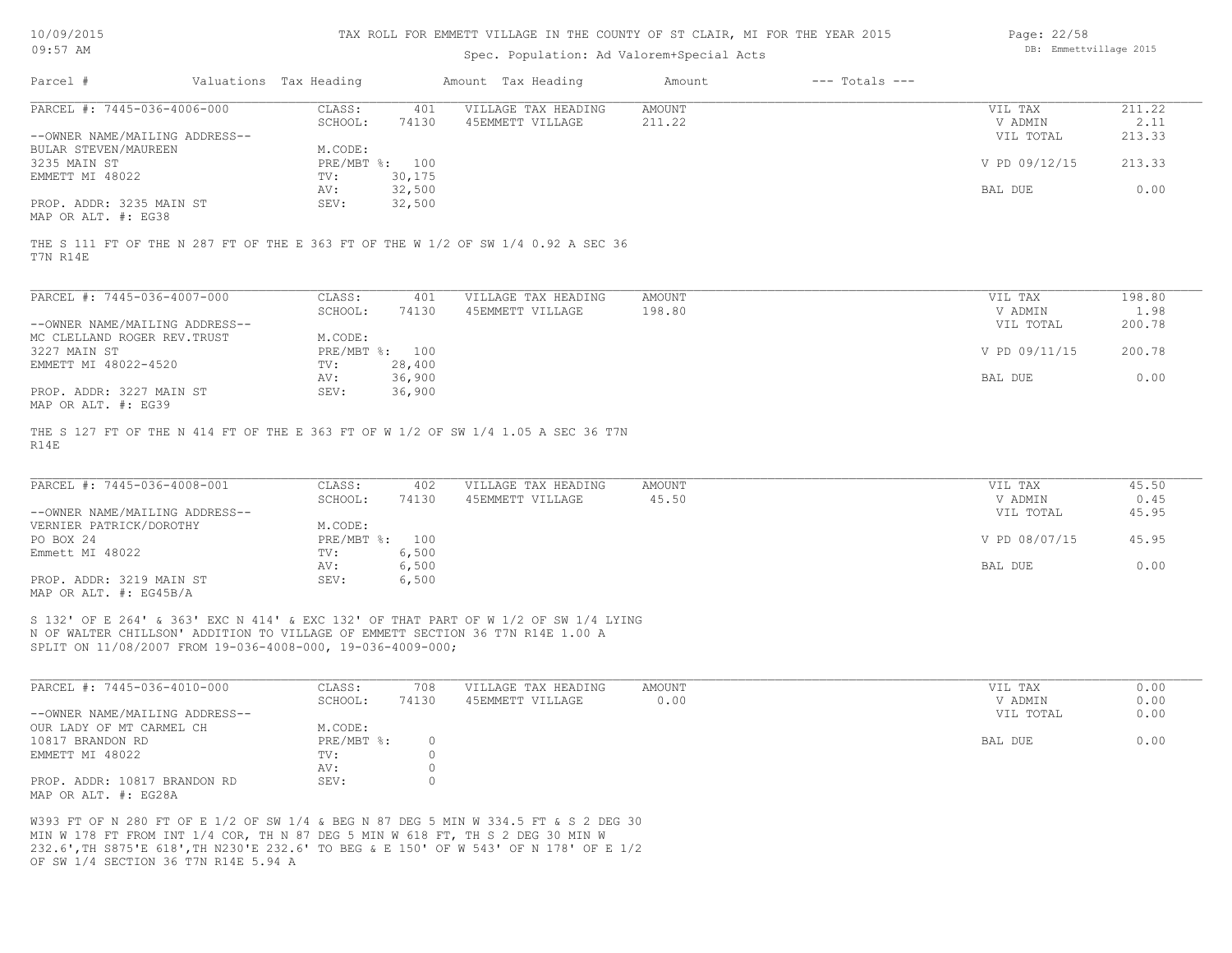| 10/09/2015    |  |
|---------------|--|
| $19 -$<br>:57 |  |

## Spec. Population: Ad Valorem+Special Acts

| Page: 22/58            |  |
|------------------------|--|
| DB: Emmettvillage 2015 |  |

| Parcel #                       | Valuations Tax Heading |        | Amount Tax Heading  | Amount | $---$ Totals $---$ |               |        |
|--------------------------------|------------------------|--------|---------------------|--------|--------------------|---------------|--------|
| PARCEL #: 7445-036-4006-000    | CLASS:                 | 401    | VILLAGE TAX HEADING | AMOUNT |                    | VIL TAX       | 211.22 |
|                                | SCHOOL:                | 74130  | 45EMMETT VILLAGE    | 211.22 |                    | V ADMIN       | 2.11   |
| --OWNER NAME/MAILING ADDRESS-- |                        |        |                     |        |                    | VIL TOTAL     | 213.33 |
| BULAR STEVEN/MAUREEN           | M.CODE:                |        |                     |        |                    |               |        |
| 3235 MAIN ST                   | PRE/MBT %: 100         |        |                     |        |                    | V PD 09/12/15 | 213.33 |
| EMMETT MI 48022                | TV:                    | 30,175 |                     |        |                    |               |        |
|                                | AV:                    | 32,500 |                     |        |                    | BAL DUE       | 0.00   |
| PROP. ADDR: 3235 MAIN ST       | SEV:                   | 32,500 |                     |        |                    |               |        |
| MAP OR ALT. #: EG38            |                        |        |                     |        |                    |               |        |

T7N R14E THE S 111 FT OF THE N 287 FT OF THE E 363 FT OF THE W 1/2 OF SW 1/4 0.92 A SEC 36

| PARCEL #: 7445-036-4007-000    | CLASS:       | 401    | VILLAGE TAX HEADING | AMOUNT | 198.80<br>VIL TAX       |  |
|--------------------------------|--------------|--------|---------------------|--------|-------------------------|--|
|                                | SCHOOL:      | 74130  | 45EMMETT VILLAGE    | 198.80 | 1.98<br>V ADMIN         |  |
| --OWNER NAME/MAILING ADDRESS-- |              |        |                     |        | 200.78<br>VIL TOTAL     |  |
| MC CLELLAND ROGER REV. TRUST   | M.CODE:      |        |                     |        |                         |  |
| 3227 MAIN ST                   | $PRE/MBT$ %: | 100    |                     |        | V PD 09/11/15<br>200.78 |  |
| EMMETT MI 48022-4520           | TV:          | 28,400 |                     |        |                         |  |
|                                | AV:          | 36,900 |                     |        | 0.00<br>BAL DUE         |  |
| PROP. ADDR: 3227 MAIN ST       | SEV:         | 36,900 |                     |        |                         |  |
| MAP OR ALT. #: EG39            |              |        |                     |        |                         |  |

R14E THE S 127 FT OF THE N 414 FT OF THE E 363 FT OF W 1/2 OF SW 1/4 1.05 A SEC 36 T7N

| PARCEL #: 7445-036-4008-001    | CLASS:         | 402   | VILLAGE TAX HEADING | AMOUNT | VIL TAX       | 45.50 |
|--------------------------------|----------------|-------|---------------------|--------|---------------|-------|
|                                | SCHOOL:        | 74130 | 45EMMETT VILLAGE    | 45.50  | V ADMIN       | 0.45  |
| --OWNER NAME/MAILING ADDRESS-- |                |       |                     |        | VIL TOTAL     | 45.95 |
| VERNIER PATRICK/DOROTHY        | M.CODE:        |       |                     |        |               |       |
| PO BOX 24                      | PRE/MBT %: 100 |       |                     |        | V PD 08/07/15 | 45.95 |
| Emmett MI 48022                | TV:            | 6,500 |                     |        |               |       |
|                                | AV:            | 6,500 |                     |        | BAL DUE       | 0.00  |
| PROP. ADDR: 3219 MAIN ST       | SEV:           | 6,500 |                     |        |               |       |
| MAP OR ALT. $\#$ : EG45B/A     |                |       |                     |        |               |       |

SPLIT ON 11/08/2007 FROM 19-036-4008-000, 19-036-4009-000; N OF WALTER CHILLSON' ADDITION TO VILLAGE OF EMMETT SECTION 36 T7N R14E 1.00 A S 132' OF E 264' & 363' EXC N 414' & EXC 132' OF THAT PART OF W 1/2 OF SW 1/4 LYING

| PARCEL #: 7445-036-4010-000    | CLASS:       | 708   | VILLAGE TAX HEADING | AMOUNT | VIL TAX   | 0.00 |
|--------------------------------|--------------|-------|---------------------|--------|-----------|------|
|                                | SCHOOL:      | 74130 | 45EMMETT VILLAGE    | 0.00   | V ADMIN   | 0.00 |
| --OWNER NAME/MAILING ADDRESS-- |              |       |                     |        | VIL TOTAL | 0.00 |
| OUR LADY OF MT CARMEL CH       | M.CODE:      |       |                     |        |           |      |
| 10817 BRANDON RD               | $PRE/MBT$ %: |       |                     |        | BAL DUE   | 0.00 |
| EMMETT MI 48022                | TV:          |       |                     |        |           |      |
|                                | AV:          |       |                     |        |           |      |
| PROP. ADDR: 10817 BRANDON RD   | SEV:         |       |                     |        |           |      |
| MAP OR ALT. #: EG28A           |              |       |                     |        |           |      |

OF SW 1/4 SECTION 36 T7N R14E 5.94 A 232.6',TH S875'E 618',TH N230'E 232.6' TO BEG & E 150' OF W 543' OF N 178' OF E 1/2 MIN W 178 FT FROM INT 1/4 COR, TH N 87 DEG 5 MIN W 618 FT, TH S 2 DEG 30 MIN W W393 FT OF N 280 FT OF E 1/2 OF SW 1/4 & BEG N 87 DEG 5 MIN W 334.5 FT & S 2 DEG 30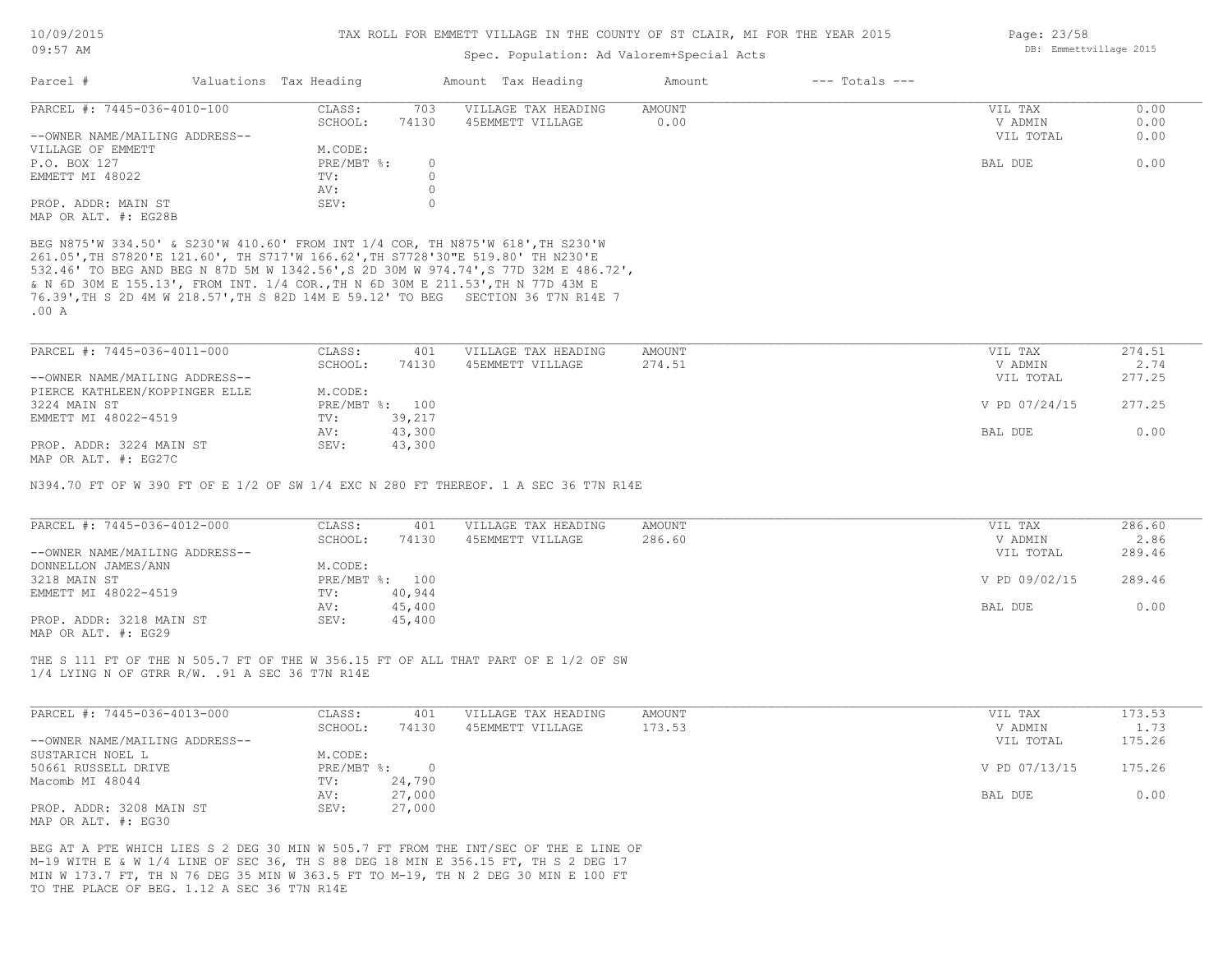# Spec. Population: Ad Valorem+Special Acts

| Parcel #                       | Valuations Tax Heading |       | Amount Tax Heading  | Amount | $---$ Totals $---$ |           |      |
|--------------------------------|------------------------|-------|---------------------|--------|--------------------|-----------|------|
| PARCEL #: 7445-036-4010-100    | CLASS:                 | 703   | VILLAGE TAX HEADING | AMOUNT |                    | VIL TAX   | 0.00 |
|                                | SCHOOL:                | 74130 | 45EMMETT VILLAGE    | 0.00   |                    | V ADMIN   | 0.00 |
| --OWNER NAME/MAILING ADDRESS-- |                        |       |                     |        |                    | VIL TOTAL | 0.00 |
| VILLAGE OF EMMETT              | M.CODE:                |       |                     |        |                    |           |      |
| P.O. BOX 127                   | $PRE/MBT$ %:           |       |                     |        |                    | BAL DUE   | 0.00 |
| EMMETT MI 48022                | TV:                    |       |                     |        |                    |           |      |
|                                | AV:                    |       |                     |        |                    |           |      |
| PROP. ADDR: MAIN ST            | SEV:                   |       |                     |        |                    |           |      |
| MAP OR ALT. #: EG28B           |                        |       |                     |        |                    |           |      |

.00 A 76.39',TH S 2D 4M W 218.57',TH S 82D 14M E 59.12' TO BEG SECTION 36 T7N R14E 7 & N 6D 30M E 155.13', FROM INT. 1/4 COR.,TH N 6D 30M E 211.53',TH N 77D 43M E 532.46' TO BEG AND BEG N 87D 5M W 1342.56',S 2D 30M W 974.74',S 77D 32M E 486.72', 261.05',TH S7820'E 121.60', TH S717'W 166.62',TH S7728'30"E 519.80' TH N230'E BEG N875'W 334.50' & S230'W 410.60' FROM INT 1/4 COR, TH N875'W 618',TH S230'W

| PARCEL #: 7445-036-4011-000    | CLASS:  | 401            | VILLAGE TAX HEADING | AMOUNT | VIL TAX       | 274.51 |
|--------------------------------|---------|----------------|---------------------|--------|---------------|--------|
|                                | SCHOOL: | 74130          | 45EMMETT VILLAGE    | 274.51 | V ADMIN       | 2.74   |
| --OWNER NAME/MAILING ADDRESS-- |         |                |                     |        | VIL TOTAL     | 277.25 |
| PIERCE KATHLEEN/KOPPINGER ELLE | M.CODE: |                |                     |        |               |        |
| 3224 MAIN ST                   |         | PRE/MBT %: 100 |                     |        | V PD 07/24/15 | 277.25 |
| EMMETT MI 48022-4519           | TV:     | 39,217         |                     |        |               |        |
|                                | AV:     | 43,300         |                     |        | BAL DUE       | 0.00   |
| PROP. ADDR: 3224 MAIN ST       | SEV:    | 43,300         |                     |        |               |        |
| MAP OR ALT. #: EG27C           |         |                |                     |        |               |        |

N394.70 FT OF W 390 FT OF E 1/2 OF SW 1/4 EXC N 280 FT THEREOF. 1 A SEC 36 T7N R14E

| PARCEL #: 7445-036-4012-000    | CLASS:  | 401            | VILLAGE TAX HEADING | AMOUNT | VIL TAX       | 286.60 |
|--------------------------------|---------|----------------|---------------------|--------|---------------|--------|
|                                | SCHOOL: | 74130          | 45EMMETT VILLAGE    | 286.60 | V ADMIN       | 2.86   |
| --OWNER NAME/MAILING ADDRESS-- |         |                |                     |        | VIL TOTAL     | 289.46 |
| DONNELLON JAMES/ANN            | M.CODE: |                |                     |        |               |        |
| 3218 MAIN ST                   |         | PRE/MBT %: 100 |                     |        | V PD 09/02/15 | 289.46 |
| EMMETT MI 48022-4519           | TV:     | 40,944         |                     |        |               |        |
|                                | AV:     | 45,400         |                     |        | BAL DUE       | 0.00   |
| PROP. ADDR: 3218 MAIN ST       | SEV:    | 45,400         |                     |        |               |        |
| MAP OR ALT. #: EG29            |         |                |                     |        |               |        |

1/4 LYING N OF GTRR R/W. .91 A SEC 36 T7N R14E THE S 111 FT OF THE N 505.7 FT OF THE W 356.15 FT OF ALL THAT PART OF E 1/2 OF SW

| PARCEL #: 7445-036-4013-000    | CLASS:     | 401    | VILLAGE TAX HEADING | AMOUNT | VIL TAX       | 173.53 |
|--------------------------------|------------|--------|---------------------|--------|---------------|--------|
|                                | SCHOOL:    | 74130  | 45EMMETT VILLAGE    | 173.53 | V ADMIN       | 1.73   |
| --OWNER NAME/MAILING ADDRESS-- |            |        |                     |        | VIL TOTAL     | 175.26 |
| SUSTARICH NOEL L               | M.CODE:    |        |                     |        |               |        |
| 50661 RUSSELL DRIVE            | PRE/MBT %: |        |                     |        | V PD 07/13/15 | 175.26 |
| Macomb MI 48044                | TV:        | 24,790 |                     |        |               |        |
|                                | AV:        | 27,000 |                     |        | BAL DUE       | 0.00   |
| PROP. ADDR: 3208 MAIN ST       | SEV:       | 27,000 |                     |        |               |        |
| MAP OR ALT. #: EG30            |            |        |                     |        |               |        |

TO THE PLACE OF BEG. 1.12 A SEC 36 T7N R14E MIN W 173.7 FT, TH N 76 DEG 35 MIN W 363.5 FT TO M-19, TH N 2 DEG 30 MIN E 100 FT M-19 WITH E & W 1/4 LINE OF SEC 36, TH S 88 DEG 18 MIN E 356.15 FT, TH S 2 DEG 17 BEG AT A PTE WHICH LIES S 2 DEG 30 MIN W 505.7 FT FROM THE INT/SEC OF THE E LINE OF Page: 23/58 DB: Emmettvillage 2015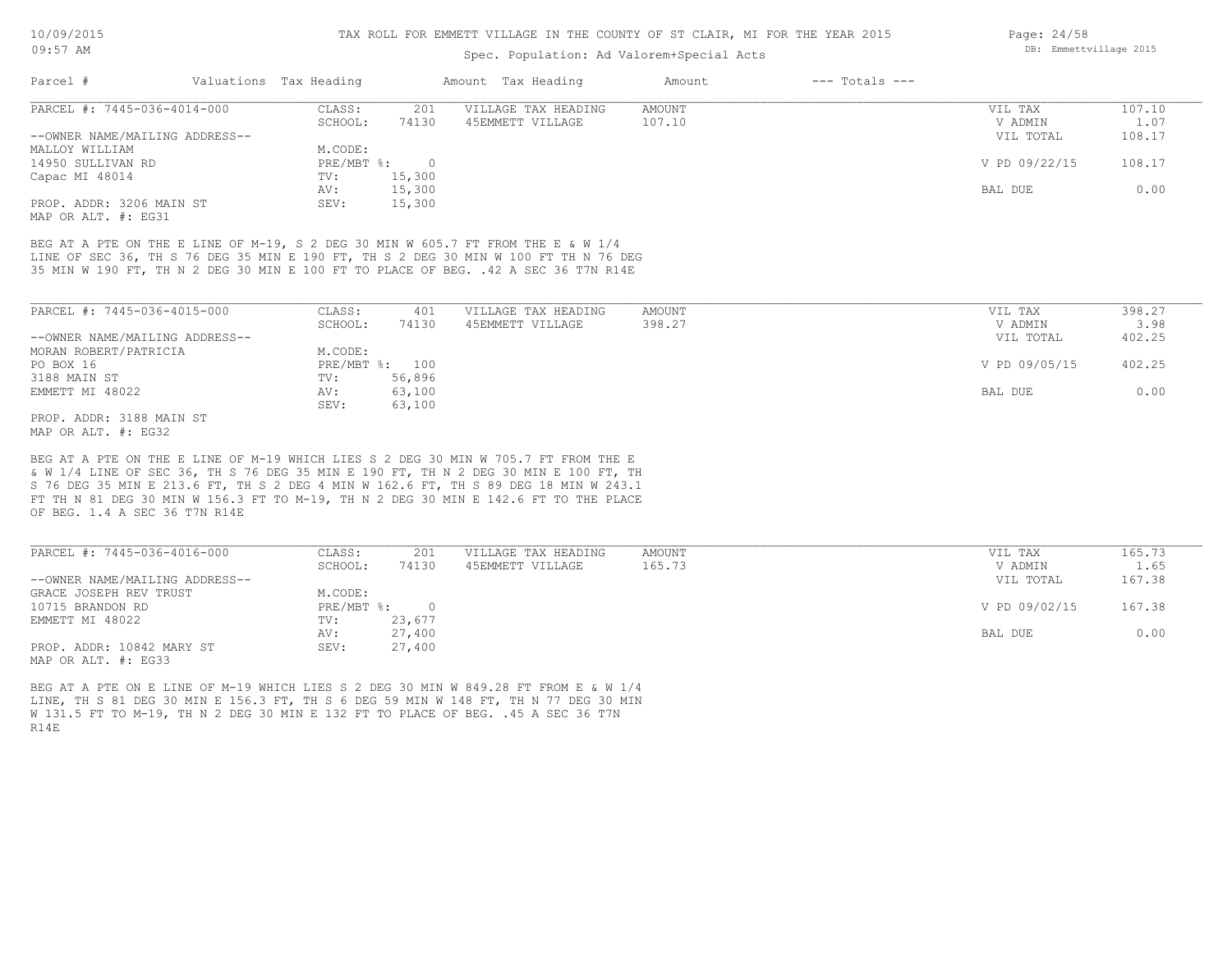## Spec. Population: Ad Valorem+Special Acts

| Parcel #                       | Valuations Tax Heading |        | Amount Tax Heading  | Amount | $---$ Totals $---$ |               |        |
|--------------------------------|------------------------|--------|---------------------|--------|--------------------|---------------|--------|
| PARCEL #: 7445-036-4014-000    | CLASS:                 | 201    | VILLAGE TAX HEADING | AMOUNT |                    | VIL TAX       | 107.10 |
|                                | SCHOOL:                | 74130  | 45EMMETT VILLAGE    | 107.10 |                    | V ADMIN       | 1.07   |
| --OWNER NAME/MAILING ADDRESS-- |                        |        |                     |        |                    | VIL TOTAL     | 108.17 |
| MALLOY WILLIAM                 | M.CODE:                |        |                     |        |                    |               |        |
| 14950 SULLIVAN RD              | $PRE/MBT$ %:           |        |                     |        |                    | V PD 09/22/15 | 108.17 |
| Capac MI 48014                 | TV:                    | 15,300 |                     |        |                    |               |        |
|                                | AV:                    | 15,300 |                     |        |                    | BAL DUE       | 0.00   |
| PROP. ADDR: 3206 MAIN ST       | SEV:                   | 15,300 |                     |        |                    |               |        |
|                                |                        |        |                     |        |                    |               |        |

MAP OR ALT. #: EG31

35 MIN W 190 FT, TH N 2 DEG 30 MIN E 100 FT TO PLACE OF BEG. .42 A SEC 36 T7N R14E LINE OF SEC 36, TH S 76 DEG 35 MIN E 190 FT, TH S 2 DEG 30 MIN W 100 FT TH N 76 DEG BEG AT A PTE ON THE E LINE OF M-19, S 2 DEG 30 MIN W 605.7 FT FROM THE E & W 1/4

| PARCEL #: 7445-036-4015-000    | CLASS:  | 401            | VILLAGE TAX HEADING | AMOUNT | VIL TAX       | 398.27 |
|--------------------------------|---------|----------------|---------------------|--------|---------------|--------|
|                                | SCHOOL: | 74130          | 45EMMETT VILLAGE    | 398.27 | V ADMIN       | 3.98   |
| --OWNER NAME/MAILING ADDRESS-- |         |                |                     |        | VIL TOTAL     | 402.25 |
| MORAN ROBERT/PATRICIA          | M.CODE: |                |                     |        |               |        |
| PO BOX 16                      |         | PRE/MBT %: 100 |                     |        | V PD 09/05/15 | 402.25 |
| 3188 MAIN ST                   | TV:     | 56,896         |                     |        |               |        |
| EMMETT MI 48022                | AV:     | 63,100         |                     |        | BAL DUE       | 0.00   |
|                                | SEV:    | 63,100         |                     |        |               |        |
| PROP. ADDR: 3188 MAIN ST       |         |                |                     |        |               |        |

MAP OR ALT. #: EG32

OF BEG. 1.4 A SEC 36 T7N R14E FT TH N 81 DEG 30 MIN W 156.3 FT TO M-19, TH N 2 DEG 30 MIN E 142.6 FT TO THE PLACE S 76 DEG 35 MIN E 213.6 FT, TH S 2 DEG 4 MIN W 162.6 FT, TH S 89 DEG 18 MIN W 243.1 & W 1/4 LINE OF SEC 36, TH S 76 DEG 35 MIN E 190 FT, TH N 2 DEG 30 MIN E 100 FT, TH BEG AT A PTE ON THE E LINE OF M-19 WHICH LIES S 2 DEG 30 MIN W 705.7 FT FROM THE E

| PARCEL #: 7445-036-4016-000    | CLASS:               | 201    | VILLAGE TAX HEADING | AMOUNT | VIL TAX       | 165.73 |
|--------------------------------|----------------------|--------|---------------------|--------|---------------|--------|
|                                | SCHOOL:              | 74130  | 45EMMETT VILLAGE    | 165.73 | V ADMIN       | 1.65   |
| --OWNER NAME/MAILING ADDRESS-- |                      |        |                     |        | VIL TOTAL     | 167.38 |
| GRACE JOSEPH REV TRUST         | M.CODE:              |        |                     |        |               |        |
| 10715 BRANDON RD               | PRE/MBT %:<br>$\cap$ |        |                     |        | V PD 09/02/15 | 167.38 |
| EMMETT MI 48022                | TV:                  | 23,677 |                     |        |               |        |
|                                | AV:                  | 27,400 |                     |        | BAL DUE       | 0.00   |
| PROP. ADDR: 10842 MARY ST      | SEV:                 | 27,400 |                     |        |               |        |
| MAP OR ALT. #: EG33            |                      |        |                     |        |               |        |

R14E W 131.5 FT TO M-19, TH N 2 DEG 30 MIN E 132 FT TO PLACE OF BEG. .45 A SEC 36 T7N LINE, TH S 81 DEG 30 MIN E 156.3 FT, TH S 6 DEG 59 MIN W 148 FT, TH N 77 DEG 30 MIN BEG AT A PTE ON E LINE OF M-19 WHICH LIES S 2 DEG 30 MIN W 849.28 FT FROM E & W 1/4

Page: 24/58 DB: Emmettvillage 2015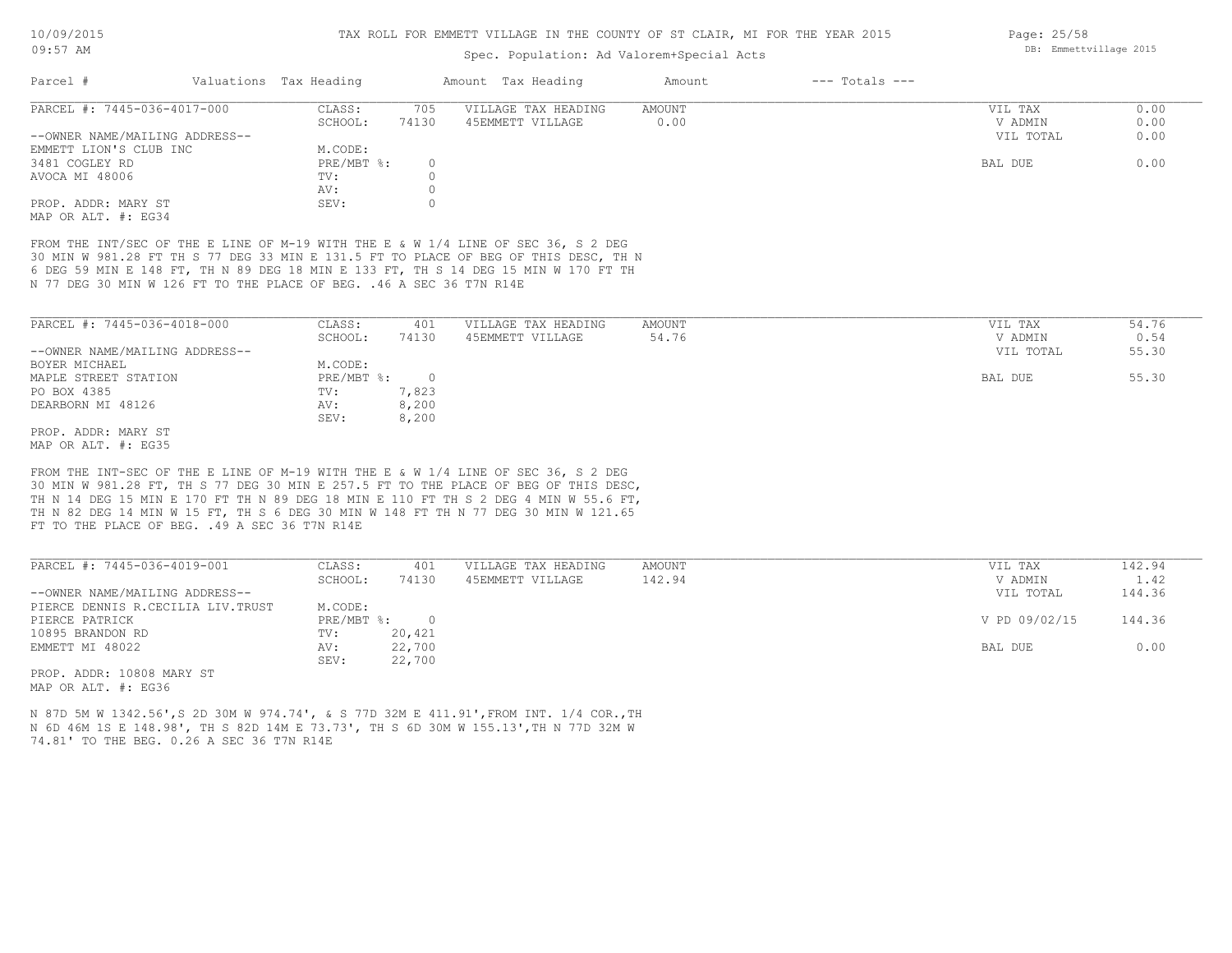# Spec. Population: Ad Valorem+Special Acts

| Parcel #                       | Valuations Tax Heading |       | Amount Tax Heading  | Amount | $---$ Totals $---$ |           |      |
|--------------------------------|------------------------|-------|---------------------|--------|--------------------|-----------|------|
| PARCEL #: 7445-036-4017-000    | CLASS:                 | 705   | VILLAGE TAX HEADING | AMOUNT |                    | VIL TAX   | 0.00 |
|                                | SCHOOL:                | 74130 | 45EMMETT VILLAGE    | 0.00   |                    | V ADMIN   | 0.00 |
| --OWNER NAME/MAILING ADDRESS-- |                        |       |                     |        |                    | VIL TOTAL | 0.00 |
| EMMETT LION'S CLUB INC         | M.CODE:                |       |                     |        |                    |           |      |
| 3481 COGLEY RD                 | $PRE/MBT$ %:           |       |                     |        |                    | BAL DUE   | 0.00 |
| AVOCA MI 48006                 | TV:                    |       |                     |        |                    |           |      |
|                                | AV:                    |       |                     |        |                    |           |      |
| PROP. ADDR: MARY ST            | SEV:                   |       |                     |        |                    |           |      |
| MAP OR ALT. #: EG34            |                        |       |                     |        |                    |           |      |

N 77 DEG 30 MIN W 126 FT TO THE PLACE OF BEG. .46 A SEC 36 T7N R14E 6 DEG 59 MIN E 148 FT, TH N 89 DEG 18 MIN E 133 FT, TH S 14 DEG 15 MIN W 170 FT TH 30 MIN W 981.28 FT TH S 77 DEG 33 MIN E 131.5 FT TO PLACE OF BEG OF THIS DESC, TH N FROM THE INT/SEC OF THE E LINE OF M-19 WITH THE E & W 1/4 LINE OF SEC 36, S 2 DEG

| PARCEL #: 7445-036-4018-000    | CLASS:     | 401   | VILLAGE TAX HEADING | AMOUNT | 54.76<br>VIL TAX   |
|--------------------------------|------------|-------|---------------------|--------|--------------------|
|                                | SCHOOL:    | 74130 | 45EMMETT VILLAGE    | 54.76  | 0.54<br>V ADMIN    |
| --OWNER NAME/MAILING ADDRESS-- |            |       |                     |        | 55.30<br>VIL TOTAL |
| BOYER MICHAEL                  | M.CODE:    |       |                     |        |                    |
| MAPLE STREET STATION           | PRE/MBT %: |       |                     |        | 55.30<br>BAL DUE   |
| PO BOX 4385                    | TV:        | 7,823 |                     |        |                    |
| DEARBORN MI 48126              | AV:        | 8,200 |                     |        |                    |
|                                | SEV:       | 8,200 |                     |        |                    |
| PROP. ADDR: MARY ST            |            |       |                     |        |                    |
|                                |            |       |                     |        |                    |

MAP OR ALT. #: EG35

FT TO THE PLACE OF BEG. . 49 A SEC 36 T7N R14E TH N 82 DEG 14 MIN W 15 FT, TH S 6 DEG 30 MIN W 148 FT TH N 77 DEG 30 MIN W 121.65 TH N 14 DEG 15 MIN E 170 FT TH N 89 DEG 18 MIN E 110 FT TH S 2 DEG 4 MIN W 55.6 FT, 30 MIN W 981.28 FT, TH S 77 DEG 30 MIN E 257.5 FT TO THE PLACE OF BEG OF THIS DESC, FROM THE INT-SEC OF THE E LINE OF M-19 WITH THE E & W 1/4 LINE OF SEC 36, S 2 DEG

| PARCEL #: 7445-036-4019-001        | CLASS:     | 401    | VILLAGE TAX HEADING | AMOUNT | VIL TAX       | 142.94 |
|------------------------------------|------------|--------|---------------------|--------|---------------|--------|
|                                    | SCHOOL:    | 74130  | 45EMMETT VILLAGE    | 142.94 | V ADMIN       | 1.42   |
| --OWNER NAME/MAILING ADDRESS--     |            |        |                     |        | VIL TOTAL     | 144.36 |
| PIERCE DENNIS R.CECILIA LIV. TRUST | M.CODE:    |        |                     |        |               |        |
| PIERCE PATRICK                     | PRE/MBT %: | $\cap$ |                     |        | V PD 09/02/15 | 144.36 |
| 10895 BRANDON RD                   | TV:        | 20,421 |                     |        |               |        |
| EMMETT MI 48022                    | AV:        | 22,700 |                     |        | BAL DUE       | 0.00   |
|                                    | SEV:       | 22,700 |                     |        |               |        |
| ים אסגוע 1000 - סחתג מהסמ          |            |        |                     |        |               |        |

 $\mathcal{L}_\mathcal{L} = \mathcal{L}_\mathcal{L} = \mathcal{L}_\mathcal{L} = \mathcal{L}_\mathcal{L} = \mathcal{L}_\mathcal{L} = \mathcal{L}_\mathcal{L} = \mathcal{L}_\mathcal{L} = \mathcal{L}_\mathcal{L} = \mathcal{L}_\mathcal{L} = \mathcal{L}_\mathcal{L} = \mathcal{L}_\mathcal{L} = \mathcal{L}_\mathcal{L} = \mathcal{L}_\mathcal{L} = \mathcal{L}_\mathcal{L} = \mathcal{L}_\mathcal{L} = \mathcal{L}_\mathcal{L} = \mathcal{L}_\mathcal{L}$ 

MAP OR ALT. #: EG36 PROP. ADDR: 10808 MARY ST

74.81' TO THE BEG. 0.26 A SEC 36 T7N R14E N 6D 46M 1S E 148.98', TH S 82D 14M E 73.73', TH S 6D 30M W 155.13',TH N 77D 32M W N 87D 5M W 1342.56',S 2D 30M W 974.74', & S 77D 32M E 411.91',FROM INT. 1/4 COR.,TH Page: 25/58 DB: Emmettvillage 2015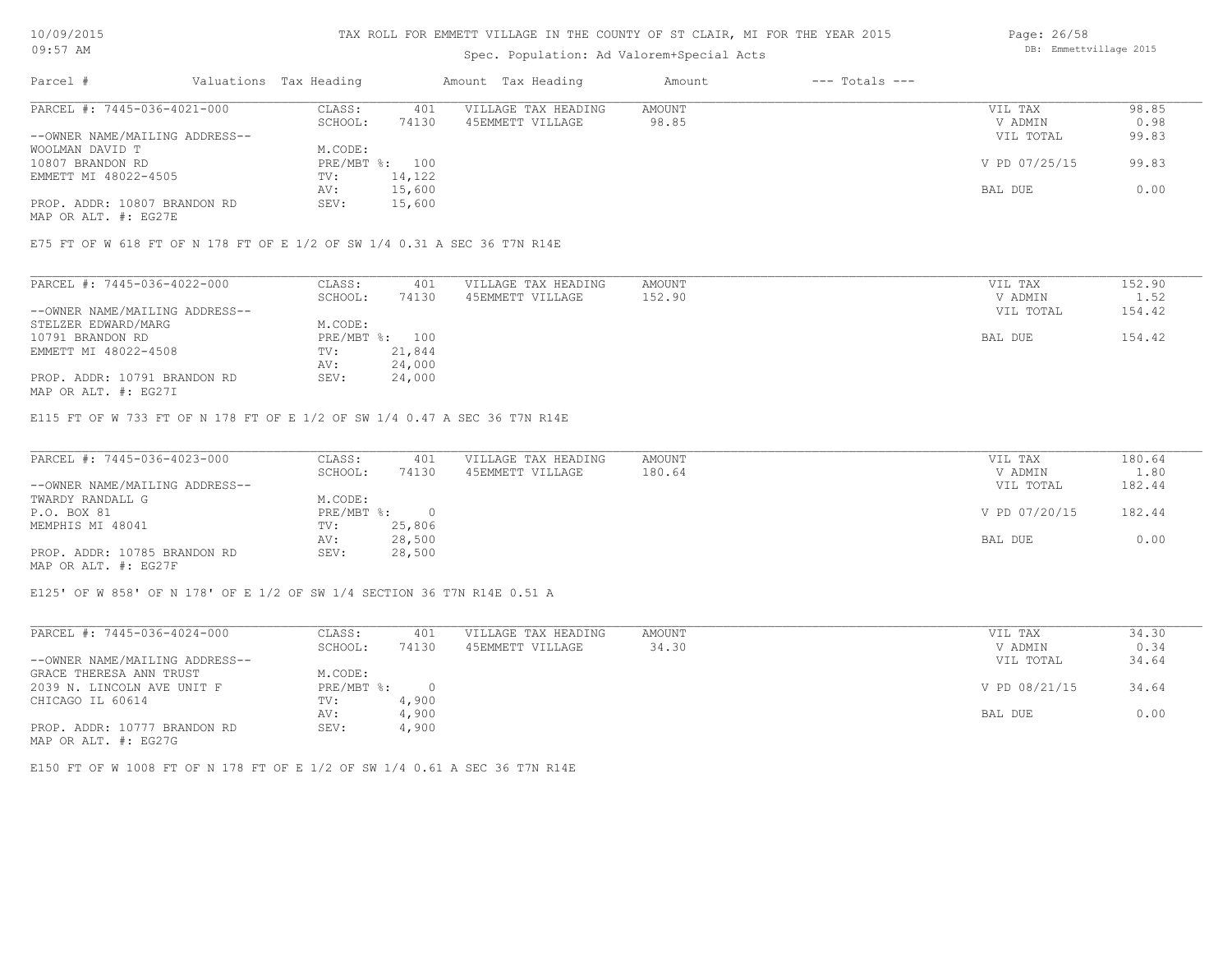#### TAX ROLL FOR EMMETT VILLAGE IN THE COUNTY OF ST CLAIR, MI FOR THE YEAR 2015

# Spec. Population: Ad Valorem+Special Acts

| Parcel #                       | Valuations Tax Heading |        | Amount Tax Heading  | Amount | $---$ Totals $---$ |               |       |
|--------------------------------|------------------------|--------|---------------------|--------|--------------------|---------------|-------|
| PARCEL #: 7445-036-4021-000    | CLASS:                 | 401    | VILLAGE TAX HEADING | AMOUNT |                    | VIL TAX       | 98.85 |
|                                | SCHOOL:                | 74130  | 45EMMETT VILLAGE    | 98.85  |                    | V ADMIN       | 0.98  |
| --OWNER NAME/MAILING ADDRESS-- |                        |        |                     |        |                    | VIL TOTAL     | 99.83 |
| WOOLMAN DAVID T                | M.CODE:                |        |                     |        |                    |               |       |
| 10807 BRANDON RD               | PRE/MBT %: 100         |        |                     |        |                    | V PD 07/25/15 | 99.83 |
| EMMETT MI 48022-4505           | TV:                    | 14,122 |                     |        |                    |               |       |
|                                | AV:                    | 15,600 |                     |        |                    | BAL DUE       | 0.00  |
| PROP. ADDR: 10807 BRANDON RD   | SEV:                   | 15,600 |                     |        |                    |               |       |
|                                |                        |        |                     |        |                    |               |       |

MAP OR ALT. #: EG27E

E75 FT OF W 618 FT OF N 178 FT OF E 1/2 OF SW 1/4 0.31 A SEC 36 T7N R14E

| PARCEL #: 7445-036-4022-000    | CLASS:         | 401    | VILLAGE TAX HEADING | AMOUNT | VIL TAX   | 152.90 |
|--------------------------------|----------------|--------|---------------------|--------|-----------|--------|
|                                | SCHOOL:        | 74130  | 45EMMETT VILLAGE    | 152.90 | V ADMIN   | 1.52   |
| --OWNER NAME/MAILING ADDRESS-- |                |        |                     |        | VIL TOTAL | 154.42 |
| STELZER EDWARD/MARG            | M.CODE:        |        |                     |        |           |        |
| 10791 BRANDON RD               | PRE/MBT %: 100 |        |                     |        | BAL DUE   | 154.42 |
| EMMETT MI 48022-4508           | TV:            | 21,844 |                     |        |           |        |
|                                | AV:            | 24,000 |                     |        |           |        |
| PROP. ADDR: 10791 BRANDON RD   | SEV:           | 24,000 |                     |        |           |        |

MAP OR ALT. #: EG27I

E115 FT OF W 733 FT OF N 178 FT OF E 1/2 OF SW 1/4 0.47 A SEC 36 T7N R14E

| PARCEL #: 7445-036-4023-000    | CLASS:     | 401    | VILLAGE TAX HEADING | AMOUNT | VIL TAX       | 180.64 |
|--------------------------------|------------|--------|---------------------|--------|---------------|--------|
|                                | SCHOOL:    | 74130  | 45EMMETT VILLAGE    | 180.64 | V ADMIN       | 1.80   |
| --OWNER NAME/MAILING ADDRESS-- |            |        |                     |        | VIL TOTAL     | 182.44 |
| TWARDY RANDALL G               | M.CODE:    |        |                     |        |               |        |
| P.O. BOX 81                    | PRE/MBT %: |        |                     |        | V PD 07/20/15 | 182.44 |
| MEMPHIS MI 48041               | TV:        | 25,806 |                     |        |               |        |
|                                | AV:        | 28,500 |                     |        | BAL DUE       | 0.00   |
| PROP. ADDR: 10785 BRANDON RD   | SEV:       | 28,500 |                     |        |               |        |
| MAP OR ALT. #: EG27F           |            |        |                     |        |               |        |

E125' OF W 858' OF N 178' OF E 1/2 OF SW 1/4 SECTION 36 T7N R14E 0.51 A

| PARCEL #: 7445-036-4024-000    | CLASS:     | 401    | VILLAGE TAX HEADING | AMOUNT | VIL TAX       | 34.30 |
|--------------------------------|------------|--------|---------------------|--------|---------------|-------|
|                                | SCHOOL:    | 74130  | 45EMMETT VILLAGE    | 34.30  | V ADMIN       | 0.34  |
| --OWNER NAME/MAILING ADDRESS-- |            |        |                     |        | VIL TOTAL     | 34.64 |
| GRACE THERESA ANN TRUST        | M.CODE:    |        |                     |        |               |       |
| 2039 N. LINCOLN AVE UNIT F     | PRE/MBT %: | $\cap$ |                     |        | V PD 08/21/15 | 34.64 |
| CHICAGO IL 60614               | TV:        | 4,900  |                     |        |               |       |
|                                | AV:        | 4,900  |                     |        | BAL DUE       | 0.00  |
| PROP. ADDR: 10777 BRANDON RD   | SEV:       | 4,900  |                     |        |               |       |
| MAP OR ALT. #: EG27G           |            |        |                     |        |               |       |

E150 FT OF W 1008 FT OF N 178 FT OF E 1/2 OF SW 1/4 0.61 A SEC 36 T7N R14E

Page: 26/58 DB: Emmettvillage 2015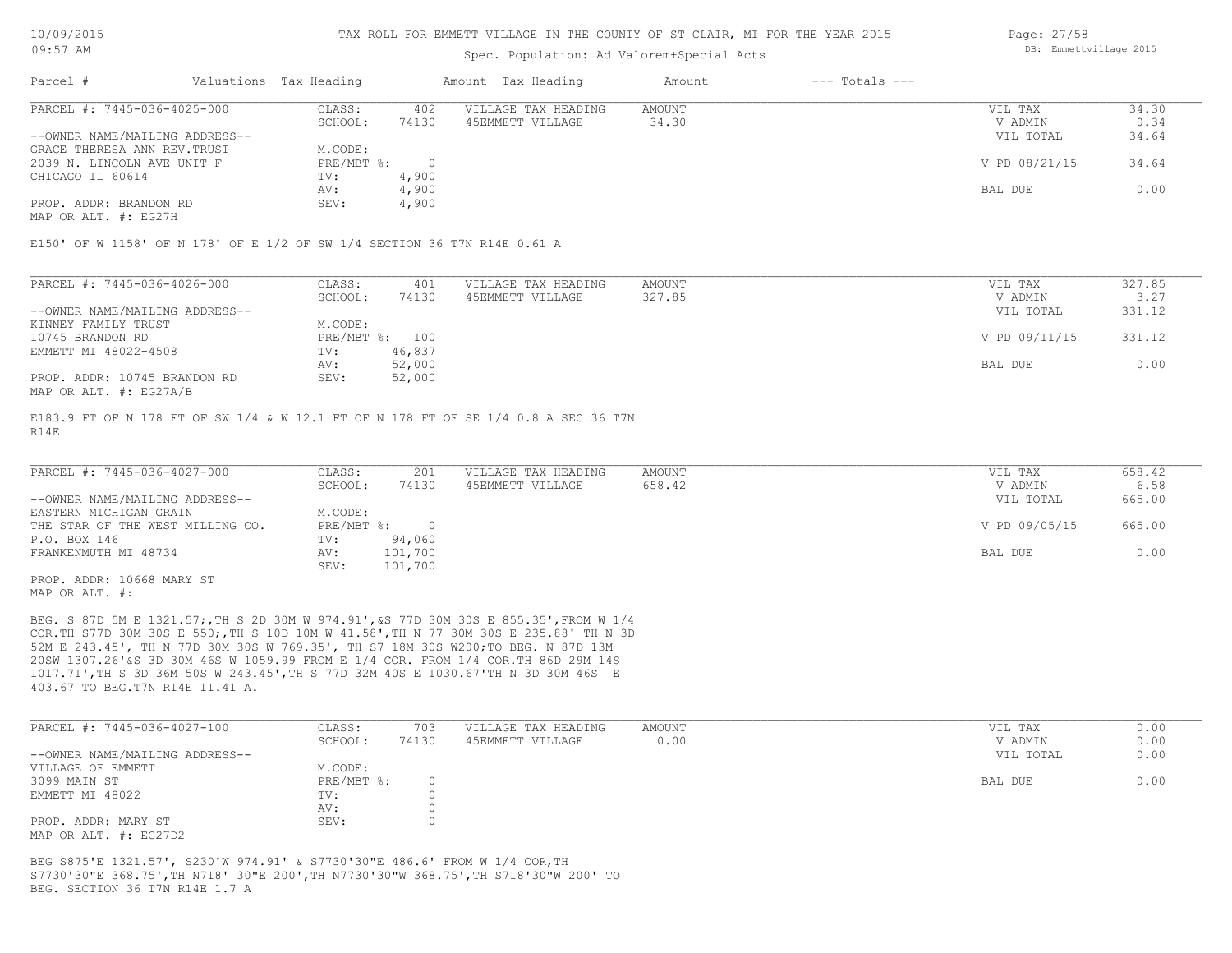## Spec. Population: Ad Valorem+Special Acts

| Page: 27/58 |                        |  |
|-------------|------------------------|--|
|             | DB: Emmettvillage 2015 |  |

| Parcel #                       | Valuations Tax Heading |       | Amount Tax Heading  | Amount | $---$ Totals $---$ |               |       |
|--------------------------------|------------------------|-------|---------------------|--------|--------------------|---------------|-------|
| PARCEL #: 7445-036-4025-000    | CLASS:                 | 402   | VILLAGE TAX HEADING | AMOUNT |                    | VIL TAX       | 34.30 |
|                                | SCHOOL:                | 74130 | 45EMMETT VILLAGE    | 34.30  |                    | V ADMIN       | 0.34  |
| --OWNER NAME/MAILING ADDRESS-- |                        |       |                     |        |                    | VIL TOTAL     | 34.64 |
| GRACE THERESA ANN REV. TRUST   | M.CODE:                |       |                     |        |                    |               |       |
| 2039 N. LINCOLN AVE UNIT F     | $PRE/MBT$ %:           |       |                     |        |                    | V PD 08/21/15 | 34.64 |
| CHICAGO IL 60614               | TV:                    | 4,900 |                     |        |                    |               |       |
|                                | AV:                    | 4,900 |                     |        |                    | BAL DUE       | 0.00  |
| PROP. ADDR: BRANDON RD         | SEV:                   | 4,900 |                     |        |                    |               |       |
|                                |                        |       |                     |        |                    |               |       |

MAP OR ALT. #: EG27H

E150' OF W 1158' OF N 178' OF E 1/2 OF SW 1/4 SECTION 36 T7N R14E 0.61 A

| PARCEL #: 7445-036-4026-000    | CLASS:  | 401            | VILLAGE TAX HEADING | AMOUNT | VIL TAX       | 327.85 |
|--------------------------------|---------|----------------|---------------------|--------|---------------|--------|
|                                | SCHOOL: | 74130          | 45EMMETT VILLAGE    | 327.85 | V ADMIN       | 3.27   |
| --OWNER NAME/MAILING ADDRESS-- |         |                |                     |        | VIL TOTAL     | 331.12 |
| KINNEY FAMILY TRUST            | M.CODE: |                |                     |        |               |        |
| 10745 BRANDON RD               |         | PRE/MBT %: 100 |                     |        | V PD 09/11/15 | 331.12 |
| EMMETT MI 48022-4508           | TV:     | 46,837         |                     |        |               |        |
|                                | AV:     | 52,000         |                     |        | BAL DUE       | 0.00   |
| PROP. ADDR: 10745 BRANDON RD   | SEV:    | 52,000         |                     |        |               |        |
| MAP OR ALT. #: EG27A/B         |         |                |                     |        |               |        |

R14E E183.9 FT OF N 178 FT OF SW 1/4 & W 12.1 FT OF N 178 FT OF SE 1/4 0.8 A SEC 36 T7N

| PARCEL #: 7445-036-4027-000      | CLASS:     | 201     | VILLAGE TAX HEADING | AMOUNT | VIL TAX       | 658.42 |
|----------------------------------|------------|---------|---------------------|--------|---------------|--------|
|                                  | SCHOOL:    | 74130   | 45EMMETT VILLAGE    | 658.42 | V ADMIN       | 6.58   |
| --OWNER NAME/MAILING ADDRESS--   |            |         |                     |        | VIL TOTAL     | 665.00 |
| EASTERN MICHIGAN GRAIN           | M.CODE:    |         |                     |        |               |        |
| THE STAR OF THE WEST MILLING CO. | PRE/MBT %: |         |                     |        | V PD 09/05/15 | 665.00 |
| P.O. BOX 146                     | TV:        | 94,060  |                     |        |               |        |
| FRANKENMUTH MI 48734             | AV:        | 101,700 |                     |        | BAL DUE       | 0.00   |
|                                  | SEV:       | 101,700 |                     |        |               |        |
| PROP. ADDR: 10668 MARY ST        |            |         |                     |        |               |        |

MAP OR ALT. #:

403.67 TO BEG.T7N R14E 11.41 A. 1017.71',TH S 3D 36M 50S W 243.45',TH S 77D 32M 40S E 1030.67'TH N 3D 30M 46S E 20SW 1307.26'&S 3D 30M 46S W 1059.99 FROM E 1/4 COR. FROM 1/4 COR.TH 86D 29M 14S 52M E 243.45', TH N 77D 30M 30S W 769.35', TH S7 18M 30S W200;TO BEG. N 87D 13M COR.TH S77D 30M 30S E 550;,TH S 10D 10M W 41.58',TH N 77 30M 30S E 235.88' TH N 3D BEG. S 87D 5M E 1321.57;,TH S 2D 30M W 974.91',&S 77D 30M 30S E 855.35',FROM W 1/4

| PARCEL #: 7445-036-4027-100              | CLASS:       | 703   | VILLAGE TAX HEADING | AMOUNT | VIL TAX   | 0.00 |
|------------------------------------------|--------------|-------|---------------------|--------|-----------|------|
|                                          | SCHOOL:      | 74130 | 45EMMETT VILLAGE    | 0.00   | V ADMIN   | 0.00 |
| --OWNER NAME/MAILING ADDRESS--           |              |       |                     |        | VIL TOTAL | 0.00 |
| VILLAGE OF EMMETT                        | M.CODE:      |       |                     |        |           |      |
| 3099 MAIN ST                             | $PRE/MBT$ %: |       |                     |        | BAL DUE   | 0.00 |
| EMMETT MI 48022                          | TV:          |       |                     |        |           |      |
|                                          | AV:          |       |                     |        |           |      |
| PROP. ADDR: MARY ST                      | SEV:         |       |                     |        |           |      |
| מת <i>רמי</i> ת .4. חזג תמ תג <i>ו</i> ו |              |       |                     |        |           |      |

MAP OR ALT. #: EG27D2

BEG. SECTION 36 T7N R14E 1.7 A S7730'30"E 368.75',TH N718' 30"E 200',TH N7730'30"W 368.75',TH S718'30"W 200' TO BEG S875'E 1321.57', S230'W 974.91' & S7730'30"E 486.6' FROM W 1/4 COR,TH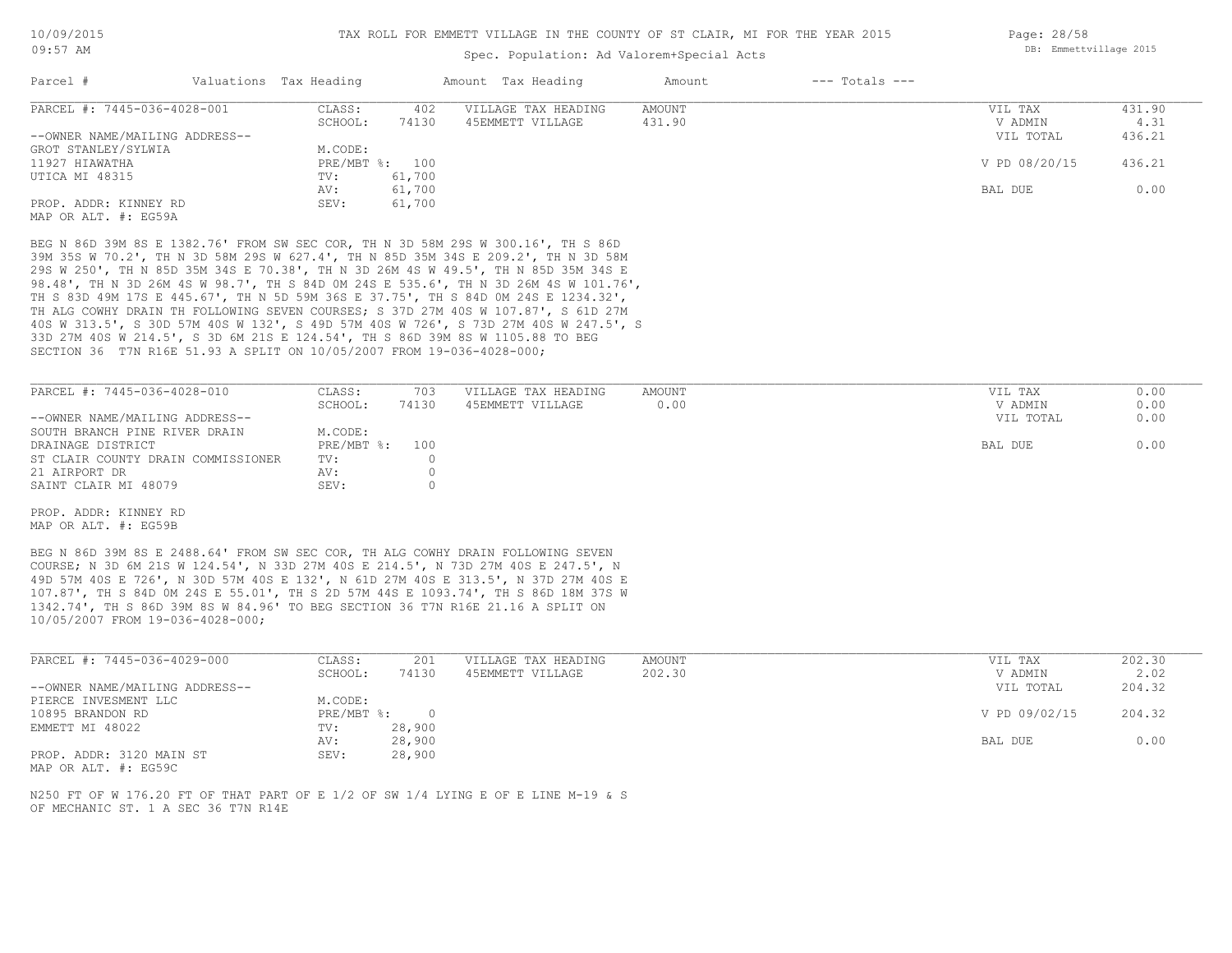## Spec. Population: Ad Valorem+Special Acts

| Parcel #                       | Valuations Tax Heading |                | Amount Tax Heading  | Amount | $---$ Totals $---$ |               |        |
|--------------------------------|------------------------|----------------|---------------------|--------|--------------------|---------------|--------|
| PARCEL #: 7445-036-4028-001    | CLASS:                 | 402            | VILLAGE TAX HEADING | AMOUNT |                    | VIL TAX       | 431.90 |
|                                | SCHOOL:                | 74130          | 45EMMETT VILLAGE    | 431.90 |                    | V ADMIN       | 4.31   |
| --OWNER NAME/MAILING ADDRESS-- |                        |                |                     |        |                    | VIL TOTAL     | 436.21 |
| GROT STANLEY/SYLWIA            | M.CODE:                |                |                     |        |                    |               |        |
| 11927 HIAWATHA                 |                        | PRE/MBT %: 100 |                     |        |                    | V PD 08/20/15 | 436.21 |
| UTICA MI 48315                 | TV:                    | 61,700         |                     |        |                    |               |        |
|                                | AV:                    | 61,700         |                     |        |                    | BAL DUE       | 0.00   |
| PROP. ADDR: KINNEY RD          | SEV:                   | 61,700         |                     |        |                    |               |        |
| MAP OR ALT. #: EG59A           |                        |                |                     |        |                    |               |        |

SECTION 36 T7N R16E 51.93 A SPLIT ON 10/05/2007 FROM 19-036-4028-000; 33D 27M 40S W 214.5', S 3D 6M 21S E 124.54', TH S 86D 39M 8S W 1105.88 TO BEG 40S W 313.5', S 30D 57M 40S W 132', S 49D 57M 40S W 726', S 73D 27M 40S W 247.5', S TH ALG COWHY DRAIN TH FOLLOWING SEVEN COURSES; S 37D 27M 40S W 107.87', S 61D 27M TH S 83D 49M 17S E 445.67', TH N 5D 59M 36S E 37.75', TH S 84D 0M 24S E 1234.32', 98.48', TH N 3D 26M 4S W 98.7', TH S 84D 0M 24S E 535.6', TH N 3D 26M 4S W 101.76', 29S W 250', TH N 85D 35M 34S E 70.38', TH N 3D 26M 4S W 49.5', TH N 85D 35M 34S E 39M 35S W 70.2', TH N 3D 58M 29S W 627.4', TH N 85D 35M 34S E 209.2', TH N 3D 58M BEG N 86D 39M 8S E 1382.76' FROM SW SEC COR, TH N 3D 58M 29S W 300.16', TH S 86D

| PARCEL #: 7445-036-4028-010        | CLASS:         | 703   | VILLAGE TAX HEADING | AMOUNT | VIL TAX   | 0.00 |
|------------------------------------|----------------|-------|---------------------|--------|-----------|------|
|                                    | SCHOOL:        | 74130 | 45EMMETT VILLAGE    | 0.00   | V ADMIN   | 0.00 |
| --OWNER NAME/MAILING ADDRESS--     |                |       |                     |        | VIL TOTAL | 0.00 |
| SOUTH BRANCH PINE RIVER DRAIN      | M.CODE:        |       |                     |        |           |      |
| DRAINAGE DISTRICT                  | PRE/MBT %: 100 |       |                     |        | BAL DUE   | 0.00 |
| ST CLAIR COUNTY DRAIN COMMISSIONER | TV:            |       |                     |        |           |      |
| 21 AIRPORT DR                      | AV:            |       |                     |        |           |      |
| SAINT CLAIR MI 48079               | SEV:           |       |                     |        |           |      |

MAP OR ALT. #: EG59B PROP. ADDR: KINNEY RD

10/05/2007 FROM 19-036-4028-000; 1342.74', TH S 86D 39M 8S W 84.96' TO BEG SECTION 36 T7N R16E 21.16 A SPLIT ON 107.87', TH S 84D 0M 24S E 55.01', TH S 2D 57M 44S E 1093.74', TH S 86D 18M 37S W 49D 57M 40S E 726', N 30D 57M 40S E 132', N 61D 27M 40S E 313.5', N 37D 27M 40S E COURSE; N 3D 6M 21S W 124.54', N 33D 27M 40S E 214.5', N 73D 27M 40S E 247.5', N BEG N 86D 39M 8S E 2488.64' FROM SW SEC COR, TH ALG COWHY DRAIN FOLLOWING SEVEN

| PARCEL #: 7445-036-4029-000    | CLASS:     | 201    | VILLAGE TAX HEADING | AMOUNT | VIL TAX       | 202.30 |
|--------------------------------|------------|--------|---------------------|--------|---------------|--------|
|                                | SCHOOL:    | 74130  | 45EMMETT VILLAGE    | 202.30 | V ADMIN       | 2.02   |
| --OWNER NAME/MAILING ADDRESS-- |            |        |                     |        | VIL TOTAL     | 204.32 |
| PIERCE INVESMENT LLC           | M.CODE:    |        |                     |        |               |        |
| 10895 BRANDON RD               | PRE/MBT %: |        |                     |        | V PD 09/02/15 | 204.32 |
| EMMETT MI 48022                | TV:        | 28,900 |                     |        |               |        |
|                                | AV:        | 28,900 |                     |        | BAL DUE       | 0.00   |
| PROP. ADDR: 3120 MAIN ST       | SEV:       | 28,900 |                     |        |               |        |

MAP OR ALT. #: EG59C

OF MECHANIC ST. 1 A SEC 36 T7N R14E N250 FT OF W 176.20 FT OF THAT PART OF E 1/2 OF SW 1/4 LYING E OF E LINE M-19 & S Page: 28/58 DB: Emmettvillage 2015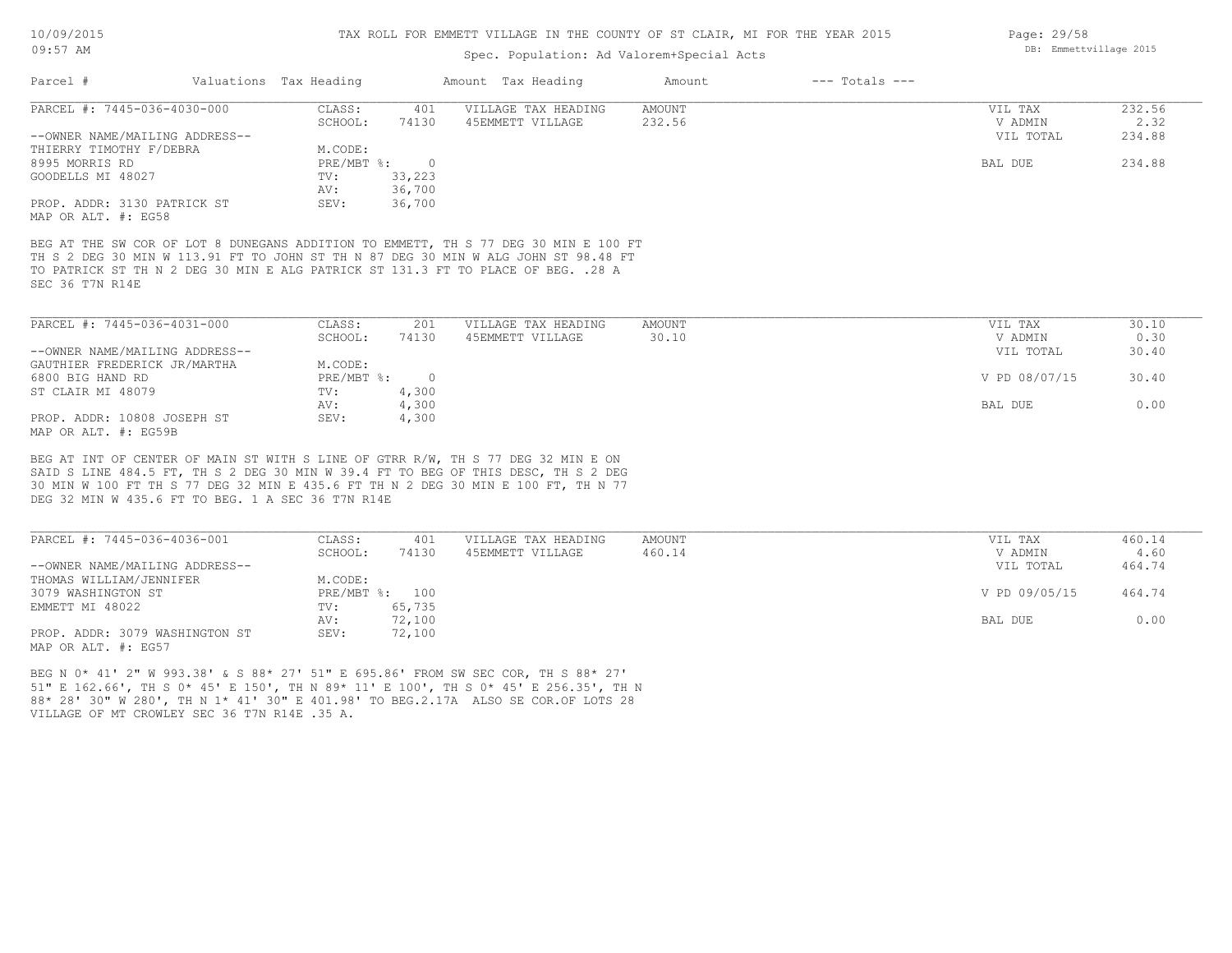## Spec. Population: Ad Valorem+Special Acts

| Parcel #                                                                           | Valuations Tax Heading |            | Amount Tax Heading                                                                  | Amount | $---$ Totals $---$ |              |        |
|------------------------------------------------------------------------------------|------------------------|------------|-------------------------------------------------------------------------------------|--------|--------------------|--------------|--------|
| PARCEL #: 7445-036-4030-000                                                        | CLASS:                 | 401        | VILLAGE TAX HEADING                                                                 | AMOUNT |                    | VIL TAX      | 232.56 |
|                                                                                    | SCHOOL:                | 74130      | 45EMMETT VILLAGE                                                                    | 232.56 |                    | V ADMIN      | 2.32   |
| --OWNER NAME/MAILING ADDRESS--                                                     |                        |            |                                                                                     |        |                    | VIL TOTAL    | 234.88 |
| THIERRY TIMOTHY F/DEBRA                                                            | M.CODE:                |            |                                                                                     |        |                    |              |        |
| 8995 MORRIS RD                                                                     | PRE/MBT %:             | $\bigcirc$ |                                                                                     |        |                    | BAL DUE      | 234.88 |
| GOODELLS MI 48027                                                                  | TV:                    | 33,223     |                                                                                     |        |                    |              |        |
|                                                                                    | AV:                    | 36,700     |                                                                                     |        |                    |              |        |
| PROP. ADDR: 3130 PATRICK ST<br>MAP OR ALT. #: EG58                                 | SEV:                   | 36,700     |                                                                                     |        |                    |              |        |
|                                                                                    |                        |            |                                                                                     |        |                    |              |        |
|                                                                                    |                        |            | BEG AT THE SW COR OF LOT 8 DUNEGANS ADDITION TO EMMETT, TH S 77 DEG 30 MIN E 100 FT |        |                    |              |        |
| TH S 2 DEG 30 MIN W 113.91 FT TO JOHN ST TH N 87 DEG 30 MIN W ALG JOHN ST 98.48 FT |                        |            |                                                                                     |        |                    |              |        |
| TO PATRICK ST TH N 2 DEG 30 MIN E ALG PATRICK ST 131.3 FT TO PLACE OF BEG. . 28 A  |                        |            |                                                                                     |        |                    |              |        |
| SEC 36 T7N R14E                                                                    |                        |            |                                                                                     |        |                    |              |        |
|                                                                                    |                        |            |                                                                                     |        |                    |              |        |
|                                                                                    |                        |            |                                                                                     |        |                    |              |        |
| PARCEL #: 7445-036-4031-000                                                        | CLASS:                 | 201        | VILLAGE TAX HEADING                                                                 | AMOUNT |                    | VIL TAX      | 30.10  |
|                                                                                    | SCHOOL:                | 74130      | 45EMMETT VILLAGE                                                                    | 30.10  |                    | V ADMIN      | 0.30   |
| --OWNER NAME/MAILING ADDRESS--                                                     |                        |            |                                                                                     |        |                    | VIL TOTAL    | 30.40  |
| GAUTHIER FREDERICK JR/MARTHA                                                       | M.CODE:                |            |                                                                                     |        |                    |              |        |
| חם חזוגם מומט 2000                                                                 | . © חסו/ו/ סמת         | $\cap$     |                                                                                     |        |                    | -15 00/07/15 | 30 M   |

| PARCEL #: 7445-036-4031-000    | CLASS:     | 201    | VILLAGE TAX HEADING | AMOUNT | VIL TAX       | 30.10 |
|--------------------------------|------------|--------|---------------------|--------|---------------|-------|
|                                | SCHOOL:    | 74130  | 45EMMETT VILLAGE    | 30.10  | V ADMIN       | 0.30  |
| --OWNER NAME/MAILING ADDRESS-- |            |        |                     |        | VIL TOTAL     | 30.40 |
| GAUTHIER FREDERICK JR/MARTHA   | M.CODE:    |        |                     |        |               |       |
| 6800 BIG HAND RD               | PRE/MBT %: | $\cap$ |                     |        | V PD 08/07/15 | 30.40 |
| ST CLAIR MI 48079              | TV:        | 4,300  |                     |        |               |       |
|                                | AV:        | 4,300  |                     |        | BAL DUE       | 0.00  |
| PROP. ADDR: 10808 JOSEPH ST    | SEV:       | 4,300  |                     |        |               |       |
| MAP OR ALT. #: EG59B           |            |        |                     |        |               |       |

DEG 32 MIN W 435.6 FT TO BEG. 1 A SEC 36 T7N R14E 30 MIN W 100 FT TH S 77 DEG 32 MIN E 435.6 FT TH N 2 DEG 30 MIN E 100 FT, TH N 77 SAID S LINE 484.5 FT, TH S 2 DEG 30 MIN W 39.4 FT TO BEG OF THIS DESC, TH S 2 DEG BEG AT INT OF CENTER OF MAIN ST WITH S LINE OF GTRR R/W, TH S 77 DEG 32 MIN E ON

| PARCEL #: 7445-036-4036-001    | CLASS:  | 401            | VILLAGE TAX HEADING | AMOUNT | VIL TAX       | 460.14 |
|--------------------------------|---------|----------------|---------------------|--------|---------------|--------|
|                                | SCHOOL: | 74130          | 45EMMETT VILLAGE    | 460.14 | V ADMIN       | 4.60   |
| --OWNER NAME/MAILING ADDRESS-- |         |                |                     |        | VIL TOTAL     | 464.74 |
| THOMAS WILLIAM/JENNIFER        | M.CODE: |                |                     |        |               |        |
| 3079 WASHINGTON ST             |         | PRE/MBT %: 100 |                     |        | V PD 09/05/15 | 464.74 |
| EMMETT MI 48022                | TV:     | 65,735         |                     |        |               |        |
|                                | AV:     | 72,100         |                     |        | BAL DUE       | 0.00   |
| PROP. ADDR: 3079 WASHINGTON ST | SEV:    | 72,100         |                     |        |               |        |
| MAP OR ALT. #: EG57            |         |                |                     |        |               |        |

VILLAGE OF MT CROWLEY SEC 36 T7N R14E .35 A. 88\* 28' 30" W 280', TH N 1\* 41' 30" E 401.98' TO BEG.2.17A ALSO SE COR.OF LOTS 28 51" E 162.66', TH S 0\* 45' E 150', TH N 89\* 11' E 100', TH S 0\* 45' E 256.35', TH N BEG N 0\* 41' 2" W 993.38' & S 88\* 27' 51" E 695.86' FROM SW SEC COR, TH S 88\* 27'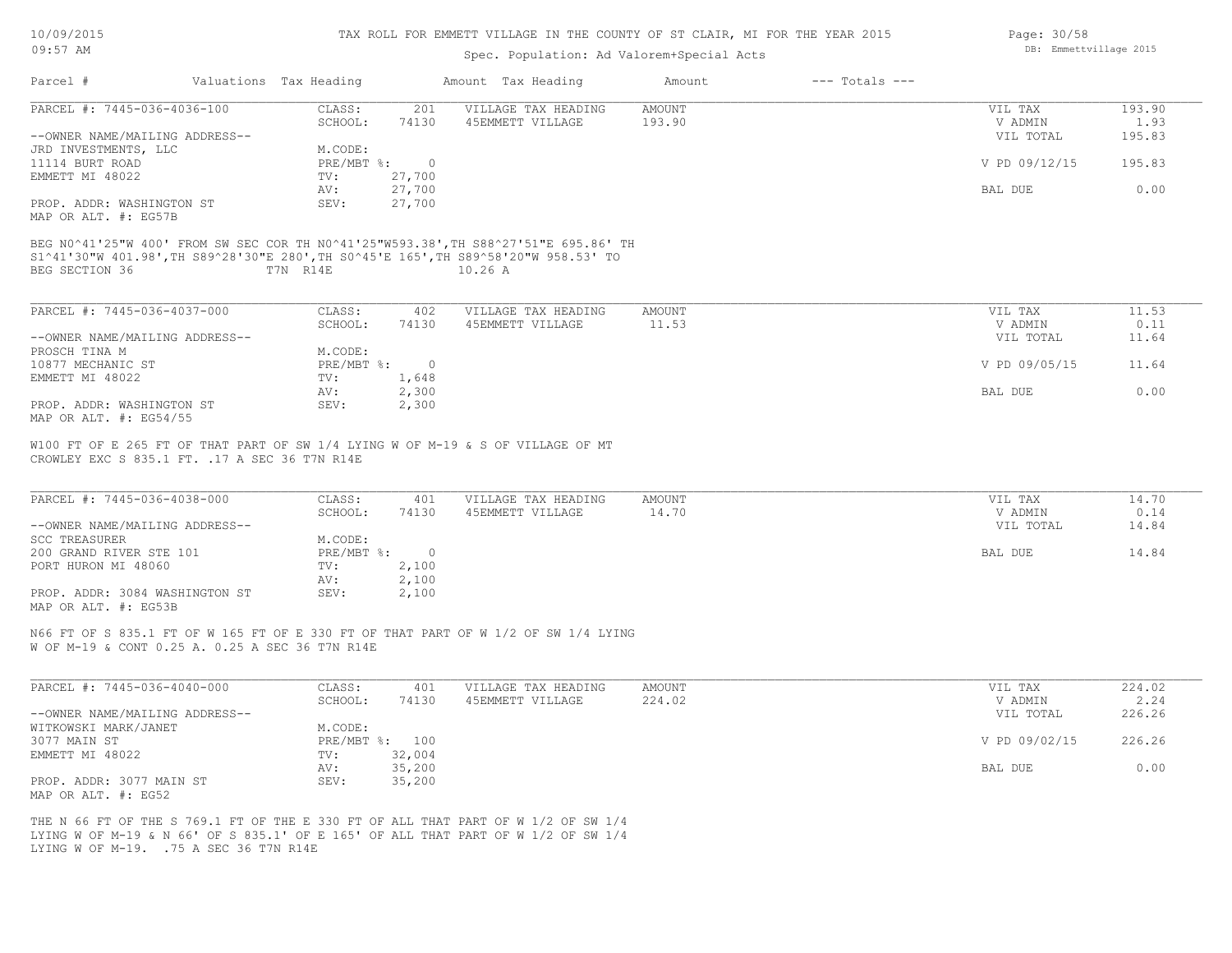| 10/09/2015 |  |
|------------|--|
| $09:57$ AM |  |

## Spec. Population: Ad Valorem+Special Acts

| Parcel #                                                                            | Valuations Tax Heading |          | Amount Tax Heading  | Amount        | $---$ Totals $---$ |               |        |
|-------------------------------------------------------------------------------------|------------------------|----------|---------------------|---------------|--------------------|---------------|--------|
| PARCEL #: 7445-036-4036-100                                                         | CLASS:                 | 201      | VILLAGE TAX HEADING | AMOUNT        |                    | VIL TAX       | 193.90 |
|                                                                                     | SCHOOL:                | 74130    | 45EMMETT VILLAGE    | 193.90        |                    | V ADMIN       | 1.93   |
| --OWNER NAME/MAILING ADDRESS--                                                      |                        |          |                     |               |                    | VIL TOTAL     | 195.83 |
| JRD INVESTMENTS, LLC                                                                | M.CODE:                |          |                     |               |                    |               |        |
| 11114 BURT ROAD                                                                     | PRE/MBT %:             | $\sim$ 0 |                     |               |                    | V PD 09/12/15 | 195.83 |
| EMMETT MI 48022                                                                     | TV:                    | 27,700   |                     |               |                    |               |        |
|                                                                                     | AV:                    | 27,700   |                     |               |                    | BAL DUE       | 0.00   |
| PROP. ADDR: WASHINGTON ST                                                           | SEV:                   | 27,700   |                     |               |                    |               |        |
| MAP OR ALT. #: EG57B                                                                |                        |          |                     |               |                    |               |        |
|                                                                                     |                        |          |                     |               |                    |               |        |
| BEG N0^41'25"W 400' FROM SW SEC COR TH N0^41'25"W593.38', TH S88^27'51"E 695.86' TH |                        |          |                     |               |                    |               |        |
| S1^41'30"W 401.98', TH S89^28'30"E 280', TH S0^45'E 165', TH S89^58'20"W 958.53' TO |                        |          |                     |               |                    |               |        |
| BEG SECTION 36                                                                      | T7N R14E               |          | 10.26 A             |               |                    |               |        |
|                                                                                     |                        |          |                     |               |                    |               |        |
| PARCEL #: 7445-036-4037-000                                                         | CLASS:                 | 402      | VILLAGE TAX HEADING | AMOUNT        |                    | VIL TAX       | 11.53  |
|                                                                                     | SCHOOL:                | 74130    | 45EMMETT VILLAGE    | 11.53         |                    | V ADMIN       | 0.11   |
|                                                                                     |                        |          |                     |               |                    |               |        |
| --OWNER NAME/MAILING ADDRESS--                                                      |                        |          |                     |               |                    | VIL TOTAL     | 11.64  |
| PROSCH TINA M                                                                       | M.CODE:                |          |                     |               |                    |               |        |
| 10877 MECHANIC ST                                                                   | PRE/MBT %: 0           |          |                     |               |                    | V PD 09/05/15 | 11.64  |
| EMMETT MI 48022                                                                     | TV:                    | 1,648    |                     |               |                    |               |        |
|                                                                                     | AV:                    | 2,300    |                     |               |                    | BAL DUE       | 0.00   |
| PROP. ADDR: WASHINGTON ST                                                           | SEV:                   | 2,300    |                     |               |                    |               |        |
| MAP OR ALT. #: EG54/55                                                              |                        |          |                     |               |                    |               |        |
|                                                                                     |                        |          |                     |               |                    |               |        |
| W100 FT OF E 265 FT OF THAT PART OF SW 1/4 LYING W OF M-19 & S OF VILLAGE OF MT     |                        |          |                     |               |                    |               |        |
| CROWLEY EXC S 835.1 FT. . 17 A SEC 36 T7N R14E                                      |                        |          |                     |               |                    |               |        |
|                                                                                     |                        |          |                     |               |                    |               |        |
| PARCEL #: 7445-036-4038-000                                                         | CLASS:                 | 401      | VILLAGE TAX HEADING | <b>AMOUNT</b> |                    | VIL TAX       | 14.70  |
|                                                                                     | SCHOOL:                | 74130    | 45EMMETT VILLAGE    | 14.70         |                    | V ADMIN       | 0.14   |
| --OWNER NAME/MAILING ADDRESS--                                                      |                        |          |                     |               |                    | VIL TOTAL     | 14.84  |
| <b>SCC TREASURER</b>                                                                | M.CODE:                |          |                     |               |                    |               |        |
| 200 GRAND RIVER STE 101                                                             | PRE/MBT %:             | $\sim$ 0 |                     |               |                    | BAL DUE       | 14.84  |
| PORT HURON MI 48060                                                                 | TV:                    | 2,100    |                     |               |                    |               |        |
|                                                                                     | AV:                    | 2,100    |                     |               |                    |               |        |
|                                                                                     |                        |          |                     |               |                    |               |        |
| PROP. ADDR: 3084 WASHINGTON ST                                                      | SEV:                   | 2,100    |                     |               |                    |               |        |
| MAP OR ALT. #: EG53B                                                                |                        |          |                     |               |                    |               |        |

W OF M-19 & CONT 0.25 A. 0.25 A SEC 36 T7N R14E N66 FT OF S 835.1 FT OF W 165 FT OF E 330 FT OF THAT PART OF W 1/2 OF SW 1/4 LYING

| PARCEL #: 7445-036-4040-000    | CLASS:  | 401            | VILLAGE TAX HEADING | AMOUNT | VIL TAX       | 224.02 |
|--------------------------------|---------|----------------|---------------------|--------|---------------|--------|
|                                | SCHOOL: | 74130          | 45EMMETT VILLAGE    | 224.02 | V ADMIN       | 2.24   |
| --OWNER NAME/MAILING ADDRESS-- |         |                |                     |        | VIL TOTAL     | 226.26 |
| WITKOWSKI MARK/JANET           | M.CODE: |                |                     |        |               |        |
| 3077 MAIN ST                   |         | PRE/MBT %: 100 |                     |        | V PD 09/02/15 | 226.26 |
| EMMETT MI 48022                | TV:     | 32,004         |                     |        |               |        |
|                                | AV:     | 35,200         |                     |        | BAL DUE       | 0.00   |
| PROP. ADDR: 3077 MAIN ST       | SEV:    | 35,200         |                     |        |               |        |
| MAP OR ALT. #: EG52            |         |                |                     |        |               |        |

LYING W OF M-19. .75 A SEC 36 T7N R14E LYING W OF M-19 & N 66' OF S 835.1' OF E 165' OF ALL THAT PART OF W 1/2 OF SW 1/4 THE N 66 FT OF THE S 769.1 FT OF THE E 330 FT OF ALL THAT PART OF W 1/2 OF SW 1/4 Page: 30/58 DB: Emmettvillage 2015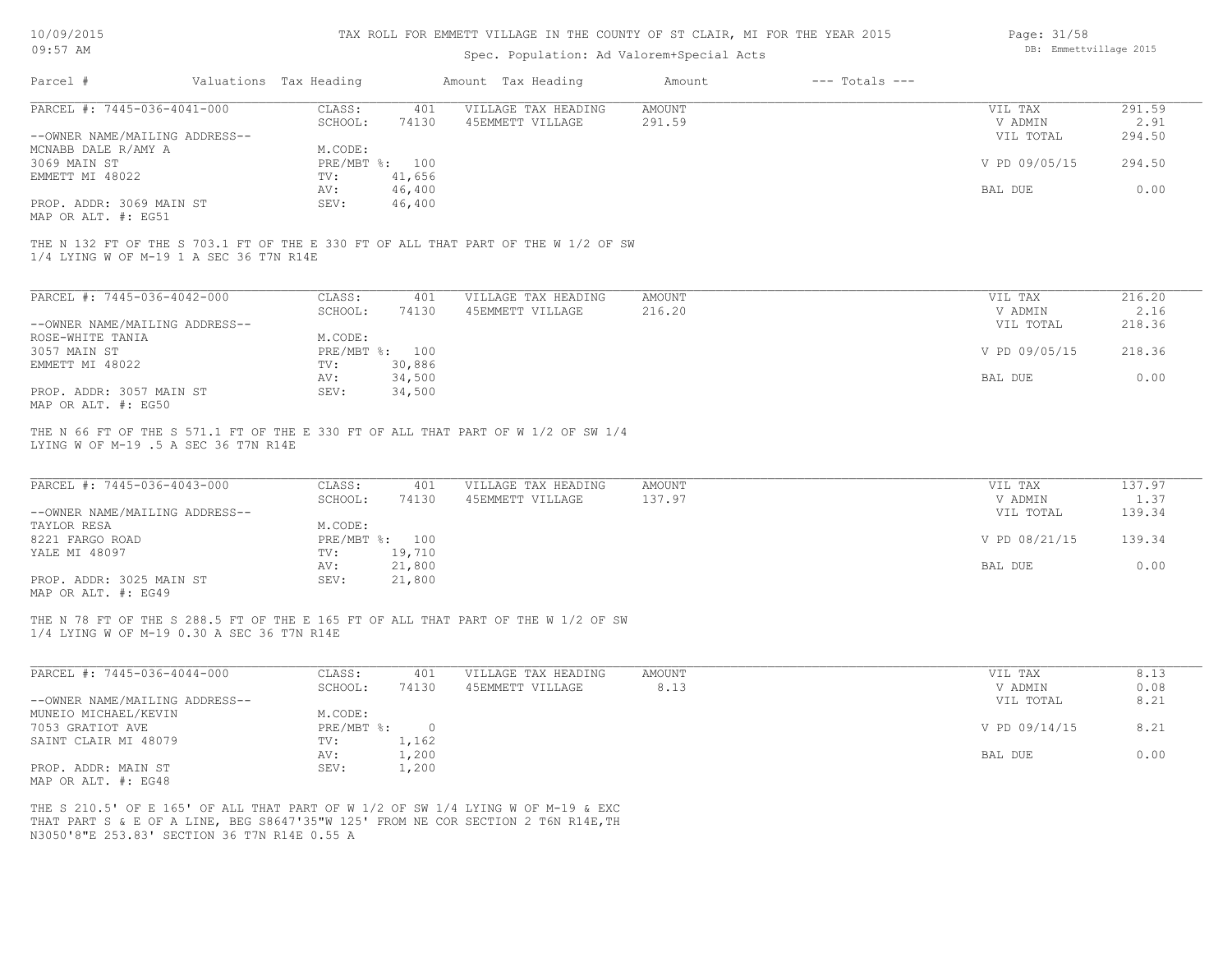| 10/09/2015 |  |
|------------|--|
|            |  |

| 10/09/2015<br>$09:57$ AM                   |                        | TAX ROLL FOR EMMETT VILLAGE IN THE COUNTY OF ST CLAIR, MI FOR THE YEAR 2015<br>Page: 31/58<br>DB: Emmettvillage 2015<br>Spec. Population: Ad Valorem+Special Acts |                                                                                    |               |                    |               |        |  |
|--------------------------------------------|------------------------|-------------------------------------------------------------------------------------------------------------------------------------------------------------------|------------------------------------------------------------------------------------|---------------|--------------------|---------------|--------|--|
|                                            |                        |                                                                                                                                                                   |                                                                                    |               |                    |               |        |  |
| Parcel #                                   | Valuations Tax Heading |                                                                                                                                                                   | Amount Tax Heading                                                                 | Amount        | $---$ Totals $---$ |               |        |  |
| PARCEL #: 7445-036-4041-000                | CLASS:                 | 401                                                                                                                                                               | VILLAGE TAX HEADING                                                                | <b>AMOUNT</b> |                    | VIL TAX       | 291.59 |  |
|                                            | SCHOOL:                | 74130                                                                                                                                                             | 45EMMETT VILLAGE                                                                   | 291.59        |                    | V ADMIN       | 2.91   |  |
| --OWNER NAME/MAILING ADDRESS--             |                        |                                                                                                                                                                   |                                                                                    |               |                    | VIL TOTAL     | 294.50 |  |
| MCNABB DALE R/AMY A                        | M.CODE:                |                                                                                                                                                                   |                                                                                    |               |                    |               |        |  |
| 3069 MAIN ST                               | PRE/MBT %: 100         |                                                                                                                                                                   |                                                                                    |               |                    | V PD 09/05/15 | 294.50 |  |
| EMMETT MI 48022                            | TV:                    | 41,656                                                                                                                                                            |                                                                                    |               |                    |               |        |  |
|                                            |                        |                                                                                                                                                                   |                                                                                    |               |                    |               | 0.00   |  |
|                                            | AV:                    | 46,400                                                                                                                                                            |                                                                                    |               |                    | BAL DUE       |        |  |
| PROP. ADDR: 3069 MAIN ST                   | SEV:                   | 46,400                                                                                                                                                            |                                                                                    |               |                    |               |        |  |
| MAP OR ALT. #: EG51                        |                        |                                                                                                                                                                   |                                                                                    |               |                    |               |        |  |
| 1/4 LYING W OF M-19 1 A SEC 36 T7N R14E    |                        |                                                                                                                                                                   | THE N 132 FT OF THE S 703.1 FT OF THE E 330 FT OF ALL THAT PART OF THE W 1/2 OF SW |               |                    |               |        |  |
| PARCEL #: 7445-036-4042-000                | CLASS:                 | 401                                                                                                                                                               | VILLAGE TAX HEADING                                                                | <b>AMOUNT</b> |                    | VIL TAX       | 216.20 |  |
|                                            | SCHOOL:                | 74130                                                                                                                                                             | 45EMMETT VILLAGE                                                                   | 216.20        |                    | V ADMIN       | 2.16   |  |
| --OWNER NAME/MAILING ADDRESS--             |                        |                                                                                                                                                                   |                                                                                    |               |                    | VIL TOTAL     | 218.36 |  |
| ROSE-WHITE TANIA                           | M.CODE:                |                                                                                                                                                                   |                                                                                    |               |                    |               |        |  |
| 3057 MAIN ST                               | PRE/MBT %: 100         |                                                                                                                                                                   |                                                                                    |               |                    | V PD 09/05/15 | 218.36 |  |
| EMMETT MI 48022                            | TV:                    | 30,886                                                                                                                                                            |                                                                                    |               |                    |               |        |  |
|                                            | AV:                    | 34,500                                                                                                                                                            |                                                                                    |               |                    | BAL DUE       | 0.00   |  |
| PROP. ADDR: 3057 MAIN ST                   | SEV:                   | 34,500                                                                                                                                                            |                                                                                    |               |                    |               |        |  |
| MAP OR ALT. #: EG50                        |                        |                                                                                                                                                                   |                                                                                    |               |                    |               |        |  |
|                                            |                        |                                                                                                                                                                   |                                                                                    |               |                    |               |        |  |
| LYING W OF M-19 .5 A SEC 36 T7N R14E       |                        |                                                                                                                                                                   | THE N 66 FT OF THE S 571.1 FT OF THE E 330 FT OF ALL THAT PART OF W 1/2 OF SW 1/4  |               |                    |               |        |  |
|                                            |                        |                                                                                                                                                                   |                                                                                    |               |                    |               |        |  |
| PARCEL #: 7445-036-4043-000                | CLASS:                 | 401                                                                                                                                                               | VILLAGE TAX HEADING                                                                | <b>AMOUNT</b> |                    | VIL TAX       | 137.97 |  |
|                                            | SCHOOL:                | 74130                                                                                                                                                             | 45EMMETT VILLAGE                                                                   | 137.97        |                    | V ADMIN       | 1.37   |  |
| --OWNER NAME/MAILING ADDRESS--             |                        |                                                                                                                                                                   |                                                                                    |               |                    | VIL TOTAL     | 139.34 |  |
| TAYLOR RESA                                | M.CODE:                |                                                                                                                                                                   |                                                                                    |               |                    |               |        |  |
| 8221 FARGO ROAD                            | PRE/MBT %: 100         |                                                                                                                                                                   |                                                                                    |               |                    | V PD 08/21/15 | 139.34 |  |
| YALE MI 48097                              | TV:                    | 19,710                                                                                                                                                            |                                                                                    |               |                    |               |        |  |
|                                            | AV:                    | 21,800                                                                                                                                                            |                                                                                    |               |                    | BAL DUE       | 0.00   |  |
| PROP. ADDR: 3025 MAIN ST                   | SEV:                   | 21,800                                                                                                                                                            |                                                                                    |               |                    |               |        |  |
| MAP OR ALT. #: EG49                        |                        |                                                                                                                                                                   |                                                                                    |               |                    |               |        |  |
|                                            |                        |                                                                                                                                                                   |                                                                                    |               |                    |               |        |  |
|                                            |                        |                                                                                                                                                                   | THE N 78 FT OF THE S 288.5 FT OF THE E 165 FT OF ALL THAT PART OF THE W 1/2 OF SW  |               |                    |               |        |  |
| 1/4 LYING W OF M-19 0.30 A SEC 36 T7N R14E |                        |                                                                                                                                                                   |                                                                                    |               |                    |               |        |  |
|                                            |                        |                                                                                                                                                                   |                                                                                    |               |                    |               |        |  |
|                                            |                        |                                                                                                                                                                   |                                                                                    |               |                    |               |        |  |
| PARCEL #: 7445-036-4044-000                | CLASS:                 | 401                                                                                                                                                               | VILLAGE TAX HEADING                                                                | <b>AMOUNT</b> |                    | VIL TAX       | 8.13   |  |
|                                            | SCHOOL:                | 74130                                                                                                                                                             | 45EMMETT VILLAGE                                                                   | 8.13          |                    | V ADMIN       | 0.08   |  |
| --OWNER NAME/MAILING ADDRESS--             |                        |                                                                                                                                                                   |                                                                                    |               |                    | VIL TOTAL     | 8.21   |  |
| MUNEIO MICHAEL/KEVIN                       | M.CODE:                |                                                                                                                                                                   |                                                                                    |               |                    |               |        |  |
| 7053 GRATIOT AVE                           | PRE/MBT %:             | $\circ$                                                                                                                                                           |                                                                                    |               |                    | V PD 09/14/15 | 8.21   |  |
| SAINT CLAIR MI 48079                       | TV:                    | 1,162                                                                                                                                                             |                                                                                    |               |                    |               |        |  |
|                                            | AV:                    | 1,200                                                                                                                                                             |                                                                                    |               |                    | BAL DUE       | 0.00   |  |
| PROP. ADDR: MAIN ST                        | SEV:                   | 1,200                                                                                                                                                             |                                                                                    |               |                    |               |        |  |
|                                            |                        |                                                                                                                                                                   |                                                                                    |               |                    |               |        |  |

MAP OR ALT. #: EG48

N3050'8"E 253.83' SECTION 36 T7N R14E 0.55 A THAT PART S & E OF A LINE, BEG S8647'35"W 125' FROM NE COR SECTION 2 T6N R14E,TH THE S 210.5' OF E 165' OF ALL THAT PART OF W 1/2 OF SW 1/4 LYING W OF M-19 & EXC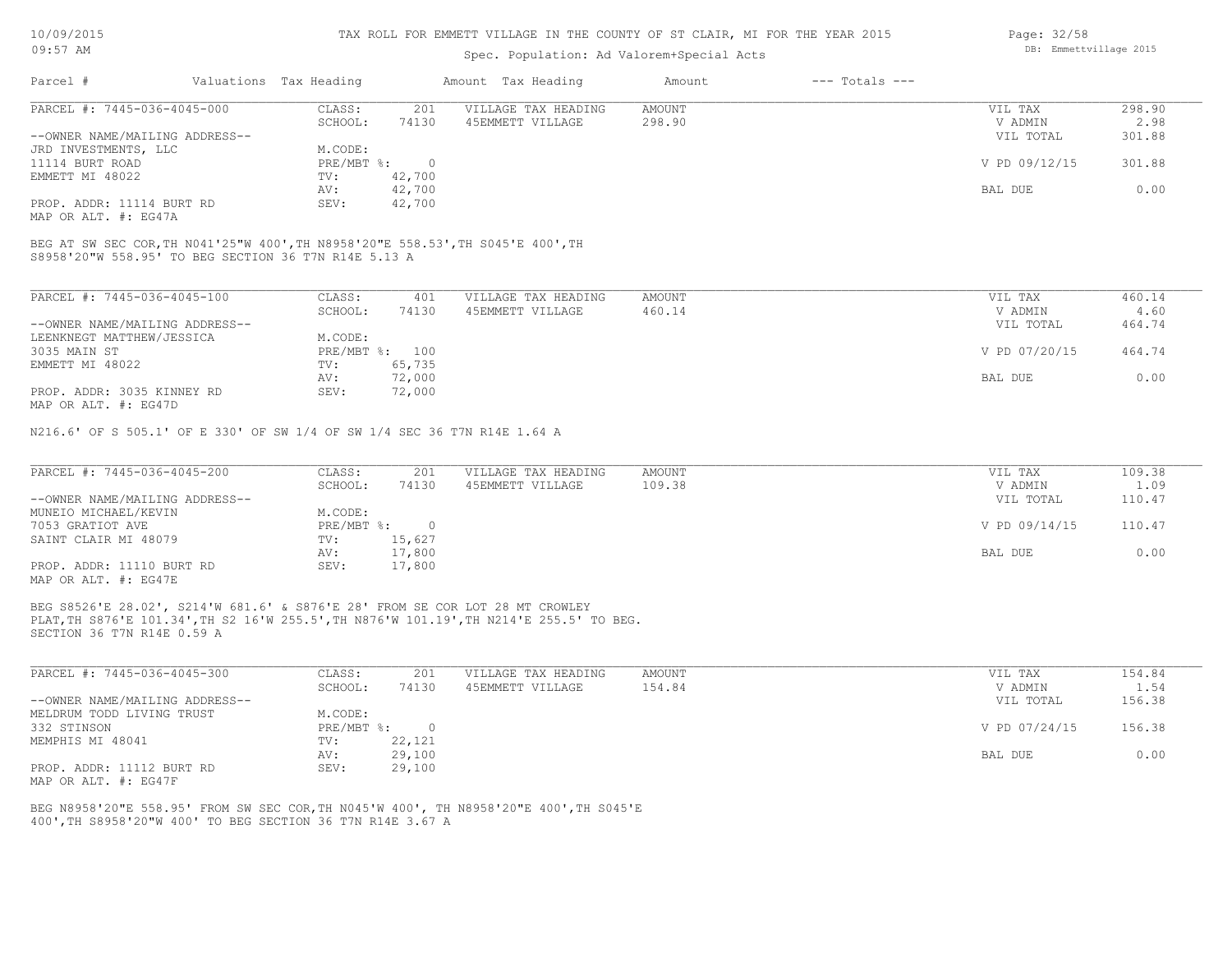## Spec. Population: Ad Valorem+Special Acts

| Parcel #                       | Valuations Tax Heading |        | Amount Tax Heading  | Amount | $---$ Totals $---$ |               |        |
|--------------------------------|------------------------|--------|---------------------|--------|--------------------|---------------|--------|
| PARCEL #: 7445-036-4045-000    | CLASS:                 | 201    | VILLAGE TAX HEADING | AMOUNT |                    | VIL TAX       | 298.90 |
|                                | SCHOOL:                | 74130  | 45EMMETT VILLAGE    | 298.90 |                    | V ADMIN       | 2.98   |
| --OWNER NAME/MAILING ADDRESS-- |                        |        |                     |        |                    | VIL TOTAL     | 301.88 |
| JRD INVESTMENTS, LLC           | M.CODE:                |        |                     |        |                    |               |        |
| 11114 BURT ROAD                | PRE/MBT %:             |        |                     |        |                    | V PD 09/12/15 | 301.88 |
| EMMETT MI 48022                | TV:                    | 42,700 |                     |        |                    |               |        |
|                                | AV:                    | 42,700 |                     |        |                    | BAL DUE       | 0.00   |
| PROP. ADDR: 11114 BURT RD      | SEV:                   | 42,700 |                     |        |                    |               |        |

MAP OR ALT. #: EG47A

S8958'20"W 558.95' TO BEG SECTION 36 T7N R14E 5.13 A BEG AT SW SEC COR,TH N041'25"W 400',TH N8958'20"E 558.53',TH S045'E 400',TH

| PARCEL #: 7445-036-4045-100    | CLASS:     | 401    | VILLAGE TAX HEADING | AMOUNT | 460.14<br>VIL TAX       |
|--------------------------------|------------|--------|---------------------|--------|-------------------------|
|                                | SCHOOL:    | 74130  | 45EMMETT VILLAGE    | 460.14 | 4.60<br>V ADMIN         |
| --OWNER NAME/MAILING ADDRESS-- |            |        |                     |        | 464.74<br>VIL TOTAL     |
| LEENKNEGT MATTHEW/JESSICA      | M.CODE:    |        |                     |        |                         |
| 3035 MAIN ST                   | PRE/MBT %: | 100    |                     |        | V PD 07/20/15<br>464.74 |
| EMMETT MI 48022                | TV:        | 65,735 |                     |        |                         |
|                                | AV:        | 72,000 |                     |        | 0.00<br>BAL DUE         |
| PROP. ADDR: 3035 KINNEY RD     | SEV:       | 72,000 |                     |        |                         |
| MAP OR ALT. #: EG47D           |            |        |                     |        |                         |

N216.6' OF S 505.1' OF E 330' OF SW 1/4 OF SW 1/4 SEC 36 T7N R14E 1.64 A

| PARCEL #: 7445-036-4045-200    | CLASS:     | 201    | VILLAGE TAX HEADING | AMOUNT | VIL TAX       | 109.38 |
|--------------------------------|------------|--------|---------------------|--------|---------------|--------|
|                                | SCHOOL:    | 74130  | 45EMMETT VILLAGE    | 109.38 | V ADMIN       | 1.09   |
| --OWNER NAME/MAILING ADDRESS-- |            |        |                     |        | VIL TOTAL     | 110.47 |
| MUNEIO MICHAEL/KEVIN           | M.CODE:    |        |                     |        |               |        |
| 7053 GRATIOT AVE               | PRE/MBT %: |        |                     |        | V PD 09/14/15 | 110.47 |
| SAINT CLAIR MI 48079           | TV:        | 15,627 |                     |        |               |        |
|                                | AV:        | 17,800 |                     |        | BAL DUE       | 0.00   |
| PROP. ADDR: 11110 BURT RD      | SEV:       | 17,800 |                     |        |               |        |
| MAP OR ALT. #: EG47E           |            |        |                     |        |               |        |

SECTION 36 T7N R14E 0.59 A PLAT,TH S876'E 101.34',TH S2 16'W 255.5',TH N876'W 101.19',TH N214'E 255.5' TO BEG. BEG S8526'E 28.02', S214'W 681.6' & S876'E 28' FROM SE COR LOT 28 MT CROWLEY

| PARCEL #: 7445-036-4045-300    | CLASS:     | 201    | VILLAGE TAX HEADING | AMOUNT | VIL TAX       | 154.84 |
|--------------------------------|------------|--------|---------------------|--------|---------------|--------|
|                                | SCHOOL:    | 74130  | 45EMMETT VILLAGE    | 154.84 | V ADMIN       | 1.54   |
| --OWNER NAME/MAILING ADDRESS-- |            |        |                     |        | VIL TOTAL     | 156.38 |
| MELDRUM TODD LIVING TRUST      | M.CODE:    |        |                     |        |               |        |
| 332 STINSON                    | PRE/MBT %: |        |                     |        | V PD 07/24/15 | 156.38 |
| MEMPHIS MI 48041               | TV:        | 22,121 |                     |        |               |        |
|                                | AV:        | 29,100 |                     |        | BAL DUE       | 0.00   |
| PROP. ADDR: 11112 BURT RD      | SEV:       | 29,100 |                     |        |               |        |
| MAP OR ALT. #: EG47F           |            |        |                     |        |               |        |

400',TH S8958'20"W 400' TO BEG SECTION 36 T7N R14E 3.67 A BEG N8958'20"E 558.95' FROM SW SEC COR,TH N045'W 400', TH N8958'20"E 400',TH S045'E Page: 32/58 DB: Emmettvillage 2015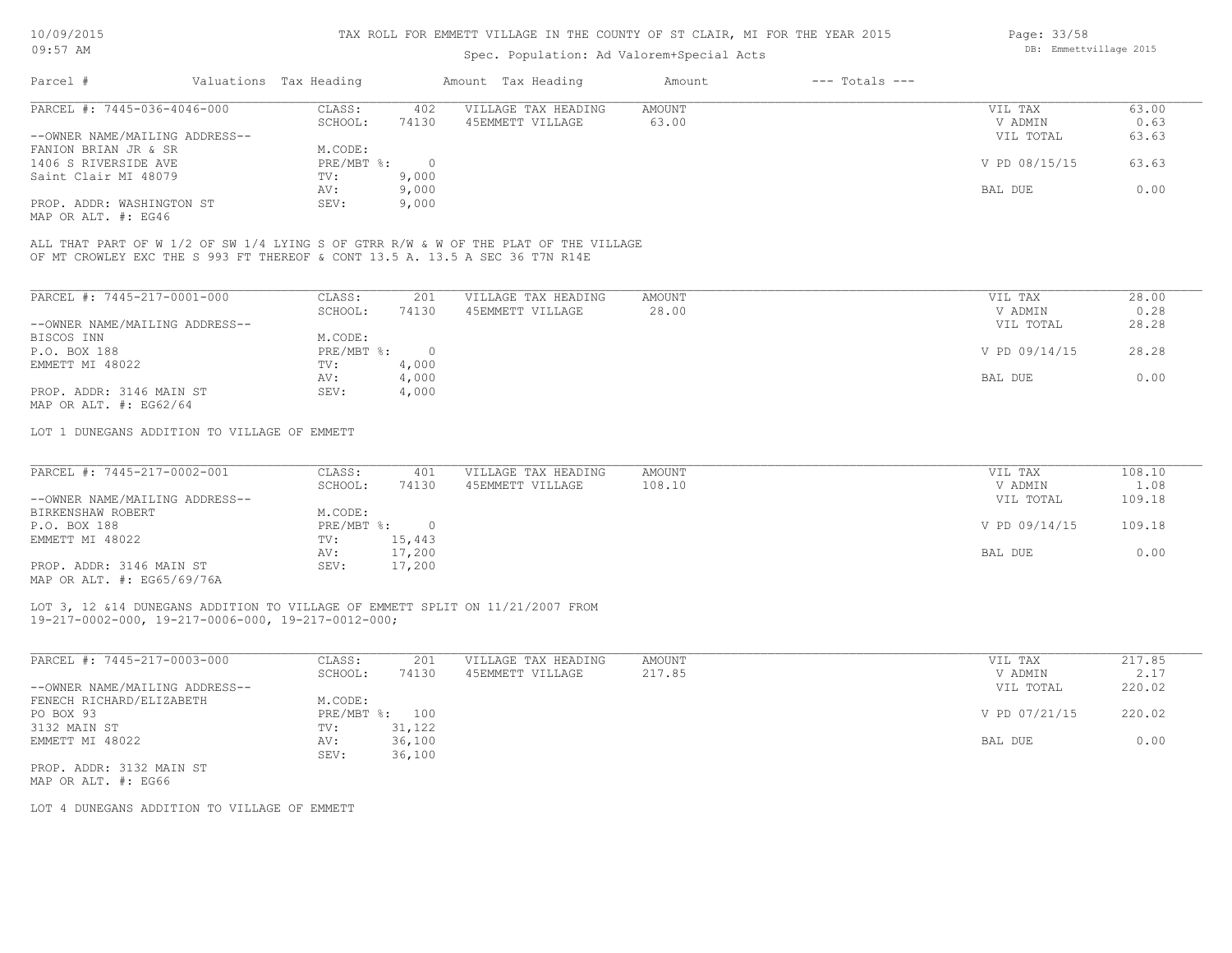# Spec. Population: Ad Valorem+Special Acts

| Page: 33/58 |                        |  |
|-------------|------------------------|--|
|             | DB: Emmettvillage 2015 |  |
|             |                        |  |

| Parcel #                       | Valuations Tax Heading |       | Amount Tax Heading  | Amount | $---$ Totals $---$ |               |       |
|--------------------------------|------------------------|-------|---------------------|--------|--------------------|---------------|-------|
| PARCEL #: 7445-036-4046-000    | CLASS:                 | 402   | VILLAGE TAX HEADING | AMOUNT |                    | VIL TAX       | 63.00 |
|                                | SCHOOL:                | 74130 | 45EMMETT VILLAGE    | 63.00  |                    | V ADMIN       | 0.63  |
| --OWNER NAME/MAILING ADDRESS-- |                        |       |                     |        |                    | VIL TOTAL     | 63.63 |
| FANION BRIAN JR & SR           | M.CODE:                |       |                     |        |                    |               |       |
| 1406 S RIVERSIDE AVE           | $PRE/MBT$ %:           |       |                     |        |                    | V PD 08/15/15 | 63.63 |
| Saint Clair MI 48079           | TV:                    | 9,000 |                     |        |                    |               |       |
|                                | AV:                    | 9,000 |                     |        |                    | BAL DUE       | 0.00  |
| PROP. ADDR: WASHINGTON ST      | SEV:                   | 9,000 |                     |        |                    |               |       |

MAP OR ALT. #: EG46

OF MT CROWLEY EXC THE S 993 FT THEREOF & CONT 13.5 A. 13.5 A SEC 36 T7N R14E ALL THAT PART OF W 1/2 OF SW 1/4 LYING S OF GTRR R/W & W OF THE PLAT OF THE VILLAGE

| PARCEL #: 7445-217-0001-000    | CLASS:     | 201   | VILLAGE TAX HEADING | AMOUNT | 28.00<br>VIL TAX       |
|--------------------------------|------------|-------|---------------------|--------|------------------------|
|                                | SCHOOL:    | 74130 | 45EMMETT VILLAGE    | 28.00  | 0.28<br>V ADMIN        |
| --OWNER NAME/MAILING ADDRESS-- |            |       |                     |        | 28.28<br>VIL TOTAL     |
| BISCOS INN                     | M.CODE:    |       |                     |        |                        |
| P.O. BOX 188                   | PRE/MBT %: |       |                     |        | V PD 09/14/15<br>28.28 |
| EMMETT MI 48022                | TV:        | 4,000 |                     |        |                        |
|                                | AV:        | 4,000 |                     |        | 0.00<br>BAL DUE        |
| PROP. ADDR: 3146 MAIN ST       | SEV:       | 4,000 |                     |        |                        |
| MAP OR ALT. $\#$ : EG62/64     |            |       |                     |        |                        |

LOT 1 DUNEGANS ADDITION TO VILLAGE OF EMMETT

| PARCEL #: 7445-217-0002-001                                                                                                                                                                                                                                                                                                                  | CLASS:       | 401    | VILLAGE TAX HEADING | AMOUNT | VIL TAX       | 108.10 |
|----------------------------------------------------------------------------------------------------------------------------------------------------------------------------------------------------------------------------------------------------------------------------------------------------------------------------------------------|--------------|--------|---------------------|--------|---------------|--------|
|                                                                                                                                                                                                                                                                                                                                              | SCHOOL:      | 74130  | 45EMMETT VILLAGE    | 108.10 | V ADMIN       | 1.08   |
| --OWNER NAME/MAILING ADDRESS--                                                                                                                                                                                                                                                                                                               |              |        |                     |        | VIL TOTAL     | 109.18 |
| BIRKENSHAW ROBERT                                                                                                                                                                                                                                                                                                                            | M.CODE:      |        |                     |        |               |        |
| P.O. BOX 188                                                                                                                                                                                                                                                                                                                                 | $PRE/MBT$ %: |        |                     |        | V PD 09/14/15 | 109.18 |
| EMMETT MI 48022                                                                                                                                                                                                                                                                                                                              | TV:          | 15,443 |                     |        |               |        |
|                                                                                                                                                                                                                                                                                                                                              | AV:          | 17,200 |                     |        | BAL DUE       | 0.00   |
| PROP. ADDR: 3146 MAIN ST                                                                                                                                                                                                                                                                                                                     | SEV:         | 17,200 |                     |        |               |        |
| $\cdots$ $\cdots$ $\cdots$ $\cdots$ $\cdots$ $\cdots$ $\cdots$ $\cdots$ $\cdots$ $\cdots$ $\cdots$ $\cdots$ $\cdots$ $\cdots$ $\cdots$ $\cdots$ $\cdots$ $\cdots$ $\cdots$ $\cdots$ $\cdots$ $\cdots$ $\cdots$ $\cdots$ $\cdots$ $\cdots$ $\cdots$ $\cdots$ $\cdots$ $\cdots$ $\cdots$ $\cdots$ $\cdots$ $\cdots$ $\cdots$ $\cdots$ $\cdots$ |              |        |                     |        |               |        |

MAP OR ALT. #: EG65/69/76A

19-217-0002-000, 19-217-0006-000, 19-217-0012-000; LOT 3, 12 &14 DUNEGANS ADDITION TO VILLAGE OF EMMETT SPLIT ON 11/21/2007 FROM

| PARCEL #: 7445-217-0003-000    | CLASS:     | 201    | VILLAGE TAX HEADING | AMOUNT | VIL TAX       | 217.85 |
|--------------------------------|------------|--------|---------------------|--------|---------------|--------|
|                                | SCHOOL:    | 74130  | 45EMMETT VILLAGE    | 217.85 | V ADMIN       | 2.17   |
| --OWNER NAME/MAILING ADDRESS-- |            |        |                     |        | VIL TOTAL     | 220.02 |
| FENECH RICHARD/ELIZABETH       | M.CODE:    |        |                     |        |               |        |
| PO BOX 93                      | PRE/MBT %: | 100    |                     |        | V PD 07/21/15 | 220.02 |
| 3132 MAIN ST                   | TV:        | 31,122 |                     |        |               |        |
| EMMETT MI 48022                | AV:        | 36,100 |                     |        | BAL DUE       | 0.00   |
|                                | SEV:       | 36,100 |                     |        |               |        |
| PROP. ADDR: 3132 MAIN ST       |            |        |                     |        |               |        |

MAP OR ALT. #: EG66

LOT 4 DUNEGANS ADDITION TO VILLAGE OF EMMETT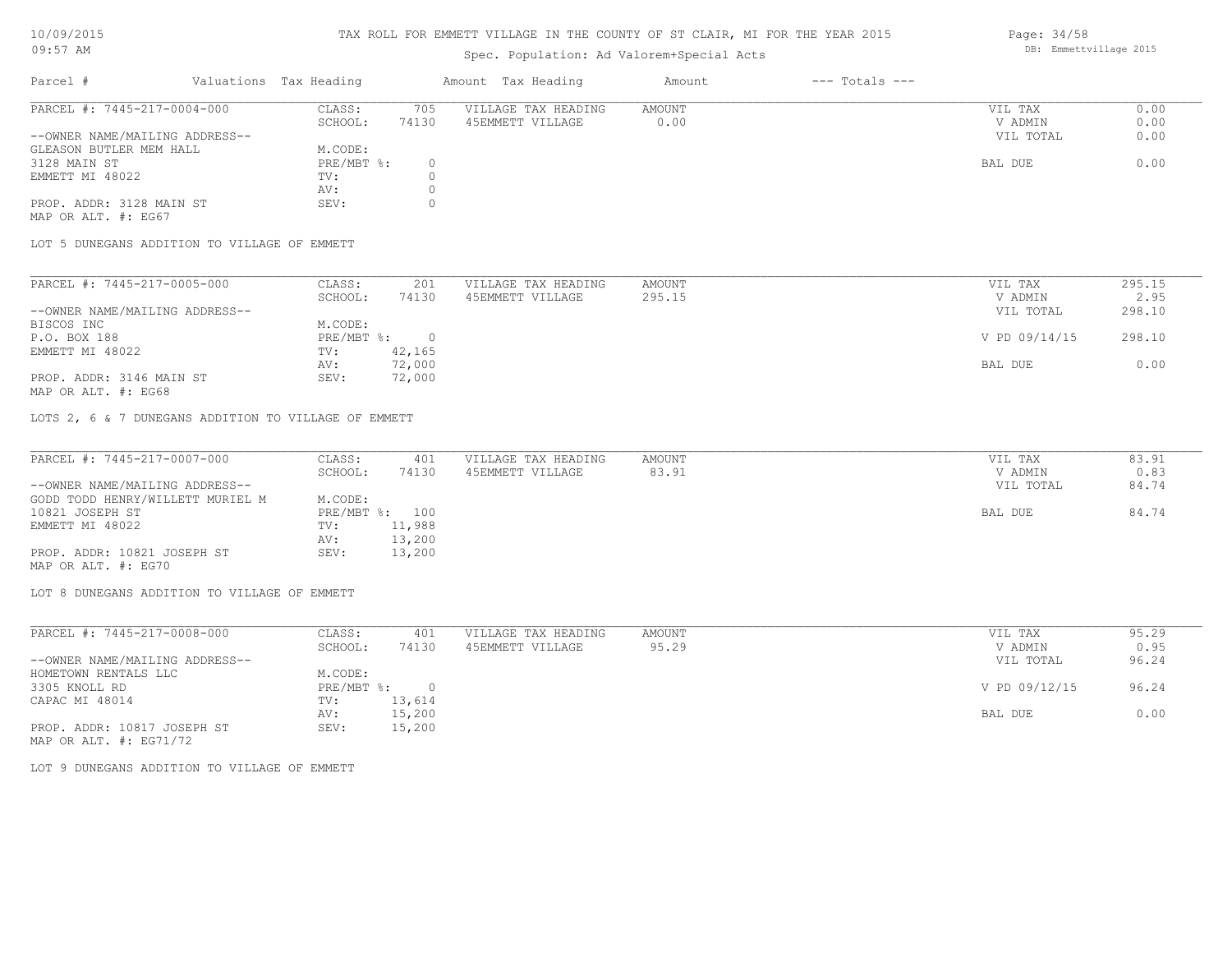#### TAX ROLL FOR EMMETT VILLAGE IN THE COUNTY OF ST CLAIR, MI FOR THE YEAR 2015

# Spec. Population: Ad Valorem+Special Acts

| Parcel #                       | Valuations Tax Heading |       | Amount Tax Heading  | Amount | $---$ Totals $---$ |           |      |
|--------------------------------|------------------------|-------|---------------------|--------|--------------------|-----------|------|
| PARCEL #: 7445-217-0004-000    | CLASS:                 | 705   | VILLAGE TAX HEADING | AMOUNT |                    | VIL TAX   | 0.00 |
|                                | SCHOOL:                | 74130 | 45EMMETT VILLAGE    | 0.00   |                    | V ADMIN   | 0.00 |
| --OWNER NAME/MAILING ADDRESS-- |                        |       |                     |        |                    | VIL TOTAL | 0.00 |
| GLEASON BUTLER MEM HALL        | M.CODE:                |       |                     |        |                    |           |      |
| 3128 MAIN ST                   | PRE/MBT %:             |       |                     |        |                    | BAL DUE   | 0.00 |
| EMMETT MI 48022                | TV:                    |       |                     |        |                    |           |      |
|                                | AV:                    |       |                     |        |                    |           |      |
| PROP. ADDR: 3128 MAIN ST       | SEV:                   |       |                     |        |                    |           |      |

MAP OR ALT. #: EG67

LOT 5 DUNEGANS ADDITION TO VILLAGE OF EMMETT

| PARCEL #: 7445-217-0005-000    | CLASS:     | 201    | VILLAGE TAX HEADING | AMOUNT | VIL TAX       | 295.15 |
|--------------------------------|------------|--------|---------------------|--------|---------------|--------|
|                                | SCHOOL:    | 74130  | 45EMMETT VILLAGE    | 295.15 | V ADMIN       | 2.95   |
| --OWNER NAME/MAILING ADDRESS-- |            |        |                     |        | VIL TOTAL     | 298.10 |
| BISCOS INC                     | M.CODE:    |        |                     |        |               |        |
| P.O. BOX 188                   | PRE/MBT %: |        |                     |        | V PD 09/14/15 | 298.10 |
| EMMETT MI 48022                | TV:        | 42,165 |                     |        |               |        |
|                                | AV:        | 72,000 |                     |        | BAL DUE       | 0.00   |
| PROP. ADDR: 3146 MAIN ST       | SEV:       | 72,000 |                     |        |               |        |

MAP OR ALT. #: EG68

LOTS 2, 6 & 7 DUNEGANS ADDITION TO VILLAGE OF EMMETT

| PARCEL #: 7445-217-0007-000      | CLASS:  | 401            | VILLAGE TAX HEADING | AMOUNT | VIL TAX   | 83.91 |
|----------------------------------|---------|----------------|---------------------|--------|-----------|-------|
|                                  | SCHOOL: | 74130          | 45EMMETT VILLAGE    | 83.91  | V ADMIN   | 0.83  |
| --OWNER NAME/MAILING ADDRESS--   |         |                |                     |        | VIL TOTAL | 84.74 |
| GODD TODD HENRY/WILLETT MURIEL M | M.CODE: |                |                     |        |           |       |
| 10821 JOSEPH ST                  |         | PRE/MBT %: 100 |                     |        | BAL DUE   | 84.74 |
| EMMETT MI 48022                  | TV:     | 11,988         |                     |        |           |       |
|                                  | AV:     | 13,200         |                     |        |           |       |
| PROP. ADDR: 10821 JOSEPH ST      | SEV:    | 13,200         |                     |        |           |       |
| MAP OR ALT. #: EG70              |         |                |                     |        |           |       |

LOT 8 DUNEGANS ADDITION TO VILLAGE OF EMMETT

| PARCEL #: 7445-217-0008-000                                                                                                                                                                                                                                                                                                                  | CLASS:     | 401    | VILLAGE TAX HEADING | AMOUNT |         | VIL TAX       | 95.29 |
|----------------------------------------------------------------------------------------------------------------------------------------------------------------------------------------------------------------------------------------------------------------------------------------------------------------------------------------------|------------|--------|---------------------|--------|---------|---------------|-------|
|                                                                                                                                                                                                                                                                                                                                              | SCHOOL:    | 74130  | 45EMMETT VILLAGE    | 95.29  |         | V ADMIN       | 0.95  |
| --OWNER NAME/MAILING ADDRESS--                                                                                                                                                                                                                                                                                                               |            |        |                     |        |         | VIL TOTAL     | 96.24 |
| HOMETOWN RENTALS LLC                                                                                                                                                                                                                                                                                                                         | M.CODE:    |        |                     |        |         |               |       |
| 3305 KNOLL RD                                                                                                                                                                                                                                                                                                                                | PRE/MBT %: | $\cap$ |                     |        |         | V PD 09/12/15 | 96.24 |
| CAPAC MI 48014                                                                                                                                                                                                                                                                                                                               | TV:        | 13,614 |                     |        |         |               |       |
|                                                                                                                                                                                                                                                                                                                                              | AV:        | 15,200 |                     |        | BAL DUE |               | 0.00  |
| PROP. ADDR: 10817 JOSEPH ST                                                                                                                                                                                                                                                                                                                  | SEV:       | 15,200 |                     |        |         |               |       |
| $\cdots$ $\cdots$ $\cdots$ $\cdots$ $\cdots$ $\cdots$ $\cdots$ $\cdots$ $\cdots$ $\cdots$ $\cdots$ $\cdots$ $\cdots$ $\cdots$ $\cdots$ $\cdots$ $\cdots$ $\cdots$ $\cdots$ $\cdots$ $\cdots$ $\cdots$ $\cdots$ $\cdots$ $\cdots$ $\cdots$ $\cdots$ $\cdots$ $\cdots$ $\cdots$ $\cdots$ $\cdots$ $\cdots$ $\cdots$ $\cdots$ $\cdots$ $\cdots$ |            |        |                     |        |         |               |       |

MAP OR ALT. #: EG71/72

LOT 9 DUNEGANS ADDITION TO VILLAGE OF EMMETT

Page: 34/58 DB: Emmettvillage 2015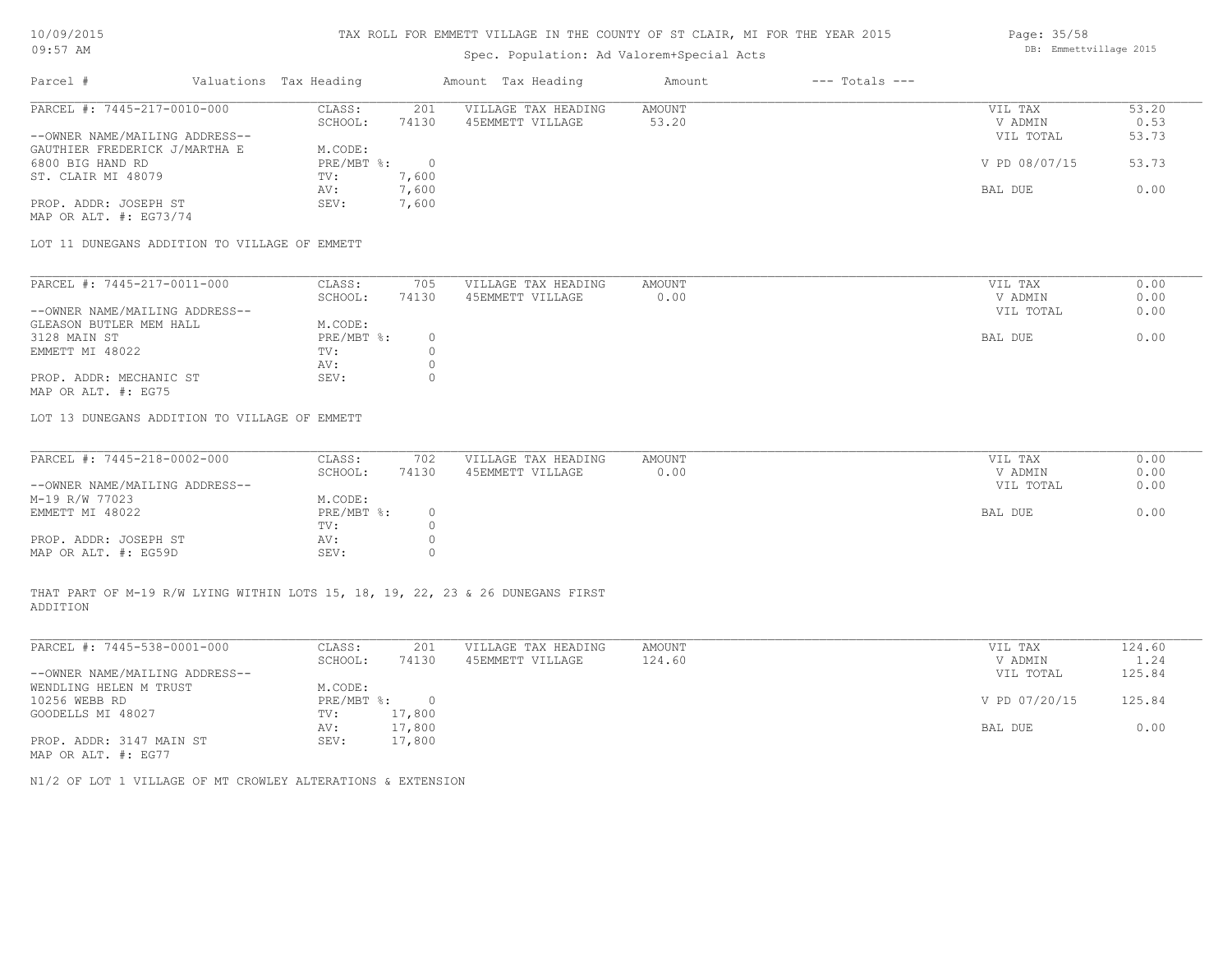# Spec. Population: Ad Valorem+Special Acts

| Parcel #                       | Valuations Tax Heading |       | Amount Tax Heading  | Amount | $---$ Totals $---$ |               |       |
|--------------------------------|------------------------|-------|---------------------|--------|--------------------|---------------|-------|
| PARCEL #: 7445-217-0010-000    | CLASS:                 | 201   | VILLAGE TAX HEADING | AMOUNT |                    | VIL TAX       | 53.20 |
|                                | SCHOOL:                | 74130 | 45EMMETT VILLAGE    | 53.20  |                    | V ADMIN       | 0.53  |
| --OWNER NAME/MAILING ADDRESS-- |                        |       |                     |        |                    | VIL TOTAL     | 53.73 |
| GAUTHIER FREDERICK J/MARTHA E  | M.CODE:                |       |                     |        |                    |               |       |
| 6800 BIG HAND RD               | PRE/MBT %:             |       |                     |        |                    | V PD 08/07/15 | 53.73 |
| ST. CLAIR MI 48079             | TV:                    | 7,600 |                     |        |                    |               |       |
|                                | AV:                    | 7,600 |                     |        |                    | BAL DUE       | 0.00  |
| PROP. ADDR: JOSEPH ST          | SEV:                   | 7,600 |                     |        |                    |               |       |

MAP OR ALT. #: EG73/74

LOT 11 DUNEGANS ADDITION TO VILLAGE OF EMMETT

| PARCEL #: 7445-217-0011-000    | CLASS:     | 705   | VILLAGE TAX HEADING | AMOUNT | VIL TAX   | 0.00 |
|--------------------------------|------------|-------|---------------------|--------|-----------|------|
|                                | SCHOOL:    | 74130 | 45EMMETT VILLAGE    | 0.00   | V ADMIN   | 0.00 |
| --OWNER NAME/MAILING ADDRESS-- |            |       |                     |        | VIL TOTAL | 0.00 |
| GLEASON BUTLER MEM HALL        | M.CODE:    |       |                     |        |           |      |
| 3128 MAIN ST                   | PRE/MBT %: |       |                     |        | BAL DUE   | 0.00 |
| EMMETT MI 48022                | TV:        |       |                     |        |           |      |
|                                | AV:        |       |                     |        |           |      |
| PROP. ADDR: MECHANIC ST        | SEV:       |       |                     |        |           |      |
| MAP OR ALT. #: EG75            |            |       |                     |        |           |      |

LOT 13 DUNEGANS ADDITION TO VILLAGE OF EMMETT

| PARCEL #: 7445-218-0002-000    | CLASS:       | 702   | VILLAGE TAX HEADING | AMOUNT | VIL TAX   | 0.00 |
|--------------------------------|--------------|-------|---------------------|--------|-----------|------|
|                                | SCHOOL:      | 74130 | 45EMMETT VILLAGE    | 0.00   | V ADMIN   | 0.00 |
| --OWNER NAME/MAILING ADDRESS-- |              |       |                     |        | VIL TOTAL | 0.00 |
| M-19 R/W 77023                 | M.CODE:      |       |                     |        |           |      |
| EMMETT MI 48022                | $PRE/MBT$ %: |       |                     |        | BAL DUE   | 0.00 |
|                                | TV:          |       |                     |        |           |      |
| PROP. ADDR: JOSEPH ST          | AV:          |       |                     |        |           |      |
| MAP OR ALT. #: EG59D           | SEV:         |       |                     |        |           |      |

ADDITION THAT PART OF M-19 R/W LYING WITHIN LOTS 15, 18, 19, 22, 23 & 26 DUNEGANS FIRST

| PARCEL #: 7445-538-0001-000    | CLASS:     | 201    | VILLAGE TAX HEADING | AMOUNT | VIL TAX       | 124.60 |
|--------------------------------|------------|--------|---------------------|--------|---------------|--------|
|                                | SCHOOL:    | 74130  | 45EMMETT VILLAGE    | 124.60 | V ADMIN       | 1.24   |
| --OWNER NAME/MAILING ADDRESS-- |            |        |                     |        | VIL TOTAL     | 125.84 |
| WENDLING HELEN M TRUST         | M.CODE:    |        |                     |        |               |        |
| 10256 WEBB RD                  | PRE/MBT %: | $\Box$ |                     |        | V PD 07/20/15 | 125.84 |
| GOODELLS MI 48027              | TV:        | 17,800 |                     |        |               |        |
|                                | AV:        | 17,800 |                     |        | BAL DUE       | 0.00   |
| PROP. ADDR: 3147 MAIN ST       | SEV:       | 17,800 |                     |        |               |        |
| MAP OR ALT. #: EG77            |            |        |                     |        |               |        |

 $\mathcal{L}_\mathcal{L} = \mathcal{L}_\mathcal{L} = \mathcal{L}_\mathcal{L} = \mathcal{L}_\mathcal{L} = \mathcal{L}_\mathcal{L} = \mathcal{L}_\mathcal{L} = \mathcal{L}_\mathcal{L} = \mathcal{L}_\mathcal{L} = \mathcal{L}_\mathcal{L} = \mathcal{L}_\mathcal{L} = \mathcal{L}_\mathcal{L} = \mathcal{L}_\mathcal{L} = \mathcal{L}_\mathcal{L} = \mathcal{L}_\mathcal{L} = \mathcal{L}_\mathcal{L} = \mathcal{L}_\mathcal{L} = \mathcal{L}_\mathcal{L}$ 

N1/2 OF LOT 1 VILLAGE OF MT CROWLEY ALTERATIONS & EXTENSION

Page: 35/58 DB: Emmettvillage 2015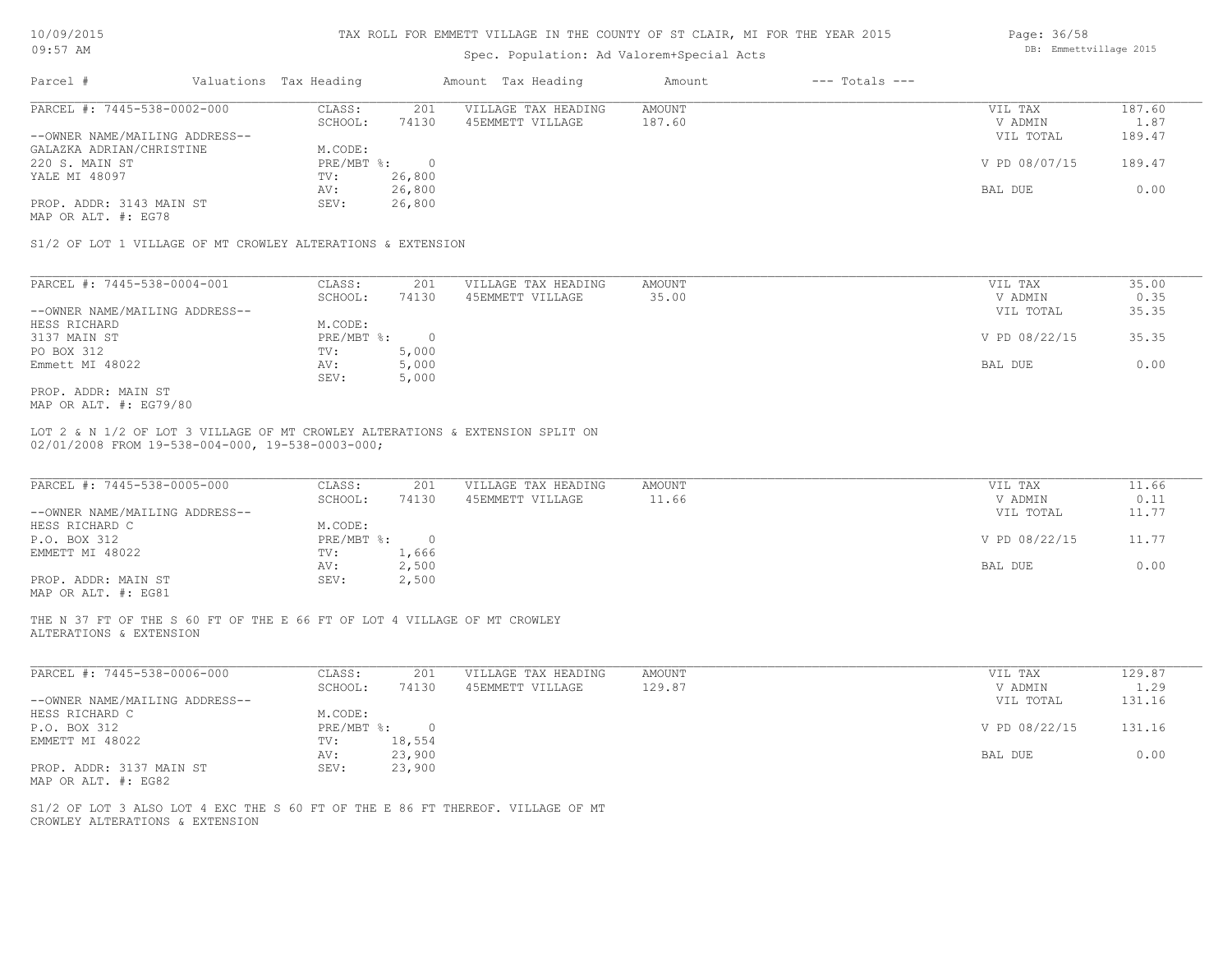| 10/09/2015 |  |
|------------|--|
|            |  |

### Spec. Population: Ad Valorem+Special Acts

| PARCEL #: 7445-538-0002-000                                 | CLASS:     | 201        | VILLAGE TAX HEADING | AMOUNT | VIL TAX       | 187.60 |
|-------------------------------------------------------------|------------|------------|---------------------|--------|---------------|--------|
|                                                             | SCHOOL:    | 74130      | 45EMMETT VILLAGE    | 187.60 | V ADMIN       | 1.87   |
| --OWNER NAME/MAILING ADDRESS--                              |            |            |                     |        | VIL TOTAL     | 189.47 |
| GALAZKA ADRIAN/CHRISTINE                                    | M.CODE:    |            |                     |        |               |        |
| 220 S. MAIN ST                                              | PRE/MBT %: | $\bigcirc$ |                     |        | V PD 08/07/15 | 189.47 |
| YALE MI 48097                                               | TV:        | 26,800     |                     |        |               |        |
|                                                             | AV:        | 26,800     |                     |        | BAL DUE       | 0.00   |
| PROP. ADDR: 3143 MAIN ST                                    | SEV:       | 26,800     |                     |        |               |        |
| MAP OR ALT. #: EG78                                         |            |            |                     |        |               |        |
|                                                             |            |            |                     |        |               |        |
| S1/2 OF LOT 1 VILLAGE OF MT CROWLEY ALTERATIONS & EXTENSION |            |            |                     |        |               |        |

| PARCEL #: 7445-538-0004-001    | CLASS:     | 201   | VILLAGE TAX HEADING | AMOUNT |         | VIL TAX       | 35.00 |
|--------------------------------|------------|-------|---------------------|--------|---------|---------------|-------|
|                                | SCHOOL:    | 74130 | 45EMMETT VILLAGE    | 35.00  |         | V ADMIN       | 0.35  |
| --OWNER NAME/MAILING ADDRESS-- |            |       |                     |        |         | VIL TOTAL     | 35.35 |
| HESS RICHARD                   | M.CODE:    |       |                     |        |         |               |       |
| 3137 MAIN ST                   | PRE/MBT %: |       |                     |        |         | V PD 08/22/15 | 35.35 |
| PO BOX 312                     | TV:        | 5,000 |                     |        |         |               |       |
| Emmett MI 48022                | AV:        | 5,000 |                     |        | BAL DUE |               | 0.00  |
|                                | SEV:       | 5,000 |                     |        |         |               |       |
| PROP. ADDR: MAIN ST            |            |       |                     |        |         |               |       |

MAP OR ALT. #: EG79/80

02/01/2008 FROM 19-538-004-000, 19-538-0003-000; LOT 2 & N 1/2 OF LOT 3 VILLAGE OF MT CROWLEY ALTERATIONS & EXTENSION SPLIT ON

| PARCEL #: 7445-538-0005-000    | CLASS:     | 201   | VILLAGE TAX HEADING | AMOUNT | VIL TAX       | 11.66 |
|--------------------------------|------------|-------|---------------------|--------|---------------|-------|
|                                | SCHOOL:    | 74130 | 45EMMETT VILLAGE    | 11.66  | V ADMIN       | 0.11  |
| --OWNER NAME/MAILING ADDRESS-- |            |       |                     |        | VIL TOTAL     | 11.77 |
| HESS RICHARD C                 | M.CODE:    |       |                     |        |               |       |
| P.O. BOX 312                   | PRE/MBT %: |       |                     |        | V PD 08/22/15 | 11.77 |
| EMMETT MI 48022                | TV:        | 1,666 |                     |        |               |       |
|                                | AV:        | 2,500 |                     |        | BAL DUE       | 0.00  |
| PROP. ADDR: MAIN ST            | SEV:       | 2,500 |                     |        |               |       |
|                                |            |       |                     |        |               |       |

MAP OR ALT. #: EG81

ALTERATIONS & EXTENSION THE N 37 FT OF THE S 60 FT OF THE E 66 FT OF LOT 4 VILLAGE OF MT CROWLEY

| PARCEL #: 7445-538-0006-000    | CLASS:     | 201    | VILLAGE TAX HEADING | AMOUNT | VIL TAX       | 129.87 |
|--------------------------------|------------|--------|---------------------|--------|---------------|--------|
|                                | SCHOOL:    | 74130  | 45EMMETT VILLAGE    | 129.87 | V ADMIN       | 1.29   |
| --OWNER NAME/MAILING ADDRESS-- |            |        |                     |        | VIL TOTAL     | 131.16 |
| HESS RICHARD C                 | M.CODE:    |        |                     |        |               |        |
| P.O. BOX 312                   | PRE/MBT %: |        |                     |        | V PD 08/22/15 | 131.16 |
| EMMETT MI 48022                | TV:        | 18,554 |                     |        |               |        |
|                                | AV:        | 23,900 |                     |        | BAL DUE       | 0.00   |
| PROP. ADDR: 3137 MAIN ST       | SEV:       | 23,900 |                     |        |               |        |
| MAP OR ALT. #: EG82            |            |        |                     |        |               |        |

 $\mathcal{L}_\mathcal{L} = \mathcal{L}_\mathcal{L} = \mathcal{L}_\mathcal{L} = \mathcal{L}_\mathcal{L} = \mathcal{L}_\mathcal{L} = \mathcal{L}_\mathcal{L} = \mathcal{L}_\mathcal{L} = \mathcal{L}_\mathcal{L} = \mathcal{L}_\mathcal{L} = \mathcal{L}_\mathcal{L} = \mathcal{L}_\mathcal{L} = \mathcal{L}_\mathcal{L} = \mathcal{L}_\mathcal{L} = \mathcal{L}_\mathcal{L} = \mathcal{L}_\mathcal{L} = \mathcal{L}_\mathcal{L} = \mathcal{L}_\mathcal{L}$ 

CROWLEY ALTERATIONS & EXTENSION S1/2 OF LOT 3 ALSO LOT 4 EXC THE S 60 FT OF THE E 86 FT THEREOF. VILLAGE OF MT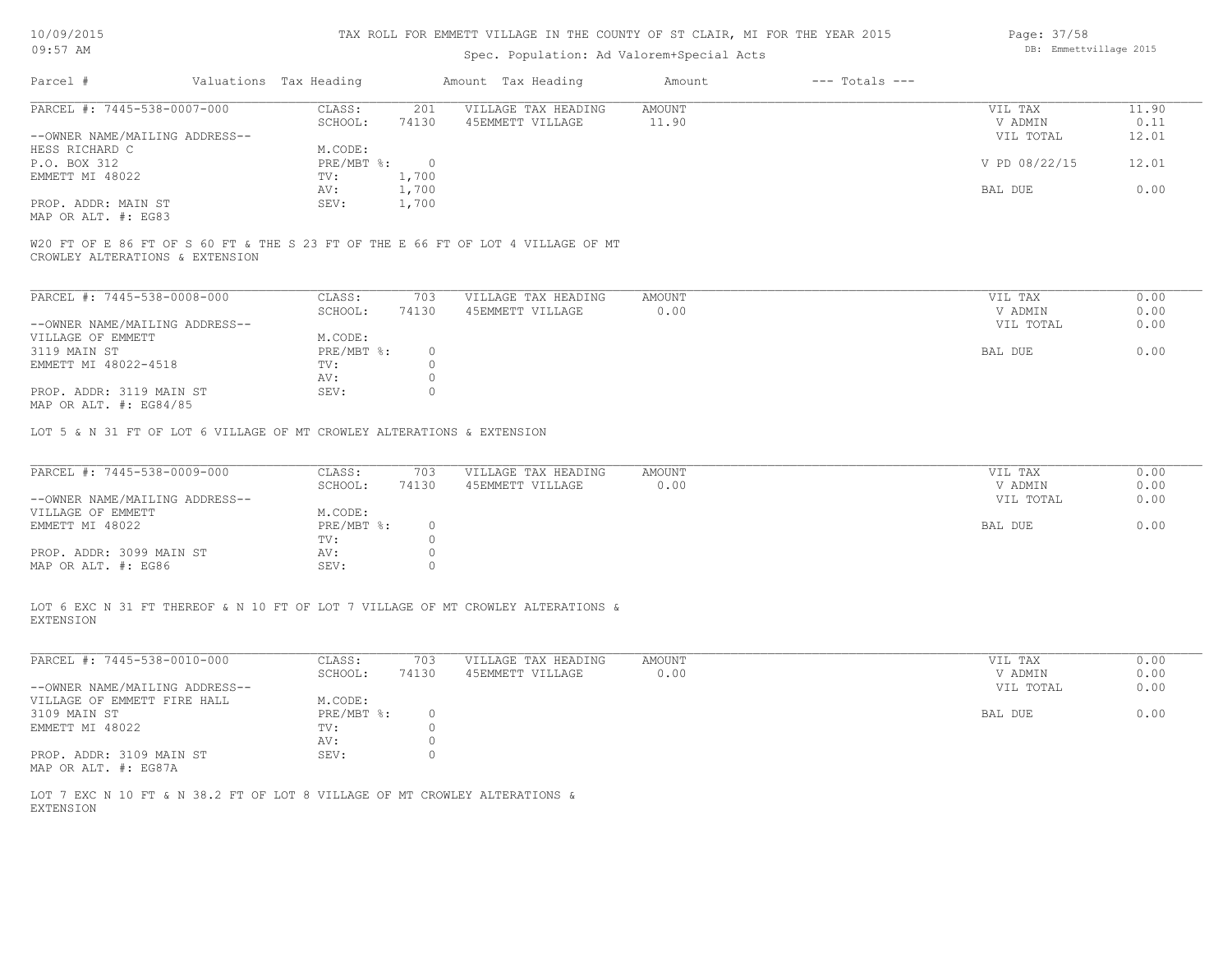| 10/09/2015 |  |
|------------|--|
|            |  |

# Spec. Population: Ad Valorem+Special Acts

| Parcel #                       | Valuations Tax Heading |       | Amount Tax Heading  | Amount | $---$ Totals $---$ |               |       |
|--------------------------------|------------------------|-------|---------------------|--------|--------------------|---------------|-------|
| PARCEL #: 7445-538-0007-000    | CLASS:                 | 201   | VILLAGE TAX HEADING | AMOUNT |                    | VIL TAX       | 11.90 |
|                                | SCHOOL:                | 74130 | 45EMMETT VILLAGE    | 11.90  |                    | V ADMIN       | 0.11  |
| --OWNER NAME/MAILING ADDRESS-- |                        |       |                     |        |                    | VIL TOTAL     | 12.01 |
| HESS RICHARD C                 | M.CODE:                |       |                     |        |                    |               |       |
| P.O. BOX 312                   | $PRE/MBT$ %:           | - 0   |                     |        |                    | V PD 08/22/15 | 12.01 |
| EMMETT MI 48022                | TV:                    | 1,700 |                     |        |                    |               |       |
|                                | AV:                    | 1,700 |                     |        |                    | BAL DUE       | 0.00  |
| PROP. ADDR: MAIN ST            | SEV:                   | 1,700 |                     |        |                    |               |       |
| MAP OR ALT. #: EG83            |                        |       |                     |        |                    |               |       |

CROWLEY ALTERATIONS & EXTENSION W20 FT OF E 86 FT OF S 60 FT & THE S 23 FT OF THE E 66 FT OF LOT 4 VILLAGE OF MT

| PARCEL #: 7445-538-0008-000    | CLASS:     | 703   | VILLAGE TAX HEADING | AMOUNT | 0.00<br>VIL TAX   |  |
|--------------------------------|------------|-------|---------------------|--------|-------------------|--|
|                                | SCHOOL:    | 74130 | 45EMMETT VILLAGE    | 0.00   | 0.00<br>V ADMIN   |  |
| --OWNER NAME/MAILING ADDRESS-- |            |       |                     |        | 0.00<br>VIL TOTAL |  |
| VILLAGE OF EMMETT              | M.CODE:    |       |                     |        |                   |  |
| 3119 MAIN ST                   | PRE/MBT %: |       |                     |        | 0.00<br>BAL DUE   |  |
| EMMETT MI 48022-4518           | TV:        |       |                     |        |                   |  |
|                                | AV:        |       |                     |        |                   |  |
| PROP. ADDR: 3119 MAIN ST       | SEV:       |       |                     |        |                   |  |
| MAP OR ALT. $\#$ : EG84/85     |            |       |                     |        |                   |  |

LOT 5 & N 31 FT OF LOT 6 VILLAGE OF MT CROWLEY ALTERATIONS & EXTENSION

| PARCEL #: 7445-538-0009-000    | CLASS:       | 703   | VILLAGE TAX HEADING | AMOUNT | VIL TAX   | 0.00 |
|--------------------------------|--------------|-------|---------------------|--------|-----------|------|
|                                | SCHOOL:      | 74130 | 45EMMETT VILLAGE    | 0.00   | V ADMIN   | 0.00 |
| --OWNER NAME/MAILING ADDRESS-- |              |       |                     |        | VIL TOTAL | 0.00 |
| VILLAGE OF EMMETT              | M.CODE:      |       |                     |        |           |      |
| EMMETT MI 48022                | $PRE/MBT$ %: |       |                     |        | BAL DUE   | 0.00 |
|                                | TV:          |       |                     |        |           |      |
| PROP. ADDR: 3099 MAIN ST       | AV:          |       |                     |        |           |      |
| MAP OR ALT. #: EG86            | SEV:         |       |                     |        |           |      |

EXTENSION LOT 6 EXC N 31 FT THEREOF & N 10 FT OF LOT 7 VILLAGE OF MT CROWLEY ALTERATIONS &

| PARCEL #: 7445-538-0010-000    | CLASS:     | 703   | VILLAGE TAX HEADING | AMOUNT | VIL TAX   | 0.00 |
|--------------------------------|------------|-------|---------------------|--------|-----------|------|
|                                | SCHOOL:    | 74130 | 45EMMETT VILLAGE    | 0.00   | V ADMIN   | 0.00 |
| --OWNER NAME/MAILING ADDRESS-- |            |       |                     |        | VIL TOTAL | 0.00 |
| VILLAGE OF EMMETT FIRE HALL    | M.CODE:    |       |                     |        |           |      |
| 3109 MAIN ST                   | PRE/MBT %: |       |                     |        | BAL DUE   | 0.00 |
| EMMETT MI 48022                | TV:        |       |                     |        |           |      |
|                                | AV:        |       |                     |        |           |      |
| PROP. ADDR: 3109 MAIN ST       | SEV:       |       |                     |        |           |      |
| MAP OR ALT. #: EG87A           |            |       |                     |        |           |      |

EXTENSION LOT 7 EXC N 10 FT & N 38.2 FT OF LOT 8 VILLAGE OF MT CROWLEY ALTERATIONS & Page: 37/58 DB: Emmettvillage 2015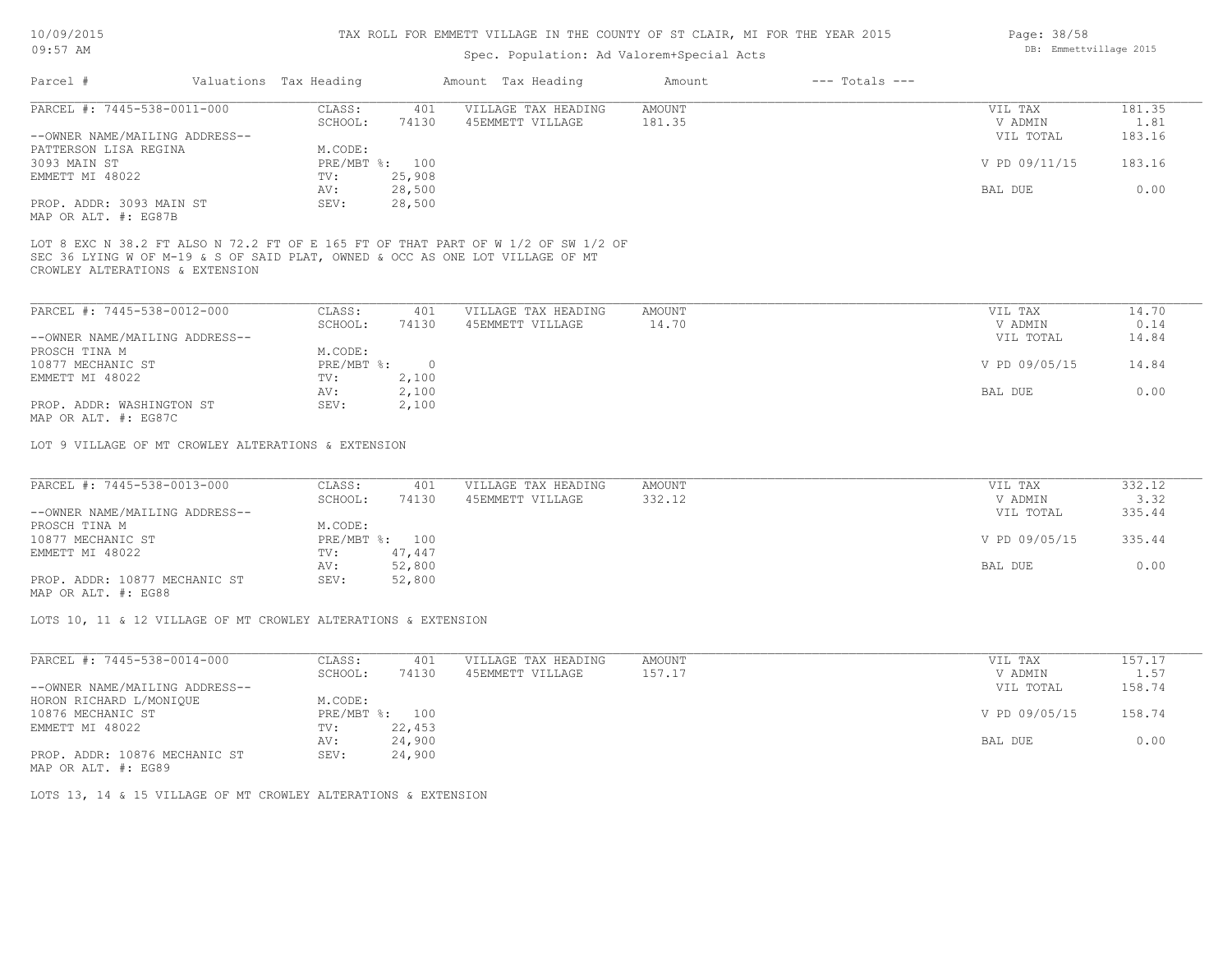## Spec. Population: Ad Valorem+Special Acts

| Amount | Amount Tax Heading  |        |                | Valuations Tax Heading | Parcel #                       |
|--------|---------------------|--------|----------------|------------------------|--------------------------------|
| AMOUNT | VILLAGE TAX HEADING | 401    | CLASS:         |                        | PARCEL #: 7445-538-0011-000    |
| 181.35 | 45EMMETT VILLAGE    | 74130  | SCHOOL:        |                        |                                |
|        |                     |        |                |                        | --OWNER NAME/MAILING ADDRESS-- |
|        |                     |        | M.CODE:        |                        | PATTERSON LISA REGINA          |
|        |                     |        | PRE/MBT %: 100 |                        | 3093 MAIN ST                   |
|        |                     | 25,908 | TV:            |                        | EMMETT MI 48022                |
|        |                     | 28,500 | AV:            |                        |                                |
|        |                     | 28,500 | SEV:           |                        | PROP. ADDR: 3093 MAIN ST       |
|        |                     |        |                |                        |                                |

MAP OR ALT. #: EG87B

CROWLEY ALTERATIONS & EXTENSION SEC 36 LYING W OF M-19 & S OF SAID PLAT, OWNED & OCC AS ONE LOT VILLAGE OF MT LOT 8 EXC N 38.2 FT ALSO N 72.2 FT OF E 165 FT OF THAT PART OF W 1/2 OF SW 1/2 OF

| PARCEL #: 7445-538-0012-000    | CLASS:     | 401   | VILLAGE TAX HEADING | AMOUNT | VIL TAX       | 14.70 |
|--------------------------------|------------|-------|---------------------|--------|---------------|-------|
|                                | SCHOOL:    | 74130 | 45EMMETT VILLAGE    | 14.70  | V ADMIN       | 0.14  |
| --OWNER NAME/MAILING ADDRESS-- |            |       |                     |        | VIL TOTAL     | 14.84 |
| PROSCH TINA M                  | M.CODE:    |       |                     |        |               |       |
| 10877 MECHANIC ST              | PRE/MBT %: |       |                     |        | V PD 09/05/15 | 14.84 |
| EMMETT MI 48022                | TV:        | 2,100 |                     |        |               |       |
|                                | AV:        | 2,100 |                     |        | BAL DUE       | 0.00  |
| PROP. ADDR: WASHINGTON ST      | SEV:       | 2,100 |                     |        |               |       |
| $\cdots$                       |            |       |                     |        |               |       |

MAP OR ALT. #: EG87C

LOT 9 VILLAGE OF MT CROWLEY ALTERATIONS & EXTENSION

| PARCEL #: 7445-538-0013-000    | CLASS:  | 401            | VILLAGE TAX HEADING | AMOUNT | VIL TAX       | 332.12 |
|--------------------------------|---------|----------------|---------------------|--------|---------------|--------|
|                                | SCHOOL: | 74130          | 45EMMETT VILLAGE    | 332.12 | V ADMIN       | 3.32   |
| --OWNER NAME/MAILING ADDRESS-- |         |                |                     |        | VIL TOTAL     | 335.44 |
| PROSCH TINA M                  | M.CODE: |                |                     |        |               |        |
| 10877 MECHANIC ST              |         | PRE/MBT %: 100 |                     |        | V PD 09/05/15 | 335.44 |
| EMMETT MI 48022                | TV:     | 47,447         |                     |        |               |        |
|                                | AV:     | 52,800         |                     |        | BAL DUE       | 0.00   |
| PROP. ADDR: 10877 MECHANIC ST  | SEV:    | 52,800         |                     |        |               |        |

MAP OR ALT. #: EG88

LOTS 10, 11 & 12 VILLAGE OF MT CROWLEY ALTERATIONS & EXTENSION

| PARCEL #: 7445-538-0014-000    | CLASS:     | 401    | VILLAGE TAX HEADING | AMOUNT | VIL TAX       | 157.17 |
|--------------------------------|------------|--------|---------------------|--------|---------------|--------|
|                                | SCHOOL:    | 74130  | 45EMMETT VILLAGE    | 157.17 | V ADMIN       | 1.57   |
| --OWNER NAME/MAILING ADDRESS-- |            |        |                     |        | VIL TOTAL     | 158.74 |
| HORON RICHARD L/MONIQUE        | M.CODE:    |        |                     |        |               |        |
| 10876 MECHANIC ST              | PRE/MBT %: | 100    |                     |        | V PD 09/05/15 | 158.74 |
| EMMETT MI 48022                | TV:        | 22,453 |                     |        |               |        |
|                                | AV:        | 24,900 |                     |        | BAL DUE       | 0.00   |
| PROP. ADDR: 10876 MECHANIC ST  | SEV:       | 24,900 |                     |        |               |        |
|                                |            |        |                     |        |               |        |

MAP OR ALT. #: EG89

LOTS 13, 14 & 15 VILLAGE OF MT CROWLEY ALTERATIONS & EXTENSION

Page: 38/58 DB: Emmettvillage 2015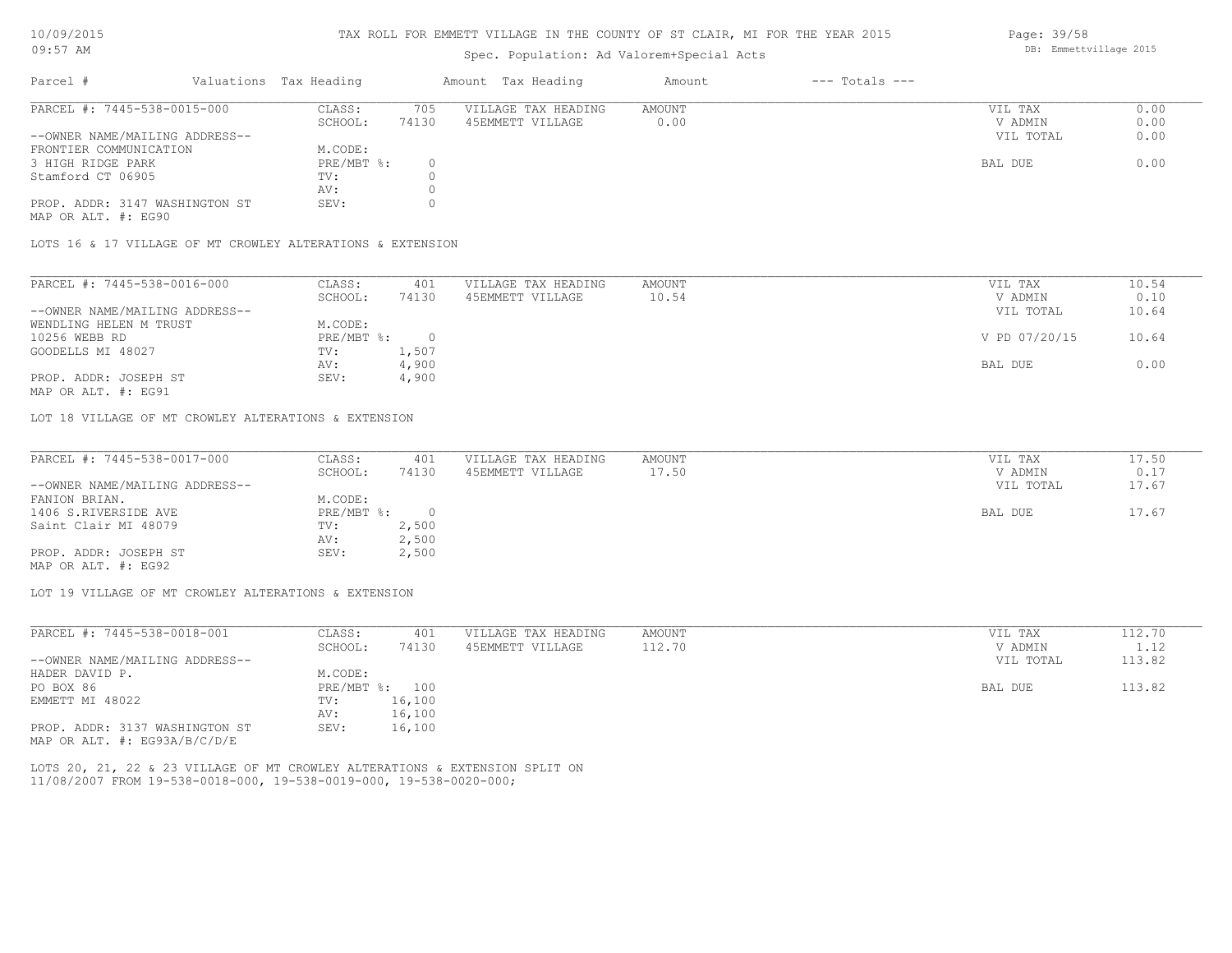#### TAX ROLL FOR EMMETT VILLAGE IN THE COUNTY OF ST CLAIR, MI FOR THE YEAR 2015

# Spec. Population: Ad Valorem+Special Acts

| Parcel #                       |         | Valuations Tax Heading |                  | Amount Tax Heading  | Amount | $---$ Totals $---$ |           |      |
|--------------------------------|---------|------------------------|------------------|---------------------|--------|--------------------|-----------|------|
| PARCEL #: 7445-538-0015-000    |         | CLASS:                 | 705              | VILLAGE TAX HEADING | AMOUNT |                    | VIL TAX   | 0.00 |
|                                | SCHOOL: | 74130                  | 45EMMETT VILLAGE | 0.00                |        | V ADMIN            | 0.00      |      |
| --OWNER NAME/MAILING ADDRESS-- |         |                        |                  |                     |        |                    | VIL TOTAL | 0.00 |
| FRONTIER COMMUNICATION         |         | M.CODE:                |                  |                     |        |                    |           |      |
| 3 HIGH RIDGE PARK              |         | $PRE/MBT$ %:           |                  |                     |        |                    | BAL DUE   | 0.00 |
| Stamford CT 06905              |         | TV:                    |                  |                     |        |                    |           |      |
|                                |         | AV:                    |                  |                     |        |                    |           |      |
| PROP. ADDR: 3147 WASHINGTON ST |         | SEV:                   |                  |                     |        |                    |           |      |
|                                |         |                        |                  |                     |        |                    |           |      |

MAP OR ALT. #: EG90

LOTS 16 & 17 VILLAGE OF MT CROWLEY ALTERATIONS & EXTENSION

| PARCEL #: 7445-538-0016-000    | CLASS:     | 401   | VILLAGE TAX HEADING | AMOUNT | VIL TAX       | 10.54 |
|--------------------------------|------------|-------|---------------------|--------|---------------|-------|
|                                | SCHOOL:    | 74130 | 45EMMETT VILLAGE    | 10.54  | V ADMIN       | 0.10  |
| --OWNER NAME/MAILING ADDRESS-- |            |       |                     |        | VIL TOTAL     | 10.64 |
| WENDLING HELEN M TRUST         | M.CODE:    |       |                     |        |               |       |
| 10256 WEBB RD                  | PRE/MBT %: |       |                     |        | V PD 07/20/15 | 10.64 |
| GOODELLS MI 48027              | TV:        | 1,507 |                     |        |               |       |
|                                | AV:        | 4,900 |                     |        | BAL DUE       | 0.00  |
| PROP. ADDR: JOSEPH ST          | SEV:       | 4,900 |                     |        |               |       |
|                                |            |       |                     |        |               |       |

MAP OR ALT. #: EG91

LOT 18 VILLAGE OF MT CROWLEY ALTERATIONS & EXTENSION

| PARCEL #: 7445-538-0017-000    | CLASS:     | 401   | VILLAGE TAX HEADING | AMOUNT | VIL TAX   | 17.50 |
|--------------------------------|------------|-------|---------------------|--------|-----------|-------|
|                                | SCHOOL:    | 74130 | 45EMMETT VILLAGE    | 17.50  | V ADMIN   | 0.17  |
| --OWNER NAME/MAILING ADDRESS-- |            |       |                     |        | VIL TOTAL | 17.67 |
| FANION BRIAN.                  | M.CODE:    |       |                     |        |           |       |
| 1406 S.RIVERSIDE AVE           | PRE/MBT %: |       |                     |        | BAL DUE   | 17.67 |
| Saint Clair MI 48079           | TV:        | 2,500 |                     |        |           |       |
|                                | AV:        | 2,500 |                     |        |           |       |
| PROP. ADDR: JOSEPH ST          | SEV:       | 2,500 |                     |        |           |       |
| MAP OR ALT. #: EG92            |            |       |                     |        |           |       |

LOT 19 VILLAGE OF MT CROWLEY ALTERATIONS & EXTENSION

| PARCEL #: 7445-538-0018-001      | CLASS:       | 401    | VILLAGE TAX HEADING | AMOUNT | VIL TAX   | 112.70 |
|----------------------------------|--------------|--------|---------------------|--------|-----------|--------|
|                                  | SCHOOL:      | 74130  | 45EMMETT VILLAGE    | 112.70 | V ADMIN   | 1.12   |
| --OWNER NAME/MAILING ADDRESS--   |              |        |                     |        | VIL TOTAL | 113.82 |
| HADER DAVID P.                   | M.CODE:      |        |                     |        |           |        |
| PO BOX 86                        | $PRE/MBT$ %: | 100    |                     |        | BAL DUE   | 113.82 |
| EMMETT MI 48022                  | TV:          | 16,100 |                     |        |           |        |
|                                  | AV:          | 16,100 |                     |        |           |        |
| PROP. ADDR: 3137 WASHINGTON ST   | SEV:         | 16,100 |                     |        |           |        |
| MAP OR ALT. $\#$ : EG93A/B/C/D/E |              |        |                     |        |           |        |

11/08/2007 FROM 19-538-0018-000, 19-538-0019-000, 19-538-0020-000; LOTS 20, 21, 22 & 23 VILLAGE OF MT CROWLEY ALTERATIONS & EXTENSION SPLIT ON Page: 39/58 DB: Emmettvillage 2015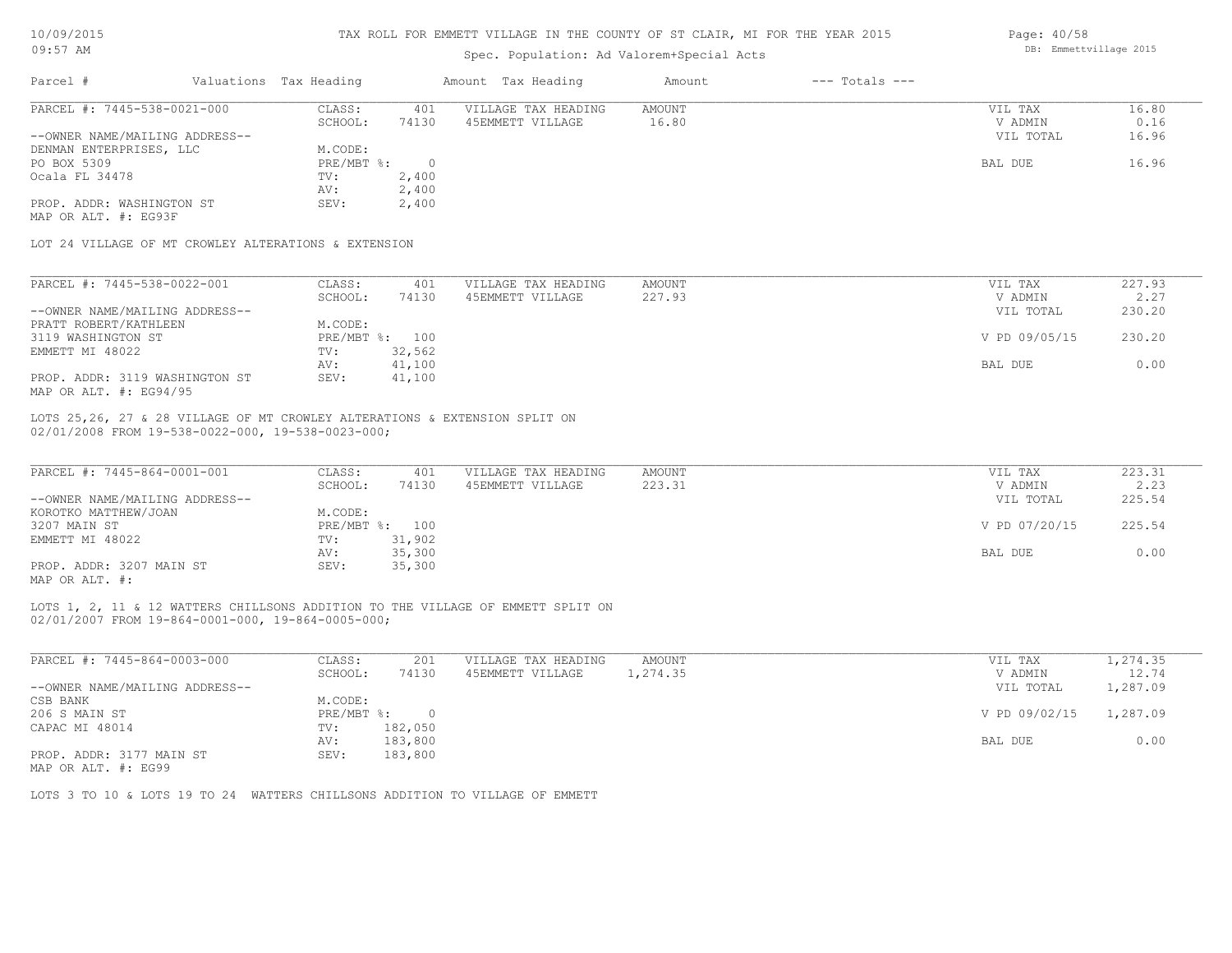| 10/09/2015 |  |
|------------|--|
|            |  |

| Parcel #<br>PARCEL #: 7445-538-0021-000                                                                                         |                                 |                     |        | Spec. Population: Ad Valorem+Special Acts |               |        |
|---------------------------------------------------------------------------------------------------------------------------------|---------------------------------|---------------------|--------|-------------------------------------------|---------------|--------|
|                                                                                                                                 | Valuations Tax Heading          | Amount Tax Heading  | Amount | $---$ Totals $---$                        |               |        |
|                                                                                                                                 | CLASS:<br>401                   | VILLAGE TAX HEADING | AMOUNT |                                           | VIL TAX       | 16.80  |
|                                                                                                                                 | 74130<br>SCHOOL:                | 45EMMETT VILLAGE    | 16.80  |                                           | V ADMIN       | 0.16   |
| --OWNER NAME/MAILING ADDRESS--                                                                                                  |                                 |                     |        |                                           | VIL TOTAL     | 16.96  |
| DENMAN ENTERPRISES, LLC                                                                                                         | M.CODE:                         |                     |        |                                           |               |        |
| PO BOX 5309                                                                                                                     | $PRE/MBT$ %:<br>$\overline{0}$  |                     |        |                                           | BAL DUE       | 16.96  |
| Ocala FL 34478                                                                                                                  | 2,400<br>TV:                    |                     |        |                                           |               |        |
|                                                                                                                                 | 2,400<br>AV:                    |                     |        |                                           |               |        |
| PROP. ADDR: WASHINGTON ST                                                                                                       | SEV:<br>2,400                   |                     |        |                                           |               |        |
| MAP OR ALT. #: EG93F                                                                                                            |                                 |                     |        |                                           |               |        |
|                                                                                                                                 |                                 |                     |        |                                           |               |        |
| LOT 24 VILLAGE OF MT CROWLEY ALTERATIONS & EXTENSION                                                                            |                                 |                     |        |                                           |               |        |
| PARCEL #: 7445-538-0022-001                                                                                                     | CLASS:<br>401                   | VILLAGE TAX HEADING | AMOUNT |                                           | VIL TAX       | 227.93 |
|                                                                                                                                 | SCHOOL:<br>74130                | 45EMMETT VILLAGE    | 227.93 |                                           | V ADMIN       | 2.27   |
| --OWNER NAME/MAILING ADDRESS--                                                                                                  |                                 |                     |        |                                           |               | 230.20 |
|                                                                                                                                 |                                 |                     |        |                                           | VIL TOTAL     |        |
| PRATT ROBERT/KATHLEEN                                                                                                           | M.CODE:                         |                     |        |                                           |               |        |
| 3119 WASHINGTON ST                                                                                                              | PRE/MBT %: 100                  |                     |        |                                           | V PD 09/05/15 | 230.20 |
| EMMETT MI 48022                                                                                                                 | TV:<br>32,562                   |                     |        |                                           |               |        |
|                                                                                                                                 | 41,100<br>AV:                   |                     |        |                                           | BAL DUE       | 0.00   |
| PROP. ADDR: 3119 WASHINGTON ST<br>MAP OR ALT. #: EG94/95                                                                        | 41,100<br>SEV:                  |                     |        |                                           |               |        |
|                                                                                                                                 |                                 |                     |        |                                           |               |        |
|                                                                                                                                 |                                 |                     |        |                                           |               |        |
| LOTS 25,26, 27 & 28 VILLAGE OF MT CROWLEY ALTERATIONS & EXTENSION SPLIT ON<br>02/01/2008 FROM 19-538-0022-000, 19-538-0023-000; |                                 |                     |        |                                           |               |        |
| PARCEL #: 7445-864-0001-001                                                                                                     | 401<br>CLASS:                   | VILLAGE TAX HEADING | AMOUNT |                                           | VIL TAX       | 223.31 |
|                                                                                                                                 | SCHOOL:<br>74130                | 45EMMETT VILLAGE    | 223.31 |                                           | V ADMIN       | 2.23   |
| --OWNER NAME/MAILING ADDRESS--                                                                                                  |                                 |                     |        |                                           | VIL TOTAL     | 225.54 |
|                                                                                                                                 | M.CODE:                         |                     |        |                                           |               |        |
| KOROTKO MATTHEW/JOAN<br>3207 MAIN ST                                                                                            | PRE/MBT %: 100                  |                     |        |                                           | V PD 07/20/15 | 225.54 |
| EMMETT MI 48022                                                                                                                 | 31,902<br>TV:                   |                     |        |                                           |               |        |
| PROP. ADDR: 3207 MAIN ST                                                                                                        | 35,300<br>AV:<br>35,300<br>SEV: |                     |        |                                           | BAL DUE       | 0.00   |

AV: 183,800 BAL DUE 0.00

MAP OR ALT. #: EG99 PROP. ADDR: 3177 MAIN ST SEV: 183,800

LOTS 3 TO 10 & LOTS 19 TO 24 WATTERS CHILLSONS ADDITION TO VILLAGE OF EMMETT

Page: 40/58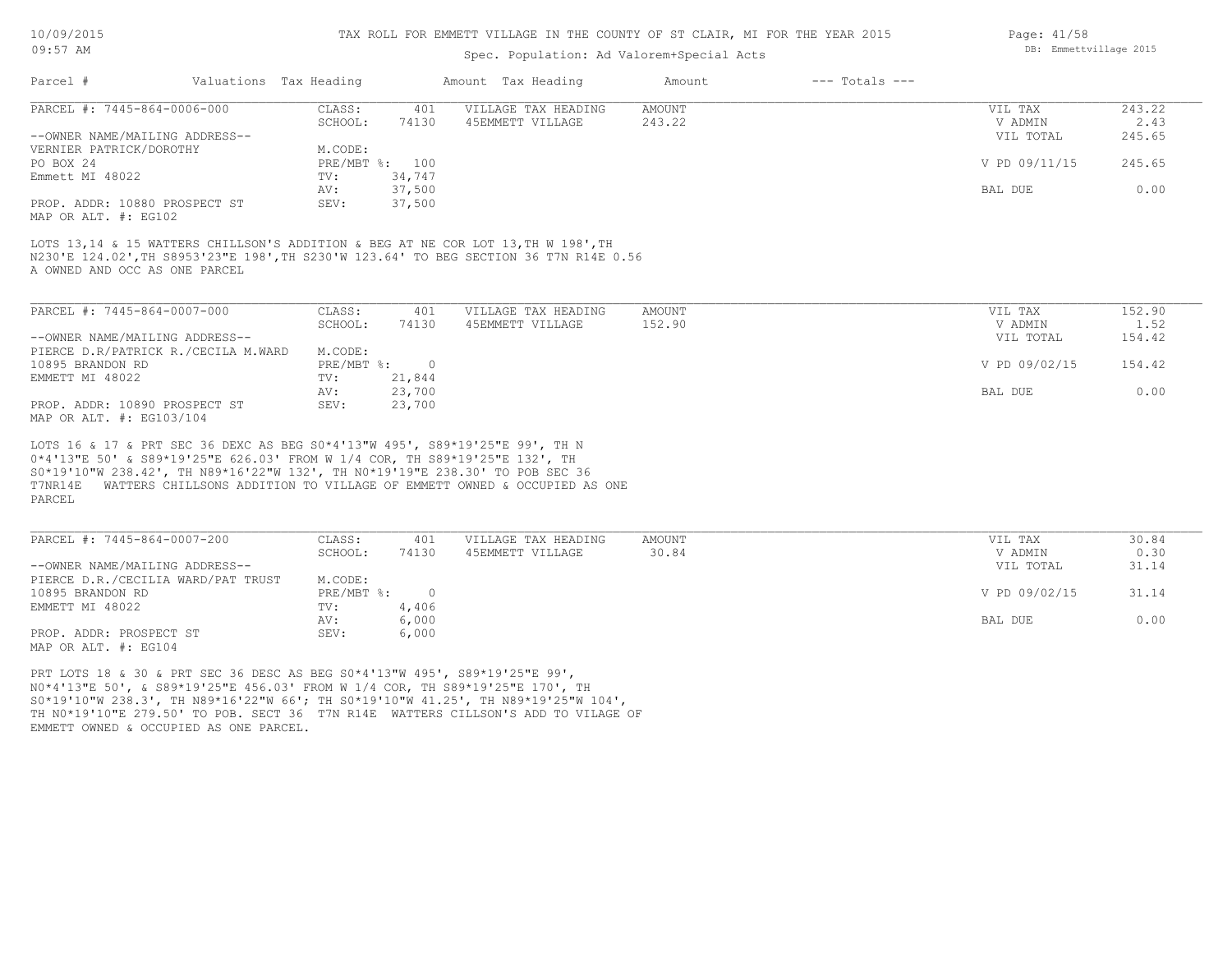#### TAX ROLL FOR EMMETT VILLAGE IN THE COUNTY OF ST CLAIR, MI FOR THE YEAR 2015

# Spec. Population: Ad Valorem+Special Acts

| Parcel #                       |        | Valuations Tax Heading |                     | Amount Tax Heading | Amount | $---$ Totals $---$ |               |        |
|--------------------------------|--------|------------------------|---------------------|--------------------|--------|--------------------|---------------|--------|
| PARCEL #: 7445-864-0006-000    | CLASS: | 401                    | VILLAGE TAX HEADING | AMOUNT             |        | VIL TAX            | 243.22        |        |
|                                |        | SCHOOL:                | 74130               | 45EMMETT VILLAGE   | 243.22 |                    | V ADMIN       | 2.43   |
| --OWNER NAME/MAILING ADDRESS-- |        |                        |                     |                    |        |                    | VIL TOTAL     | 245.65 |
| VERNIER PATRICK/DOROTHY        |        | M.CODE:                |                     |                    |        |                    |               |        |
| PO BOX 24                      |        |                        | PRE/MBT %: 100      |                    |        |                    | V PD 09/11/15 | 245.65 |
| Emmett MI 48022                |        | TV:                    | 34,747              |                    |        |                    |               |        |
|                                |        | AV:                    | 37,500              |                    |        |                    | BAL DUE       | 0.00   |
| PROP. ADDR: 10880 PROSPECT ST  |        | SEV:                   | 37,500              |                    |        |                    |               |        |
| MAP OR ALT. #: EG102           |        |                        |                     |                    |        |                    |               |        |

A OWNED AND OCC AS ONE PARCEL N230'E 124.02',TH S8953'23"E 198',TH S230'W 123.64' TO BEG SECTION 36 T7N R14E 0.56 LOTS 13,14 & 15 WATTERS CHILLSON'S ADDITION & BEG AT NE COR LOT 13, TH W 198', TH

MAP OR ALT. #: EG103/104 PROP. ADDR: 10890 PROSPECT ST SEV: 23,700 AV: 23,700 BAL DUE 0.00 EMMETT MI 48022 TV: 21,844<br>
AV: 23,700 10895 BRANDON RD PRE/MBT %: 0 V PD 09/02/15 154.42 PIERCE D.R/PATRICK R./CECILA M.WARD M.CODE:<br>10895 BRANDON RD PRE/MBT %: --OWNER NAME/MAILING ADDRESS-- VIL TOTAL 154.42 SCHOOL: 74130 45EMMETT VILLAGE 152.90 1.52 and the value of the value of  $1.52$ PARCEL #: 7445-864-0007-000 CLASS: 401 VILLAGE TAX HEADING AMOUNT VIL TAX VIL TAX 152.90<br>SCHOOL: 74130 45EMMETT VILLAGE 152.90 VADMIN 1.52  $\mathcal{L}_\mathcal{L} = \mathcal{L}_\mathcal{L} = \mathcal{L}_\mathcal{L} = \mathcal{L}_\mathcal{L} = \mathcal{L}_\mathcal{L} = \mathcal{L}_\mathcal{L} = \mathcal{L}_\mathcal{L} = \mathcal{L}_\mathcal{L} = \mathcal{L}_\mathcal{L} = \mathcal{L}_\mathcal{L} = \mathcal{L}_\mathcal{L} = \mathcal{L}_\mathcal{L} = \mathcal{L}_\mathcal{L} = \mathcal{L}_\mathcal{L} = \mathcal{L}_\mathcal{L} = \mathcal{L}_\mathcal{L} = \mathcal{L}_\mathcal{L}$ 

PARCEL T7NR14E WATTERS CHILLSONS ADDITION TO VILLAGE OF EMMETT OWNED & OCCUPIED AS ONE S0\*19'10"W 238.42', TH N89\*16'22"W 132', TH N0\*19'19"E 238.30' TO POB SEC 36 0\*4'13"E 50' & S89\*19'25"E 626.03' FROM W 1/4 COR, TH S89\*19'25"E 132', TH LOTS 16 & 17 & PRT SEC 36 DEXC AS BEG S0\*4'13"W 495', S89\*19'25"E 99', TH N

| PARCEL #: 7445-864-0007-200        | CLASS:       | 401   | VILLAGE TAX HEADING | AMOUNT | VIL TAX       | 30.84 |
|------------------------------------|--------------|-------|---------------------|--------|---------------|-------|
|                                    | SCHOOL:      | 74130 | 45EMMETT VILLAGE    | 30.84  | V ADMIN       | 0.30  |
| --OWNER NAME/MAILING ADDRESS--     |              |       |                     |        | VIL TOTAL     | 31.14 |
| PIERCE D.R./CECILIA WARD/PAT TRUST | M.CODE:      |       |                     |        |               |       |
| 10895 BRANDON RD                   | $PRE/MBT$ %: |       |                     |        | V PD 09/02/15 | 31.14 |
| EMMETT MI 48022                    | TV:          | 4,406 |                     |        |               |       |
|                                    | AV:          | 6,000 |                     |        | BAL DUE       | 0.00  |
| PROP. ADDR: PROSPECT ST            | SEV:         | 6,000 |                     |        |               |       |
| MAP OR ALT. #: EG104               |              |       |                     |        |               |       |

EMMETT OWNED & OCCUPIED AS ONE PARCEL. TH N0\*19'10"E 279.50' TO POB. SECT 36 T7N R14E WATTERS CILLSON'S ADD TO VILAGE OF S0\*19'10"W 238.3', TH N89\*16'22"W 66'; TH S0\*19'10"W 41.25', TH N89\*19'25"W 104', N0\*4'13"E 50', & S89\*19'25"E 456.03' FROM W 1/4 COR, TH S89\*19'25"E 170', TH PRT LOTS 18 & 30 & PRT SEC 36 DESC AS BEG S0\*4'13"W 495', S89\*19'25"E 99',

Page: 41/58 DB: Emmettvillage 2015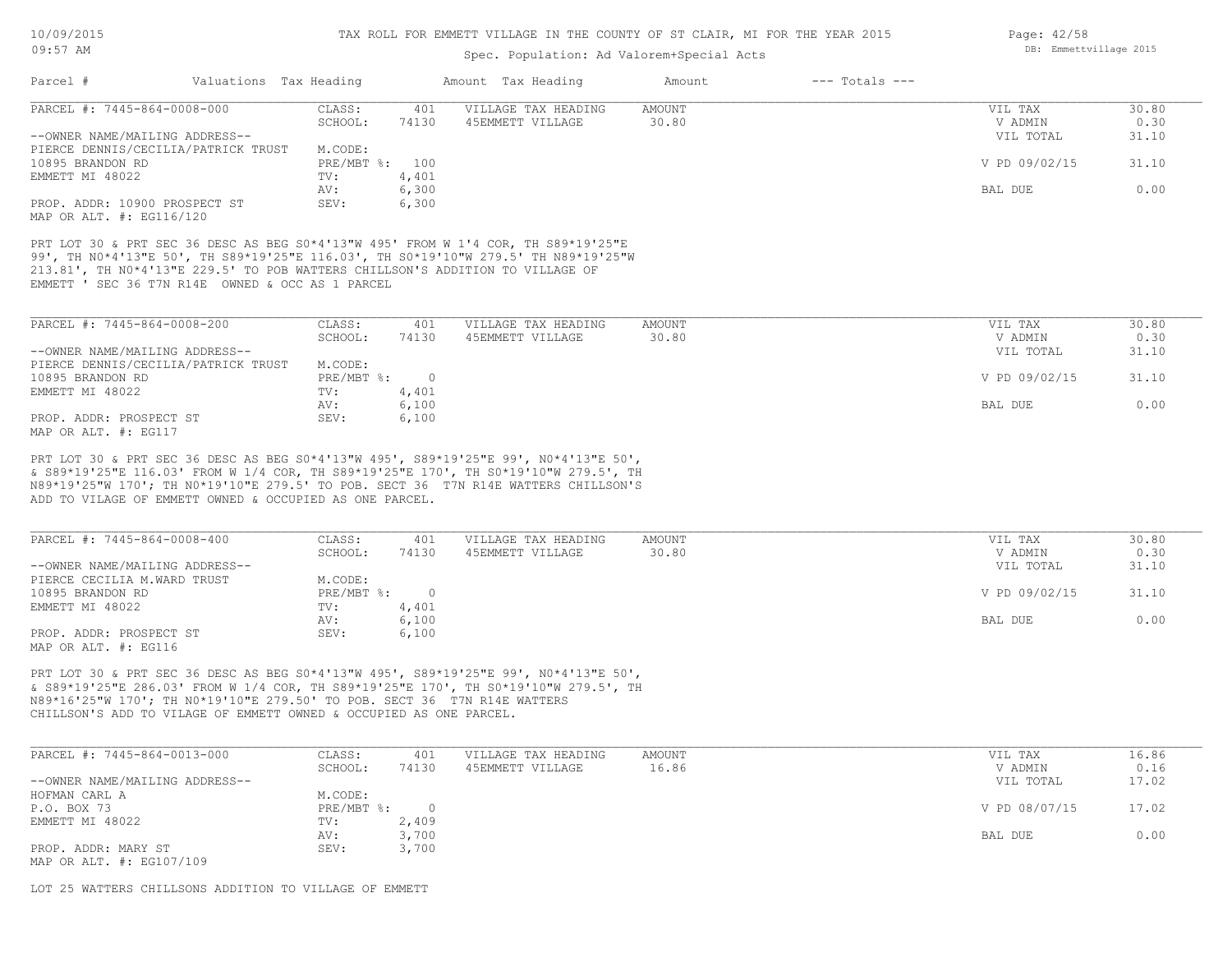# Spec. Population: Ad Valorem+Special Acts

|                                                                                                                                                                                                                                                                                                                             |                        |                   |                | opoo. Ioparacrom. Ma .arcrom.opocrat mode |                 |                    |                                 |                        |
|-----------------------------------------------------------------------------------------------------------------------------------------------------------------------------------------------------------------------------------------------------------------------------------------------------------------------------|------------------------|-------------------|----------------|-------------------------------------------|-----------------|--------------------|---------------------------------|------------------------|
| Parcel #                                                                                                                                                                                                                                                                                                                    | Valuations Tax Heading |                   |                | Amount Tax Heading                        | Amount          | $---$ Totals $---$ |                                 |                        |
| PARCEL #: 7445-864-0008-000                                                                                                                                                                                                                                                                                                 |                        | CLASS:            | 401            | VILLAGE TAX HEADING                       | AMOUNT          |                    | VIL TAX                         | 30.80                  |
|                                                                                                                                                                                                                                                                                                                             |                        | SCHOOL:           | 74130          | 45EMMETT VILLAGE                          | 30.80           |                    | V ADMIN                         | 0.30                   |
| --OWNER NAME/MAILING ADDRESS--                                                                                                                                                                                                                                                                                              |                        |                   |                |                                           |                 |                    | VIL TOTAL                       | 31.10                  |
| PIERCE DENNIS/CECILIA/PATRICK TRUST                                                                                                                                                                                                                                                                                         |                        | M.CODE:           |                |                                           |                 |                    |                                 |                        |
| 10895 BRANDON RD                                                                                                                                                                                                                                                                                                            |                        | PRE/MBT %: 100    |                |                                           |                 |                    | V PD 09/02/15                   | 31.10                  |
| EMMETT MI 48022                                                                                                                                                                                                                                                                                                             |                        | TV:               | 4,401          |                                           |                 |                    |                                 |                        |
|                                                                                                                                                                                                                                                                                                                             |                        | AV:               | 6,300          |                                           |                 |                    | BAL DUE                         | 0.00                   |
| PROP. ADDR: 10900 PROSPECT ST                                                                                                                                                                                                                                                                                               |                        | SEV:              | 6,300          |                                           |                 |                    |                                 |                        |
| MAP OR ALT. #: EG116/120                                                                                                                                                                                                                                                                                                    |                        |                   |                |                                           |                 |                    |                                 |                        |
| EMMETT ' SEC 36 T7N R14E OWNED & OCC AS 1 PARCEL<br>PARCEL #: 7445-864-0008-200<br>--OWNER NAME/MAILING ADDRESS--                                                                                                                                                                                                           |                        | CLASS:<br>SCHOOL: | 401<br>74130   | VILLAGE TAX HEADING<br>45EMMETT VILLAGE   | AMOUNT<br>30.80 |                    | VIL TAX<br>V ADMIN<br>VIL TOTAL | 30.80<br>0.30<br>31.10 |
| PIERCE DENNIS/CECILIA/PATRICK TRUST                                                                                                                                                                                                                                                                                         |                        | M.CODE:           |                |                                           |                 |                    |                                 |                        |
| 10895 BRANDON RD                                                                                                                                                                                                                                                                                                            |                        | PRE/MBT %:        | $\overline{0}$ |                                           |                 |                    | V PD 09/02/15                   | 31.10                  |
| EMMETT MI 48022                                                                                                                                                                                                                                                                                                             |                        | TV:               | 4,401          |                                           |                 |                    |                                 |                        |
|                                                                                                                                                                                                                                                                                                                             |                        | AV:               | 6,100          |                                           |                 |                    | BAL DUE                         | 0.00                   |
| PROP. ADDR: PROSPECT ST                                                                                                                                                                                                                                                                                                     |                        | SEV:              | 6,100          |                                           |                 |                    |                                 |                        |
| MAP OR ALT. #: EG117                                                                                                                                                                                                                                                                                                        |                        |                   |                |                                           |                 |                    |                                 |                        |
| PRT LOT 30 & PRT SEC 36 DESC AS BEG S0*4'13"W 495', S89*19'25"E 99', N0*4'13"E 50',<br>& S89*19'25"E 116.03' FROM W 1/4 COR, TH S89*19'25"E 170', TH S0*19'10"W 279.5', TH<br>N89*19'25"W 170'; TH N0*19'10"E 279.5' TO POB. SECT 36 T7N R14E WATTERS CHILLSON'S<br>ADD TO VILAGE OF EMMETT OWNED & OCCUPIED AS ONE PARCEL. |                        |                   |                |                                           |                 |                    |                                 |                        |
| PARCEL #: 7445-864-0008-400                                                                                                                                                                                                                                                                                                 |                        | CLASS:            | 401            | VILLAGE TAX HEADING                       | AMOUNT          |                    | VIL TAX                         | 30.80                  |

| PARCEL #: 7445-864-0008-400    | CLASS:     | 401      | VILLAGE TAX HEADING | AMOUNT | VIL TAX       | 30.80 |
|--------------------------------|------------|----------|---------------------|--------|---------------|-------|
|                                | SCHOOL:    | 74130    | 45EMMETT VILLAGE    | 30.80  | V ADMIN       | 0.30  |
| --OWNER NAME/MAILING ADDRESS-- |            |          |                     |        | VIL TOTAL     | 31.10 |
| PIERCE CECILIA M.WARD TRUST    | M.CODE:    |          |                     |        |               |       |
| 10895 BRANDON RD               | PRE/MBT %: | $\Omega$ |                     |        | V PD 09/02/15 | 31.10 |
| EMMETT MI 48022                | TV:        | 4,401    |                     |        |               |       |
|                                | AV:        | 6,100    |                     |        | BAL DUE       | 0.00  |
| PROP. ADDR: PROSPECT ST        | SEV:       | 6,100    |                     |        |               |       |
| MAP OR ALT. #: EG116           |            |          |                     |        |               |       |

CHILLSON'S ADD TO VILAGE OF EMMETT OWNED & OCCUPIED AS ONE PARCEL. N89\*16'25"W 170'; TH N0\*19'10"E 279.50' TO POB. SECT 36 T7N R14E WATTERS & S89\*19'25"E 286.03' FROM W 1/4 COR, TH S89\*19'25"E 170', TH S0\*19'10"W 279.5', TH PRT LOT 30 & PRT SEC 36 DESC AS BEG S0\*4'13"W 495', S89\*19'25"E 99', N0\*4'13"E 50',

| PARCEL #: 7445-864-0013-000    | CLASS:     | 401   | VILLAGE TAX HEADING | AMOUNT | VIL TAX       | 16.86 |
|--------------------------------|------------|-------|---------------------|--------|---------------|-------|
|                                | SCHOOL:    | 74130 | 45EMMETT VILLAGE    | 16.86  | V ADMIN       | 0.16  |
| --OWNER NAME/MAILING ADDRESS-- |            |       |                     |        | VIL TOTAL     | 17.02 |
| HOFMAN CARL A                  | M.CODE:    |       |                     |        |               |       |
| P.O. BOX 73                    | PRE/MBT %: |       |                     |        | V PD 08/07/15 | 17.02 |
| EMMETT MI 48022                | TV:        | 2,409 |                     |        |               |       |
|                                | AV:        | 3,700 |                     |        | BAL DUE       | 0.00  |
| PROP. ADDR: MARY ST            | SEV:       | 3,700 |                     |        |               |       |
| MAP OR ALT. #: EG107/109       |            |       |                     |        |               |       |

LOT 25 WATTERS CHILLSONS ADDITION TO VILLAGE OF EMMETT

Page: 42/58 DB: Emmettvillage 2015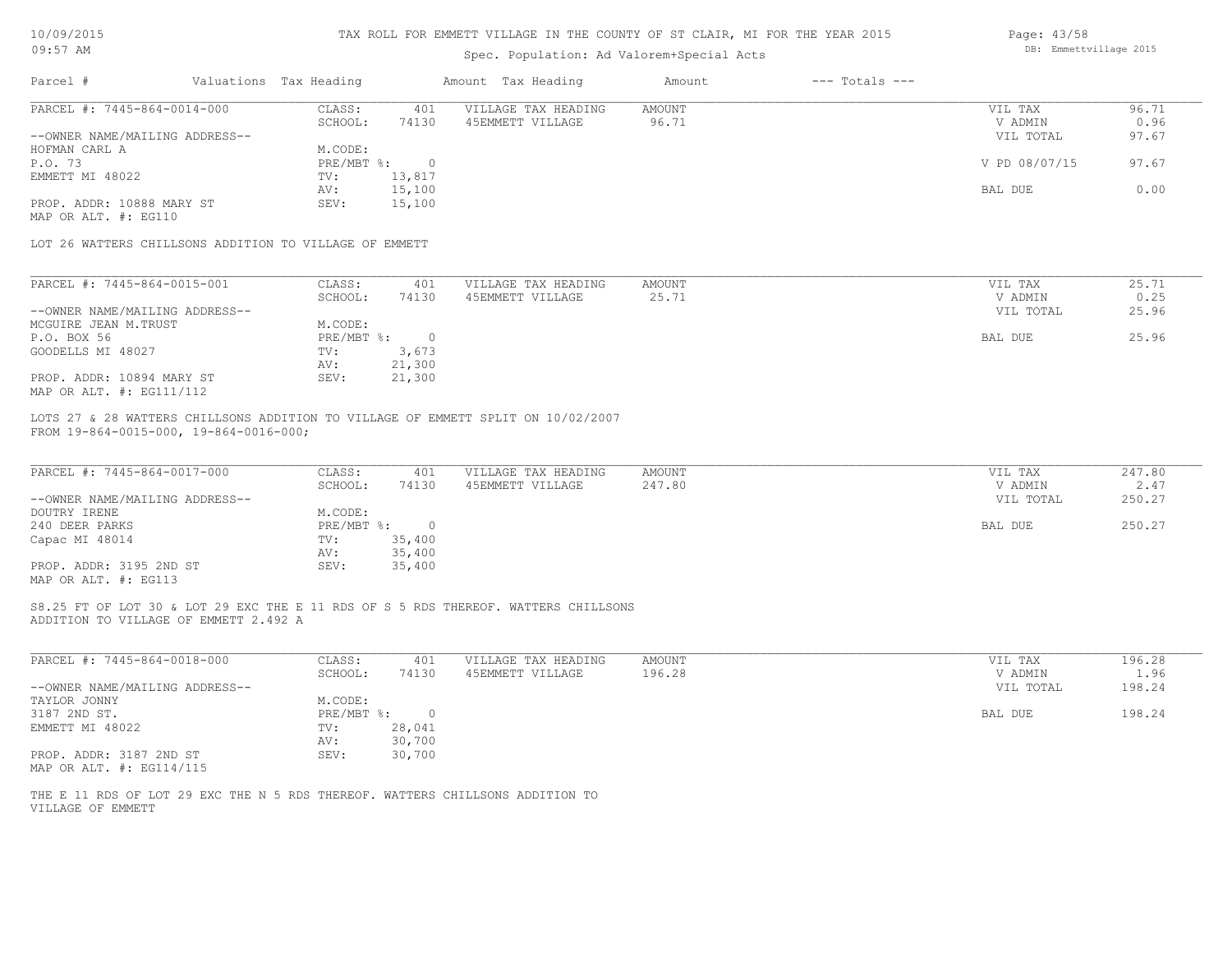| 10/09/2015 |  |
|------------|--|
| $09:57$ AM |  |

# Spec. Population: Ad Valorem+Special Acts

| Page: 43/58            |  |
|------------------------|--|
| DB: Emmettvillage 2015 |  |

| PARCEL #: 7445-864-0014-000<br>CLASS:<br>VILLAGE TAX HEADING<br><b>AMOUNT</b><br>401<br>VIL TAX<br>96.71<br>SCHOOL:<br>74130<br>45EMMETT VILLAGE<br>V ADMIN<br>0.96<br>97.67<br>--OWNER NAME/MAILING ADDRESS--<br>VIL TOTAL<br>HOFMAN CARL A<br>M.CODE:<br>P.O. 73<br>$PRE/MBT$ %:<br>$\overline{0}$<br>V PD 08/07/15<br>EMMETT MI 48022<br>13,817<br>TV:<br>15,100<br>BAL DUE<br>AV:<br>PROP. ADDR: 10888 MARY ST<br>15,100<br>SEV:<br>MAP OR ALT. #: EG110<br>LOT 26 WATTERS CHILLSONS ADDITION TO VILLAGE OF EMMETT<br>25.71<br>PARCEL #: 7445-864-0015-001<br>CLASS:<br>401<br>VILLAGE TAX HEADING<br>AMOUNT<br>VIL TAX<br>SCHOOL:<br>45EMMETT VILLAGE<br>25.71<br>74130<br>V ADMIN<br>--OWNER NAME/MAILING ADDRESS--<br>VIL TOTAL<br>25.96<br>MCGUIRE JEAN M.TRUST<br>M.CODE:<br>25.96<br>P.O. BOX 56<br>$PRE/MBT$ $\frac{1}{6}$ :<br>BAL DUE<br>$\overline{\phantom{0}}$<br>3,673<br>GOODELLS MI 48027<br>TV:<br>21,300<br>AV:<br>PROP. ADDR: 10894 MARY ST<br>SEV:<br>21,300<br>MAP OR ALT. #: EG111/112<br>LOTS 27 & 28 WATTERS CHILLSONS ADDITION TO VILLAGE OF EMMETT SPLIT ON 10/02/2007<br>FROM 19-864-0015-000, 19-864-0016-000;<br>PARCEL #: 7445-864-0017-000<br>CLASS:<br>401<br>VILLAGE TAX HEADING<br><b>AMOUNT</b><br>VIL TAX<br>247.80<br>SCHOOL:<br>74130<br>45EMMETT VILLAGE<br>V ADMIN<br>2.47<br>--OWNER NAME/MAILING ADDRESS--<br>VIL TOTAL<br>250.27<br>DOUTRY IRENE<br>M.CODE:<br>250.27<br>240 DEER PARKS<br>$PRE/MBT$ %:<br>$\overline{0}$<br>BAL DUE<br>35,400<br>Capac MI 48014<br>TV:<br>35,400<br>AV:<br>PROP. ADDR: 3195 2ND ST<br>35,400<br>SEV:<br>MAP OR ALT. #: EG113<br>S8.25 FT OF LOT 30 & LOT 29 EXC THE E 11 RDS OF S 5 RDS THEREOF. WATTERS CHILLSONS<br>ADDITION TO VILLAGE OF EMMETT 2.492 A<br>PARCEL #: 7445-864-0018-000<br>CLASS:<br>VILLAGE TAX HEADING<br><b>AMOUNT</b><br>196.28<br>401<br>VIL TAX<br>196.28<br>SCHOOL:<br>74130<br>45EMMETT VILLAGE<br>V ADMIN<br>1.96<br>198.24<br>--OWNER NAME/MAILING ADDRESS--<br>VIL TOTAL<br>TAYLOR JONNY<br>M.CODE:<br>3187 2ND ST.<br>198.24<br>$PRE/MBT$ %:<br>$\overline{\phantom{0}}$<br>BAL DUE<br>EMMETT MI 48022<br>28,041<br>TV:<br>30,700<br>AV:<br>PROP. ADDR: 3187 2ND ST<br>SEV: 30,700<br>MAP OR ALT. #: EG114/115<br>THE E 11 RDS OF LOT 29 EXC THE N 5 RDS THEREOF. WATTERS CHILLSONS ADDITION TO<br>VILLAGE OF EMMETT | Valuations Tax Heading | Amount Tax Heading | $---$ Totals $---$<br>Amount |        |
|------------------------------------------------------------------------------------------------------------------------------------------------------------------------------------------------------------------------------------------------------------------------------------------------------------------------------------------------------------------------------------------------------------------------------------------------------------------------------------------------------------------------------------------------------------------------------------------------------------------------------------------------------------------------------------------------------------------------------------------------------------------------------------------------------------------------------------------------------------------------------------------------------------------------------------------------------------------------------------------------------------------------------------------------------------------------------------------------------------------------------------------------------------------------------------------------------------------------------------------------------------------------------------------------------------------------------------------------------------------------------------------------------------------------------------------------------------------------------------------------------------------------------------------------------------------------------------------------------------------------------------------------------------------------------------------------------------------------------------------------------------------------------------------------------------------------------------------------------------------------------------------------------------------------------------------------------------------------------------------------------------------------------------------------------------------------------------------------------------------------------------------------------------------------------------------------------------------------------------------------------------------------------------------------------------------------------------|------------------------|--------------------|------------------------------|--------|
|                                                                                                                                                                                                                                                                                                                                                                                                                                                                                                                                                                                                                                                                                                                                                                                                                                                                                                                                                                                                                                                                                                                                                                                                                                                                                                                                                                                                                                                                                                                                                                                                                                                                                                                                                                                                                                                                                                                                                                                                                                                                                                                                                                                                                                                                                                                                    |                        |                    |                              | 96.71  |
|                                                                                                                                                                                                                                                                                                                                                                                                                                                                                                                                                                                                                                                                                                                                                                                                                                                                                                                                                                                                                                                                                                                                                                                                                                                                                                                                                                                                                                                                                                                                                                                                                                                                                                                                                                                                                                                                                                                                                                                                                                                                                                                                                                                                                                                                                                                                    |                        |                    |                              |        |
|                                                                                                                                                                                                                                                                                                                                                                                                                                                                                                                                                                                                                                                                                                                                                                                                                                                                                                                                                                                                                                                                                                                                                                                                                                                                                                                                                                                                                                                                                                                                                                                                                                                                                                                                                                                                                                                                                                                                                                                                                                                                                                                                                                                                                                                                                                                                    |                        |                    |                              |        |
|                                                                                                                                                                                                                                                                                                                                                                                                                                                                                                                                                                                                                                                                                                                                                                                                                                                                                                                                                                                                                                                                                                                                                                                                                                                                                                                                                                                                                                                                                                                                                                                                                                                                                                                                                                                                                                                                                                                                                                                                                                                                                                                                                                                                                                                                                                                                    |                        |                    |                              | 97.67  |
|                                                                                                                                                                                                                                                                                                                                                                                                                                                                                                                                                                                                                                                                                                                                                                                                                                                                                                                                                                                                                                                                                                                                                                                                                                                                                                                                                                                                                                                                                                                                                                                                                                                                                                                                                                                                                                                                                                                                                                                                                                                                                                                                                                                                                                                                                                                                    |                        |                    |                              |        |
|                                                                                                                                                                                                                                                                                                                                                                                                                                                                                                                                                                                                                                                                                                                                                                                                                                                                                                                                                                                                                                                                                                                                                                                                                                                                                                                                                                                                                                                                                                                                                                                                                                                                                                                                                                                                                                                                                                                                                                                                                                                                                                                                                                                                                                                                                                                                    |                        |                    |                              | 0.00   |
|                                                                                                                                                                                                                                                                                                                                                                                                                                                                                                                                                                                                                                                                                                                                                                                                                                                                                                                                                                                                                                                                                                                                                                                                                                                                                                                                                                                                                                                                                                                                                                                                                                                                                                                                                                                                                                                                                                                                                                                                                                                                                                                                                                                                                                                                                                                                    |                        |                    |                              |        |
|                                                                                                                                                                                                                                                                                                                                                                                                                                                                                                                                                                                                                                                                                                                                                                                                                                                                                                                                                                                                                                                                                                                                                                                                                                                                                                                                                                                                                                                                                                                                                                                                                                                                                                                                                                                                                                                                                                                                                                                                                                                                                                                                                                                                                                                                                                                                    |                        |                    |                              |        |
|                                                                                                                                                                                                                                                                                                                                                                                                                                                                                                                                                                                                                                                                                                                                                                                                                                                                                                                                                                                                                                                                                                                                                                                                                                                                                                                                                                                                                                                                                                                                                                                                                                                                                                                                                                                                                                                                                                                                                                                                                                                                                                                                                                                                                                                                                                                                    |                        |                    |                              |        |
|                                                                                                                                                                                                                                                                                                                                                                                                                                                                                                                                                                                                                                                                                                                                                                                                                                                                                                                                                                                                                                                                                                                                                                                                                                                                                                                                                                                                                                                                                                                                                                                                                                                                                                                                                                                                                                                                                                                                                                                                                                                                                                                                                                                                                                                                                                                                    |                        |                    |                              |        |
|                                                                                                                                                                                                                                                                                                                                                                                                                                                                                                                                                                                                                                                                                                                                                                                                                                                                                                                                                                                                                                                                                                                                                                                                                                                                                                                                                                                                                                                                                                                                                                                                                                                                                                                                                                                                                                                                                                                                                                                                                                                                                                                                                                                                                                                                                                                                    |                        |                    |                              | 0.25   |
|                                                                                                                                                                                                                                                                                                                                                                                                                                                                                                                                                                                                                                                                                                                                                                                                                                                                                                                                                                                                                                                                                                                                                                                                                                                                                                                                                                                                                                                                                                                                                                                                                                                                                                                                                                                                                                                                                                                                                                                                                                                                                                                                                                                                                                                                                                                                    |                        |                    |                              |        |
|                                                                                                                                                                                                                                                                                                                                                                                                                                                                                                                                                                                                                                                                                                                                                                                                                                                                                                                                                                                                                                                                                                                                                                                                                                                                                                                                                                                                                                                                                                                                                                                                                                                                                                                                                                                                                                                                                                                                                                                                                                                                                                                                                                                                                                                                                                                                    |                        |                    |                              |        |
|                                                                                                                                                                                                                                                                                                                                                                                                                                                                                                                                                                                                                                                                                                                                                                                                                                                                                                                                                                                                                                                                                                                                                                                                                                                                                                                                                                                                                                                                                                                                                                                                                                                                                                                                                                                                                                                                                                                                                                                                                                                                                                                                                                                                                                                                                                                                    |                        |                    |                              |        |
|                                                                                                                                                                                                                                                                                                                                                                                                                                                                                                                                                                                                                                                                                                                                                                                                                                                                                                                                                                                                                                                                                                                                                                                                                                                                                                                                                                                                                                                                                                                                                                                                                                                                                                                                                                                                                                                                                                                                                                                                                                                                                                                                                                                                                                                                                                                                    |                        |                    |                              |        |
|                                                                                                                                                                                                                                                                                                                                                                                                                                                                                                                                                                                                                                                                                                                                                                                                                                                                                                                                                                                                                                                                                                                                                                                                                                                                                                                                                                                                                                                                                                                                                                                                                                                                                                                                                                                                                                                                                                                                                                                                                                                                                                                                                                                                                                                                                                                                    |                        |                    |                              |        |
|                                                                                                                                                                                                                                                                                                                                                                                                                                                                                                                                                                                                                                                                                                                                                                                                                                                                                                                                                                                                                                                                                                                                                                                                                                                                                                                                                                                                                                                                                                                                                                                                                                                                                                                                                                                                                                                                                                                                                                                                                                                                                                                                                                                                                                                                                                                                    |                        |                    |                              |        |
|                                                                                                                                                                                                                                                                                                                                                                                                                                                                                                                                                                                                                                                                                                                                                                                                                                                                                                                                                                                                                                                                                                                                                                                                                                                                                                                                                                                                                                                                                                                                                                                                                                                                                                                                                                                                                                                                                                                                                                                                                                                                                                                                                                                                                                                                                                                                    |                        |                    |                              |        |
|                                                                                                                                                                                                                                                                                                                                                                                                                                                                                                                                                                                                                                                                                                                                                                                                                                                                                                                                                                                                                                                                                                                                                                                                                                                                                                                                                                                                                                                                                                                                                                                                                                                                                                                                                                                                                                                                                                                                                                                                                                                                                                                                                                                                                                                                                                                                    |                        |                    |                              | 247.80 |
|                                                                                                                                                                                                                                                                                                                                                                                                                                                                                                                                                                                                                                                                                                                                                                                                                                                                                                                                                                                                                                                                                                                                                                                                                                                                                                                                                                                                                                                                                                                                                                                                                                                                                                                                                                                                                                                                                                                                                                                                                                                                                                                                                                                                                                                                                                                                    |                        |                    |                              |        |
|                                                                                                                                                                                                                                                                                                                                                                                                                                                                                                                                                                                                                                                                                                                                                                                                                                                                                                                                                                                                                                                                                                                                                                                                                                                                                                                                                                                                                                                                                                                                                                                                                                                                                                                                                                                                                                                                                                                                                                                                                                                                                                                                                                                                                                                                                                                                    |                        |                    |                              |        |
|                                                                                                                                                                                                                                                                                                                                                                                                                                                                                                                                                                                                                                                                                                                                                                                                                                                                                                                                                                                                                                                                                                                                                                                                                                                                                                                                                                                                                                                                                                                                                                                                                                                                                                                                                                                                                                                                                                                                                                                                                                                                                                                                                                                                                                                                                                                                    |                        |                    |                              |        |
|                                                                                                                                                                                                                                                                                                                                                                                                                                                                                                                                                                                                                                                                                                                                                                                                                                                                                                                                                                                                                                                                                                                                                                                                                                                                                                                                                                                                                                                                                                                                                                                                                                                                                                                                                                                                                                                                                                                                                                                                                                                                                                                                                                                                                                                                                                                                    |                        |                    |                              |        |
|                                                                                                                                                                                                                                                                                                                                                                                                                                                                                                                                                                                                                                                                                                                                                                                                                                                                                                                                                                                                                                                                                                                                                                                                                                                                                                                                                                                                                                                                                                                                                                                                                                                                                                                                                                                                                                                                                                                                                                                                                                                                                                                                                                                                                                                                                                                                    |                        |                    |                              |        |
|                                                                                                                                                                                                                                                                                                                                                                                                                                                                                                                                                                                                                                                                                                                                                                                                                                                                                                                                                                                                                                                                                                                                                                                                                                                                                                                                                                                                                                                                                                                                                                                                                                                                                                                                                                                                                                                                                                                                                                                                                                                                                                                                                                                                                                                                                                                                    |                        |                    |                              |        |
|                                                                                                                                                                                                                                                                                                                                                                                                                                                                                                                                                                                                                                                                                                                                                                                                                                                                                                                                                                                                                                                                                                                                                                                                                                                                                                                                                                                                                                                                                                                                                                                                                                                                                                                                                                                                                                                                                                                                                                                                                                                                                                                                                                                                                                                                                                                                    |                        |                    |                              |        |
|                                                                                                                                                                                                                                                                                                                                                                                                                                                                                                                                                                                                                                                                                                                                                                                                                                                                                                                                                                                                                                                                                                                                                                                                                                                                                                                                                                                                                                                                                                                                                                                                                                                                                                                                                                                                                                                                                                                                                                                                                                                                                                                                                                                                                                                                                                                                    |                        |                    |                              |        |
|                                                                                                                                                                                                                                                                                                                                                                                                                                                                                                                                                                                                                                                                                                                                                                                                                                                                                                                                                                                                                                                                                                                                                                                                                                                                                                                                                                                                                                                                                                                                                                                                                                                                                                                                                                                                                                                                                                                                                                                                                                                                                                                                                                                                                                                                                                                                    |                        |                    |                              |        |
|                                                                                                                                                                                                                                                                                                                                                                                                                                                                                                                                                                                                                                                                                                                                                                                                                                                                                                                                                                                                                                                                                                                                                                                                                                                                                                                                                                                                                                                                                                                                                                                                                                                                                                                                                                                                                                                                                                                                                                                                                                                                                                                                                                                                                                                                                                                                    |                        |                    |                              |        |
|                                                                                                                                                                                                                                                                                                                                                                                                                                                                                                                                                                                                                                                                                                                                                                                                                                                                                                                                                                                                                                                                                                                                                                                                                                                                                                                                                                                                                                                                                                                                                                                                                                                                                                                                                                                                                                                                                                                                                                                                                                                                                                                                                                                                                                                                                                                                    |                        |                    |                              |        |
|                                                                                                                                                                                                                                                                                                                                                                                                                                                                                                                                                                                                                                                                                                                                                                                                                                                                                                                                                                                                                                                                                                                                                                                                                                                                                                                                                                                                                                                                                                                                                                                                                                                                                                                                                                                                                                                                                                                                                                                                                                                                                                                                                                                                                                                                                                                                    |                        |                    |                              |        |
|                                                                                                                                                                                                                                                                                                                                                                                                                                                                                                                                                                                                                                                                                                                                                                                                                                                                                                                                                                                                                                                                                                                                                                                                                                                                                                                                                                                                                                                                                                                                                                                                                                                                                                                                                                                                                                                                                                                                                                                                                                                                                                                                                                                                                                                                                                                                    |                        |                    |                              |        |
|                                                                                                                                                                                                                                                                                                                                                                                                                                                                                                                                                                                                                                                                                                                                                                                                                                                                                                                                                                                                                                                                                                                                                                                                                                                                                                                                                                                                                                                                                                                                                                                                                                                                                                                                                                                                                                                                                                                                                                                                                                                                                                                                                                                                                                                                                                                                    |                        |                    |                              |        |
|                                                                                                                                                                                                                                                                                                                                                                                                                                                                                                                                                                                                                                                                                                                                                                                                                                                                                                                                                                                                                                                                                                                                                                                                                                                                                                                                                                                                                                                                                                                                                                                                                                                                                                                                                                                                                                                                                                                                                                                                                                                                                                                                                                                                                                                                                                                                    |                        |                    |                              |        |
|                                                                                                                                                                                                                                                                                                                                                                                                                                                                                                                                                                                                                                                                                                                                                                                                                                                                                                                                                                                                                                                                                                                                                                                                                                                                                                                                                                                                                                                                                                                                                                                                                                                                                                                                                                                                                                                                                                                                                                                                                                                                                                                                                                                                                                                                                                                                    |                        |                    |                              |        |
|                                                                                                                                                                                                                                                                                                                                                                                                                                                                                                                                                                                                                                                                                                                                                                                                                                                                                                                                                                                                                                                                                                                                                                                                                                                                                                                                                                                                                                                                                                                                                                                                                                                                                                                                                                                                                                                                                                                                                                                                                                                                                                                                                                                                                                                                                                                                    |                        |                    |                              |        |
|                                                                                                                                                                                                                                                                                                                                                                                                                                                                                                                                                                                                                                                                                                                                                                                                                                                                                                                                                                                                                                                                                                                                                                                                                                                                                                                                                                                                                                                                                                                                                                                                                                                                                                                                                                                                                                                                                                                                                                                                                                                                                                                                                                                                                                                                                                                                    |                        |                    |                              |        |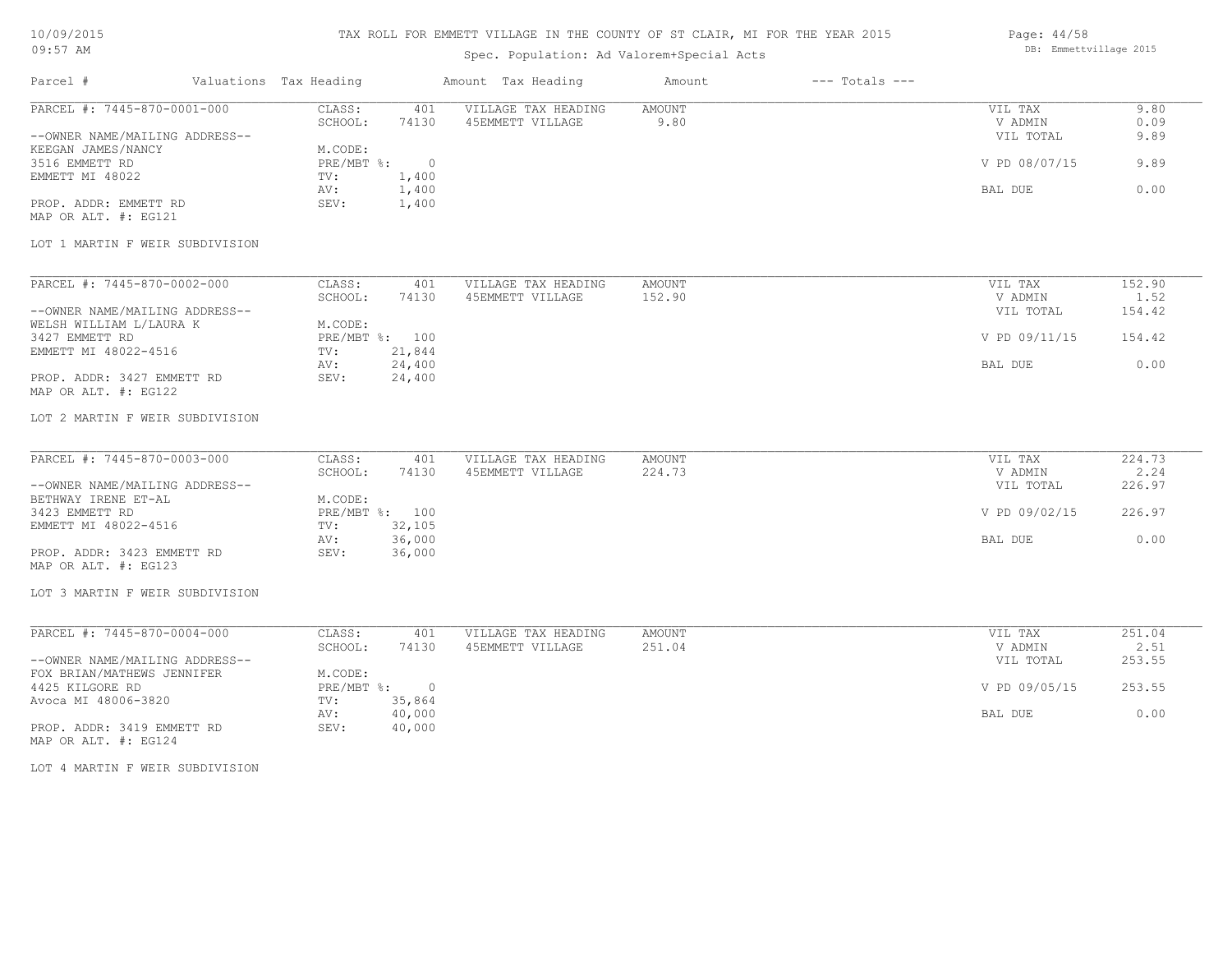# TAX ROLL FOR EMMETT VILLAGE IN THE COUNTY OF ST CLAIR, MI FOR THE YEAR 2015

# Spec. Population: Ad Valorem+Special Acts

Page: 44/58 DB: Emmettvillage 2015

| Parcel #                                                      | Valuations Tax Heading                        | Amount Tax Heading                      | $---$ Totals $---$<br>Amount |                                 |                      |
|---------------------------------------------------------------|-----------------------------------------------|-----------------------------------------|------------------------------|---------------------------------|----------------------|
| PARCEL #: 7445-870-0001-000<br>--OWNER NAME/MAILING ADDRESS-- | CLASS:<br>401<br>SCHOOL:<br>74130             | VILLAGE TAX HEADING<br>45EMMETT VILLAGE | AMOUNT<br>9.80               | VIL TAX<br>V ADMIN<br>VIL TOTAL | 9.80<br>0.09<br>9.89 |
| KEEGAN JAMES/NANCY<br>3516 EMMETT RD                          | M.CODE:<br>$PRE/MBT$ $\div$<br>$\overline{0}$ |                                         |                              | V PD 08/07/15                   | 9.89                 |
| EMMETT MI 48022                                               | TV:<br>1,400<br>1,400<br>AV:                  |                                         |                              | BAL DUE                         | 0.00                 |
| PROP. ADDR: EMMETT RD<br>MAP OR ALT. #: EG121                 | SEV:<br>1,400                                 |                                         |                              |                                 |                      |
| LOT 1 MARTIN F WEIR SUBDIVISION                               |                                               |                                         |                              |                                 |                      |
| PARCEL #: 7445-870-0002-000                                   | CLASS:<br>401                                 | VILLAGE TAX HEADING                     | AMOUNT                       | VIL TAX                         | 152.90               |
| --OWNER NAME/MAILING ADDRESS--                                | SCHOOL:<br>74130                              | 45EMMETT VILLAGE                        | 152.90                       | V ADMIN<br>VIL TOTAL            | 1.52<br>154.42       |
| WELSH WILLIAM L/LAURA K<br>3427 EMMETT RD                     | M.CODE:<br>PRE/MBT %: 100                     |                                         |                              | V PD 09/11/15                   | 154.42               |
| EMMETT MI 48022-4516                                          | TV:<br>21,844<br>24,400<br>AV:                |                                         |                              | BAL DUE                         | 0.00                 |
| PROP. ADDR: 3427 EMMETT RD<br>MAP OR ALT. #: EG122            | SEV:<br>24,400                                |                                         |                              |                                 |                      |
| LOT 2 MARTIN F WEIR SUBDIVISION                               |                                               |                                         |                              |                                 |                      |
| PARCEL #: 7445-870-0003-000                                   | CLASS:<br>401                                 | VILLAGE TAX HEADING                     | <b>AMOUNT</b>                | VIL TAX                         | 224.73               |
| --OWNER NAME/MAILING ADDRESS--                                | SCHOOL:<br>74130                              | 45EMMETT VILLAGE                        | 224.73                       | V ADMIN<br>VIL TOTAL            | 2.24<br>226.97       |
| BETHWAY IRENE ET-AL<br>3423 EMMETT RD                         | M.CODE:<br>PRE/MBT %: 100                     |                                         |                              | V PD 09/02/15                   | 226.97               |
| EMMETT MI 48022-4516                                          | 32,105<br>TV:<br>36,000<br>AV:                |                                         |                              | BAL DUE                         | 0.00                 |
| PROP. ADDR: 3423 EMMETT RD<br>MAP OR ALT. #: EG123            | SEV:<br>36,000                                |                                         |                              |                                 |                      |
| LOT 3 MARTIN F WEIR SUBDIVISION                               |                                               |                                         |                              |                                 |                      |
| PARCEL #: 7445-870-0004-000                                   | CLASS:<br>401                                 | VILLAGE TAX HEADING                     | <b>AMOUNT</b>                | VIL TAX                         | 251.04               |
| --OWNER NAME/MAILING ADDRESS--                                | SCHOOL:<br>74130                              | 45EMMETT VILLAGE                        | 251.04                       | V ADMIN<br>VIL TOTAL            | 2.51<br>253.55       |
| FOX BRIAN/MATHEWS JENNIFER<br>4425 KILGORE RD                 | M.CODE:<br>PRE/MBT %: 0                       |                                         |                              | V PD 09/05/15                   | 253.55               |
| Avoca MI 48006-3820                                           | 35,864<br>TV:<br>40,000<br>AV:                |                                         |                              | BAL DUE                         | 0.00                 |
| PROP. ADDR: 3419 EMMETT RD<br>MAP OR ALT. #: EG124            | SEV:<br>40,000                                |                                         |                              |                                 |                      |
| LOT 4 MARTIN F WEIR SUBDIVISION                               |                                               |                                         |                              |                                 |                      |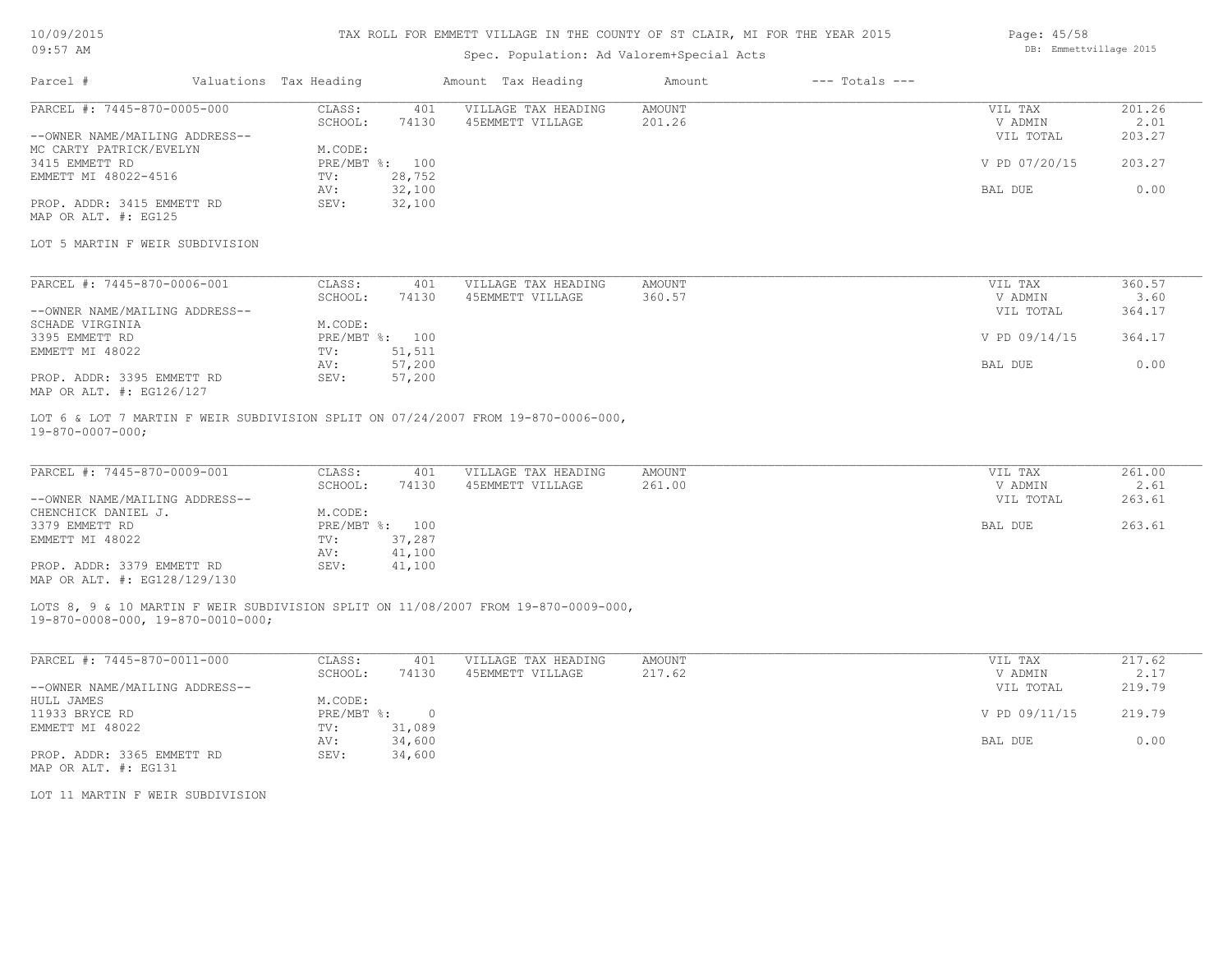## TAX ROLL FOR EMMETT VILLAGE IN THE COUNTY OF ST CLAIR, MI FOR THE YEAR 2015

# Spec. Population: Ad Valorem+Special Acts

| Page: $45/58$ |                        |  |
|---------------|------------------------|--|
|               | DB: Emmettvillage 2015 |  |
|               |                        |  |

| Parcel #                       | Valuations Tax Heading |        | Amount Tax Heading  | Amount | $---$ Totals $---$ |               |        |
|--------------------------------|------------------------|--------|---------------------|--------|--------------------|---------------|--------|
| PARCEL #: 7445-870-0005-000    | CLASS:                 | 401    | VILLAGE TAX HEADING | AMOUNT |                    | VIL TAX       | 201.26 |
|                                | SCHOOL:                | 74130  | 45EMMETT VILLAGE    | 201.26 |                    | V ADMIN       | 2.01   |
| --OWNER NAME/MAILING ADDRESS-- |                        |        |                     |        |                    | VIL TOTAL     | 203.27 |
| MC CARTY PATRICK/EVELYN        | M.CODE:                |        |                     |        |                    |               |        |
| 3415 EMMETT RD                 | PRE/MBT %: 100         |        |                     |        |                    | V PD 07/20/15 | 203.27 |
| EMMETT MI 48022-4516           | TV:                    | 28,752 |                     |        |                    |               |        |
|                                | AV:                    | 32,100 |                     |        |                    | BAL DUE       | 0.00   |
| PROP. ADDR: 3415 EMMETT RD     | SEV:                   | 32,100 |                     |        |                    |               |        |
| MAP OR ALT. #: EG125           |                        |        |                     |        |                    |               |        |

#### LOT 5 MARTIN F WEIR SUBDIVISION

| PARCEL #: 7445-870-0006-001    | CLASS:  | 401            | VILLAGE TAX HEADING | AMOUNT | VIL TAX       | 360.57 |
|--------------------------------|---------|----------------|---------------------|--------|---------------|--------|
|                                | SCHOOL: | 74130          | 45EMMETT VILLAGE    | 360.57 | V ADMIN       | 3.60   |
| --OWNER NAME/MAILING ADDRESS-- |         |                |                     |        | VIL TOTAL     | 364.17 |
| SCHADE VIRGINIA                | M.CODE: |                |                     |        |               |        |
| 3395 EMMETT RD                 |         | PRE/MBT %: 100 |                     |        | V PD 09/14/15 | 364.17 |
| EMMETT MI 48022                | TV:     | 51,511         |                     |        |               |        |
|                                | AV:     | 57,200         |                     |        | BAL DUE       | 0.00   |
| PROP. ADDR: 3395 EMMETT RD     | SEV:    | 57,200         |                     |        |               |        |
| MAP OR ALT. #: EG126/127       |         |                |                     |        |               |        |

19-870-0007-000; LOT 6 & LOT 7 MARTIN F WEIR SUBDIVISION SPLIT ON 07/24/2007 FROM 19-870-0006-000,

| PARCEL #: 7445-870-0009-001    | CLASS:  | 401            | VILLAGE TAX HEADING | AMOUNT | VIL TAX   | 261.00 |
|--------------------------------|---------|----------------|---------------------|--------|-----------|--------|
|                                | SCHOOL: | 74130          | 45EMMETT VILLAGE    | 261.00 | V ADMIN   | 2.61   |
| --OWNER NAME/MAILING ADDRESS-- |         |                |                     |        | VIL TOTAL | 263.61 |
| CHENCHICK DANIEL J.            | M.CODE: |                |                     |        |           |        |
| 3379 EMMETT RD                 |         | PRE/MBT %: 100 |                     |        | BAL DUE   | 263.61 |
| EMMETT MI 48022                | TV:     | 37,287         |                     |        |           |        |
|                                | AV:     | 41,100         |                     |        |           |        |
| PROP. ADDR: 3379 EMMETT RD     | SEV:    | 41,100         |                     |        |           |        |
| MAP OR ALT. #: EG128/129/130   |         |                |                     |        |           |        |

19-870-0008-000, 19-870-0010-000; LOTS 8, 9 & 10 MARTIN F WEIR SUBDIVISION SPLIT ON 11/08/2007 FROM 19-870-0009-000,

| PARCEL #: 7445-870-0011-000    | CLASS:     | 401    | VILLAGE TAX HEADING | AMOUNT | VIL TAX       | 217.62 |
|--------------------------------|------------|--------|---------------------|--------|---------------|--------|
|                                | SCHOOL:    | 74130  | 45EMMETT VILLAGE    | 217.62 | V ADMIN       | 2.17   |
| --OWNER NAME/MAILING ADDRESS-- |            |        |                     |        | VIL TOTAL     | 219.79 |
| HULL JAMES                     | M.CODE:    |        |                     |        |               |        |
| 11933 BRYCE RD                 | PRE/MBT %: | $\Box$ |                     |        | V PD 09/11/15 | 219.79 |
| EMMETT MI 48022                | TV:        | 31,089 |                     |        |               |        |
|                                | AV:        | 34,600 |                     |        | BAL DUE       | 0.00   |
| PROP. ADDR: 3365 EMMETT RD     | SEV:       | 34,600 |                     |        |               |        |
| MAP OR ALT. #: EG131           |            |        |                     |        |               |        |

LOT 11 MARTIN F WEIR SUBDIVISION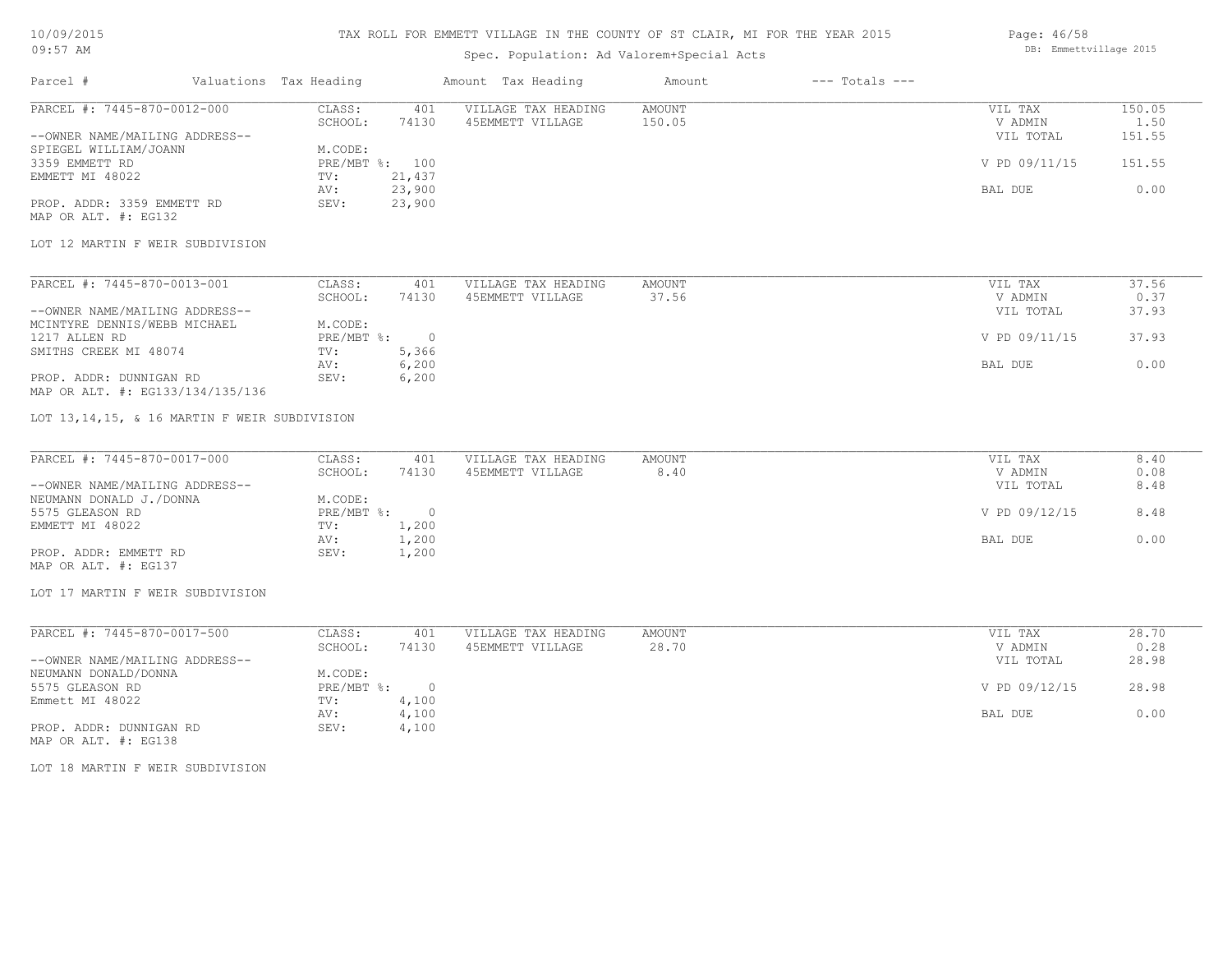# TAX ROLL FOR EMMETT VILLAGE IN THE COUNTY OF ST CLAIR, MI FOR THE YEAR 2015

# Spec. Population: Ad Valorem+Special Acts

| Parcel #                       | Valuations Tax Heading |        | Amount Tax Heading  | Amount | $---$ Totals $---$ |               |        |
|--------------------------------|------------------------|--------|---------------------|--------|--------------------|---------------|--------|
| PARCEL #: 7445-870-0012-000    | CLASS:                 | 401    | VILLAGE TAX HEADING | AMOUNT |                    | VIL TAX       | 150.05 |
|                                | SCHOOL:                | 74130  | 45EMMETT VILLAGE    | 150.05 |                    | V ADMIN       | 1.50   |
| --OWNER NAME/MAILING ADDRESS-- |                        |        |                     |        |                    | VIL TOTAL     | 151.55 |
| SPIEGEL WILLIAM/JOANN          | M.CODE:                |        |                     |        |                    |               |        |
| 3359 EMMETT RD                 | PRE/MBT %: 100         |        |                     |        |                    | V PD 09/11/15 | 151.55 |
| EMMETT MI 48022                | TV:                    | 21,437 |                     |        |                    |               |        |
|                                | AV:                    | 23,900 |                     |        |                    | BAL DUE       | 0.00   |
| PROP. ADDR: 3359 EMMETT RD     | SEV:                   | 23,900 |                     |        |                    |               |        |
|                                |                        |        |                     |        |                    |               |        |

MAP OR ALT. #: EG132

#### LOT 12 MARTIN F WEIR SUBDIVISION

| PARCEL #: 7445-870-0013-001      | CLASS:       | 401   | VILLAGE TAX HEADING | AMOUNT | VIL TAX       | 37.56 |
|----------------------------------|--------------|-------|---------------------|--------|---------------|-------|
|                                  | SCHOOL:      | 74130 | 45EMMETT VILLAGE    | 37.56  | V ADMIN       | 0.37  |
| --OWNER NAME/MAILING ADDRESS--   |              |       |                     |        | VIL TOTAL     | 37.93 |
| MCINTYRE DENNIS/WEBB MICHAEL     | M.CODE:      |       |                     |        |               |       |
| 1217 ALLEN RD                    | $PRE/MBT$ %: |       |                     |        | V PD 09/11/15 | 37.93 |
| SMITHS CREEK MI 48074            | TV:          | 5,366 |                     |        |               |       |
|                                  | AV:          | 6,200 |                     |        | BAL DUE       | 0.00  |
| PROP. ADDR: DUNNIGAN RD          | SEV:         | 6,200 |                     |        |               |       |
| MAP OR ALT. #: EG133/134/135/136 |              |       |                     |        |               |       |

#### LOT 13,14,15, & 16 MARTIN F WEIR SUBDIVISION

| PARCEL #: 7445-870-0017-000    | CLASS:     | 401   | VILLAGE TAX HEADING | AMOUNT | VIL TAX       | 8.40 |
|--------------------------------|------------|-------|---------------------|--------|---------------|------|
|                                | SCHOOL:    | 74130 | 45EMMETT VILLAGE    | 8.40   | V ADMIN       | 0.08 |
| --OWNER NAME/MAILING ADDRESS-- |            |       |                     |        | VIL TOTAL     | 8.48 |
| NEUMANN DONALD J./DONNA        | M.CODE:    |       |                     |        |               |      |
| 5575 GLEASON RD                | PRE/MBT %: |       |                     |        | V PD 09/12/15 | 8.48 |
| EMMETT MI 48022                | TV:        | 1,200 |                     |        |               |      |
|                                | AV:        | 1,200 |                     |        | BAL DUE       | 0.00 |
| PROP. ADDR: EMMETT RD          | SEV:       | 1,200 |                     |        |               |      |
| MAP OR ALT. #: EG137           |            |       |                     |        |               |      |

#### LOT 17 MARTIN F WEIR SUBDIVISION

| PARCEL #: 7445-870-0017-500    | CLASS:     | 401   | VILLAGE TAX HEADING | AMOUNT | VIL TAX       | 28.70 |
|--------------------------------|------------|-------|---------------------|--------|---------------|-------|
|                                | SCHOOL:    | 74130 | 45EMMETT VILLAGE    | 28.70  | V ADMIN       | 0.28  |
| --OWNER NAME/MAILING ADDRESS-- |            |       |                     |        | VIL TOTAL     | 28.98 |
| NEUMANN DONALD/DONNA           | M.CODE:    |       |                     |        |               |       |
| 5575 GLEASON RD                | PRE/MBT %: | 0.    |                     |        | V PD 09/12/15 | 28.98 |
| Emmett MI 48022                | TV:        | 4,100 |                     |        |               |       |
|                                | AV:        | 4,100 |                     |        | BAL DUE       | 0.00  |
| PROP. ADDR: DUNNIGAN RD        | SEV:       | 4,100 |                     |        |               |       |

MAP OR ALT. #: EG138

LOT 18 MARTIN F WEIR SUBDIVISION

Page: 46/58 DB: Emmettvillage 2015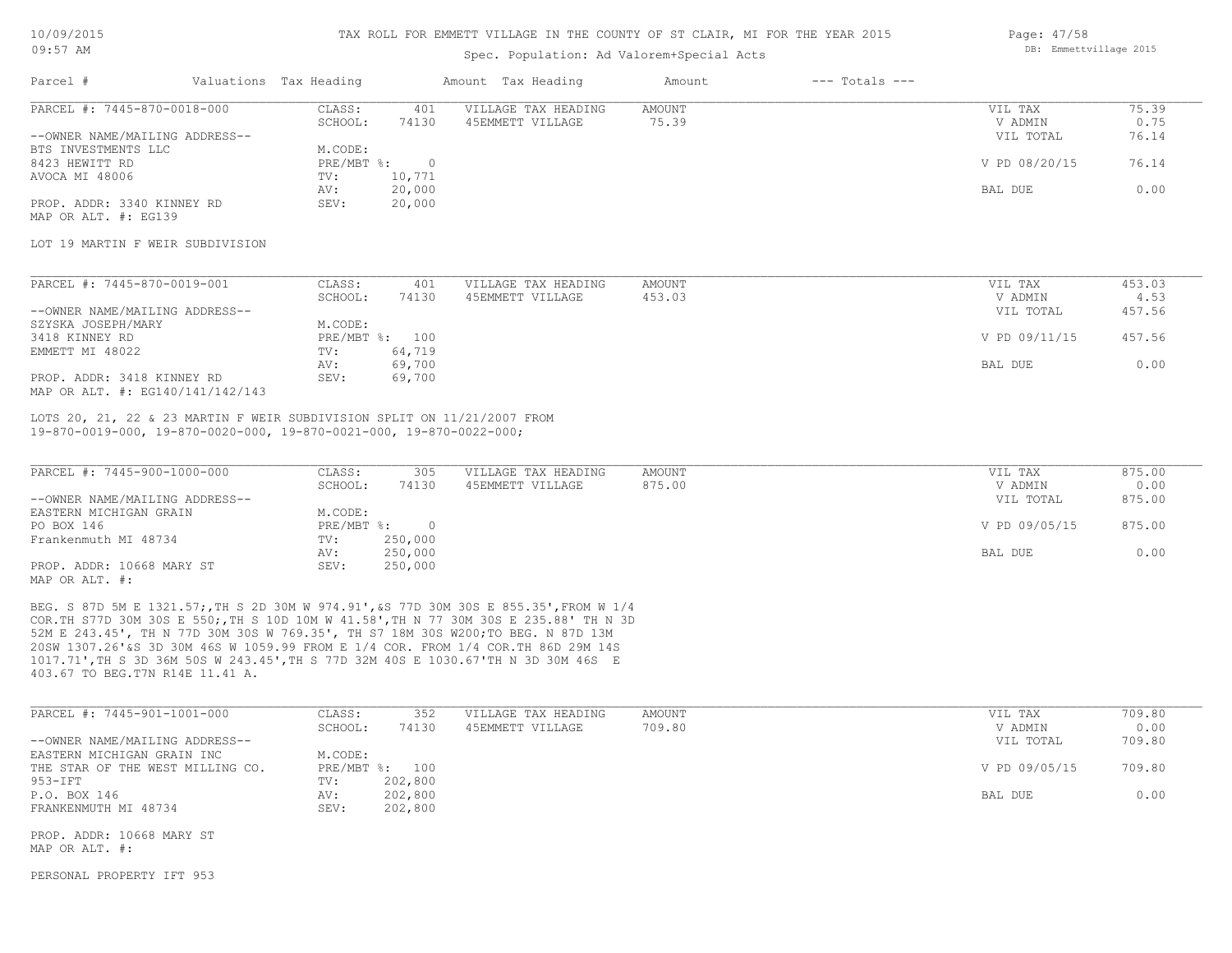#### TAX ROLL FOR EMMETT VILLAGE IN THE COUNTY OF ST CLAIR, MI FOR THE YEAR 2015

# Spec. Population: Ad Valorem+Special Acts

| Parcel #                       | Valuations Tax Heading |        | Amount Tax Heading  | Amount | $---$ Totals $---$ |               |       |
|--------------------------------|------------------------|--------|---------------------|--------|--------------------|---------------|-------|
| PARCEL #: 7445-870-0018-000    | CLASS:                 | 401    | VILLAGE TAX HEADING | AMOUNT |                    | VIL TAX       | 75.39 |
|                                | SCHOOL:                | 74130  | 45EMMETT VILLAGE    | 75.39  |                    | V ADMIN       | 0.75  |
| --OWNER NAME/MAILING ADDRESS-- |                        |        |                     |        |                    | VIL TOTAL     | 76.14 |
| BTS INVESTMENTS LLC            | M.CODE:                |        |                     |        |                    |               |       |
| 8423 HEWITT RD                 | $PRE/MBT$ %:           |        |                     |        |                    | V PD 08/20/15 | 76.14 |
| AVOCA MI 48006                 | TV:                    | 10,771 |                     |        |                    |               |       |
|                                | AV:                    | 20,000 |                     |        |                    | BAL DUE       | 0.00  |
| PROP. ADDR: 3340 KINNEY RD     | SEV:                   | 20,000 |                     |        |                    |               |       |

MAP OR ALT. #: EG139

#### LOT 19 MARTIN F WEIR SUBDIVISION

| PARCEL #: 7445-870-0019-001      | CLASS:  | 401            | VILLAGE TAX HEADING | AMOUNT | VIL TAX       | 453.03 |
|----------------------------------|---------|----------------|---------------------|--------|---------------|--------|
|                                  | SCHOOL: | 74130          | 45EMMETT VILLAGE    | 453.03 | V ADMIN       | 4.53   |
| --OWNER NAME/MAILING ADDRESS--   |         |                |                     |        | VIL TOTAL     | 457.56 |
| SZYSKA JOSEPH/MARY               | M.CODE: |                |                     |        |               |        |
| 3418 KINNEY RD                   |         | PRE/MBT %: 100 |                     |        | V PD 09/11/15 | 457.56 |
| EMMETT MI 48022                  | TV:     | 64,719         |                     |        |               |        |
|                                  | AV:     | 69,700         |                     |        | BAL DUE       | 0.00   |
| PROP. ADDR: 3418 KINNEY RD       | SEV:    | 69,700         |                     |        |               |        |
| MAP OR ALT. #: EG140/141/142/143 |         |                |                     |        |               |        |

19-870-0019-000, 19-870-0020-000, 19-870-0021-000, 19-870-0022-000; LOTS 20, 21, 22 & 23 MARTIN F WEIR SUBDIVISION SPLIT ON 11/21/2007 FROM

| PARCEL #: 7445-900-1000-000    | CLASS:     | 305     | VILLAGE TAX HEADING | AMOUNT | VIL TAX       | 875.00 |
|--------------------------------|------------|---------|---------------------|--------|---------------|--------|
|                                | SCHOOL:    | 74130   | 45EMMETT VILLAGE    | 875.00 | V ADMIN       | 0.00   |
| --OWNER NAME/MAILING ADDRESS-- |            |         |                     |        | VIL TOTAL     | 875.00 |
| EASTERN MICHIGAN GRAIN         | M.CODE:    |         |                     |        |               |        |
| PO BOX 146                     | PRE/MBT %: |         |                     |        | V PD 09/05/15 | 875.00 |
| Frankenmuth MI 48734           | TV:        | 250,000 |                     |        |               |        |
|                                | AV:        | 250,000 |                     |        | BAL DUE       | 0.00   |
| PROP. ADDR: 10668 MARY ST      | SEV:       | 250,000 |                     |        |               |        |
| MAP OR ALT. #:                 |            |         |                     |        |               |        |

403.67 TO BEG.T7N R14E 11.41 A. 1017.71',TH S 3D 36M 50S W 243.45',TH S 77D 32M 40S E 1030.67'TH N 3D 30M 46S E 20SW 1307.26'&S 3D 30M 46S W 1059.99 FROM E 1/4 COR. FROM 1/4 COR.TH 86D 29M 14S 52M E 243.45', TH N 77D 30M 30S W 769.35', TH S7 18M 30S W200;TO BEG. N 87D 13M COR.TH S77D 30M 30S E 550;,TH S 10D 10M W 41.58',TH N 77 30M 30S E 235.88' TH N 3D BEG. S 87D 5M E 1321.57;,TH S 2D 30M W 974.91',&S 77D 30M 30S E 855.35',FROM W 1/4

| 709.80 |
|--------|
| 0.00   |
| 709.80 |
|        |
| 709.80 |
|        |
| 0.00   |
|        |
|        |
|        |

 $\mathcal{L}_\mathcal{L} = \mathcal{L}_\mathcal{L} = \mathcal{L}_\mathcal{L} = \mathcal{L}_\mathcal{L} = \mathcal{L}_\mathcal{L} = \mathcal{L}_\mathcal{L} = \mathcal{L}_\mathcal{L} = \mathcal{L}_\mathcal{L} = \mathcal{L}_\mathcal{L} = \mathcal{L}_\mathcal{L} = \mathcal{L}_\mathcal{L} = \mathcal{L}_\mathcal{L} = \mathcal{L}_\mathcal{L} = \mathcal{L}_\mathcal{L} = \mathcal{L}_\mathcal{L} = \mathcal{L}_\mathcal{L} = \mathcal{L}_\mathcal{L}$ 

MAP OR ALT. #: PROP. ADDR: 10668 MARY ST

PERSONAL PROPERTY IFT 953

Page: 47/58 DB: Emmettvillage 2015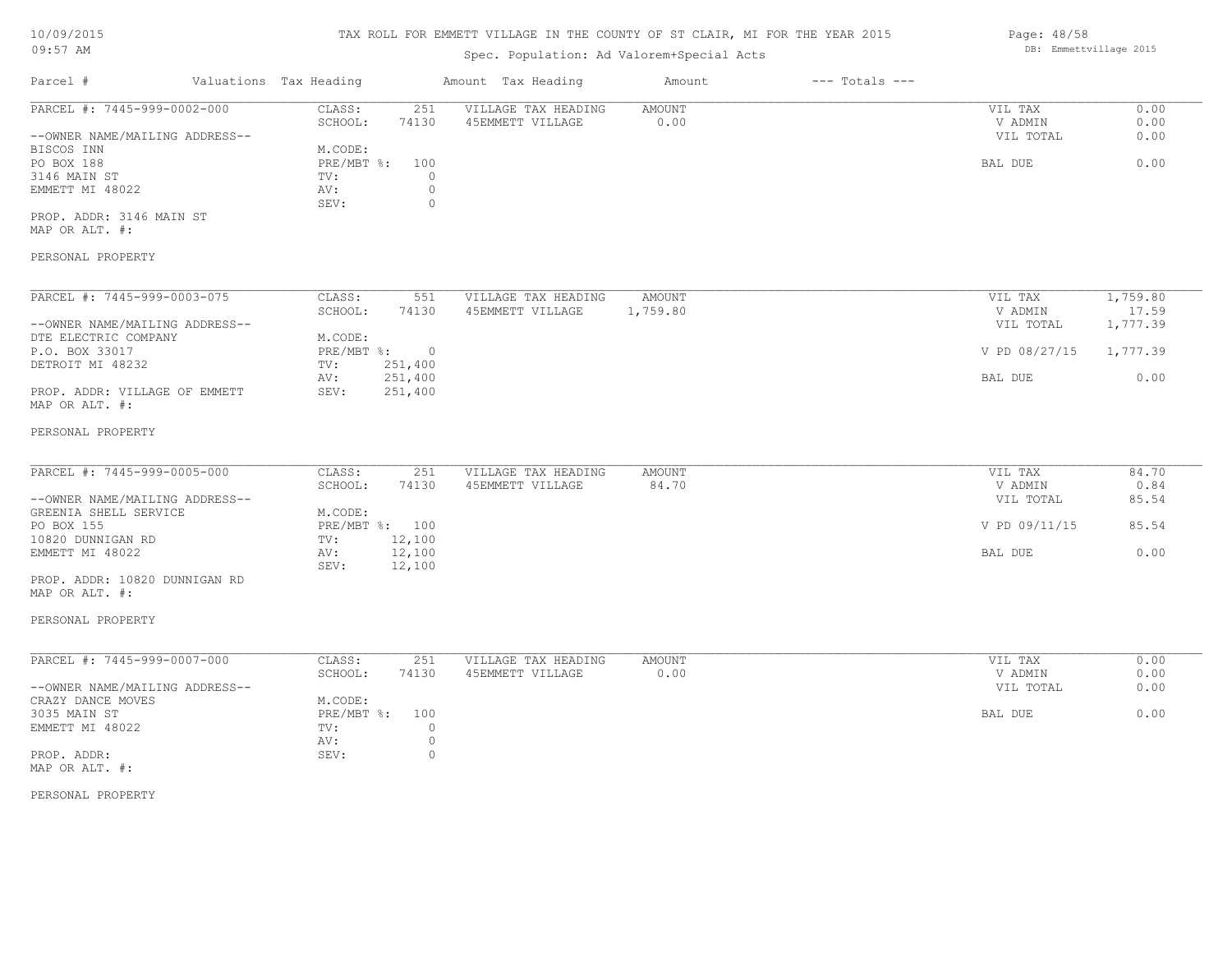# TAX ROLL FOR EMMETT VILLAGE IN THE COUNTY OF ST CLAIR, MI FOR THE YEAR 2015

# Spec. Population: Ad Valorem+Special Acts

|                                                 |                        |                | ppcc. reputation. ha varefem bpccrat hote |               |                    |               |                   |
|-------------------------------------------------|------------------------|----------------|-------------------------------------------|---------------|--------------------|---------------|-------------------|
| Parcel #                                        | Valuations Tax Heading |                | Amount Tax Heading                        | Amount        | $---$ Totals $---$ |               |                   |
| PARCEL #: 7445-999-0002-000                     | CLASS:                 | 251            | VILLAGE TAX HEADING                       | <b>AMOUNT</b> |                    | VIL TAX       | 0.00              |
|                                                 | SCHOOL:                | 74130          | 45EMMETT VILLAGE                          | 0.00          |                    | V ADMIN       | 0.00              |
| --OWNER NAME/MAILING ADDRESS--                  |                        |                |                                           |               |                    | VIL TOTAL     | 0.00              |
| BISCOS INN                                      | M.CODE:                |                |                                           |               |                    |               |                   |
| PO BOX 188                                      | PRE/MBT %:             | 100            |                                           |               |                    | BAL DUE       | 0.00              |
| 3146 MAIN ST                                    | TV:                    | 0              |                                           |               |                    |               |                   |
| EMMETT MI 48022                                 | AV:                    | $\circ$        |                                           |               |                    |               |                   |
|                                                 | SEV:                   | $\circ$        |                                           |               |                    |               |                   |
| PROP. ADDR: 3146 MAIN ST                        |                        |                |                                           |               |                    |               |                   |
| MAP OR ALT. #:                                  |                        |                |                                           |               |                    |               |                   |
| PERSONAL PROPERTY                               |                        |                |                                           |               |                    |               |                   |
|                                                 |                        |                |                                           |               |                    |               |                   |
| PARCEL #: 7445-999-0003-075                     | CLASS:                 | 551            | VILLAGE TAX HEADING                       | <b>AMOUNT</b> |                    | VIL TAX       | 1,759.80          |
| --OWNER NAME/MAILING ADDRESS--                  | SCHOOL:                | 74130          | 45EMMETT VILLAGE                          | 1,759.80      |                    | V ADMIN       | 17.59<br>1,777.39 |
| DTE ELECTRIC COMPANY                            | M.CODE:                |                |                                           |               |                    | VIL TOTAL     |                   |
| P.O. BOX 33017                                  | $PRE/MBT$ $\div$       | $\overline{0}$ |                                           |               |                    | V PD 08/27/15 | 1,777.39          |
| DETROIT MI 48232                                | TV:                    | 251,400        |                                           |               |                    |               |                   |
|                                                 | AV:                    | 251,400        |                                           |               |                    | BAL DUE       | 0.00              |
| PROP. ADDR: VILLAGE OF EMMETT<br>MAP OR ALT. #: | SEV:                   | 251,400        |                                           |               |                    |               |                   |
| PERSONAL PROPERTY                               |                        |                |                                           |               |                    |               |                   |
|                                                 |                        |                |                                           |               |                    |               |                   |
| PARCEL #: 7445-999-0005-000                     | CLASS:                 | 251            | VILLAGE TAX HEADING                       | <b>AMOUNT</b> |                    | VIL TAX       | 84.70             |
|                                                 | SCHOOL:                | 74130          | 45EMMETT VILLAGE                          | 84.70         |                    | V ADMIN       | 0.84              |

|                                | SCHOOL: | 74 L J U       | ADEMMETT VILLAGE | 84./U | V ADMIN       | U.84  |
|--------------------------------|---------|----------------|------------------|-------|---------------|-------|
| --OWNER NAME/MAILING ADDRESS-- |         |                |                  |       | VIL TOTAL     | 85.54 |
| GREENIA SHELL SERVICE          | M.CODE: |                |                  |       |               |       |
| PO BOX 155                     |         | PRE/MBT %: 100 |                  |       | V PD 09/11/15 | 85.54 |
| 10820 DUNNIGAN RD              | TV:     | 12,100         |                  |       |               |       |
| EMMETT MI 48022                | AV:     | 12,100         |                  |       | BAL DUE       | 0.00  |
|                                | SEV:    | 12,100         |                  |       |               |       |
|                                |         |                |                  |       |               |       |

MAP OR ALT. #: PROP. ADDR: 10820 DUNNIGAN RD

# PERSONAL PROPERTY

| PARCEL #: 7445-999-0007-000    | CLASS:     | 251   | VILLAGE TAX HEADING | AMOUNT | 0.00<br>VIL TAX   |
|--------------------------------|------------|-------|---------------------|--------|-------------------|
|                                | SCHOOL:    | 74130 | 45EMMETT VILLAGE    | 0.00   | 0.00<br>V ADMIN   |
| --OWNER NAME/MAILING ADDRESS-- |            |       |                     |        | 0.00<br>VIL TOTAL |
| CRAZY DANCE MOVES              | M.CODE:    |       |                     |        |                   |
| 3035 MAIN ST                   | PRE/MBT %: | 100   |                     |        | 0.00<br>BAL DUE   |
| EMMETT MI 48022                | TV:        |       |                     |        |                   |
|                                | AV:        |       |                     |        |                   |
| PROP. ADDR:                    | SEV:       |       |                     |        |                   |
| MAP OR ALT. #:                 |            |       |                     |        |                   |

PERSONAL PROPERTY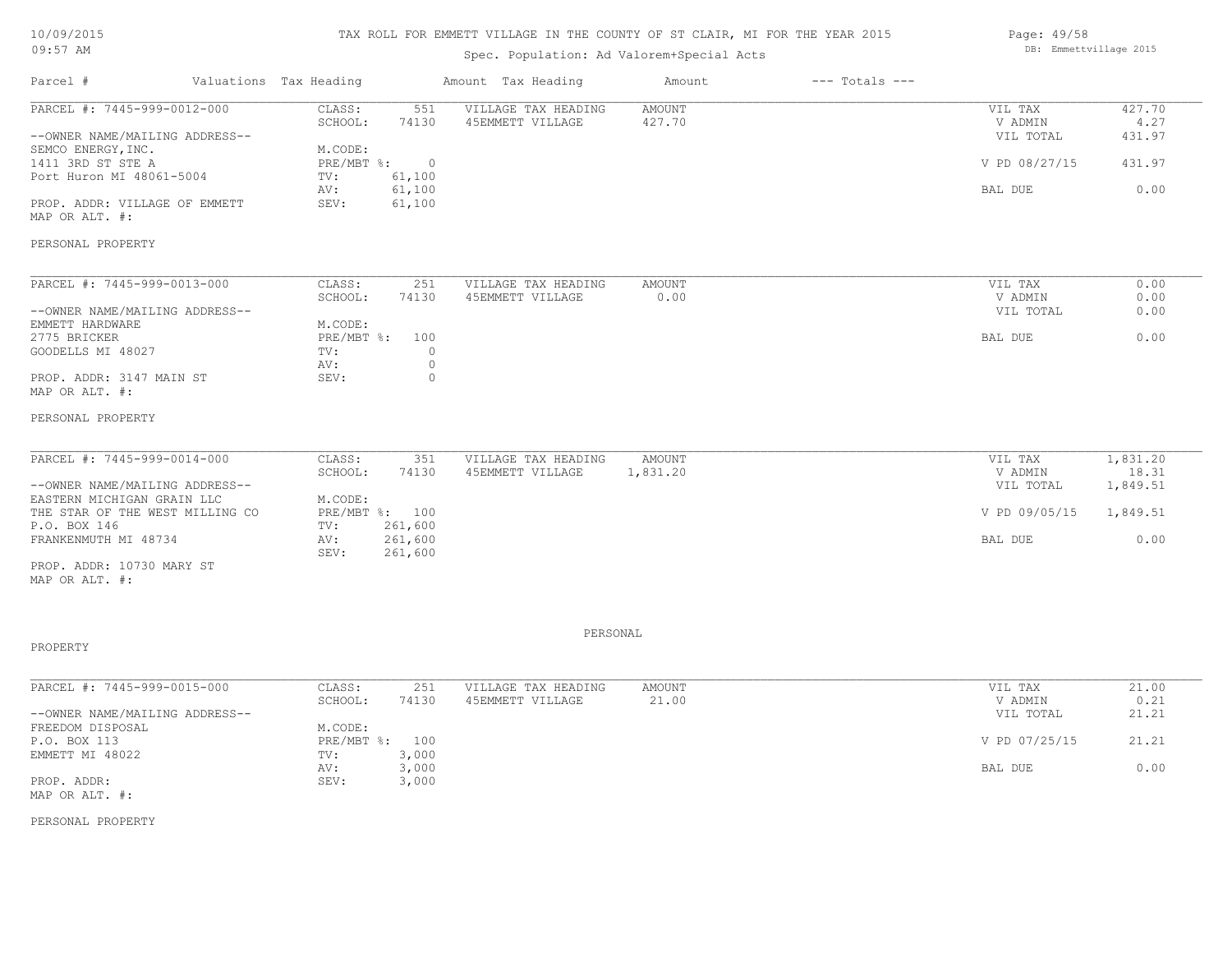# TAX ROLL FOR EMMETT VILLAGE IN THE COUNTY OF ST CLAIR, MI FOR THE YEAR 2015

# Spec. Population: Ad Valorem+Special Acts

| Parcel #                       | Valuations Tax Heading |                | Amount Tax Heading  | Amount | $---$ Totals $---$ |               |        |
|--------------------------------|------------------------|----------------|---------------------|--------|--------------------|---------------|--------|
| PARCEL #: 7445-999-0012-000    | CLASS:                 | 551            | VILLAGE TAX HEADING | AMOUNT |                    | VIL TAX       | 427.70 |
|                                | SCHOOL:                | 74130          | 45EMMETT VILLAGE    | 427.70 |                    | V ADMIN       | 4.27   |
| --OWNER NAME/MAILING ADDRESS-- |                        |                |                     |        |                    | VIL TOTAL     | 431.97 |
| SEMCO ENERGY, INC.             | M.CODE:                |                |                     |        |                    |               |        |
| 1411 3RD ST STE A              | PRE/MBT %:             | $\overline{0}$ |                     |        |                    | V PD 08/27/15 | 431.97 |
| Port Huron MI 48061-5004       | TV:                    | 61,100         |                     |        |                    |               |        |
|                                | AV:                    | 61,100         |                     |        |                    | BAL DUE       | 0.00   |
| PROP. ADDR: VILLAGE OF EMMETT  | SEV:                   | 61,100         |                     |        |                    |               |        |
| MAP OR ALT. #:                 |                        |                |                     |        |                    |               |        |
| PERSONAL PROPERTY              |                        |                |                     |        |                    |               |        |
|                                |                        |                |                     |        |                    |               |        |
| PARCEL #: 7445-999-0013-000    | CLASS:                 | 251            | VILLAGE TAX HEADING | AMOUNT |                    | VIL TAX       | 0.00   |
|                                | SCHOOL:                | 74130          | 45EMMETT VILLAGE    | 0.00   |                    | V ADMIN       | 0.00   |
| --OWNER NAME/MAILING ADDRESS-- |                        |                |                     |        |                    | VIL TOTAL     | 0.00   |
| EMMETT HARDWARE                | M.CODE:                |                |                     |        |                    |               |        |
|                                |                        |                |                     |        |                    |               |        |

MAP OR ALT. #: PROP. ADDR: 3147 MAIN ST SEV: 0 AV: 0 GOODELLS MI 48027 TV:  $0$ <br>AV: 0 2775 BRICKER PRE/MBT %: 100 BAL DUE 0.00

#### PERSONAL PROPERTY

| PARCEL #: 7445-999-0014-000     | CLASS:  | 351            | VILLAGE TAX HEADING | AMOUNT   | VIL TAX       | 1,831.20 |
|---------------------------------|---------|----------------|---------------------|----------|---------------|----------|
|                                 | SCHOOL: | 74130          | 45EMMETT VILLAGE    | 1,831.20 | V ADMIN       | 18.31    |
| --OWNER NAME/MAILING ADDRESS--  |         |                |                     |          | VIL TOTAL     | 1,849.51 |
| EASTERN MICHIGAN GRAIN LLC      | M.CODE: |                |                     |          |               |          |
| THE STAR OF THE WEST MILLING CO |         | PRE/MBT %: 100 |                     |          | V PD 09/05/15 | 1,849.51 |
| P.O. BOX 146                    | TV:     | 261,600        |                     |          |               |          |
| FRANKENMUTH MI 48734            | AV:     | 261,600        |                     |          | BAL DUE       | 0.00     |
|                                 | SEV:    | 261,600        |                     |          |               |          |
| PROP. ADDR: 10730 MARY ST       |         |                |                     |          |               |          |

MAP OR ALT. #:

### PROPERTY

PERSONAL

| PARCEL #: 7445-999-0015-000    | CLASS:       | 251   | VILLAGE TAX HEADING | AMOUNT | VIL TAX       | 21.00 |
|--------------------------------|--------------|-------|---------------------|--------|---------------|-------|
|                                | SCHOOL:      | 74130 | 45EMMETT VILLAGE    | 21.00  | V ADMIN       | 0.21  |
| --OWNER NAME/MAILING ADDRESS-- |              |       |                     |        | VIL TOTAL     | 21.21 |
| FREEDOM DISPOSAL               | M.CODE:      |       |                     |        |               |       |
| P.O. BOX 113                   | $PRE/MBT$ %: | 100   |                     |        | V PD 07/25/15 | 21.21 |
| EMMETT MI 48022                | TV:          | 3,000 |                     |        |               |       |
|                                | AV:          | 3,000 |                     |        | BAL DUE       | 0.00  |
| PROP. ADDR:                    | SEV:         | 3,000 |                     |        |               |       |
| MAP OR ALT. #:                 |              |       |                     |        |               |       |

PERSONAL PROPERTY

DB: Emmettvillage 2015

Page: 49/58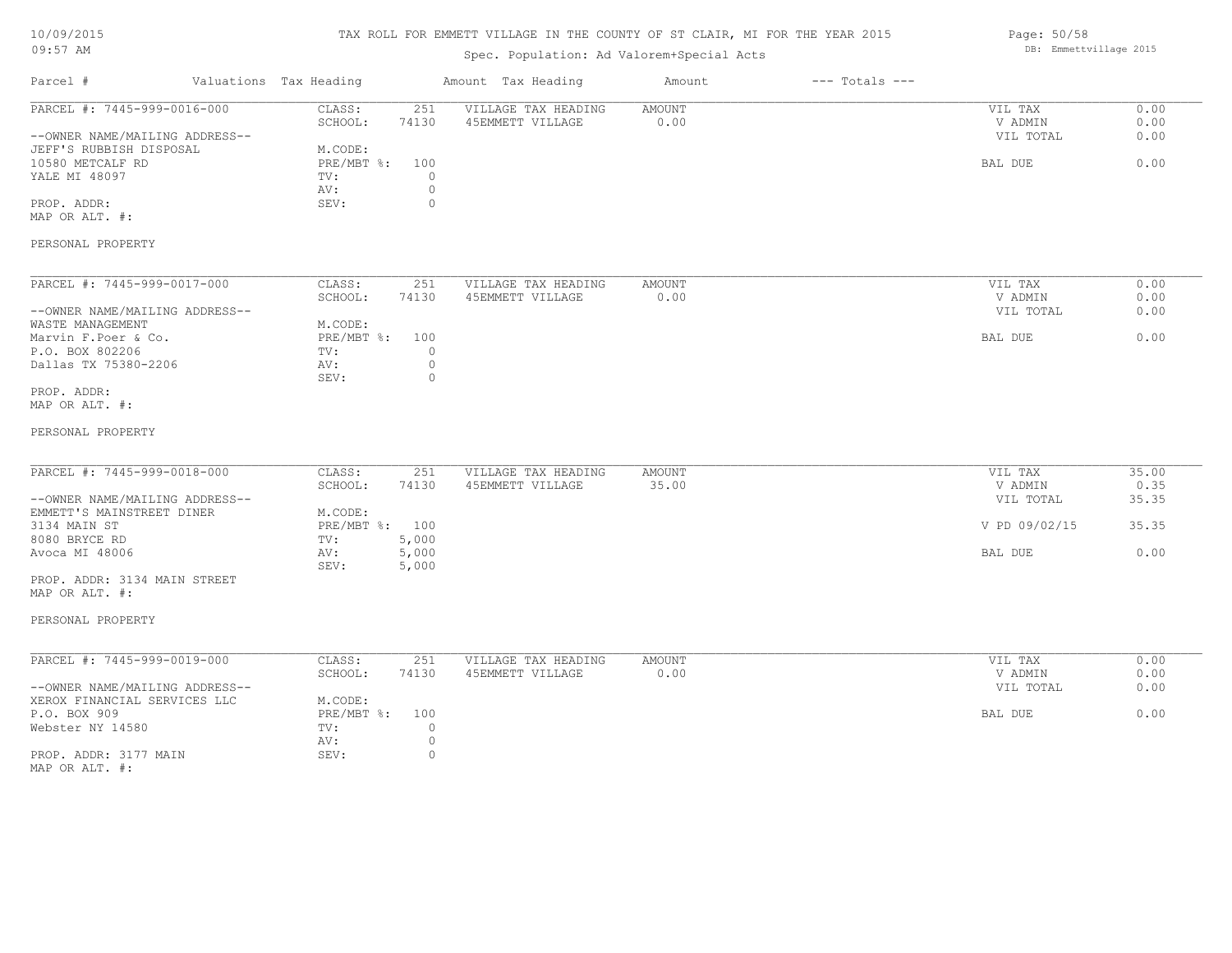# 10/09/2015  $09:57$

# TAX ROLL FOR EMMETT VILLAGE IN THE COUNTY OF ST CLAIR, MI FOR THE YEAR 2015

| 09:57 AM                                                       |                                                                        | Spec. Population: Ad Valorem+Special Acts | DB: Emmettvillage 2015 |                    |                                 |                      |
|----------------------------------------------------------------|------------------------------------------------------------------------|-------------------------------------------|------------------------|--------------------|---------------------------------|----------------------|
| Parcel #                                                       | Valuations Tax Heading                                                 | Amount Tax Heading                        | Amount                 | $---$ Totals $---$ |                                 |                      |
| PARCEL #: 7445-999-0016-000<br>--OWNER NAME/MAILING ADDRESS--  | CLASS:<br>251<br>SCHOOL:<br>74130                                      | VILLAGE TAX HEADING<br>45EMMETT VILLAGE   | <b>AMOUNT</b><br>0.00  |                    | VIL TAX<br>V ADMIN<br>VIL TOTAL | 0.00<br>0.00<br>0.00 |
| JEFF'S RUBBISH DISPOSAL<br>10580 METCALF RD<br>YALE MI 48097   | M.CODE:<br>$PRE/MBT$ $\div$<br>100<br>$\circ$<br>TV:<br>$\circ$<br>AV: |                                           |                        |                    | BAL DUE                         | 0.00                 |
| PROP. ADDR:<br>MAP OR ALT. #:                                  | SEV:<br>$\Omega$                                                       |                                           |                        |                    |                                 |                      |
| PERSONAL PROPERTY                                              |                                                                        |                                           |                        |                    |                                 |                      |
| PARCEL #: 7445-999-0017-000                                    | 251<br>CLASS:                                                          | VILLAGE TAX HEADING                       | AMOUNT                 |                    | VIL TAX                         | 0.00                 |
| --OWNER NAME/MAILING ADDRESS--<br>WASTE MANAGEMENT             | SCHOOL:<br>74130<br>M.CODE:                                            | 45EMMETT VILLAGE                          | 0.00                   |                    | V ADMIN<br>VIL TOTAL            | 0.00<br>0.00         |
| Marvin F.Poer & Co.<br>P.O. BOX 802206<br>Dallas TX 75380-2206 | PRE/MBT %:<br>100<br>$\circ$<br>TV:<br>$\circ$<br>AV:                  |                                           |                        |                    | BAL DUE                         | 0.00                 |
| PROP. ADDR:<br>MAP OR ALT. #:                                  | SEV:<br>$\circ$                                                        |                                           |                        |                    |                                 |                      |
| PERSONAL PROPERTY                                              |                                                                        |                                           |                        |                    |                                 |                      |
| PARCEL #: 7445-999-0018-000                                    | CLASS:<br>251                                                          | VILLAGE TAX HEADING                       | <b>AMOUNT</b>          |                    | VIL TAX                         | 35.00                |
| --OWNER NAME/MAILING ADDRESS--                                 | SCHOOL:<br>74130                                                       | 45EMMETT VILLAGE                          | 35.00                  |                    | V ADMIN<br>VIL TOTAL            | 0.35<br>35.35        |
| EMMETT'S MAINSTREET DINER<br>3134 MAIN ST                      | M.CODE:<br>PRE/MBT %: 100                                              |                                           |                        |                    | V PD 09/02/15                   | 35.35                |
| 8080 BRYCE RD<br>Avoca MI 48006                                | TV:<br>5,000<br>5,000<br>AV:<br>SEV:<br>5,000                          |                                           |                        |                    | BAL DUE                         | 0.00                 |
| PROP. ADDR: 3134 MAIN STREET<br>MAP OR ALT. #:                 |                                                                        |                                           |                        |                    |                                 |                      |
| PERSONAL PROPERTY                                              |                                                                        |                                           |                        |                    |                                 |                      |
| PARCEL #: 7445-999-0019-000                                    | CLASS:<br>251<br>SCHOOL:<br>74130                                      | VILLAGE TAX HEADING<br>45EMMETT VILLAGE   | <b>AMOUNT</b><br>0.00  |                    | VIL TAX<br>V ADMIN              | 0.00<br>0.00         |
| --OWNER NAME/MAILING ADDRESS--<br>XEROX FINANCIAL SERVICES LLC | M.CODE:                                                                |                                           |                        |                    | VIL TOTAL                       | 0.00                 |
| P.O. BOX 909<br>Webster NY 14580                               | PRE/MBT %:<br>100<br>TV:<br>$\circ$<br>$\mathbb O$<br>AV:              |                                           |                        |                    | BAL DUE                         | 0.00                 |
| PROP. ADDR: 3177 MAIN                                          | $\mathbb O$<br>SEV:                                                    |                                           |                        |                    |                                 |                      |

Page: 50/58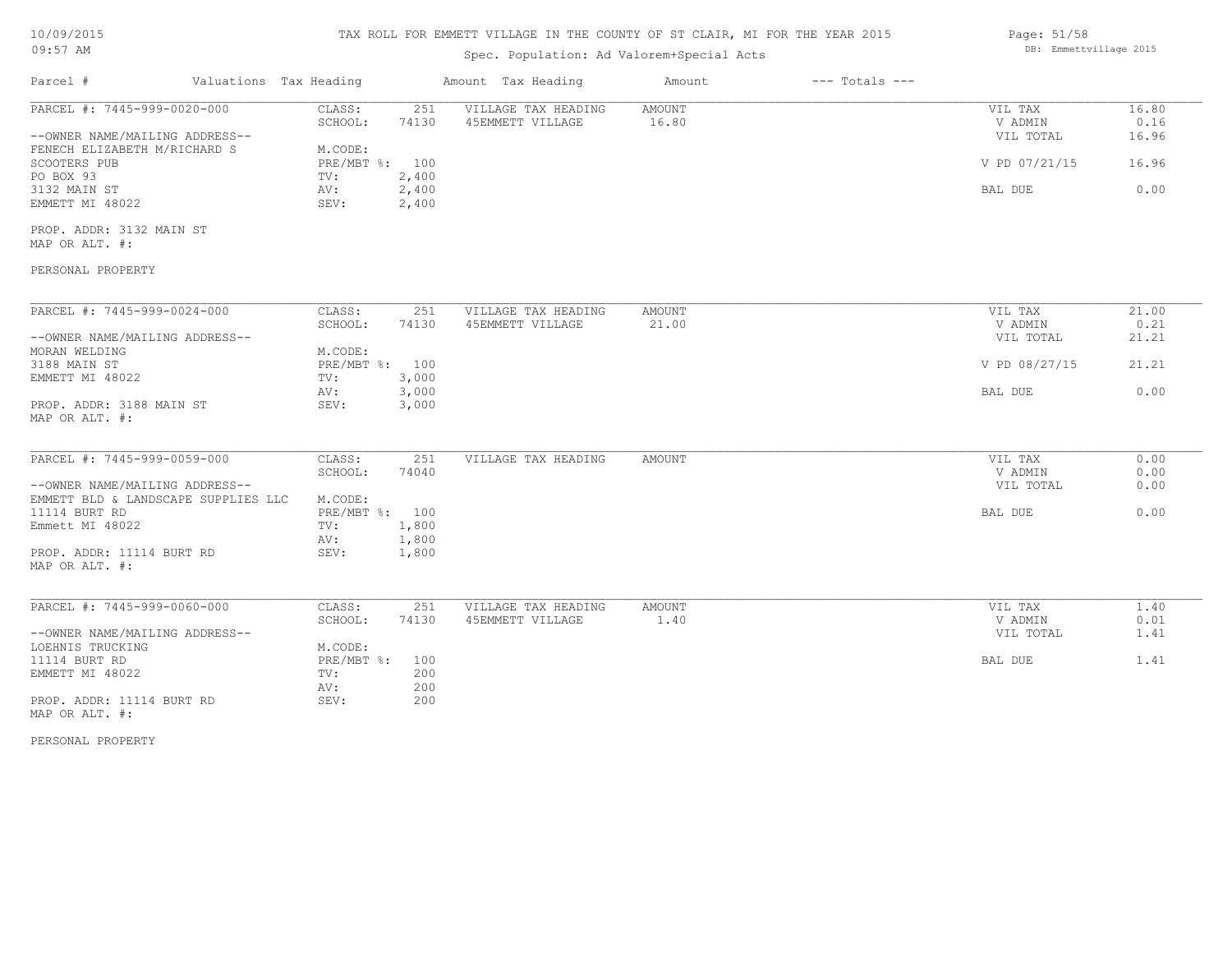# TAX ROLL FOR EMMETT VILLAGE IN THE COUNTY OF ST CLAIR, MI FOR THE YEAR 2015

# Spec. Population: Ad Valorem+Special Acts

| Page: 51/58            |  |
|------------------------|--|
| DB: Emmettvillage 2015 |  |

| Parcel #                                   | Valuations Tax Heading |       | Amount Tax Heading                      | Amount          | $---$ Totals $---$ |               |       |
|--------------------------------------------|------------------------|-------|-----------------------------------------|-----------------|--------------------|---------------|-------|
| PARCEL #: 7445-999-0020-000                | CLASS:                 | 251   | VILLAGE TAX HEADING                     | AMOUNT          |                    | VIL TAX       | 16.80 |
|                                            | SCHOOL:                | 74130 | 45EMMETT VILLAGE                        | 16.80           |                    | V ADMIN       | 0.16  |
| --OWNER NAME/MAILING ADDRESS--             |                        |       |                                         |                 |                    | VIL TOTAL     | 16.96 |
| FENECH ELIZABETH M/RICHARD S               | M.CODE:                |       |                                         |                 |                    |               |       |
| SCOOTERS PUB                               | PRE/MBT %: 100         |       |                                         |                 |                    | V PD 07/21/15 | 16.96 |
| PO BOX 93                                  | TV:                    | 2,400 |                                         |                 |                    |               |       |
| 3132 MAIN ST                               | AV:                    | 2,400 |                                         |                 |                    | BAL DUE       | 0.00  |
| EMMETT MI 48022                            | SEV:                   | 2,400 |                                         |                 |                    |               |       |
| PROP. ADDR: 3132 MAIN ST                   |                        |       |                                         |                 |                    |               |       |
| MAP OR ALT. #:                             |                        |       |                                         |                 |                    |               |       |
| PERSONAL PROPERTY                          |                        |       |                                         |                 |                    |               |       |
| PARCEL #: 7445-999-0024-000                | CLASS:                 | 251   |                                         |                 |                    | VIL TAX       | 21.00 |
|                                            | SCHOOL:                | 74130 | VILLAGE TAX HEADING<br>45EMMETT VILLAGE | AMOUNT<br>21.00 |                    | V ADMIN       |       |
|                                            |                        |       |                                         |                 |                    |               | 0.21  |
| --OWNER NAME/MAILING ADDRESS--             |                        |       |                                         |                 |                    | VIL TOTAL     | 21.21 |
| MORAN WELDING                              | M.CODE:                |       |                                         |                 |                    |               |       |
| 3188 MAIN ST                               | PRE/MBT %: 100         |       |                                         |                 |                    | V PD 08/27/15 | 21.21 |
| EMMETT MI 48022                            | TV:                    | 3,000 |                                         |                 |                    |               |       |
|                                            | AV:                    | 3,000 |                                         |                 |                    | BAL DUE       | 0.00  |
| PROP. ADDR: 3188 MAIN ST<br>MAP OR ALT. #: | SEV:                   | 3,000 |                                         |                 |                    |               |       |
| PARCEL #: 7445-999-0059-000                | CLASS:                 | 251   | VILLAGE TAX HEADING                     | AMOUNT          |                    | VIL TAX       | 0.00  |
|                                            | SCHOOL:                | 74040 |                                         |                 |                    | V ADMIN       | 0.00  |
| --OWNER NAME/MAILING ADDRESS--             |                        |       |                                         |                 |                    | VIL TOTAL     | 0.00  |
| EMMETT BLD & LANDSCAPE SUPPLIES LLC        | M.CODE:                |       |                                         |                 |                    |               |       |
| 11114 BURT RD                              | PRE/MBT %: 100         |       |                                         |                 |                    | BAL DUE       | 0.00  |
|                                            |                        |       |                                         |                 |                    |               |       |
| Emmett MI 48022                            | TV:                    | 1,800 |                                         |                 |                    |               |       |
| PROP. ADDR: 11114 BURT RD                  | AV:<br>SEV:            | 1,800 |                                         |                 |                    |               |       |
| MAP OR ALT. #:                             |                        | 1,800 |                                         |                 |                    |               |       |
| PARCEL #: 7445-999-0060-000                | CLASS:                 | 251   | VILLAGE TAX HEADING                     | AMOUNT          |                    | VIL TAX       | 1.40  |
|                                            | SCHOOL:                | 74130 | 45EMMETT VILLAGE                        | 1.40            |                    | V ADMIN       | 0.01  |
| --OWNER NAME/MAILING ADDRESS--             |                        |       |                                         |                 |                    | VIL TOTAL     | 1.41  |
| LOEHNIS TRUCKING                           | M.CODE:                |       |                                         |                 |                    |               |       |
| 11114 BURT RD                              | $PRE/MBT$ %:           | 100   |                                         |                 |                    | BAL DUE       | 1.41  |
| EMMETT MI 48022                            | TV:                    | 200   |                                         |                 |                    |               |       |
|                                            | AV:                    | 200   |                                         |                 |                    |               |       |
| PROP. ADDR: 11114 BURT RD                  | SEV:                   | 200   |                                         |                 |                    |               |       |
| MAP OR ALT. #:                             |                        |       |                                         |                 |                    |               |       |

PERSONAL PROPERTY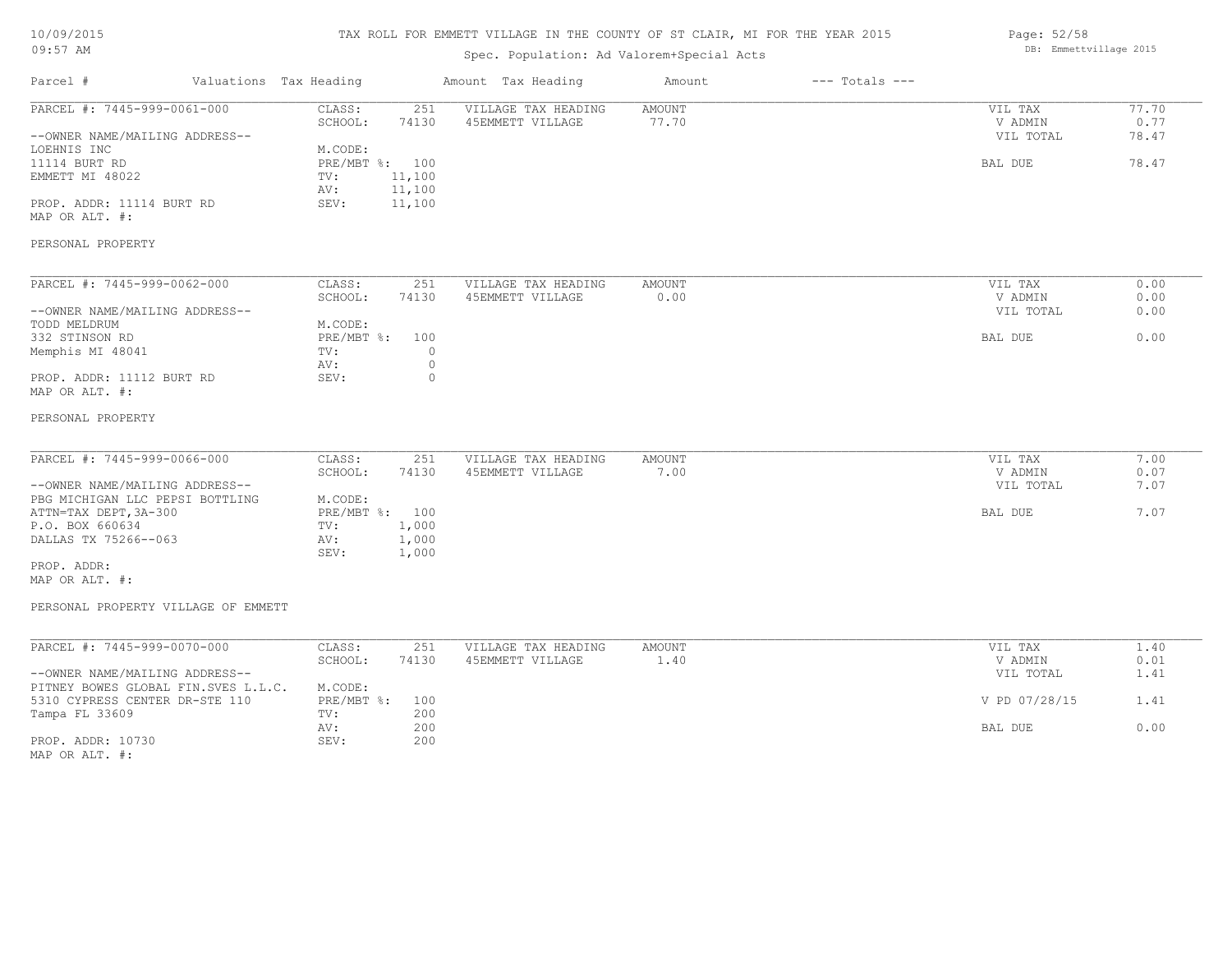#### TAX ROLL FOR EMMETT VILLAGE IN THE COUNTY OF ST CLAIR, MI FOR THE YEAR 2015

# Spec. Population: Ad Valorem+Special Acts

|                                | spec. Population: Ad valorem+special Acts |                |                     |        |                    |           |       |
|--------------------------------|-------------------------------------------|----------------|---------------------|--------|--------------------|-----------|-------|
| Parcel #                       | Valuations Tax Heading                    |                | Amount Tax Heading  | Amount | $---$ Totals $---$ |           |       |
| PARCEL #: 7445-999-0061-000    | CLASS:                                    | 251            | VILLAGE TAX HEADING | AMOUNT |                    | VIL TAX   | 77.70 |
|                                | SCHOOL:                                   | 74130          | 45EMMETT VILLAGE    | 77.70  |                    | V ADMIN   | 0.77  |
| --OWNER NAME/MAILING ADDRESS-- |                                           |                |                     |        |                    | VIL TOTAL | 78.47 |
| LOEHNIS INC                    | M.CODE:                                   |                |                     |        |                    |           |       |
| 11114 BURT RD                  |                                           | PRE/MBT %: 100 |                     |        |                    | BAL DUE   | 78.47 |
| EMMETT MI 48022                | TV:                                       | 11,100         |                     |        |                    |           |       |
|                                | AV:                                       | 11,100         |                     |        |                    |           |       |
| PROP. ADDR: 11114 BURT RD      | SEV:                                      | 11,100         |                     |        |                    |           |       |
| MAP OR ALT. #:                 |                                           |                |                     |        |                    |           |       |
| PERSONAL PROPERTY              |                                           |                |                     |        |                    |           |       |
| PARCEL #: 7445-999-0062-000    | CLASS:                                    | 251            | VILLAGE TAX HEADING | AMOUNT |                    | VIL TAX   | 0.00  |
|                                | SCHOOL:                                   | 74130          | 45EMMETT VILLAGE    | 0.00   |                    | V ADMIN   | 0.00  |
| --OWNER NAME/MAILING ADDRESS-- |                                           |                |                     |        |                    | VIL TOTAL | 0.00  |
| TODD MELDRUM                   | M.CODE:                                   |                |                     |        |                    |           |       |
| 332 STINSON RD                 | PRE/MBT %:                                | 100            |                     |        |                    | BAL DUE   | 0.00  |
| Memphis MI 48041               | TV:                                       |                |                     |        |                    |           |       |
|                                | AV:                                       |                |                     |        |                    |           |       |
| PROP. ADDR: 11112 BURT RD      | SEV:                                      | $\Omega$       |                     |        |                    |           |       |
| MAP OR ALT. #:                 |                                           |                |                     |        |                    |           |       |

#### PERSONAL PROPERTY

| PARCEL #: 7445-999-0066-000     | CLASS:     | 251   | VILLAGE TAX HEADING | AMOUNT | VIL TAX   | 7.00 |
|---------------------------------|------------|-------|---------------------|--------|-----------|------|
|                                 | SCHOOL:    | 74130 | 45EMMETT VILLAGE    | .00    | V ADMIN   | 0.07 |
| --OWNER NAME/MAILING ADDRESS--  |            |       |                     |        | VIL TOTAL | 7.07 |
| PBG MICHIGAN LLC PEPSI BOTTLING | M.CODE:    |       |                     |        |           |      |
| ATTN=TAX DEPT, 3A-300           | PRE/MBT %: | 100   |                     |        | BAL DUE   | 7.07 |
| P.O. BOX 660634                 | TV:        | 1,000 |                     |        |           |      |
| DALLAS TX 75266--063            | AV:        | 1,000 |                     |        |           |      |
|                                 | SEV:       | 1,000 |                     |        |           |      |
| PROP. ADDR:                     |            |       |                     |        |           |      |

 $\mathcal{L}_\mathcal{L} = \mathcal{L}_\mathcal{L} = \mathcal{L}_\mathcal{L} = \mathcal{L}_\mathcal{L} = \mathcal{L}_\mathcal{L} = \mathcal{L}_\mathcal{L} = \mathcal{L}_\mathcal{L} = \mathcal{L}_\mathcal{L} = \mathcal{L}_\mathcal{L} = \mathcal{L}_\mathcal{L} = \mathcal{L}_\mathcal{L} = \mathcal{L}_\mathcal{L} = \mathcal{L}_\mathcal{L} = \mathcal{L}_\mathcal{L} = \mathcal{L}_\mathcal{L} = \mathcal{L}_\mathcal{L} = \mathcal{L}_\mathcal{L}$ 

# MAP OR ALT. #:

#### PERSONAL PROPERTY VILLAGE OF EMMETT

| PARCEL #: 7445-999-0070-000         | CLASS:         | 251   | VILLAGE TAX HEADING | AMOUNT | VIL TAX       | 1.40 |
|-------------------------------------|----------------|-------|---------------------|--------|---------------|------|
|                                     | SCHOOL:        | 74130 | 45EMMETT VILLAGE    | 1,40   | V ADMIN       | 0.01 |
| --OWNER NAME/MAILING ADDRESS--      |                |       |                     |        | VIL TOTAL     | 1.41 |
| PITNEY BOWES GLOBAL FIN.SVES L.L.C. | M.CODE:        |       |                     |        |               |      |
| 5310 CYPRESS CENTER DR-STE 110      | PRE/MBT %: 100 |       |                     |        | V PD 07/28/15 | 1.41 |
| Tampa FL 33609                      | TV:            | 200   |                     |        |               |      |
|                                     | AV:            | 200   |                     |        | BAL DUE       | 0.00 |
| PROP. ADDR: 10730                   | SEV:           | 200   |                     |        |               |      |
| MAP OR ALT. #:                      |                |       |                     |        |               |      |

Page: 52/58 DB: Emmettvillage 2015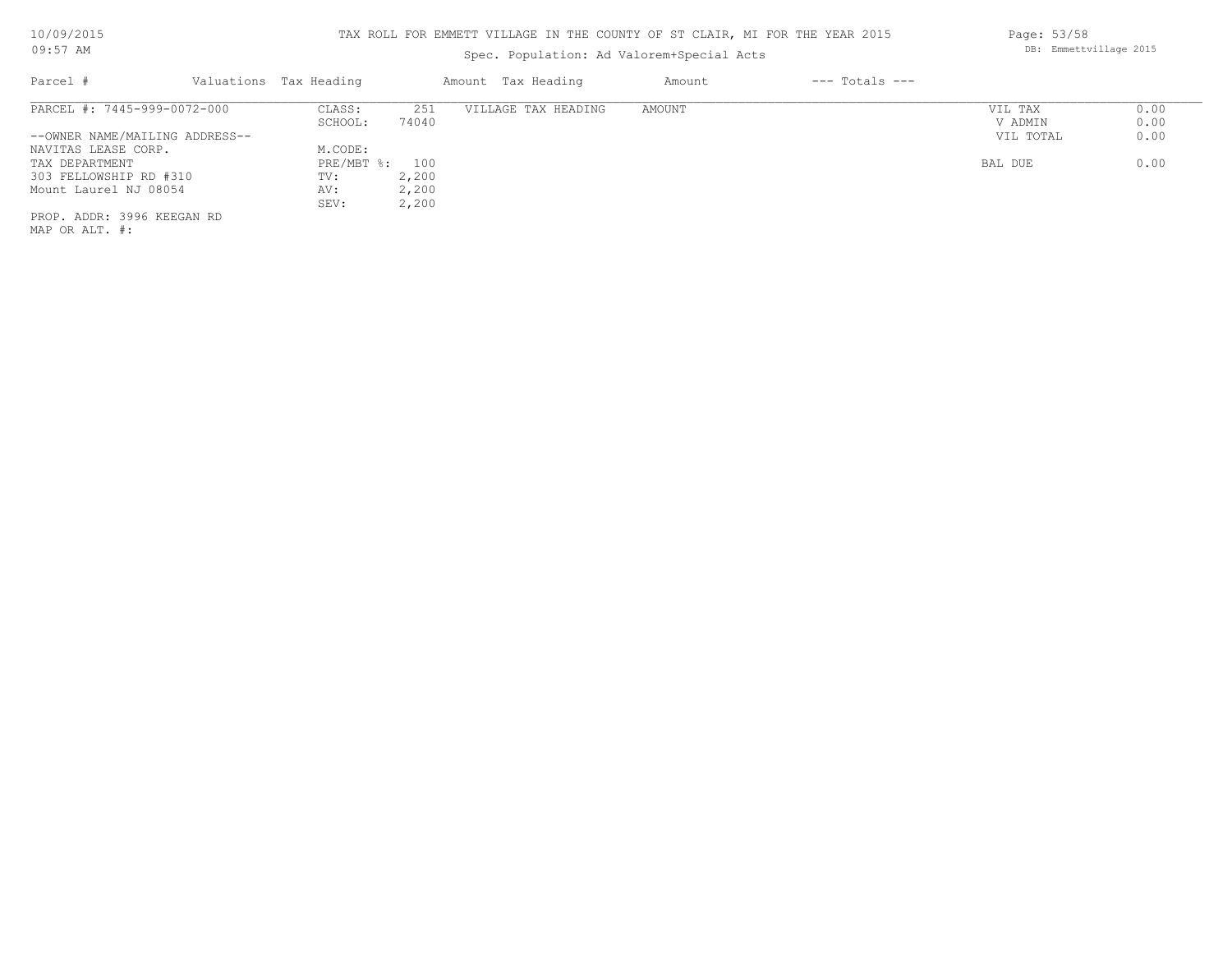# Spec. Population: Ad Valorem+Special Acts

| Parcel #                       | Valuations Tax Heading |       | Amount Tax Heading  | Amount | $---$ Totals $---$ |           |      |
|--------------------------------|------------------------|-------|---------------------|--------|--------------------|-----------|------|
| PARCEL #: 7445-999-0072-000    | CLASS:                 | 251   | VILLAGE TAX HEADING | AMOUNT |                    | VIL TAX   | 0.00 |
|                                | SCHOOL:                | 74040 |                     |        |                    | V ADMIN   | 0.00 |
| --OWNER NAME/MAILING ADDRESS-- |                        |       |                     |        |                    | VIL TOTAL | 0.00 |
| NAVITAS LEASE CORP.            | M.CODE:                |       |                     |        |                    |           |      |
| TAX DEPARTMENT                 | PRE/MBT %: 100         |       |                     |        |                    | BAL DUE   | 0.00 |
| 303 FELLOWSHIP RD #310         | TV:                    | 2,200 |                     |        |                    |           |      |
| Mount Laurel NJ 08054          | AV:                    | 2,200 |                     |        |                    |           |      |
|                                | SEV:                   | 2,200 |                     |        |                    |           |      |
| PROP. ADDR: 3996 KEEGAN RD     |                        |       |                     |        |                    |           |      |
|                                |                        |       |                     |        |                    |           |      |

MAP OR ALT. #:

Page: 53/58 DB: Emmettvillage 2015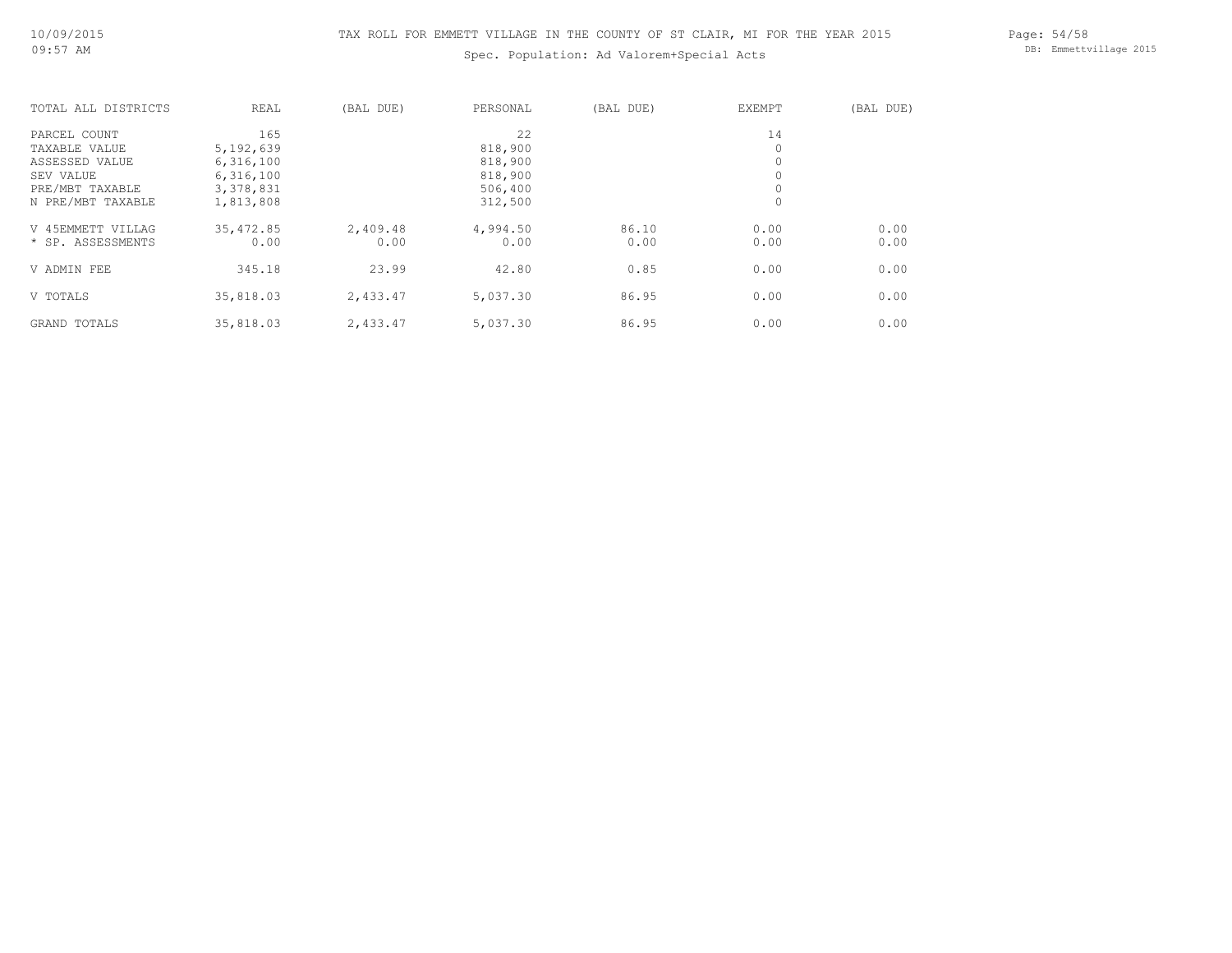# Spec. Population: Ad Valorem+Special Acts

Page: 54/58 DB: Emmettvillage 2015

| TOTAL ALL DISTRICTS | REAL       | (BAL DUE) | PERSONAL | (BAL DUE) | EXEMPT      | (BAL DUE) |
|---------------------|------------|-----------|----------|-----------|-------------|-----------|
| PARCEL COUNT        | 165        |           | 22       |           | 14          |           |
| TAXABLE VALUE       | 5,192,639  |           | 818,900  |           |             |           |
| ASSESSED VALUE      | 6,316,100  |           | 818,900  |           |             |           |
| SEV VALUE           | 6,316,100  |           | 818,900  |           | $\mathbf 0$ |           |
| PRE/MBT TAXABLE     | 3,378,831  |           | 506,400  |           | 0           |           |
| N PRE/MBT TAXABLE   | 1,813,808  |           | 312,500  |           | $\circ$     |           |
| V 45EMMETT VILLAG   | 35, 472.85 | 2,409.48  | 4,994.50 | 86.10     | 0.00        | 0.00      |
| * SP. ASSESSMENTS   | 0.00       | 0.00      | 0.00     | 0.00      | 0.00        | 0.00      |
| V ADMIN FEE         | 345.18     | 23.99     | 42.80    | 0.85      | 0.00        | 0.00      |
| V TOTALS            | 35,818.03  | 2,433.47  | 5,037.30 | 86.95     | 0.00        | 0.00      |
| GRAND TOTALS        | 35,818.03  | 2,433.47  | 5,037.30 | 86.95     | 0.00        | 0.00      |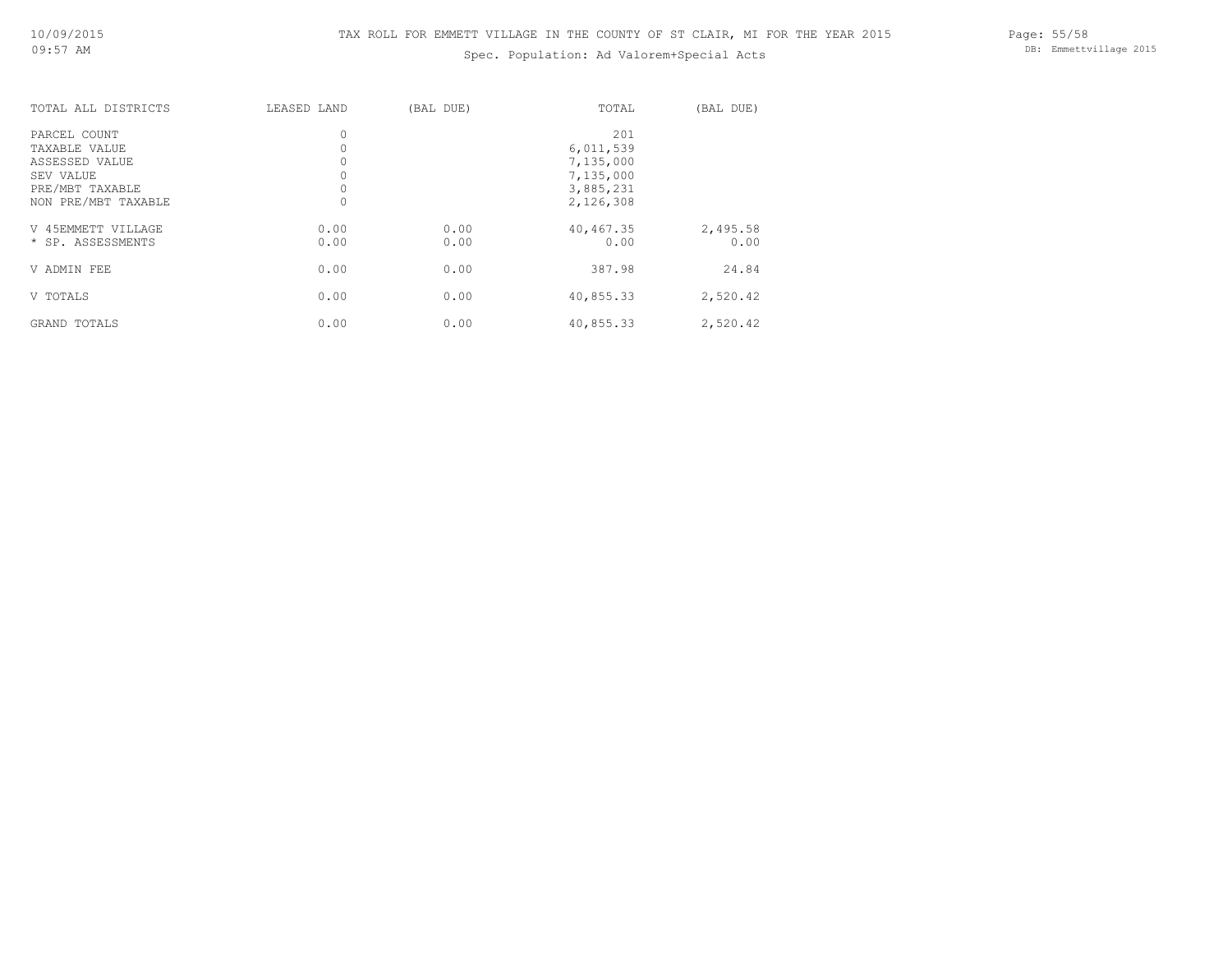# Spec. Population: Ad Valorem+Special Acts

Page: 55/58 DB: Emmettvillage 2015

| TOTAL ALL DISTRICTS                                                                                    | LEASED LAND           | (BAL DUE)    | TOTAL                                                                | (BAL DUE)        |
|--------------------------------------------------------------------------------------------------------|-----------------------|--------------|----------------------------------------------------------------------|------------------|
| PARCEL COUNT<br>TAXABLE VALUE<br>ASSESSED VALUE<br>SEV VALUE<br>PRE/MBT TAXABLE<br>NON PRE/MBT TAXABLE | 0<br>0<br>0<br>0<br>0 |              | 201<br>6,011,539<br>7,135,000<br>7,135,000<br>3,885,231<br>2,126,308 |                  |
| V 45EMMETT VILLAGE<br>* SP. ASSESSMENTS                                                                | 0.00<br>0.00          | 0.00<br>0.00 | 40,467.35<br>0.00                                                    | 2,495.58<br>0.00 |
| V ADMIN FEE                                                                                            | 0.00                  | 0.00         | 387.98                                                               | 24.84            |
| V TOTALS                                                                                               | 0.00                  | 0.00         | 40,855.33                                                            | 2,520.42         |
| GRAND TOTALS                                                                                           | 0.00                  | 0.00         | 40,855.33                                                            | 2,520.42         |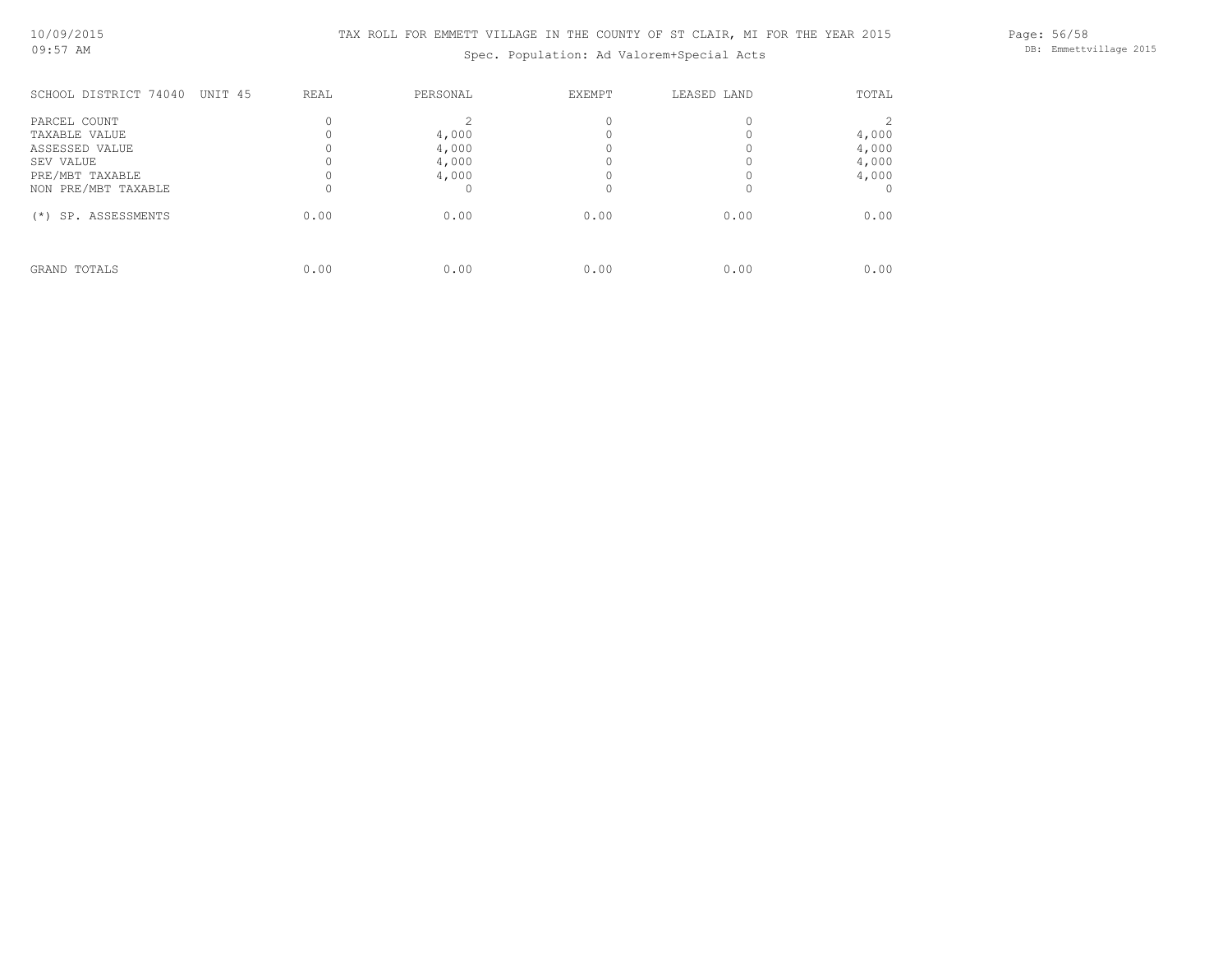Spec. Population: Ad Valorem+Special Acts

Page: 56/58 DB: Emmettvillage 2015

| SCHOOL DISTRICT 74040<br>UNIT 45                                                | REAL | PERSONAL                         | <b>EXEMPT</b> | LEASED LAND | TOTAL                            |
|---------------------------------------------------------------------------------|------|----------------------------------|---------------|-------------|----------------------------------|
| PARCEL COUNT<br>TAXABLE VALUE<br>ASSESSED VALUE<br>SEV VALUE<br>PRE/MBT TAXABLE |      | 4,000<br>4,000<br>4,000<br>4,000 |               |             | 4,000<br>4,000<br>4,000<br>4,000 |
| NON PRE/MBT TAXABLE<br>SP. ASSESSMENTS<br>$(*)$                                 | 0.00 | 0.00                             | 0.00          | 0.00        | 0.00                             |
| GRAND TOTALS                                                                    | 0.00 | 0.00                             | 0.00          | 0.00        | 0.00                             |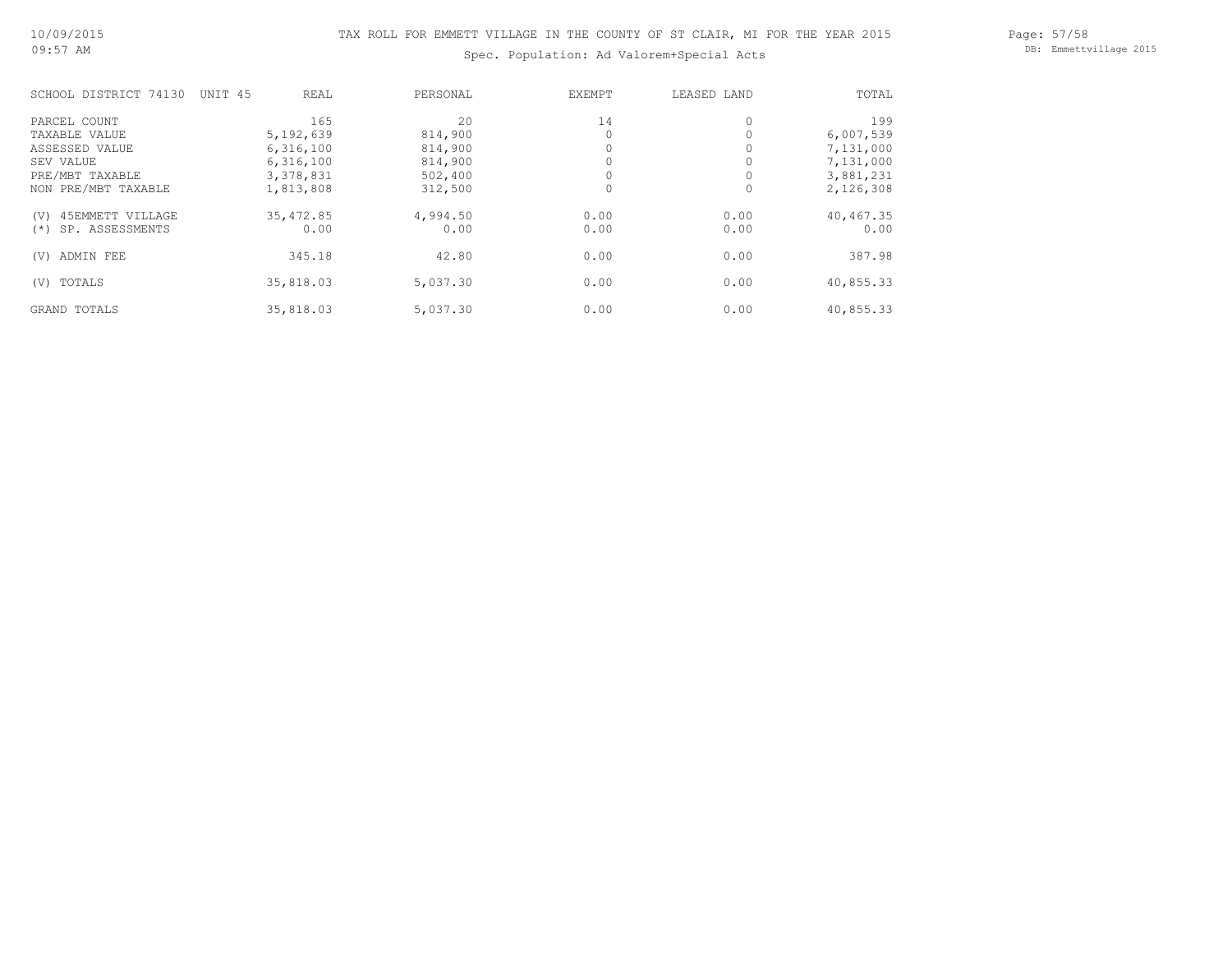Page: 57/58 DB: Emmettvillage 2015

# Spec. Population: Ad Valorem+Special Acts

| SCHOOL DISTRICT 74130    | UNIT 45<br>REAL | PERSONAL | EXEMPT | LEASED LAND | TOTAL     |
|--------------------------|-----------------|----------|--------|-------------|-----------|
| PARCEL COUNT             | 165             | 20       | 14     | $\circ$     | 199       |
| TAXABLE VALUE            | 5,192,639       | 814,900  |        |             | 6,007,539 |
| ASSESSED VALUE           | 6,316,100       | 814,900  |        |             | 7,131,000 |
| SEV VALUE                | 6,316,100       | 814,900  |        |             | 7,131,000 |
| PRE/MBT TAXABLE          | 3,378,831       | 502,400  |        |             | 3,881,231 |
| NON PRE/MBT TAXABLE      | 1,813,808       | 312,500  |        | 0           | 2,126,308 |
| 45EMMETT VILLAGE<br>(V)  | 35, 472.85      | 4,994.50 | 0.00   | 0.00        | 40,467.35 |
| SP. ASSESSMENTS<br>$(*)$ | 0.00            | 0.00     | 0.00   | 0.00        | 0.00      |
| ADMIN FEE<br>(V)         | 345.18          | 42.80    | 0.00   | 0.00        | 387.98    |
| TOTALS<br>(V)            | 35,818.03       | 5,037.30 | 0.00   | 0.00        | 40,855.33 |
| GRAND TOTALS             | 35,818.03       | 5,037.30 | 0.00   | 0.00        | 40,855.33 |